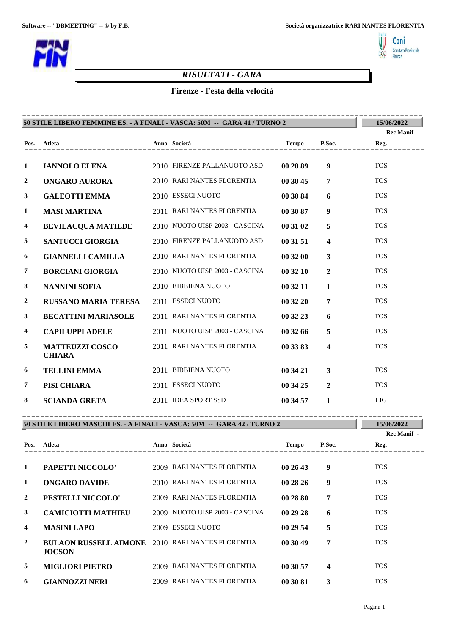Italia<br>V

000

Coni Comitato Provinciale<br>Firenze



## *RISULTATI - GARA*

## **Firenze - Festa della velocità**

|                         | 50 STILE LIBERO FEMMINE ES. - A FINALI - VASCA: 50M -- GARA 41 / TURNO 2 |  |                                |          |                         |             |  |
|-------------------------|--------------------------------------------------------------------------|--|--------------------------------|----------|-------------------------|-------------|--|
|                         |                                                                          |  |                                |          |                         | Rec Manif - |  |
|                         | Pos. Atleta<br>______________________                                    |  | Anno Società                   |          |                         | Reg.        |  |
| $\mathbf{1}$            | <b>IANNOLO ELENA</b>                                                     |  | 2010 FIRENZE PALLANUOTO ASD    | 00 28 89 | 9 <sup>°</sup>          | <b>TOS</b>  |  |
| $\mathbf{2}$            | <b>ONGARO AURORA</b>                                                     |  | 2010 RARI NANTES FLORENTIA     | 00 30 45 | $\overline{7}$          | <b>TOS</b>  |  |
| $\mathbf{3}$            | <b>GALEOTTI EMMA</b>                                                     |  | 2010 ESSECI NUOTO              | 00 30 84 | 6                       | <b>TOS</b>  |  |
| 1                       | <b>MASI MARTINA</b>                                                      |  | 2011 RARI NANTES FLORENTIA     | 00 30 87 | 9                       | <b>TOS</b>  |  |
| $\overline{\mathbf{4}}$ | <b>BEVILACQUA MATILDE</b>                                                |  | 2010 NUOTO UISP 2003 - CASCINA | 00 31 02 | 5                       | <b>TOS</b>  |  |
| 5                       | <b>SANTUCCI GIORGIA</b>                                                  |  | 2010 FIRENZE PALLANUOTO ASD    | 00 31 51 | $\overline{\mathbf{4}}$ | <b>TOS</b>  |  |
| 6                       | <b>GIANNELLI CAMILLA</b>                                                 |  | 2010 RARI NANTES FLORENTIA     | 00 32 00 | $\mathbf{3}$            | <b>TOS</b>  |  |
| 7                       | <b>BORCIANI GIORGIA</b>                                                  |  | 2010 NUOTO UISP 2003 - CASCINA | 00 32 10 | $\overline{2}$          | <b>TOS</b>  |  |
| 8                       | <b>NANNINI SOFIA</b>                                                     |  | 2010 BIBBIENA NUOTO            | 00 32 11 | $\mathbf{1}$            | <b>TOS</b>  |  |
| $\mathbf{2}$            | <b>RUSSANO MARIA TERESA</b>                                              |  | 2011 ESSECI NUOTO              | 00 32 20 | $\overline{7}$          | <b>TOS</b>  |  |
| $\mathbf{3}$            | <b>BECATTINI MARIASOLE</b>                                               |  | 2011 RARI NANTES FLORENTIA     | 00 32 23 | 6                       | <b>TOS</b>  |  |
| $\overline{\mathbf{4}}$ | <b>CAPILUPPI ADELE</b>                                                   |  | 2011 NUOTO UISP 2003 - CASCINA | 00 32 66 | 5                       | <b>TOS</b>  |  |
| 5                       | <b>MATTEUZZI COSCO</b><br><b>CHIARA</b>                                  |  | 2011 RARI NANTES FLORENTIA     | 00 33 83 | $\overline{\mathbf{4}}$ | <b>TOS</b>  |  |
| 6                       | <b>TELLINI EMMA</b>                                                      |  | 2011 BIBBIENA NUOTO            | 00 34 21 | $\mathbf{3}$            | <b>TOS</b>  |  |
| $\overline{7}$          | PISI CHIARA                                                              |  | 2011 ESSECI NUOTO              | 00 34 25 | $\overline{2}$          | <b>TOS</b>  |  |
| 8                       | <b>SCIANDA GRETA</b>                                                     |  | 2011 IDEA SPORT SSD            | 00 34 57 | $\mathbf{1}$            | <b>LIG</b>  |  |

## **50 STILE LIBERO MASCHI ES. - A FINALI - VASCA: 50M -- GARA 42 / TURNO 2**

**15/06/2022**

|                         |                                                                          |                                |          |        | Rec Manif - |
|-------------------------|--------------------------------------------------------------------------|--------------------------------|----------|--------|-------------|
| Pos.                    | Atleta                                                                   | Anno Società                   | Tempo    | P.Soc. | Reg.        |
|                         |                                                                          |                                |          |        |             |
| 1                       | PAPETTI NICCOLO'                                                         | 2009 RARI NANTES FLORENTIA     | 002643   | 9      | <b>TOS</b>  |
| 1                       | <b>ONGARO DAVIDE</b>                                                     | 2010 RARI NANTES FLORENTIA     | 00 28 26 | 9      | <b>TOS</b>  |
| $\mathbf{2}$            | PESTELLI NICCOLO'                                                        | 2009 RARI NANTES FLORENTIA     | 00 28 80 | 7      | <b>TOS</b>  |
| 3                       | <b>CAMICIOTTI MATHIEU</b>                                                | 2009 NUOTO UISP 2003 - CASCINA | 002928   | 6      | <b>TOS</b>  |
| $\overline{\mathbf{4}}$ | <b>MASINI LAPO</b>                                                       | 2009 ESSECI NUOTO              | 00 29 54 | 5      | <b>TOS</b>  |
| $\mathbf{2}$            | <b>BULAON RUSSELL AIMONE</b> 2010 RARI NANTES FLORENTIA<br><b>JOCSON</b> |                                | 00 30 49 | 7      | <b>TOS</b>  |
| 5                       | <b>MIGLIORI PIETRO</b>                                                   | 2009 RARI NANTES FLORENTIA     | 00 30 57 | 4      | <b>TOS</b>  |
| 6                       | <b>GIANNOZZI NERI</b>                                                    | 2009 RARI NANTES FLORENTIA     | 00 30 81 | 3      | <b>TOS</b>  |

----------------------------------------------------------------------------------------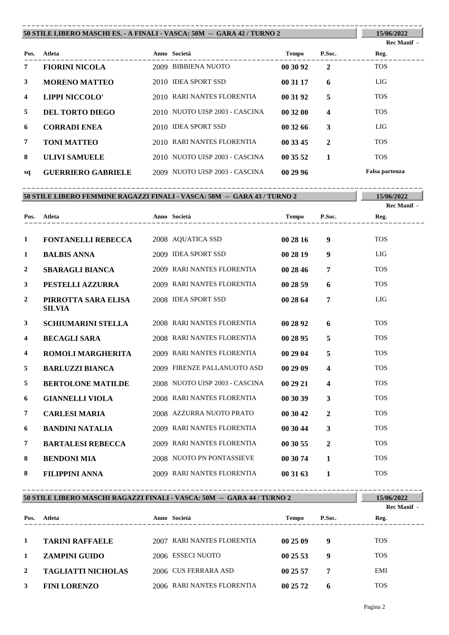#### **Atleta Anno Società Tempo P.Soc. 50 STILE LIBERO MASCHI ES. - A FINALI - VASCA: 50M -- GARA 42 / TURNO 2 Pos. 15/06/2022 Reg.** ----------------------------------------------------------------------------------------

|                         |                           |                                | $1 \, \mathrm{cm}$ | $\ddotsc$ | $\cdots$       |
|-------------------------|---------------------------|--------------------------------|--------------------|-----------|----------------|
| 7                       | <b>FIORINI NICOLA</b>     | 2009 BIBBIENA NUOTO            | 00 30 92           | 2         | <b>TOS</b>     |
| 3                       | <b>MORENO MATTEO</b>      | 2010 IDEA SPORT SSD            | 00 31 17           | 6         | <b>LIG</b>     |
| $\overline{\mathbf{4}}$ | LIPPI NICCOLO'            | 2010 RARI NANTES FLORENTIA     | 00 31 92           | 5         | <b>TOS</b>     |
| 5                       | DEL TORTO DIEGO           | 2010 NUOTO UISP 2003 - CASCINA | 00 32 00           | 4         | <b>TOS</b>     |
| 6                       | <b>CORRADI ENEA</b>       | 2010 IDEA SPORT SSD            | 00 32 66           | 3         | <b>LIG</b>     |
| 7                       | <b>TONI MATTEO</b>        | 2010 RARI NANTES FLORENTIA     | 00 33 45           | 2         | <b>TOS</b>     |
| 8                       | <b>ULIVI SAMUELE</b>      | 2010 NUOTO UISP 2003 - CASCINA | 00 35 52           |           | <b>TOS</b>     |
| sq                      | <b>GUERRIERO GABRIELE</b> | 2009 NUOTO UISP 2003 - CASCINA | 00 29 96           |           | Falsa partenza |

**50 STILE LIBERO FEMMINE RAGAZZI FINALI - VASCA: 50M -- GARA 43 / TURNO 2** ----------------------------------------------------------------------------------------

**15/06/2022 Rec Manif -** 

**Rec Manif -** 

| Pos.         | Atleta                               | Anno Società                   | <b>Tempo</b> | P.Soc.                  | Reg.       |
|--------------|--------------------------------------|--------------------------------|--------------|-------------------------|------------|
|              |                                      |                                |              |                         |            |
| 1            | <b>FONTANELLI REBECCA</b>            | 2008 AQUATICA SSD              | 00 28 16     | 9                       | <b>TOS</b> |
| 1            | <b>BALBIS ANNA</b>                   | 2009 IDEA SPORT SSD            | 00 28 19     | 9                       | LIG        |
| 2            | <b>SBARAGLI BIANCA</b>               | 2009 RARI NANTES FLORENTIA     | 00 28 46     | 7                       | <b>TOS</b> |
| 3            | PESTELLI AZZURRA                     | 2009 RARI NANTES FLORENTIA     | 00 28 59     | 6                       | <b>TOS</b> |
| $\mathbf{2}$ | PIRROTTA SARA ELISA<br><b>SILVIA</b> | 2008 IDEA SPORT SSD            | 00 28 64     | 7                       | <b>LIG</b> |
| 3            | <b>SCHIUMARINI STELLA</b>            | 2008 RARI NANTES FLORENTIA     | 00 28 92     | 6                       | <b>TOS</b> |
| 4            | <b>BECAGLI SARA</b>                  | 2008 RARI NANTES FLORENTIA     | 00 28 95     | 5                       | <b>TOS</b> |
| 4            | ROMOLI MARGHERITA                    | 2009 RARI NANTES FLORENTIA     | 00 29 04     | 5                       | <b>TOS</b> |
| 5            | <b>BARLUZZI BIANCA</b>               | 2009 FIRENZE PALLANUOTO ASD    | 00 29 09     | $\overline{\mathbf{4}}$ | <b>TOS</b> |
| 5            | <b>BERTOLONE MATILDE</b>             | 2008 NUOTO UISP 2003 - CASCINA | 00 29 21     | $\overline{\mathbf{4}}$ | <b>TOS</b> |
| 6            | <b>GIANNELLI VIOLA</b>               | 2008 RARI NANTES FLORENTIA     | 00 30 39     | 3                       | <b>TOS</b> |
| 7            | <b>CARLESI MARIA</b>                 | 2008 AZZURRA NUOTO PRATO       | 00 30 42     | $\mathbf{2}$            | <b>TOS</b> |
| 6            | <b>BANDINI NATALIA</b>               | 2009 RARI NANTES FLORENTIA     | 00 30 44     | 3                       | <b>TOS</b> |
| 7            | <b>BARTALESI REBECCA</b>             | 2009 RARI NANTES FLORENTIA     | 00 30 55     | $\mathbf{2}$            | <b>TOS</b> |
| 8            | <b>BENDONI MIA</b>                   | 2008 NUOTO PN PONTASSIEVE      | 00 30 74     | $\mathbf{1}$            | <b>TOS</b> |
| 8            | <b>FILIPPINI ANNA</b>                | 2009 RARI NANTES FLORENTIA     | 00 31 63     | 1                       | <b>TOS</b> |

| 50 STILE LIBERO MASCHI RAGAZZI FINALI - VASCA: 50M -- GARA 44 / TURNO 2 |                           |  |                            |              |        | 15/06/2022<br>Rec Manif - |
|-------------------------------------------------------------------------|---------------------------|--|----------------------------|--------------|--------|---------------------------|
| Pos.                                                                    | Atleta                    |  | Anno Società               | <b>Tempo</b> | P.Soc. | Reg.                      |
| 1                                                                       | <b>TARINI RAFFAELE</b>    |  | 2007 RARI NANTES FLORENTIA | 00 25 09     | 9      | <b>TOS</b>                |
| 1                                                                       | <b>ZAMPINI GUIDO</b>      |  | 2006 ESSECI NUOTO          | 002553       | 9      | <b>TOS</b>                |
| 2                                                                       | <b>TAGLIATTI NICHOLAS</b> |  | 2006 CUS FERRARA ASD       | 00 25 57     | 7      | EMI                       |
| 3                                                                       | <b>FINI LORENZO</b>       |  | 2006 RARI NANTES FLORENTIA | 00 25 72     | 6      | <b>TOS</b>                |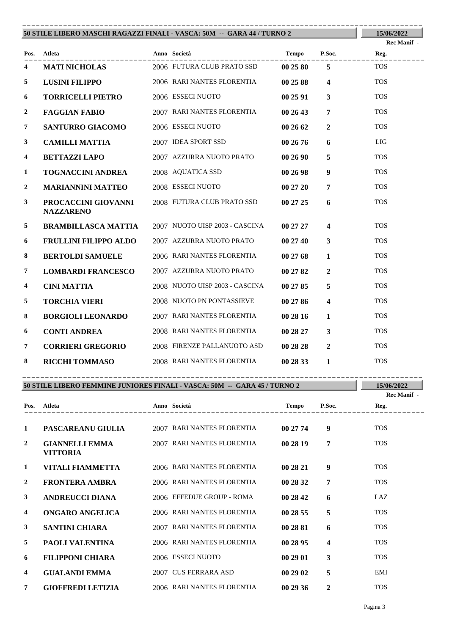| 50 STILE LIBERO MASCHI RAGAZZI FINALI - VASCA: 50M -- GARA 44 / TURNO 2 | 15/06/2022                              |                                |              |                         |                            |
|-------------------------------------------------------------------------|-----------------------------------------|--------------------------------|--------------|-------------------------|----------------------------|
|                                                                         | Pos. Atleta                             | Anno Società                   | Tempo P.Soc. |                         | <b>Rec Manif</b> -<br>Reg. |
| 4                                                                       | <b>MATI NICHOLAS</b>                    | 2006 FUTURA CLUB PRATO SSD     | 00 25 80     | 5 <sup>5</sup>          | <b>TOS</b>                 |
|                                                                         |                                         |                                |              |                         |                            |
| $5\overline{5}$                                                         | <b>LUSINI FILIPPO</b>                   | 2006 RARI NANTES FLORENTIA     | 00 25 88     | $\overline{\mathbf{4}}$ | <b>TOS</b>                 |
| 6                                                                       | <b>TORRICELLI PIETRO</b>                | 2006 ESSECI NUOTO              | 00 25 91     | $\mathbf{3}$            | <b>TOS</b>                 |
| $\boldsymbol{2}$                                                        | <b>FAGGIAN FABIO</b>                    | 2007 RARI NANTES FLORENTIA     | 00 26 43     | $\overline{7}$          | <b>TOS</b>                 |
| 7                                                                       | <b>SANTURRO GIACOMO</b>                 | 2006 ESSECI NUOTO              | 002662       | $\overline{2}$          | <b>TOS</b>                 |
| $\mathbf{3}$                                                            | <b>CAMILLI MATTIA</b>                   | 2007 IDEA SPORT SSD            | 00 26 76     | 6                       | <b>LIG</b>                 |
| 4                                                                       | <b>BETTAZZI LAPO</b>                    | 2007 AZZURRA NUOTO PRATO       | 00 26 90     | 5                       | <b>TOS</b>                 |
| 1                                                                       | <b>TOGNACCINI ANDREA</b>                | 2008 AQUATICA SSD              | 00 26 98     | $\boldsymbol{9}$        | <b>TOS</b>                 |
| $\overline{2}$                                                          | <b>MARIANNINI MATTEO</b>                | 2008 ESSECI NUOTO              | 00 27 20     | $\overline{7}$          | <b>TOS</b>                 |
| $\mathbf{3}$                                                            | PROCACCINI GIOVANNI<br><b>NAZZARENO</b> | 2008 FUTURA CLUB PRATO SSD     | 00 27 25     | 6                       | <b>TOS</b>                 |
| 5                                                                       | <b>BRAMBILLASCA MATTIA</b>              | 2007 NUOTO UISP 2003 - CASCINA | 00 27 27     | $\overline{\mathbf{4}}$ | <b>TOS</b>                 |
| 6                                                                       | <b>FRULLINI FILIPPO ALDO</b>            | 2007 AZZURRA NUOTO PRATO       | 00 27 40     | $\mathbf{3}$            | <b>TOS</b>                 |
| 8                                                                       | <b>BERTOLDI SAMUELE</b>                 | 2006 RARI NANTES FLORENTIA     | 00 27 68     | $\mathbf{1}$            | <b>TOS</b>                 |
| $\boldsymbol{7}$                                                        | <b>LOMBARDI FRANCESCO</b>               | 2007 AZZURRA NUOTO PRATO       | 00 27 82     | $\overline{2}$          | <b>TOS</b>                 |
| 4                                                                       | <b>CINI MATTIA</b>                      | 2008 NUOTO UISP 2003 - CASCINA | 00 27 85     | 5                       | <b>TOS</b>                 |
| 5                                                                       | <b>TORCHIA VIERI</b>                    | 2008 NUOTO PN PONTASSIEVE      | 00 27 86     | $\overline{\mathbf{4}}$ | <b>TOS</b>                 |
| 8                                                                       | <b>BORGIOLI LEONARDO</b>                | 2007 RARI NANTES FLORENTIA     | 00 28 16     | $\mathbf{1}$            | <b>TOS</b>                 |
| 6                                                                       | <b>CONTI ANDREA</b>                     | 2008 RARI NANTES FLORENTIA     | 00 28 27     | $\mathbf{3}$            | <b>TOS</b>                 |
| 7                                                                       | <b>CORRIERI GREGORIO</b>                | 2008 FIRENZE PALLANUOTO ASD    | 00 28 28     | $\overline{2}$          | <b>TOS</b>                 |
| 8                                                                       | <b>RICCHI TOMMASO</b>                   | 2008 RARI NANTES FLORENTIA     | 00 28 33     | $\mathbf{1}$            | <b>TOS</b>                 |

| 50 STILE LIBERO FEMMINE JUNIORES FINALI - VASCA: 50M -- GARA 45 / TURNO 2 | 15/06/2022<br>Rec Manif -                |      |                            |              |              |            |
|---------------------------------------------------------------------------|------------------------------------------|------|----------------------------|--------------|--------------|------------|
| Pos.                                                                      | Atleta                                   |      | Anno Società               | <b>Tempo</b> | P.Soc.       | Reg.       |
| 1                                                                         | PASCAREANU GIULIA                        |      | 2007 RARI NANTES FLORENTIA | 00 27 74     | 9            | <b>TOS</b> |
| $\mathbf{2}$                                                              | <b>GIANNELLI EMMA</b><br><b>VITTORIA</b> |      | 2007 RARI NANTES FLORENTIA | 00 28 19     | 7            | <b>TOS</b> |
| 1                                                                         | VITALI FIAMMETTA                         |      | 2006 RARI NANTES FLORENTIA | 00 28 21     | 9            | <b>TOS</b> |
| $\overline{2}$                                                            | <b>FRONTERA AMBRA</b>                    |      | 2006 RARI NANTES FLORENTIA | 00 28 32     | 7            | <b>TOS</b> |
| 3                                                                         | <b>ANDREUCCI DIANA</b>                   |      | 2006 EFFEDUE GROUP - ROMA  | 00 28 42     | 6            | LAZ.       |
| 4                                                                         | <b>ONGARO ANGELICA</b>                   |      | 2006 RARI NANTES FLORENTIA | 002855       | 5            | <b>TOS</b> |
| 3                                                                         | <b>SANTINI CHIARA</b>                    |      | 2007 RARI NANTES FLORENTIA | 00 28 81     | 6            | <b>TOS</b> |
| 5                                                                         | <b>PAOLI VALENTINA</b>                   |      | 2006 RARI NANTES FLORENTIA | 00 28 95     | 4            | <b>TOS</b> |
| 6                                                                         | <b>FILIPPONI CHIARA</b>                  |      | 2006 ESSECI NUOTO          | 002901       | 3            | <b>TOS</b> |
| 4                                                                         | <b>GUALANDI EMMA</b>                     | 2007 | <b>CUS FERRARA ASD</b>     | 00 29 02     | 5            | <b>EMI</b> |
| 7                                                                         | <b>GIOFFREDI LETIZIA</b>                 |      | 2006 RARI NANTES FLORENTIA | 00 29 36     | $\mathbf{2}$ | <b>TOS</b> |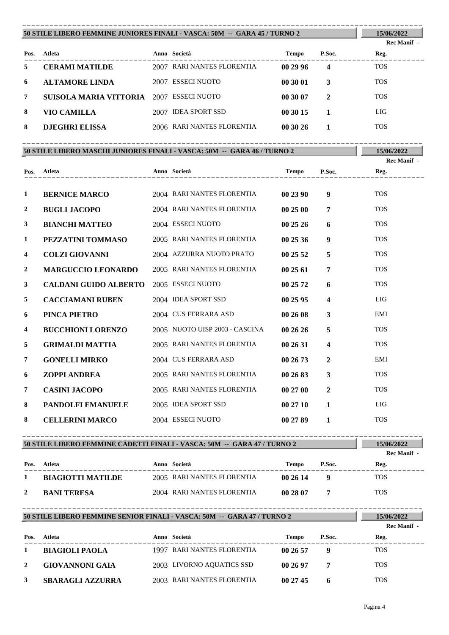### **50 STILE LIBERO FEMMINE JUNIORES FINALI - VASCA: 50M -- GARA 45 / TURNO 2** ----------------------------------------------------------------------------------------

**15/06/2022 Rec Manif -** 

| Pos. | Atleta                 | Anno Società               | <b>Tempo</b> | P.Soc.           | Reg.       |
|------|------------------------|----------------------------|--------------|------------------|------------|
| 5    | <b>CERAMI MATILDE</b>  | 2007 RARI NANTES FLORENTIA | 00 29 96     | $\boldsymbol{4}$ | <b>TOS</b> |
| 6    | <b>ALTAMORE LINDA</b>  | 2007 ESSECI NUOTO          | 00 30 01     |                  | <b>TOS</b> |
| 7    | SUISOLA MARIA VITTORIA | 2007 ESSECI NUOTO          | 00 30 07     | 2                | <b>TOS</b> |
| 8    | VIO CAMILLA            | 2007 IDEA SPORT SSD        | 00 30 15     |                  | LIG        |
| 8    | <b>DJEGHRI ELISSA</b>  | 2006 RARI NANTES FLORENTIA | 003026       |                  | <b>TOS</b> |

| 50 STILE LIBERO MASCHI JUNIORES FINALI - VASCA: 50M -- GARA 46 / TURNO 2 | 15/06/2022                                     |                                |          |                         |             |
|--------------------------------------------------------------------------|------------------------------------------------|--------------------------------|----------|-------------------------|-------------|
|                                                                          |                                                |                                |          |                         | Rec Manif - |
|                                                                          | Pos. Atleta                                    |                                |          |                         | Reg.        |
| $\mathbf{1}$                                                             | <b>BERNICE MARCO</b>                           | 2004 RARI NANTES FLORENTIA     | 00 23 90 | 9 <sup>°</sup>          | <b>TOS</b>  |
| $\boldsymbol{2}$                                                         | <b>BUGLI JACOPO</b>                            | 2004 RARI NANTES FLORENTIA     | 00 25 00 | $\overline{7}$          | <b>TOS</b>  |
| $\mathbf{3}$                                                             | <b>BIANCHI MATTEO</b>                          | 2004 ESSECI NUOTO              | 002526   | 6                       | <b>TOS</b>  |
| $\mathbf{1}$                                                             | PEZZATINI TOMMASO                              | 2005 RARI NANTES FLORENTIA     | 002536   | 9                       | <b>TOS</b>  |
| $\overline{\mathbf{4}}$                                                  | <b>COLZI GIOVANNI</b>                          | 2004 AZZURRA NUOTO PRATO       | 00 25 52 | 5                       | <b>TOS</b>  |
| $\overline{2}$                                                           | <b>MARGUCCIO LEONARDO</b>                      | 2005 RARI NANTES FLORENTIA     | 00 25 61 | $\overline{7}$          | <b>TOS</b>  |
| $\mathbf{3}$                                                             | <b>CALDANI GUIDO ALBERTO</b> 2005 ESSECI NUOTO |                                | 00 25 72 | 6                       | <b>TOS</b>  |
| 5                                                                        | <b>CACCIAMANI RUBEN</b>                        | 2004 IDEA SPORT SSD            | 00 25 95 | $\overline{\mathbf{4}}$ | <b>LIG</b>  |
| 6                                                                        | PINCA PIETRO                                   | 2004 CUS FERRARA ASD           | 00 26 08 | $\mathbf{3}$            | EMI         |
| $\overline{4}$                                                           | <b>BUCCHIONI LORENZO</b>                       | 2005 NUOTO UISP 2003 - CASCINA | 002626   | 5                       | <b>TOS</b>  |
| 5                                                                        | <b>GRIMALDI MATTIA</b>                         | 2005 RARI NANTES FLORENTIA     | 00 26 31 | $\overline{\mathbf{4}}$ | <b>TOS</b>  |
| $\overline{7}$                                                           | <b>GONELLI MIRKO</b>                           | 2004 CUS FERRARA ASD           | 002673   | $\overline{2}$          | EMI         |
| 6                                                                        | <b>ZOPPI ANDREA</b>                            | 2005 RARI NANTES FLORENTIA     | 00 26 83 | 3                       | <b>TOS</b>  |
| $\overline{7}$                                                           | <b>CASINI JACOPO</b>                           | 2005 RARI NANTES FLORENTIA     | 00 27 00 | $\overline{2}$          | <b>TOS</b>  |
| 8                                                                        | PANDOLFI EMANUELE                              | 2005 IDEA SPORT SSD            | 00 27 10 | $\mathbf{1}$            | LIG         |
| 8                                                                        | <b>CELLERINI MARCO</b>                         | 2004 ESSECI NUOTO              | 00 27 89 | $\mathbf{1}$            | <b>TOS</b>  |

## **50 STILE LIBERO FEMMINE CADETTI FINALI - VASCA: 50M -- GARA 47 / TURNO 2** ----------------------------------------------------------------------------------------

| 15/06/2022 |  |
|------------|--|
|            |  |

|      |                          |                            |          |        | Rec Manif - |
|------|--------------------------|----------------------------|----------|--------|-------------|
| Pos. | Atleta                   | Anno Società               | Tempo    | P.Soc. | Reg.        |
|      | <b>BIAGIOTTI MATILDE</b> | 2005 RARI NANTES FLORENTIA | 002614   | -9     | TOS         |
|      | <b>BANI TERESA</b>       | 2004 RARI NANTES FLORENTIA | 00 28 07 |        | TOS         |

#### **50 STILE LIBERO FEMMINE SENIOR FINALI - VASCA: 50M -- GARA 47 / TURNO 2 15/06/2022** ---------------------------------------------------------------------------------------- **Rec Manif -**

| Pos. | Atleta                  | <b>Anno Società</b>        | Tempo    | P.Soc. | Reg.       |
|------|-------------------------|----------------------------|----------|--------|------------|
|      | <b>BIAGIOLI PAOLA</b>   | 1997 RARI NANTES FLORENTIA | 002657   |        | TOS        |
|      | GIOVANNONI GAIA         | 2003 LIVORNO AQUATICS SSD  | 00 26 97 |        | <b>TOS</b> |
|      | <b>SBARAGLI AZZURRA</b> | 2003 RARI NANTES FLORENTIA | 002745   |        | <b>TOS</b> |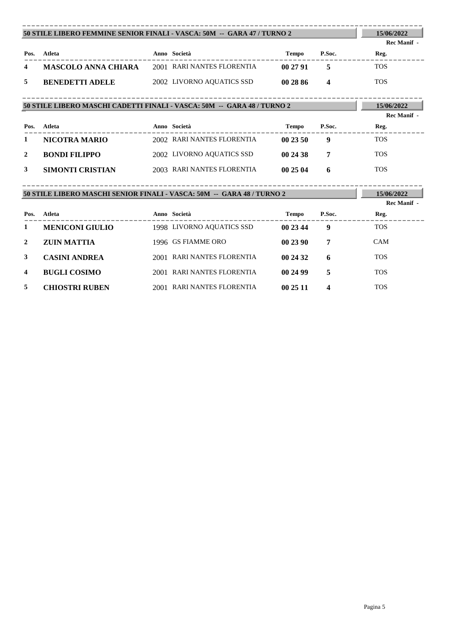|              | 50 STILE LIBERO FEMMINE SENIOR FINALI - VASCA: 50M -- GARA 47/TURNO 2   |  |                            |          |                  | 15/06/2022                       |  |  |  |
|--------------|-------------------------------------------------------------------------|--|----------------------------|----------|------------------|----------------------------------|--|--|--|
|              |                                                                         |  |                            |          |                  | Rec Manif -                      |  |  |  |
| Pos.         | Atleta                                                                  |  | Anno Società               | Tempo    | P.Soc.           | Reg.                             |  |  |  |
| 4            | <b>MASCOLO ANNA CHIARA</b> 2001 RARI NANTES FLORENTIA                   |  |                            | 00 27 91 | $\overline{5}$   | <b>TOS</b>                       |  |  |  |
| 5            | <b>BENEDETTI ADELE</b>                                                  |  | 2002 LIVORNO AQUATICS SSD  | 00 28 86 | $\boldsymbol{4}$ | <b>TOS</b>                       |  |  |  |
|              | 50 STILE LIBERO MASCHI CADETTI FINALI - VASCA: 50M -- GARA 48 / TURNO 2 |  |                            |          |                  |                                  |  |  |  |
|              |                                                                         |  |                            |          |                  | 15/06/2022<br><b>Rec Manif -</b> |  |  |  |
| Pos.         | Atleta                                                                  |  | Anno Società               | Tempo    | P.Soc.           | Reg.                             |  |  |  |
| 1            | <b>NICOTRA MARIO</b>                                                    |  | 2002 RARI NANTES FLORENTIA | 00 23 50 | 9                | <b>TOS</b>                       |  |  |  |
| $\mathbf{2}$ | <b>BONDI FILIPPO</b>                                                    |  | 2002 LIVORNO AQUATICS SSD  | 00 24 38 | $\overline{7}$   | <b>TOS</b>                       |  |  |  |
| 3            | <b>SIMONTI CRISTIAN</b>                                                 |  | 2003 RARI NANTES FLORENTIA | 00 25 04 | 6                | <b>TOS</b>                       |  |  |  |
|              | 50 STILE LIBERO MASCHI SENIOR FINALI - VASCA: 50M -- GARA 48 / TURNO 2  |  |                            |          |                  | 15/06/2022                       |  |  |  |
|              |                                                                         |  |                            |          |                  | Rec Manif -                      |  |  |  |
| Pos.         | <b>Atleta</b>                                                           |  | Anno Società               | Tempo    | P.Soc.           | Reg.                             |  |  |  |
| 1            | <b>MENICONI GIULIO</b>                                                  |  | 1998 LIVORNO AQUATICS SSD  | 00 23 44 | 9                | <b>TOS</b>                       |  |  |  |
| 2            | <b>ZUIN MATTIA</b>                                                      |  | 1996 GS FIAMME ORO         | 002390   | 7                | <b>CAM</b>                       |  |  |  |
| 3            | <b>CASINI ANDREA</b>                                                    |  | 2001 RARI NANTES FLORENTIA | 00 24 32 | 6                | <b>TOS</b>                       |  |  |  |
| 4            | <b>BUGLI COSIMO</b>                                                     |  | 2001 RARI NANTES FLORENTIA | 00 24 99 | 5                | <b>TOS</b>                       |  |  |  |

**5 CHIOSTRI RUBEN** 2001 RARI NANTES FLORENTIA **00 25 11 4** TOS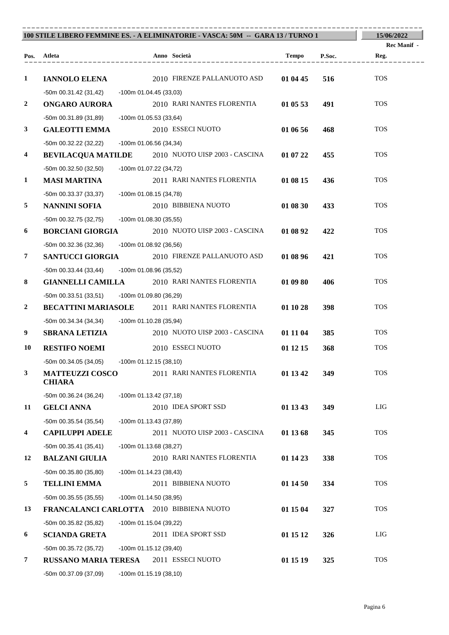| 100 STILE LIBERO FEMMINE ES. - A ELIMINATORIE - VASCA: 50M -- GARA 13 / TURNO 1 |                                                  |                          |  |                                                          |              |        | 15/06/2022          |
|---------------------------------------------------------------------------------|--------------------------------------------------|--------------------------|--|----------------------------------------------------------|--------------|--------|---------------------|
|                                                                                 | Pos. Atleta                                      |                          |  | Anno Società                                             | <b>Tempo</b> | P.Soc. | Rec Manif -<br>Reg. |
|                                                                                 |                                                  |                          |  |                                                          |              |        |                     |
| $\mathbf{1}$                                                                    | <b>IANNOLO ELENA</b>                             |                          |  | 2010 FIRENZE PALLANUOTO ASD                              | 01 04 45     | 516    | <b>TOS</b>          |
|                                                                                 | -50m 00.31.42 (31,42)                            | -100m 01.04.45 (33,03)   |  |                                                          |              |        |                     |
| $\boldsymbol{2}$                                                                | <b>ONGARO AURORA</b>                             |                          |  | 2010 RARI NANTES FLORENTIA                               | 01 05 53     | 491    | <b>TOS</b>          |
|                                                                                 | -50m 00.31.89 (31,89)                            | -100m 01.05.53 (33,64)   |  |                                                          |              |        |                     |
| $\mathbf{3}$                                                                    | <b>GALEOTTI EMMA</b>                             |                          |  | 2010 ESSECI NUOTO                                        | 01 06 56     | 468    | <b>TOS</b>          |
|                                                                                 | -50m 00.32.22 (32,22)                            | -100m 01.06.56 (34,34)   |  |                                                          |              |        |                     |
| 4                                                                               |                                                  |                          |  | <b>BEVILACQUA MATILDE</b> 2010 NUOTO UISP 2003 - CASCINA | 01 07 22     | 455    | <b>TOS</b>          |
|                                                                                 | -50m 00.32.50 (32,50)                            | -100m 01.07.22 (34,72)   |  |                                                          |              |        |                     |
| 1                                                                               | <b>MASI MARTINA</b>                              |                          |  | 2011 RARI NANTES FLORENTIA                               | 01 08 15     | 436    | <b>TOS</b>          |
|                                                                                 | -50m 00.33.37 (33,37)                            | -100m 01.08.15 (34,78)   |  |                                                          |              |        |                     |
| 5                                                                               | <b>NANNINI SOFIA</b>                             |                          |  | 2010 BIBBIENA NUOTO                                      | 01 08 30     | 433    | <b>TOS</b>          |
|                                                                                 | -50m 00.32.75 (32,75)                            | $-100m$ 01.08.30 (35,55) |  |                                                          |              |        |                     |
| 6                                                                               | <b>BORCIANI GIORGIA</b>                          |                          |  | 2010 NUOTO UISP 2003 - CASCINA                           | 01 08 92     | 422    | <b>TOS</b>          |
|                                                                                 | -50m 00.32.36 (32,36)                            | $-100m$ 01.08.92 (36,56) |  |                                                          |              |        |                     |
| 7                                                                               | <b>SANTUCCI GIORGIA</b>                          |                          |  | 2010 FIRENZE PALLANUOTO ASD                              | 01 08 96     | 421    | <b>TOS</b>          |
|                                                                                 | $-50m$ 00.33.44 (33,44)                          | -100m 01.08.96 (35,52)   |  |                                                          |              |        |                     |
| 8                                                                               | <b>GIANNELLI CAMILLA</b>                         |                          |  | 2010 RARI NANTES FLORENTIA                               | 01 09 80     | 406    | <b>TOS</b>          |
|                                                                                 | -50m 00.33.51 (33,51)                            | -100m 01.09.80 (36,29)   |  |                                                          |              |        |                     |
| 2                                                                               |                                                  |                          |  | <b>BECATTINI MARIASOLE</b> 2011 RARI NANTES FLORENTIA    | 01 10 28     | 398    | <b>TOS</b>          |
|                                                                                 | -50m 00.34.34 (34,34)                            | -100m 01.10.28 (35,94)   |  |                                                          |              |        |                     |
| 9                                                                               | <b>SBRANA LETIZIA</b>                            |                          |  | 2010 NUOTO UISP 2003 - CASCINA                           | 01 11 04     | 385    | <b>TOS</b>          |
| 10                                                                              | <b>RESTIFO NOEMI</b>                             |                          |  | 2010 ESSECI NUOTO                                        | 01 12 15     | 368    | <b>TOS</b>          |
|                                                                                 | $-50m$ 00.34.05 (34,05) $-100m$ 01.12.15 (38,10) |                          |  |                                                          |              |        |                     |
| 3                                                                               | <b>MATTEUZZI COSCO</b>                           |                          |  | 2011 RARI NANTES FLORENTIA                               | 01 13 42     | 349    | <b>TOS</b>          |
|                                                                                 | <b>CHIARA</b>                                    |                          |  |                                                          |              |        |                     |
|                                                                                 | $-50m$ 00.36.24 (36,24)                          | -100m 01.13.42 (37,18)   |  |                                                          |              |        |                     |
| 11                                                                              | <b>GELCI ANNA</b>                                |                          |  | 2010 IDEA SPORT SSD                                      | 01 13 43     | 349    | LIG                 |
|                                                                                 | -50m 00.35.54 (35,54)                            | -100m 01.13.43 (37,89)   |  |                                                          |              |        |                     |
| 4                                                                               | <b>CAPILUPPI ADELE</b>                           |                          |  | 2011 NUOTO UISP 2003 - CASCINA                           | 01 13 68     | 345    | <b>TOS</b>          |
|                                                                                 | $-50m$ 00.35.41 (35,41)                          | $-100m$ 01.13.68 (38,27) |  |                                                          |              |        |                     |
| 12                                                                              | <b>BALZANI GIULIA</b>                            |                          |  | 2010 RARI NANTES FLORENTIA                               | 01 14 23     | 338    | <b>TOS</b>          |
|                                                                                 | -50m 00.35.80 (35,80)                            | -100m 01.14.23 (38,43)   |  |                                                          |              |        |                     |
| 5                                                                               | <b>TELLINI EMMA</b>                              |                          |  | 2011 BIBBIENA NUOTO                                      | 01 14 50     | 334    | <b>TOS</b>          |
|                                                                                 | $-50m$ 00.35.55 (35,55)                          | -100m 01.14.50 (38,95)   |  |                                                          |              |        |                     |
| 13                                                                              | FRANCALANCI CARLOTTA 2010 BIBBIENA NUOTO         |                          |  |                                                          | 01 15 04     | 327    | <b>TOS</b>          |
|                                                                                 | -50m 00.35.82 (35,82)                            | -100m 01.15.04 (39,22)   |  |                                                          |              |        |                     |
| 6                                                                               | <b>SCIANDA GRETA</b>                             |                          |  | 2011 IDEA SPORT SSD                                      | 01 15 12     | 326    | LIG                 |
|                                                                                 | -50m 00.35.72 (35,72)                            | $-100m$ 01.15.12 (39,40) |  |                                                          |              |        |                     |
| 7                                                                               | <b>RUSSANO MARIA TERESA</b>                      |                          |  | 2011 ESSECI NUOTO                                        | 01 15 19     | 325    | <b>TOS</b>          |
|                                                                                 | -50m 00.37.09 (37,09)                            | -100m 01.15.19 (38,10)   |  |                                                          |              |        |                     |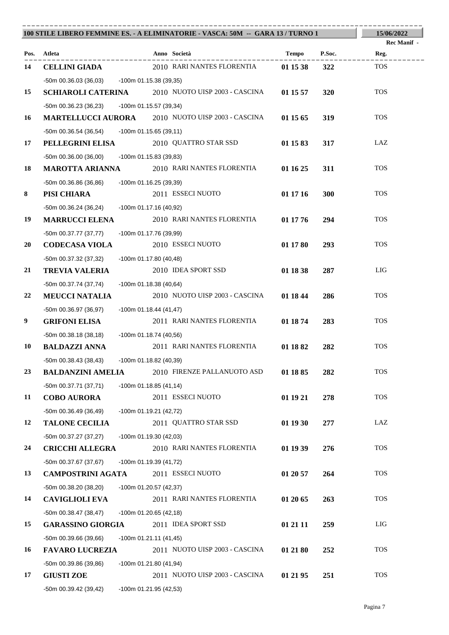| 100 STILE LIBERO FEMMINE ES. - A ELIMINATORIE - VASCA: 50M -- GARA 13 / TURNO 1 | 15/06/2022                                        |                          |                                                          |          |        |                    |  |
|---------------------------------------------------------------------------------|---------------------------------------------------|--------------------------|----------------------------------------------------------|----------|--------|--------------------|--|
|                                                                                 |                                                   |                          |                                                          |          |        | <b>Rec Manif</b> - |  |
|                                                                                 | Pos. Atleta                                       |                          | Anno Società                                             | Tempo    | P.Soc. | Reg.               |  |
| 14                                                                              | <b>CELLINI GIADA</b>                              |                          | 2010 RARI NANTES FLORENTIA                               | 01 15 38 | 322    | <b>TOS</b>         |  |
|                                                                                 | -50m 00.36.03 (36,03) -100m 01.15.38 (39,35)      |                          |                                                          |          |        |                    |  |
| 15                                                                              |                                                   |                          | <b>SCHIAROLI CATERINA</b> 2010 NUOTO UISP 2003 - CASCINA | 01 15 57 | 320    | <b>TOS</b>         |  |
|                                                                                 | -50m 00.36.23 (36,23)                             | -100m 01.15.57 (39,34)   |                                                          |          |        |                    |  |
| 16                                                                              |                                                   |                          | <b>MARTELLUCCI AURORA</b> 2010 NUOTO UISP 2003 - CASCINA | 01 15 65 | 319    | <b>TOS</b>         |  |
|                                                                                 | -50m 00.36.54 (36,54)                             | -100m 01.15.65 (39,11)   |                                                          |          |        |                    |  |
| 17                                                                              | PELLEGRINI ELISA                                  |                          | 2010 QUATTRO STAR SSD                                    | 01 15 83 | 317    | LAZ                |  |
| 18                                                                              | -50m 00.36.00 (36,00)                             | -100m 01.15.83 (39,83)   | 2010 RARI NANTES FLORENTIA                               |          |        | <b>TOS</b>         |  |
|                                                                                 | <b>MAROTTA ARIANNA</b>                            |                          |                                                          | 01 16 25 | 311    |                    |  |
| 8                                                                               | -50m 00.36.86 (36,86)<br>PISI CHIARA              | -100m 01.16.25 (39,39)   | 2011 ESSECI NUOTO                                        | 01 17 16 | 300    | <b>TOS</b>         |  |
|                                                                                 |                                                   |                          |                                                          |          |        |                    |  |
| 19                                                                              | -50m 00.36.24 (36,24)<br><b>MARRUCCI ELENA</b>    | -100m 01.17.16 (40,92)   | 2010 RARI NANTES FLORENTIA                               | 01 17 76 | 294    | <b>TOS</b>         |  |
|                                                                                 | -50m 00.37.77 (37,77)                             | -100m 01.17.76 (39,99)   |                                                          |          |        |                    |  |
| <b>20</b>                                                                       | <b>CODECASA VIOLA</b>                             |                          | 2010 ESSECI NUOTO                                        | 01 17 80 | 293    | <b>TOS</b>         |  |
|                                                                                 | -50m 00.37.32 (37,32)                             | -100m 01.17.80 (40,48)   |                                                          |          |        |                    |  |
| 21                                                                              | <b>TREVIA VALERIA</b>                             |                          | 2010 IDEA SPORT SSD                                      | 01 18 38 | 287    | LIG                |  |
|                                                                                 | $-50m$ 00.37.74 (37,74)<br>-100m 01.18.38 (40,64) |                          |                                                          |          |        |                    |  |
| 22                                                                              | <b>MEUCCI NATALIA</b>                             |                          | 2010 NUOTO UISP 2003 - CASCINA                           | 01 18 44 | 286    | <b>TOS</b>         |  |
|                                                                                 | -50m 00.36.97 (36,97)                             | $-100m$ 01.18.44 (41,47) |                                                          |          |        |                    |  |
| $\boldsymbol{9}$                                                                | <b>GRIFONI ELISA</b>                              |                          | 2011 RARI NANTES FLORENTIA                               | 01 18 74 | 283    | <b>TOS</b>         |  |
|                                                                                 | -50m 00.38.18 (38,18)                             | -100m 01.18.74 (40,56)   |                                                          |          |        |                    |  |
| 10                                                                              | <b>BALDAZZI ANNA</b>                              |                          | 2011 RARI NANTES FLORENTIA                               | 01 18 82 | 282    | <b>TOS</b>         |  |
|                                                                                 | -50m 00.38.43 (38,43) -100m 01.18.82 (40,39)      |                          |                                                          |          |        |                    |  |
| 23                                                                              | <b>BALDANZINI AMELIA</b>                          |                          | 2010 FIRENZE PALLANUOTO ASD                              | 01 18 85 | 282    | <b>TOS</b>         |  |
|                                                                                 | $-50m$ 00.37.71 (37,71)                           | $-100m$ 01.18.85 (41,14) |                                                          |          |        |                    |  |
| 11                                                                              | <b>COBO AURORA</b>                                |                          | 2011 ESSECI NUOTO                                        | 01 19 21 | 278    | <b>TOS</b>         |  |
|                                                                                 | $-50m$ 00.36.49 (36,49)                           | -100m 01.19.21 (42,72)   |                                                          |          |        |                    |  |
| 12                                                                              | <b>TALONE CECILIA</b>                             |                          | 2011 QUATTRO STAR SSD                                    | 01 19 30 | 277    | LAZ                |  |
|                                                                                 | -50m 00.37.27 (37,27)                             | $-100m$ 01.19.30 (42,03) |                                                          |          |        |                    |  |
| 24                                                                              | <b>CRICCHI ALLEGRA</b>                            |                          | 2010 RARI NANTES FLORENTIA                               | 01 19 39 | 276    | <b>TOS</b>         |  |
|                                                                                 | -50m 00.37.67 (37,67)                             | -100m 01.19.39 (41,72)   |                                                          |          |        |                    |  |
| 13                                                                              | <b>CAMPOSTRINI AGATA</b>                          |                          | 2011 ESSECI NUOTO                                        | 01 20 57 | 264    | <b>TOS</b>         |  |
|                                                                                 | -50m 00.38.20 (38,20)                             | -100m 01.20.57 (42,37)   |                                                          |          |        |                    |  |
| 14                                                                              | <b>CAVIGLIOLI EVA</b>                             |                          | 2011 RARI NANTES FLORENTIA                               | 01 20 65 | 263    | <b>TOS</b>         |  |
|                                                                                 | $-50m$ 00.38.47 (38,47)                           | -100m 01.20.65 (42,18)   |                                                          |          |        |                    |  |
| 15                                                                              | <b>GARASSINO GIORGIA</b>                          |                          | 2011 IDEA SPORT SSD                                      | 01 21 11 | 259    | LIG                |  |
|                                                                                 | $-50m$ 00.39.66 (39,66)                           | $-100m 01.21.11 (41,45)$ |                                                          |          |        |                    |  |
| 16                                                                              | <b>FAVARO LUCREZIA</b>                            |                          | 2011 NUOTO UISP 2003 - CASCINA                           | 01 21 80 | 252    | <b>TOS</b>         |  |
|                                                                                 | -50m 00.39.86 (39,86)                             | $-100m$ 01.21.80 (41,94) |                                                          |          |        |                    |  |
| 17                                                                              | <b>GIUSTI ZOE</b>                                 |                          | 2011 NUOTO UISP 2003 - CASCINA                           | 01 21 95 | 251    | <b>TOS</b>         |  |
|                                                                                 | -50m 00.39.42 (39,42)                             | $-100m$ 01.21.95 (42,53) |                                                          |          |        |                    |  |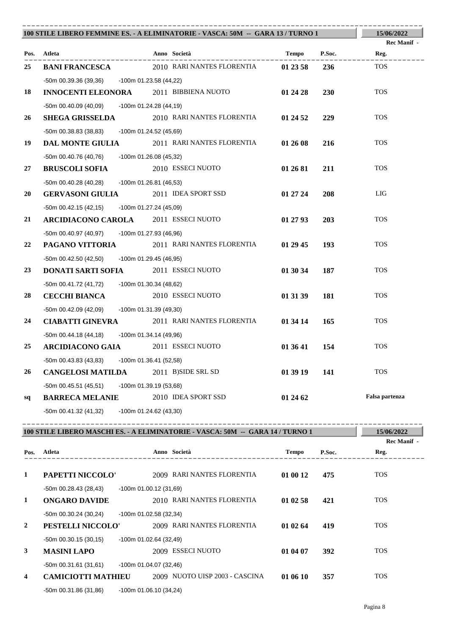|    | 100 STILE LIBERO FEMMINE ES. - A ELIMINATORIE - VASCA: 50M -- GARA 13 / TURNO 1 |                                                    |          |            |                    |
|----|---------------------------------------------------------------------------------|----------------------------------------------------|----------|------------|--------------------|
|    |                                                                                 |                                                    |          |            | <b>Rec Manif</b> - |
|    | Pos. Atleta<br>____________                                                     | Anno Società                                       | Tempo    | P.Soc.     | Reg.               |
| 25 | <b>BANI FRANCESCA</b>                                                           | 2010 RARI NANTES FLORENTIA                         | 01 23 58 | 236        | <b>TOS</b>         |
|    | -50m 00.39.36 (39,36) -100m 01.23.58 (44,22)                                    |                                                    |          |            |                    |
| 18 | <b>INNOCENTI ELEONORA</b>                                                       | 2011 BIBBIENA NUOTO                                | 01 24 28 | <b>230</b> | <b>TOS</b>         |
|    | -50m 00.40.09 (40,09) -100m 01.24.28 (44,19)                                    |                                                    |          |            |                    |
| 26 | <b>SHEGA GRISSELDA</b>                                                          | 2010 RARI NANTES FLORENTIA                         | 01 24 52 | 229        | <b>TOS</b>         |
|    | -50m 00.38.83 (38,83)                                                           | -100m 01.24.52 (45,69)                             |          |            |                    |
| 19 |                                                                                 | <b>DAL MONTE GIULIA</b> 2011 RARI NANTES FLORENTIA | 01 26 08 | 216        | <b>TOS</b>         |
|    | -50m 00.40.76 (40,76)                                                           | -100m 01.26.08 (45,32)                             |          |            |                    |
| 27 | <b>BRUSCOLI SOFIA</b>                                                           | 2010 ESSECI NUOTO                                  | 01 26 81 | 211        | <b>TOS</b>         |
|    | -50m 00.40.28 (40,28)                                                           | $-100m$ 01.26.81 (46,53)                           |          |            |                    |
| 20 | <b>GERVASONI GIULIA</b>                                                         | 2011 IDEA SPORT SSD                                | 01 27 24 | 208        | <b>LIG</b>         |
|    | $-50m$ 00.42.15 (42,15)                                                         | -100m 01.27.24 (45,09)                             |          |            |                    |
| 21 | <b>ARCIDIACONO CAROLA</b> 2011 ESSECI NUOTO                                     |                                                    | 01 27 93 | 203        | <b>TOS</b>         |
|    | -50m 00.40.97 (40,97) -100m 01.27.93 (46,96)                                    |                                                    |          |            |                    |
| 22 |                                                                                 | <b>PAGANO VITTORIA</b> 2011 RARI NANTES FLORENTIA  | 01 29 45 | 193        | <b>TOS</b>         |
|    | -50m 00.42.50 (42,50) -100m 01.29.45 (46,95)                                    |                                                    |          |            |                    |
| 23 | DONATI SARTI SOFIA                                                              | 2011 ESSECI NUOTO                                  | 01 30 34 | 187        | <b>TOS</b>         |
|    | -50m 00.41.72 (41,72) -100m 01.30.34 (48,62)                                    |                                                    |          |            |                    |
| 28 | <b>CECCHI BIANCA</b>                                                            | 2010 ESSECI NUOTO                                  | 01 31 39 | 181        | <b>TOS</b>         |
|    | -50m 00.42.09 (42,09)                                                           | -100m 01.31.39 (49,30)                             |          |            |                    |
| 24 | <b>CIABATTI GINEVRA</b>                                                         | 2011 RARI NANTES FLORENTIA                         | 01 34 14 | 165        | <b>TOS</b>         |
|    | $-50m$ 00.44.18 (44,18)                                                         | $-100$ m 01.34.14 (49,96)                          |          |            |                    |
| 25 | <b>ARCIDIACONO GAIA</b>                                                         | 2011 ESSECI NUOTO                                  | 01 36 41 | 154        | <b>TOS</b>         |
|    | -50m 00.43.83 (43,83)                                                           | -100m 01.36.41 (52,58)                             |          |            |                    |
| 26 | <b>CANGELOSI MATILDA</b>                                                        | 2011 B)SIDE SRL SD                                 | 01 39 19 | 141        | <b>TOS</b>         |
|    | -50m 00.45.51 (45,51) -100m 01.39.19 (53,68)                                    |                                                    |          |            |                    |
| sq | <b>BARRECA MELANIE</b>                                                          | 2010 IDEA SPORT SSD                                | 01 24 62 |            | Falsa partenza     |
|    | -50m 00.41.32 (41,32) -100m 01.24.62 (43,30)                                    |                                                    |          |            |                    |

| 100 STILE LIBERO MASCHI ES. - A ELIMINATORIE - VASCA: 50M -- GARA 14 / TURNO 1 | 15/06/2022                |                           |                                |          |        |                    |
|--------------------------------------------------------------------------------|---------------------------|---------------------------|--------------------------------|----------|--------|--------------------|
|                                                                                |                           |                           |                                |          |        | <b>Rec Manif -</b> |
| Pos.                                                                           | <b>Atleta</b>             |                           | Anno Società                   | Tempo    | P.Soc. | Reg.               |
| 1                                                                              | PAPETTI NICCOLO'          |                           | 2009 RARI NANTES FLORENTIA     | 01 00 12 | 475    | <b>TOS</b>         |
|                                                                                | $-50$ m 00.28.43 (28,43)  | $-100$ m 01.00.12 (31,69) |                                |          |        |                    |
| 1                                                                              | <b>ONGARO DAVIDE</b>      |                           | 2010 RARI NANTES FLORENTIA     | 01 02 58 | 421    | <b>TOS</b>         |
|                                                                                | $-50m$ 00.30.24 (30,24)   | $-100m$ 01.02.58 (32,34)  |                                |          |        |                    |
| $\overline{2}$                                                                 | PESTELLI NICCOLO'         |                           | 2009 RARI NANTES FLORENTIA     | 01 02 64 | 419    | <b>TOS</b>         |
|                                                                                | $-50m$ 00.30.15 (30,15)   | $-100m$ 01.02.64 (32,49)  |                                |          |        |                    |
| 3                                                                              | <b>MASINI LAPO</b>        |                           | 2009 ESSECI NUOTO              | 01 04 07 | 392    | <b>TOS</b>         |
|                                                                                | -50m 00.31.61 (31,61)     | $-100m$ 01.04.07 (32,46)  |                                |          |        |                    |
| 4                                                                              | <b>CAMICIOTTI MATHIEU</b> |                           | 2009 NUOTO UISP 2003 - CASCINA | 01 06 10 | 357    | <b>TOS</b>         |
|                                                                                | $-50m00.31.86(31,86)$     | $-100$ m 01.06.10 (34,24) |                                |          |        |                    |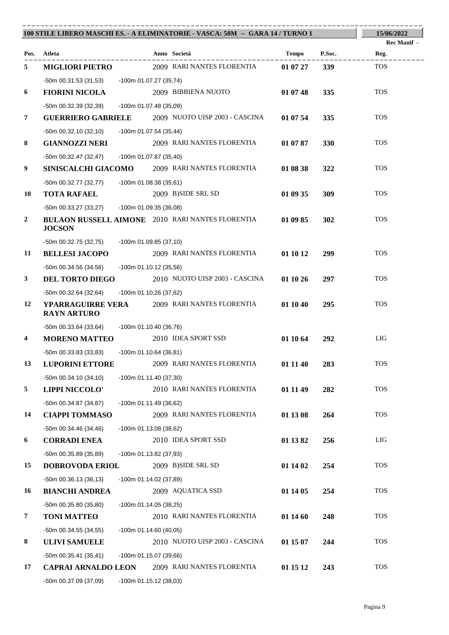|                  |                                                       |                          | 100 STILE LIBERO MASCHI ES. - A ELIMINATORIE - VASCA: 50M -- GARA 14 / TURNO 1 |          |            | 15/06/2022                 |
|------------------|-------------------------------------------------------|--------------------------|--------------------------------------------------------------------------------|----------|------------|----------------------------|
| Pos.             | Atleta                                                |                          | Anno Società                                                                   | Tempo    | P.Soc.     | <b>Rec Manif</b> -<br>Reg. |
| 5                | <b>MIGLIORI PIETRO</b>                                |                          | 2009 RARI NANTES FLORENTIA                                                     | 01 07 27 | <b>339</b> | <b>TOS</b>                 |
|                  | -50m 00.31.53 (31,53) -100m 01.07.27 (35,74)          |                          |                                                                                |          |            |                            |
| 6                | <b>FIORINI NICOLA</b>                                 |                          | 2009 BIBBIENA NUOTO                                                            | 01 07 48 | 335        | <b>TOS</b>                 |
|                  | -50m 00.32.39 (32,39)                                 | -100m 01.07.48 (35,09)   |                                                                                |          |            |                            |
| 7                |                                                       |                          | <b>GUERRIERO GABRIELE</b> 2009 NUOTO UISP 2003 - CASCINA                       | 01 07 54 | 335        | <b>TOS</b>                 |
|                  | -50m 00.32.10 (32,10)                                 | -100m 01.07.54 (35,44)   |                                                                                |          |            |                            |
| 8                | <b>GIANNOZZI NERI</b>                                 |                          | 2009 RARI NANTES FLORENTIA                                                     | 01 07 87 | 330        | <b>TOS</b>                 |
|                  | -50m 00.32.47 (32,47)                                 | -100m 01.07.87 (35,40)   |                                                                                |          |            |                            |
| 9                |                                                       |                          | SINISCALCHI GIACOMO 2009 RARI NANTES FLORENTIA                                 | 01 08 38 | 322        | <b>TOS</b>                 |
|                  | -50m 00.32.77 (32,77)                                 | -100m 01.08.38 (35,61)   |                                                                                |          |            |                            |
| 10               | <b>TOTA RAFAEL</b>                                    |                          | 2009 B)SIDE SRL SD                                                             | 01 09 35 | 309        | <b>TOS</b>                 |
|                  | -50m 00.33.27 (33,27) -100m 01.09.35 (36,08)          |                          |                                                                                |          |            |                            |
| $\boldsymbol{2}$ | <b>JOCSON</b>                                         |                          | <b>BULAON RUSSELL AIMONE</b> 2010 RARI NANTES FLORENTIA                        | 01 09 85 | 302        | <b>TOS</b>                 |
|                  | -50m 00.32.75 (32,75)                                 | -100m 01.09.85 (37,10)   |                                                                                |          |            |                            |
| 11               | <b>BELLESI JACOPO</b>                                 |                          | 2009 RARI NANTES FLORENTIA                                                     | 01 10 12 | 299        | <b>TOS</b>                 |
|                  | -50m 00.34.56 (34,56)                                 | -100m 01.10.12 (35,56)   |                                                                                |          |            |                            |
| $\mathbf{3}$     | <b>DEL TORTO DIEGO</b>                                |                          | 2010 NUOTO UISP 2003 - CASCINA                                                 | 01 10 26 | 297        | <b>TOS</b>                 |
|                  | -50m 00.32.64 (32,64)                                 | -100m 01.10.26 (37,62)   |                                                                                |          |            |                            |
| 12               | <b>RAYN ARTURO</b>                                    |                          | YPARRAGUIRRE VERA 2009 RARI NANTES FLORENTIA                                   | 01 10 40 | 295        | <b>TOS</b>                 |
|                  | -50m 00.33.64 (33,64) -100m 01.10.40 (36,76)          |                          |                                                                                |          |            |                            |
| 4                | <b>MORENO MATTEO</b>                                  |                          | 2010 IDEA SPORT SSD                                                            | 01 10 64 | 292        | LIG                        |
|                  | -50m 00.33.83 (33,83)                                 | $-100m$ 01.10.64 (36,81) |                                                                                |          |            |                            |
| 13               | <b>LUPORINI ETTORE</b>                                |                          | 2009 RARI NANTES FLORENTIA                                                     | 01 11 40 | 283        | <b>TOS</b>                 |
|                  | $-50m$ 00.34.10 (34,10)                               | $-100m 01.11.40(37,30)$  |                                                                                |          |            |                            |
| 5                | <b>LIPPI NICCOLO'</b>                                 |                          | 2010 RARI NANTES FLORENTIA                                                     | 01 11 49 | 282        | <b>TOS</b>                 |
|                  | -50m 00.34.87 (34,87)                                 | -100m 01.11.49 (36,62)   |                                                                                |          |            |                            |
| 14               | <b>CIAPPI TOMMASO</b>                                 |                          | 2009 RARI NANTES FLORENTIA                                                     | 01 13 08 | 264        | <b>TOS</b>                 |
|                  | $-50m$ 00.34.46 (34,46)                               | $-100m$ 01.13.08 (38,62) |                                                                                |          |            |                            |
| 6                | <b>CORRADI ENEA</b>                                   |                          | 2010 IDEA SPORT SSD                                                            | 01 13 82 | 256        | LIG                        |
|                  | -50m 00.35.89 (35,89)                                 | -100m 01.13.82 (37,93)   |                                                                                |          |            |                            |
| 15               | <b>DOBROVODA ERIOL</b>                                |                          | 2009 B)SIDE SRL SD                                                             | 01 14 02 | 254        | <b>TOS</b>                 |
|                  | $-50m$ 00.36.13 (36,13)                               | -100m 01.14.02 (37,89)   |                                                                                |          |            | <b>TOS</b>                 |
| 16               | <b>BIANCHI ANDREA</b>                                 |                          | 2009 AQUATICA SSD                                                              | 01 14 05 | 254        |                            |
| 7                | $-50m$ 00.35.80 (35,80)<br><b>TONI MATTEO</b>         | -100m 01.14.05 (38,25)   | 2010 RARI NANTES FLORENTIA                                                     | 01 14 60 | 248        | <b>TOS</b>                 |
|                  |                                                       |                          |                                                                                |          |            |                            |
| 8                | $-50m$ 00.34.55 (34,55)<br><b>ULIVI SAMUELE</b>       | $-100m 01.14.60(40,05)$  | 2010 NUOTO UISP 2003 - CASCINA                                                 | 01 15 07 | 244        | <b>TOS</b>                 |
|                  |                                                       |                          |                                                                                |          |            |                            |
| 17               | $-50m$ 00.35.41 (35,41)<br><b>CAPRAI ARNALDO LEON</b> | -100m 01.15.07 (39,66)   | 2009 RARI NANTES FLORENTIA                                                     | 01 15 12 | 243        | <b>TOS</b>                 |
|                  | -50m 00.37.09 (37,09)                                 | -100m 01.15.12 (38,03)   |                                                                                |          |            |                            |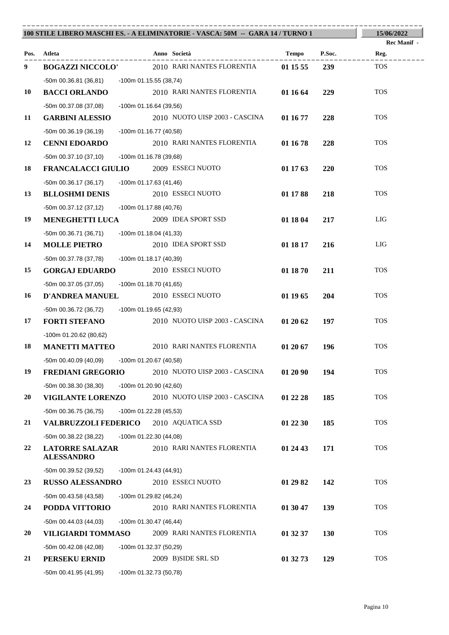|      |                                                      | 100 STILE LIBERO MASCHI ES. - A ELIMINATORIE - VASCA: 50M -- GARA 14 / TURNO 1 |                        | 15/06/2022         |
|------|------------------------------------------------------|--------------------------------------------------------------------------------|------------------------|--------------------|
|      |                                                      |                                                                                |                        | <b>Rec Manif -</b> |
| Pos. | Atleta                                               | Anno Società                                                                   | P.Soc.<br>Tempo        | Reg.               |
| 9    | <b>BOGAZZI NICCOLO'</b>                              | 2010 RARI NANTES FLORENTIA                                                     | 239<br>01 15 55        | <b>TOS</b>         |
|      | $-50m$ 00.36.81 (36,81)                              | -100m 01.15.55 (38,74)                                                         |                        |                    |
| 10   | <b>BACCI ORLANDO</b>                                 | 2010 RARI NANTES FLORENTIA                                                     | 01 16 64<br>229        | <b>TOS</b>         |
|      | -50m 00.37.08 (37,08)                                | $-100m$ 01.16.64 (39,56)                                                       |                        |                    |
| 11   | <b>GARBINI ALESSIO</b>                               | 2010 NUOTO UISP 2003 - CASCINA                                                 | 01 16 77<br>228        | <b>TOS</b>         |
|      | $-50m$ 00.36.19 (36,19)                              | $-100m$ 01.16.77 (40,58)                                                       |                        |                    |
| 12   | <b>CENNI EDOARDO</b>                                 | 2010 RARI NANTES FLORENTIA                                                     | 01 16 78<br>228        | <b>TOS</b>         |
| 18   | $-50m$ 00.37.10 (37,10)<br><b>FRANCALACCI GIULIO</b> | -100m 01.16.78 (39,68)<br>2009 ESSECI NUOTO                                    | 01 17 63<br>220        | <b>TOS</b>         |
|      |                                                      |                                                                                |                        |                    |
| 13   | $-50m$ 00.36.17 (36,17)<br><b>BLLOSHMI DENIS</b>     | -100m 01.17.63 (41,46)<br>2010 ESSECI NUOTO                                    | 01 17 88<br>218        | <b>TOS</b>         |
|      | $-50m$ 00.37.12 (37,12)                              | -100m 01.17.88 (40,76)                                                         |                        |                    |
| 19   | <b>MENEGHETTI LUCA</b>                               | 2009 IDEA SPORT SSD                                                            | 01 18 04<br>217        | LIG                |
|      | $-50m$ 00.36.71 (36,71)                              | -100m 01.18.04 (41,33)                                                         |                        |                    |
| 14   | <b>MOLLE PIETRO</b>                                  | 2010 IDEA SPORT SSD                                                            | 01 18 17<br>216        | LIG                |
|      | -50m 00.37.78 (37,78)                                | -100m 01.18.17 (40,39)                                                         |                        |                    |
| 15   | <b>GORGAJ EDUARDO</b>                                | 2010 ESSECI NUOTO                                                              | 01 18 70<br>211        | <b>TOS</b>         |
|      | -50m 00.37.05 (37,05)                                | -100m 01.18.70 (41,65)                                                         |                        |                    |
| 16   | <b>D'ANDREA MANUEL</b>                               | 2010 ESSECI NUOTO                                                              | 01 19 65<br>204        | <b>TOS</b>         |
|      | -50m 00.36.72 (36,72)                                | -100m 01.19.65 (42,93)                                                         |                        |                    |
| 17   | <b>FORTI STEFANO</b>                                 | 2010 NUOTO UISP 2003 - CASCINA                                                 | 01 20 62<br>197        | <b>TOS</b>         |
|      | $-100m$ 01.20.62 (80,62)                             |                                                                                |                        |                    |
| 18   | <b>MANETTI MATTEO</b>                                | 2010 RARI NANTES FLORENTIA                                                     | 01 20 67<br>196        | <b>TOS</b>         |
|      | -50m 00.40.09 (40,09) -100m 01.20.67 (40,58)         |                                                                                |                        |                    |
| 19   | <b>FREDIANI GREGORIO</b>                             | 2010 NUOTO UISP 2003 - CASCINA                                                 | 01 20 90<br>194        | <b>TOS</b>         |
|      | -50m 00.38.30 (38,30)                                | $-100m$ 01.20.90 (42,60)                                                       |                        |                    |
| 20   | <b>VIGILANTE LORENZO</b>                             | 2010 NUOTO UISP 2003 - CASCINA                                                 | 185<br>01 22 28        | <b>TOS</b>         |
|      | $-50m$ 00.36.75 (36,75)                              | -100m 01.22.28 (45,53)                                                         |                        |                    |
| 21   | <b>VALBRUZZOLI FEDERICO</b>                          | 2010 AQUATICA SSD                                                              | 01 22 30<br>185        | <b>TOS</b>         |
|      | -50m 00.38.22 (38,22)                                | $-100m$ 01.22.30 (44,08)                                                       |                        |                    |
| 22   | <b>LATORRE SALAZAR</b><br><b>ALESSANDRO</b>          | 2010 RARI NANTES FLORENTIA                                                     | 01 24 43<br>171        | <b>TOS</b>         |
|      | -50m 00.39.52 (39,52)                                | -100m 01.24.43 (44,91)                                                         |                        |                    |
| 23   | <b>RUSSO ALESSANDRO</b>                              | 2010 ESSECI NUOTO                                                              | 142<br>01 29 82        | <b>TOS</b>         |
|      | -50m 00.43.58 (43,58)                                | -100m 01.29.82 (46,24)                                                         |                        |                    |
| 24   | PODDA VITTORIO                                       | 2010 RARI NANTES FLORENTIA                                                     | 01 30 47<br>139        | <b>TOS</b>         |
|      | $-50m$ 00.44.03 (44,03)                              | $-100m$ 01.30.47 (46,44)                                                       |                        |                    |
| 20   | VILIGIARDI TOMMASO                                   | 2009 RARI NANTES FLORENTIA                                                     | 01 32 37<br><b>130</b> | <b>TOS</b>         |
|      | -50m 00.42.08 (42,08)                                | -100m 01.32.37 (50,29)                                                         |                        |                    |
| 21   | PERSEKU ERNID                                        | 2009 B)SIDE SRL SD                                                             | 01 32 73<br>129        | <b>TOS</b>         |
|      | $-50m$ 00.41.95 (41,95)                              | -100m 01.32.73 (50,78)                                                         |                        |                    |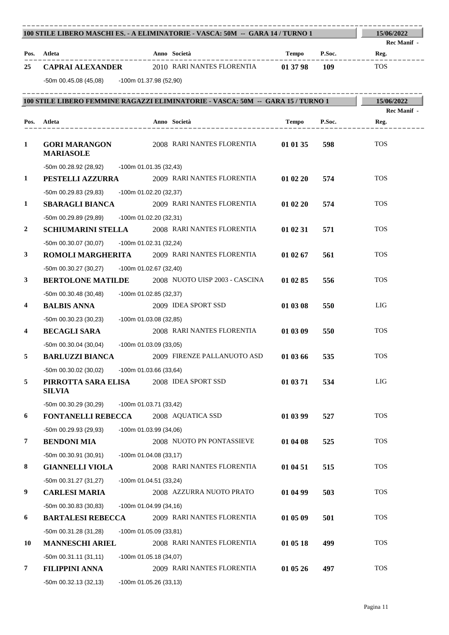|                  | 100 STILE LIBERO MASCHI ES. - A ELIMINATORIE - VASCA: 50M -- GARA 14 / TURNO 1  |                           |                                |          |        | 15/06/2022                 |
|------------------|---------------------------------------------------------------------------------|---------------------------|--------------------------------|----------|--------|----------------------------|
|                  | Pos. Atleta                                                                     |                           | Anno Società                   | Tempo    | P.Soc. | <b>Rec Manif</b> -<br>Reg. |
| 25               | <b>CAPRAI ALEXANDER</b>                                                         |                           | 2010 RARI NANTES FLORENTIA     | 01 37 98 | 109    | <b>TOS</b>                 |
|                  | -50m 00.45.08 (45,08) -100m 01.37.98 (52,90)                                    |                           |                                |          |        |                            |
|                  |                                                                                 |                           |                                |          |        |                            |
|                  | 100 STILE LIBERO FEMMINE RAGAZZI ELIMINATORIE - VASCA: 50M -- GARA 15 / TURNO 1 |                           |                                |          |        | 15/06/2022                 |
|                  | Pos. Atleta                                                                     |                           | Anno Società                   | Tempo    | P.Soc. | <b>Rec Manif</b> -<br>Reg. |
|                  | . _ _ _ _ _ _ _ _ _ _ _ _ _ _ _ _ _ _                                           |                           | ____________________           |          |        |                            |
| 1                | <b>GORI MARANGON</b><br><b>MARIASOLE</b>                                        |                           | 2008 RARI NANTES FLORENTIA     | 01 01 35 | 598    | <b>TOS</b>                 |
|                  | $-50m$ 00.28.92 (28,92)                                                         | -100m 01.01.35 (32,43)    |                                |          |        |                            |
| 1                | <b>PESTELLI AZZURRA</b>                                                         |                           | 2009 RARI NANTES FLORENTIA     | 01 02 20 | 574    | <b>TOS</b>                 |
|                  | -50m 00.29.83 (29.83)                                                           | -100m 01.02.20 (32,37)    |                                |          |        |                            |
| 1                | <b>SBARAGLI BIANCA</b>                                                          |                           | 2009 RARI NANTES FLORENTIA     | 01 02 20 | 574    | <b>TOS</b>                 |
|                  | -50m 00.29.89 (29,89)                                                           | -100m 01.02.20 (32,31)    |                                |          |        |                            |
| $\boldsymbol{2}$ | <b>SCHIUMARINI STELLA</b>                                                       |                           | 2008 RARI NANTES FLORENTIA     | 01 02 31 | 571    | <b>TOS</b>                 |
|                  | $-50m$ 00.30.07 (30,07)                                                         | -100m 01.02.31 (32,24)    |                                |          |        |                            |
| 3                | ROMOLI MARGHERITA                                                               |                           | 2009 RARI NANTES FLORENTIA     | 01 02 67 | 561    | <b>TOS</b>                 |
|                  | $-50m$ 00.30.27 (30,27)                                                         | $-100m$ 01.02.67 (32,40)  |                                |          |        |                            |
| 3                | <b>BERTOLONE MATILDE</b>                                                        |                           | 2008 NUOTO UISP 2003 - CASCINA | 01 02 85 | 556    | <b>TOS</b>                 |
|                  | $-50m$ 00.30.48 (30,48)                                                         | $-100$ m 01.02.85 (32,37) |                                |          |        |                            |
| 4                | <b>BALBIS ANNA</b>                                                              |                           | 2009 IDEA SPORT SSD            | 01 03 08 | 550    | LIG                        |
|                  | $-50m$ 00.30.23 (30,23)                                                         | -100m 01.03.08 (32,85)    |                                |          |        |                            |
| 4                | <b>BECAGLI SARA</b>                                                             |                           | 2008 RARI NANTES FLORENTIA     | 01 03 09 | 550    | <b>TOS</b>                 |
|                  | $-50m$ 00.30.04 (30,04)                                                         | -100m 01.03.09 (33,05)    |                                |          |        |                            |
| 5                | <b>BARLUZZI BIANCA</b>                                                          |                           | 2009 FIRENZE PALLANUOTO ASD    | 01 03 66 | 535    | <b>TOS</b>                 |
|                  | -50m 00.30.02 (30,02) -100m 01.03.66 (33,64)                                    |                           |                                |          |        |                            |
| 5                | PIRROTTA SARA ELISA<br><b>SILVIA</b>                                            |                           | 2008 IDEA SPORT SSD            | 01 03 71 | 534    | LIG                        |
|                  | -50m 00.30.29 (30,29)                                                           | -100m 01.03.71 (33,42)    |                                |          |        |                            |
| 6                | <b>FONTANELLI REBECCA</b>                                                       |                           | 2008 AQUATICA SSD              | 01 03 99 | 527    | <b>TOS</b>                 |
|                  | -50m 00.29.93 (29,93)                                                           | $-100m$ 01.03.99 (34,06)  |                                |          |        |                            |
| 7                | <b>BENDONI MIA</b>                                                              |                           | 2008 NUOTO PN PONTASSIEVE      | 01 04 08 | 525    | <b>TOS</b>                 |
|                  | $-50m$ 00.30.91 (30,91)                                                         | $-100m$ 01.04.08 (33,17)  |                                |          |        |                            |
| 8                | <b>GIANNELLI VIOLA</b>                                                          |                           | 2008 RARI NANTES FLORENTIA     | 01 04 51 | 515    | <b>TOS</b>                 |
|                  | -50m 00.31.27 (31,27)                                                           | $-100m$ 01.04.51 (33,24)  |                                |          |        |                            |
| 9                | <b>CARLESI MARIA</b>                                                            |                           | 2008 AZZURRA NUOTO PRATO       | 01 04 99 | 503    | <b>TOS</b>                 |
|                  | -50m 00.30.83 (30,83)                                                           | -100m 01.04.99 (34,16)    |                                |          |        |                            |
| 6                | <b>BARTALESI REBECCA</b>                                                        |                           | 2009 RARI NANTES FLORENTIA     | 01 05 09 | 501    | <b>TOS</b>                 |
|                  | -50m 00.31.28 (31,28)                                                           | $-100m$ 01.05.09 (33,81)  |                                |          |        |                            |
| 10               | <b>MANNESCHI ARIEL</b>                                                          |                           | 2008 RARI NANTES FLORENTIA     | 01 05 18 | 499    | <b>TOS</b>                 |
|                  | $-50m 00.31.11(31,11)$                                                          | $-100m$ 01.05.18 (34,07)  |                                |          |        |                            |
| 7                | <b>FILIPPINI ANNA</b>                                                           |                           | 2009 RARI NANTES FLORENTIA     | 01 05 26 | 497    | <b>TOS</b>                 |
|                  | -50m 00.32.13 (32,13)                                                           | -100m 01.05.26 (33,13)    |                                |          |        |                            |

----------------------------------------------------------------------------------------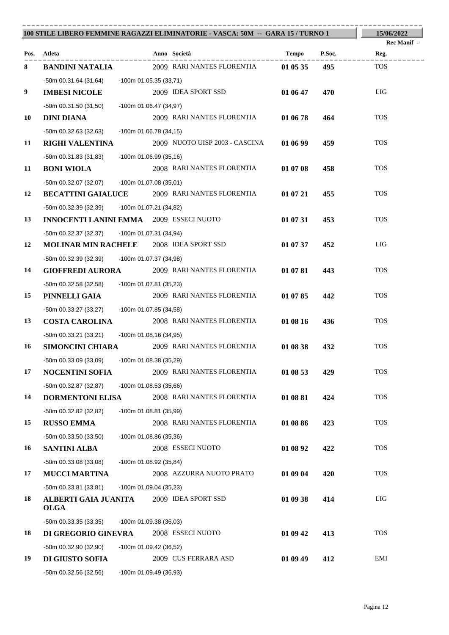|    |                                                                                                |                          | 100 STILE LIBERO FEMMINE RAGAZZI ELIMINATORIE - VASCA: 50M -- GARA 15 / TURNO 1 |          |        | 15/06/2022         |
|----|------------------------------------------------------------------------------------------------|--------------------------|---------------------------------------------------------------------------------|----------|--------|--------------------|
|    |                                                                                                |                          |                                                                                 |          |        | <b>Rec Manif</b> - |
|    | Pos. Atleta                                                                                    |                          | Anno Società                                                                    | Tempo    | P.Soc. | Reg.               |
| 8  | <b>BANDINI NATALIA</b>                                                                         |                          | 2009 RARI NANTES FLORENTIA                                                      | 01 05 35 | 495    | <b>TOS</b>         |
|    | -50m 00.31.64 (31,64)                                                                          | -100m 01.05.35 (33,71)   |                                                                                 |          |        |                    |
| 9  | <b>IMBESI NICOLE</b>                                                                           |                          | 2009 IDEA SPORT SSD                                                             | 01 06 47 | 470    | LIG                |
|    | -50m 00.31.50 (31,50)                                                                          | -100m 01.06.47 (34,97)   |                                                                                 |          |        |                    |
| 10 | <b>DINI DIANA</b>                                                                              |                          | 2009 RARI NANTES FLORENTIA                                                      | 01 06 78 | 464    | <b>TOS</b>         |
|    | -50m 00.32.63 (32,63)                                                                          | -100m 01.06.78 (34,15)   |                                                                                 |          |        |                    |
| 11 | <b>RIGHI VALENTINA</b>                                                                         |                          | 2009 NUOTO UISP 2003 - CASCINA                                                  | 01 06 99 | 459    | <b>TOS</b>         |
| 11 | -50m 00.31.83 (31,83)                                                                          | -100m 01.06.99 (35,16)   | 2008 RARI NANTES FLORENTIA                                                      |          |        | <b>TOS</b>         |
|    | <b>BONI WIOLA</b>                                                                              |                          |                                                                                 | 01 07 08 | 458    |                    |
| 12 | -50m 00.32.07 (32,07) -100m 01.07.08 (35,01)<br><b>BECATTINI GAIALUCE</b>                      |                          | 2009 RARI NANTES FLORENTIA                                                      | 01 07 21 | 455    | <b>TOS</b>         |
|    |                                                                                                |                          |                                                                                 |          |        |                    |
| 13 | -50m 00.32.39 (32,39) -100m 01.07.21 (34,82)<br><b>INNOCENTI LANINI EMMA</b> 2009 ESSECI NUOTO |                          |                                                                                 | 01 07 31 | 453    | <b>TOS</b>         |
|    |                                                                                                | -100m 01.07.31 (34,94)   |                                                                                 |          |        |                    |
| 12 | -50m 00.32.37 (32,37)<br><b>MOLINAR MIN RACHELE</b> 2008 IDEA SPORT SSD                        |                          |                                                                                 | 01 07 37 | 452    | LIG                |
|    | -50m 00.32.39 (32,39)                                                                          | -100m 01.07.37 (34,98)   |                                                                                 |          |        |                    |
| 14 | <b>GIOFFREDI AURORA</b>                                                                        |                          | 2009 RARI NANTES FLORENTIA                                                      | 01 07 81 | 443    | <b>TOS</b>         |
|    | -50m 00.32.58 (32,58) -100m 01.07.81 (35,23)                                                   |                          |                                                                                 |          |        |                    |
| 15 | PINNELLI GAIA                                                                                  |                          | 2009 RARI NANTES FLORENTIA                                                      | 01 07 85 | 442    | <b>TOS</b>         |
|    | -50m 00.33.27 (33,27)                                                                          | -100m 01.07.85 (34,58)   |                                                                                 |          |        |                    |
| 13 | <b>COSTA CAROLINA</b>                                                                          |                          | 2008 RARI NANTES FLORENTIA                                                      | 01 08 16 | 436    | <b>TOS</b>         |
|    | -50m 00.33.21 (33,21)                                                                          | $-100m$ 01.08.16 (34,95) |                                                                                 |          |        |                    |
| 16 | <b>SIMONCINI CHIARA</b>                                                                        |                          | 2009 RARI NANTES FLORENTIA                                                      | 01 08 38 | 432    | <b>TOS</b>         |
|    | -50m 00.33.09 (33,09) -100m 01.08.38 (35,29)                                                   |                          |                                                                                 |          |        |                    |
| 17 | <b>NOCENTINI SOFIA</b>                                                                         |                          | 2009 RARI NANTES FLORENTIA                                                      | 01 08 53 | 429    | <b>TOS</b>         |
|    | -50m 00.32.87 (32,87)                                                                          | $-100m$ 01.08.53 (35,66) |                                                                                 |          |        |                    |
| 14 | <b>DORMENTONI ELISA</b>                                                                        |                          | 2008 RARI NANTES FLORENTIA                                                      | 01 08 81 | 424    | <b>TOS</b>         |
|    | $-50m$ 00.32.82 (32,82)                                                                        | -100m 01.08.81 (35,99)   |                                                                                 |          |        |                    |
| 15 | <b>RUSSO EMMA</b>                                                                              |                          | 2008 RARI NANTES FLORENTIA                                                      | 01 08 86 | 423    | <b>TOS</b>         |
|    | $-50m$ 00.33.50 (33,50)                                                                        | -100m 01.08.86 (35,36)   |                                                                                 |          |        |                    |
| 16 | <b>SANTINI ALBA</b>                                                                            |                          | 2008 ESSECI NUOTO                                                               | 01 08 92 | 422    | <b>TOS</b>         |
|    | $-50m$ 00.33.08 (33,08)                                                                        | -100m 01.08.92 (35,84)   |                                                                                 |          |        |                    |
| 17 | <b>MUCCI MARTINA</b>                                                                           |                          | 2008 AZZURRA NUOTO PRATO                                                        | 01 09 04 | 420    | <b>TOS</b>         |
|    | $-50m$ 00.33.81 (33,81)                                                                        | -100m 01.09.04 (35,23)   |                                                                                 |          |        |                    |
| 18 | ALBERTI GAIA JUANITA<br><b>OLGA</b>                                                            |                          | 2009 IDEA SPORT SSD                                                             | 01 09 38 | 414    | LIG                |
|    | $-50m$ 00.33.35 (33,35)                                                                        | $-100m$ 01.09.38 (36,03) |                                                                                 |          |        |                    |
| 18 | DI GREGORIO GINEVRA                                                                            |                          | 2008 ESSECI NUOTO                                                               | 01 09 42 | 413    | <b>TOS</b>         |
|    | -50m 00.32.90 (32,90)                                                                          | -100m 01.09.42 (36,52)   |                                                                                 |          |        |                    |
| 19 | DI GIUSTO SOFIA                                                                                |                          | 2009 CUS FERRARA ASD                                                            | 01 09 49 | 412    | EMI                |
|    | -50m 00.32.56 (32,56)                                                                          | -100m 01.09.49 (36,93)   |                                                                                 |          |        |                    |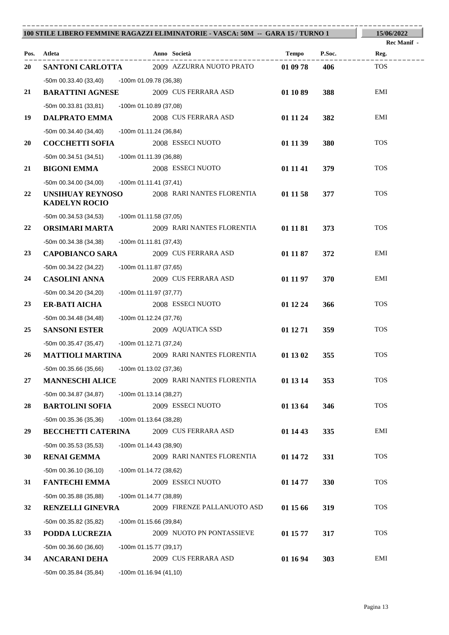|    |                                                  | 100 STILE LIBERO FEMMINE RAGAZZI ELIMINATORIE - VASCA: 50M -- GARA 15 / TURNO 1 |          |        | 15/06/2022  |
|----|--------------------------------------------------|---------------------------------------------------------------------------------|----------|--------|-------------|
|    |                                                  |                                                                                 |          |        | Rec Manif - |
|    | Pos. Atleta                                      | Anno Società                                                                    | Tempo    | P.Soc. | Reg.        |
| 20 | SANTONI CARLOTTA                                 | 2009 AZZURRA NUOTO PRATO                                                        | 01 09 78 | 406    | <b>TOS</b>  |
|    | -50m 00.33.40 (33,40) -100m 01.09.78 (36,38)     |                                                                                 |          |        |             |
| 21 | <b>BARATTINI AGNESE</b>                          | 2009 CUS FERRARA ASD                                                            | 01 10 89 | 388    | EMI         |
|    | -50m 00.33.81 (33,81)                            | -100m 01.10.89 (37,08)                                                          |          |        |             |
| 19 | <b>DALPRATO EMMA</b>                             | 2008 CUS FERRARA ASD                                                            | 01 11 24 | 382    | EMI         |
|    | $-50m$ 00.34.40 (34,40)                          | -100m 01.11.24 (36,84)                                                          |          |        |             |
| 20 | <b>COCCHETTI SOFIA</b>                           | 2008 ESSECI NUOTO                                                               | 01 11 39 | 380    | <b>TOS</b>  |
| 21 | -50m 00.34.51 (34,51)                            | -100m 01.11.39 (36,88)<br>2008 ESSECI NUOTO                                     |          |        | <b>TOS</b>  |
|    | <b>BIGONI EMMA</b>                               |                                                                                 | 01 11 41 | 379    |             |
| 22 | -50m 00.34.00 (34,00)<br><b>UNSIHUAY REYNOSO</b> | -100m 01.11.41 (37,41)<br>2008 RARI NANTES FLORENTIA                            | 01 11 58 | 377    | <b>TOS</b>  |
|    | <b>KADELYN ROCIO</b>                             |                                                                                 |          |        |             |
|    | -50m 00.34.53 (34,53)                            | -100m 01.11.58 (37,05)                                                          |          |        |             |
| 22 | ORSIMARI MARTA                                   | 2009 RARI NANTES FLORENTIA                                                      | 01 11 81 | 373    | <b>TOS</b>  |
|    | $-50m$ 00.34.38 (34,38)                          | $-100m 01.11.81 (37,43)$                                                        |          |        |             |
| 23 | <b>CAPOBIANCO SARA</b>                           | 2009 CUS FERRARA ASD                                                            | 01 11 87 | 372    | EMI         |
|    | -50m 00.34.22 (34,22)                            | -100m 01.11.87 (37,65)                                                          |          |        |             |
| 24 | <b>CASOLINI ANNA</b>                             | 2009 CUS FERRARA ASD                                                            | 01 11 97 | 370    | EMI         |
|    | -50m 00.34.20 (34,20)                            | -100m 01.11.97 (37,77)                                                          |          |        |             |
| 23 | <b>ER-BATI AICHA</b>                             | 2008 ESSECI NUOTO                                                               | 01 12 24 | 366    | <b>TOS</b>  |
|    | -50m 00.34.48 (34,48)                            | -100m 01.12.24 (37,76)                                                          |          |        |             |
| 25 | <b>SANSONI ESTER</b>                             | 2009 AQUATICA SSD                                                               | 01 12 71 | 359    | <b>TOS</b>  |
|    | -50m 00.35.47 (35,47)                            | -100m 01.12.71 (37,24)                                                          |          |        |             |
| 26 | <b>MATTIOLI MARTINA</b>                          | 2009 RARI NANTES FLORENTIA                                                      | 01 13 02 | 355    | <b>TOS</b>  |
|    | $-50m$ 00.35.66 (35,66)                          | -100m 01.13.02 (37,36)                                                          |          |        |             |
| 27 | <b>MANNESCHI ALICE</b>                           | 2009 RARI NANTES FLORENTIA                                                      | 01 13 14 | 353    | <b>TOS</b>  |
|    | -50m 00.34.87 (34,87)                            | $-100m 01.13.14(38,27)$                                                         |          |        |             |
| 28 | <b>BARTOLINI SOFIA</b>                           | 2009 ESSECI NUOTO                                                               | 01 13 64 | 346    | <b>TOS</b>  |
|    | -50m 00.35.36 (35,36)                            | -100m 01.13.64 (38,28)                                                          |          |        |             |
| 29 | <b>BECCHETTI CATERINA</b>                        | 2009 CUS FERRARA ASD                                                            | 01 14 43 | 335    | EMI         |
|    | -50m 00.35.53 (35,53)                            | $-100m$ 01.14.43 (38,90)                                                        |          |        |             |
| 30 | <b>RENAI GEMMA</b>                               | 2009 RARI NANTES FLORENTIA                                                      | 01 14 72 | 331    | <b>TOS</b>  |
|    | $-50m$ 00.36.10 (36,10)                          | -100m 01.14.72 (38,62)                                                          |          |        |             |
| 31 | <b>FANTECHI EMMA</b>                             | 2009 ESSECI NUOTO                                                               | 01 14 77 | 330    | <b>TOS</b>  |
|    | -50m 00.35.88 (35,88)                            | -100m 01.14.77 (38,89)                                                          |          |        |             |
| 32 | RENZELLI GINEVRA                                 | 2009 FIRENZE PALLANUOTO ASD                                                     | 01 15 66 | 319    | <b>TOS</b>  |
|    | -50m 00.35.82 (35,82)                            | -100m 01.15.66 (39,84)                                                          |          |        |             |
| 33 | PODDA LUCREZIA                                   | 2009 NUOTO PN PONTASSIEVE                                                       | 01 15 77 | 317    | <b>TOS</b>  |
|    | $-50m$ 00.36.60 (36,60)                          | -100m 01.15.77 (39,17)                                                          |          |        |             |
| 34 | <b>ANCARANI DEHA</b>                             | 2009 CUS FERRARA ASD                                                            | 01 16 94 | 303    | EMI         |
|    | $-50m$ 00.35.84 (35,84)                          | $-100m$ 01.16.94 (41,10)                                                        |          |        |             |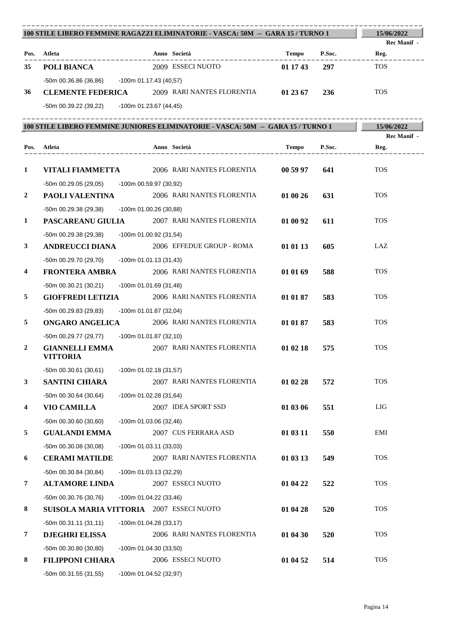|                         | 100 STILE LIBERO FEMMINE RAGAZZI ELIMINATORIE - VASCA: 50M -- GARA 15 / TURNO 1  |                                                     |          |        | 15/06/2022  |
|-------------------------|----------------------------------------------------------------------------------|-----------------------------------------------------|----------|--------|-------------|
|                         |                                                                                  |                                                     |          |        | Rec Manif - |
|                         | Pos. Atleta<br>------------                                                      | Anno Società<br>. _ _ _ _ _ _ _ _ _ _ _ _           | Tempo    | P.Soc. | Reg.        |
| 35                      | POLI BIANCA                                                                      | 2009 ESSECI NUOTO                                   | 01 17 43 | 297    | <b>TOS</b>  |
|                         | -50m 00.36.86 (36,86) - 100m 01.17.43 (40,57)                                    |                                                     |          |        |             |
| 36                      | <b>CLEMENTE FEDERICA</b> 2009 RARI NANTES FLORENTIA                              |                                                     | 01 23 67 | 236    | <b>TOS</b>  |
|                         | -50m 00.39.22 (39.22) -100m 01.23.67 (44.45)                                     |                                                     |          |        |             |
|                         | 100 STILE LIBERO FEMMINE JUNIORES ELIMINATORIE - VASCA: 50M -- GARA 15 / TURNO 1 |                                                     |          |        | 15/06/2022  |
|                         |                                                                                  |                                                     |          |        | Rec Manif - |
|                         | Pos. Atleta<br>----------------                                                  | Anno Società<br>. _ _ _ _ _ _ _ _ _ _ _ _ _ _ _ _ _ | Tempo    | P.Soc. | Reg.        |
|                         |                                                                                  |                                                     |          |        |             |
| 1                       | VITALI FIAMMETTA                                                                 | 2006 RARI NANTES FLORENTIA                          | 00 59 97 | 641    | <b>TOS</b>  |
|                         | -50m 00.29.05 (29,05) -100m 00.59.97 (30,92)                                     |                                                     |          |        |             |
| 2                       | PAOLI VALENTINA                                                                  | 2006 RARI NANTES FLORENTIA                          | 01 00 26 | 631    | <b>TOS</b>  |
|                         | -50m 00.29.38 (29,38)<br>-100m 01.00.26 (30,88)                                  |                                                     |          |        |             |
| $\mathbf{1}$            | <b>PASCAREANU GIULIA</b>                                                         | 2007 RARI NANTES FLORENTIA                          | 01 00 92 | 611    | <b>TOS</b>  |
|                         | -50m 00.29.38 (29,38)<br>-100m 01.00.92 (31,54)                                  |                                                     |          |        |             |
| 3                       | <b>ANDREUCCI DIANA</b>                                                           | 2006 EFFEDUE GROUP - ROMA                           | 01 01 13 | 605    | LAZ         |
|                         | -50m 00.29.70 (29,70)<br>$-100m$ 01.01.13 (31,43)                                |                                                     |          |        |             |
| 4                       | <b>FRONTERA AMBRA</b>                                                            | 2006 RARI NANTES FLORENTIA                          | 01 01 69 | 588    | <b>TOS</b>  |
|                         | $-50m$ 00.30.21 (30,21)<br>-100m 01.01.69 (31,48)                                |                                                     |          |        |             |
| 5                       | <b>GIOFFREDI LETIZIA</b>                                                         | 2006 RARI NANTES FLORENTIA                          | 01 01 87 | 583    | <b>TOS</b>  |
|                         | -50m 00.29.83 (29,83)<br>-100m 01.01.87 (32,04)                                  |                                                     |          |        |             |
| 5                       | <b>ONGARO ANGELICA</b>                                                           | 2006 RARI NANTES FLORENTIA                          | 01 01 87 | 583    | <b>TOS</b>  |
|                         | -50m 00.29.77 (29,77) -100m 01.01.87 (32,10)                                     |                                                     |          |        |             |
| $\boldsymbol{2}$        | <b>GIANNELLI EMMA</b>                                                            | 2007 RARI NANTES FLORENTIA                          | 01 02 18 | 575    | <b>TOS</b>  |
|                         | <b>VITTORIA</b>                                                                  |                                                     |          |        |             |
|                         | $-50m$ 00.30.61 (30,61)<br>-100m 01.02.18 (31,57)                                |                                                     |          |        | <b>TOS</b>  |
| $\mathbf{3}$            | <b>SANTINI CHIARA</b>                                                            | 2007 RARI NANTES FLORENTIA                          | 01 02 28 | 572    |             |
|                         | $-50m$ 00.30.64 (30,64)<br>$-100m$ 01.02.28 (31,64)                              |                                                     |          |        | LIG         |
| $\overline{\mathbf{4}}$ | <b>VIO CAMILLA</b>                                                               | 2007 IDEA SPORT SSD                                 | 01 03 06 | 551    |             |
|                         | $-50m$ 00.30.60 (30,60)<br>$-100m$ 01.03.06 (32,46)                              |                                                     |          |        | EMI         |
| 5                       | <b>GUALANDI EMMA</b>                                                             | 2007 CUS FERRARA ASD                                | 01 03 11 | 550    |             |
|                         | -50m 00.30.08 (30,08)<br>$-100m$ 01.03.11 (33,03)                                |                                                     |          |        | <b>TOS</b>  |
| 6                       | <b>CERAMI MATILDE</b>                                                            | 2007 RARI NANTES FLORENTIA                          | 01 03 13 | 549    |             |
|                         | -50m 00.30.84 (30,84)<br>$-100m$ 01.03.13 (32,29)                                |                                                     |          |        | <b>TOS</b>  |
| 7                       | <b>ALTAMORE LINDA</b>                                                            | 2007 ESSECI NUOTO                                   | 01 04 22 | 522    |             |
|                         | -50m 00.30.76 (30,76)<br>$-100m$ 01.04.22 (33,46)                                |                                                     |          |        | <b>TOS</b>  |
| 8                       | SUISOLA MARIA VITTORIA 2007 ESSECI NUOTO                                         |                                                     | 01 04 28 | 520    |             |
|                         | $-50m 00.31.11(31,11)$<br>-100m 01.04.28 (33,17)                                 |                                                     |          |        | <b>TOS</b>  |
| 7                       | <b>DJEGHRI ELISSA</b>                                                            | 2006 RARI NANTES FLORENTIA                          | 01 04 30 | 520    |             |
|                         | -50m 00.30.80 (30,80)<br>$-100m$ 01.04.30 (33,50)                                | 2006 ESSECI NUOTO                                   |          |        | <b>TOS</b>  |
| 8                       | <b>FILIPPONI CHIARA</b>                                                          |                                                     | 01 04 52 | 514    |             |
|                         | $-50m$ 00.31.55 (31,55)<br>-100m 01.04.52 (32,97)                                |                                                     |          |        |             |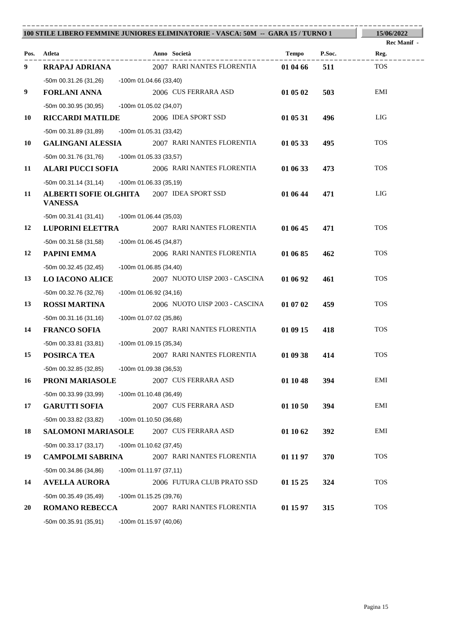|    |                                                                    |                           | 100 STILE LIBERO FEMMINE JUNIORES ELIMINATORIE - VASCA: 50M -- GARA 15 / TURNO 1 |          |        | 15/06/2022         |
|----|--------------------------------------------------------------------|---------------------------|----------------------------------------------------------------------------------|----------|--------|--------------------|
|    |                                                                    |                           |                                                                                  |          |        | Rec Manif -        |
|    | Pos. Atleta                                                        |                           | Anno Società<br>2007 RARI NANTES FLORENTIA                                       | Tempo    | P.Soc. | Reg.<br><b>TOS</b> |
| 9  | <b>RRAPAJ ADRIANA</b>                                              |                           |                                                                                  | 01 04 66 | 511    |                    |
|    | -50m 00.31.26 (31,26) -100m 01.04.66 (33,40)                       |                           |                                                                                  |          |        | EMI                |
| 9  | <b>FORLANI ANNA</b>                                                |                           | 2006 CUS FERRARA ASD                                                             | 01 05 02 | 503    |                    |
|    | -50m 00.30.95 (30,95)                                              | -100m 01.05.02 (34,07)    |                                                                                  |          |        | LIG                |
| 10 | <b>RICCARDI MATILDE</b>                                            |                           | 2006 IDEA SPORT SSD                                                              | 01 05 31 | 496    |                    |
|    | -50m 00.31.89 (31,89)                                              | -100m 01.05.31 (33,42)    |                                                                                  |          |        |                    |
| 10 | <b>GALINGANI ALESSIA</b>                                           |                           | 2007 RARI NANTES FLORENTIA                                                       | 01 05 33 | 495    | <b>TOS</b>         |
|    | -50m 00.31.76 (31,76) -100m 01.05.33 (33,57)                       |                           |                                                                                  |          |        |                    |
| 11 | <b>ALARI PUCCI SOFIA</b>                                           |                           | 2006 RARI NANTES FLORENTIA                                                       | 01 06 33 | 473    | <b>TOS</b>         |
|    | -50m 00.31.14 (31,14)                                              | -100m 01.06.33 (35,19)    |                                                                                  |          |        |                    |
| 11 | <b>ALBERTI SOFIE OLGHITA</b> 2007 IDEA SPORT SSD<br><b>VANESSA</b> |                           |                                                                                  | 01 06 44 | 471    | LIG                |
|    | $-50m 00.31.41 (31,41) -100m 01.06.44 (35,03)$                     |                           |                                                                                  |          |        |                    |
| 12 | <b>LUPORINI ELETTRA</b>                                            |                           | 2007 RARI NANTES FLORENTIA                                                       | 01 06 45 | 471    | <b>TOS</b>         |
|    | -50m 00.31.58 (31,58)                                              | $-100$ m 01.06.45 (34,87) |                                                                                  |          |        |                    |
| 12 | PAPINI EMMA                                                        |                           | 2006 RARI NANTES FLORENTIA                                                       | 01 06 85 | 462    | <b>TOS</b>         |
|    | $-50m$ 00.32.45 (32,45)                                            | -100m 01.06.85 (34,40)    |                                                                                  |          |        |                    |
| 13 | <b>LO IACONO ALICE</b>                                             |                           | 2007 NUOTO UISP 2003 - CASCINA                                                   | 01 06 92 | 461    | <b>TOS</b>         |
|    | -50m 00.32.76 (32,76)                                              | $-100m$ 01.06.92 (34,16)  |                                                                                  |          |        |                    |
| 13 | <b>ROSSI MARTINA</b>                                               |                           | 2006 NUOTO UISP 2003 - CASCINA                                                   | 01 07 02 | 459    | <b>TOS</b>         |
|    | $-50m$ 00.31.16 (31,16)                                            | -100m 01.07.02 (35,86)    |                                                                                  |          |        |                    |
| 14 | <b>FRANCO SOFIA</b>                                                |                           | 2007 RARI NANTES FLORENTIA                                                       | 01 09 15 | 418    | <b>TOS</b>         |
|    | -50m 00.33.81 (33,81)                                              | -100m 01.09.15 (35,34)    |                                                                                  |          |        |                    |
| 15 | POSIRCA TEA                                                        |                           | 2007 RARI NANTES FLORENTIA                                                       | 01 09 38 | 414    | <b>TOS</b>         |
|    | -50m 00.32.85 (32,85)                                              | -100m 01.09.38 (36,53)    |                                                                                  |          |        |                    |
| 16 | PRONI MARIASOLE                                                    |                           | 2007 CUS FERRARA ASD                                                             | 01 10 48 | 394    | EMI                |
|    | -50m 00.33.99 (33,99)                                              | -100m 01.10.48 (36,49)    |                                                                                  |          |        |                    |
| 17 | <b>GARUTTI SOFIA</b>                                               |                           | 2007 CUS FERRARA ASD                                                             | 01 10 50 | 394    | EMI                |
|    | -50m 00.33.82 (33,82)                                              | $-100m$ 01.10.50 (36,68)  |                                                                                  |          |        |                    |
| 18 | <b>SALOMONI MARIASOLE</b>                                          |                           | 2007 CUS FERRARA ASD                                                             | 01 10 62 | 392    | EMI                |
|    | $-50m$ 00.33.17 (33,17)                                            | -100m 01.10.62 (37,45)    |                                                                                  |          |        |                    |
| 19 | <b>CAMPOLMI SABRINA</b>                                            |                           | 2007 RARI NANTES FLORENTIA                                                       | 01 11 97 | 370    | <b>TOS</b>         |
|    | $-50m$ 00.34.86 (34,86)                                            | $-100m 01.11.97(37,11)$   |                                                                                  |          |        |                    |
| 14 | <b>AVELLA AURORA</b>                                               |                           | 2006 FUTURA CLUB PRATO SSD                                                       | 01 15 25 | 324    | <b>TOS</b>         |
|    | -50m 00.35.49 (35,49)                                              | $-100m$ 01.15.25 (39,76)  |                                                                                  |          |        |                    |
| 20 | <b>ROMANO REBECCA</b>                                              |                           | 2007 RARI NANTES FLORENTIA                                                       | 01 15 97 | 315    | <b>TOS</b>         |
|    | -50m 00.35.91 (35,91)                                              | $-100m$ 01.15.97 (40,06)  |                                                                                  |          |        |                    |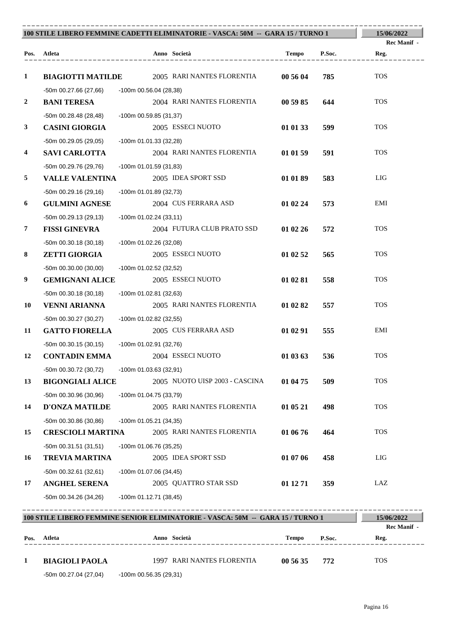|                |                                                   |                          | 100 STILE LIBERO FEMMINE CADETTI ELIMINATORIE - VASCA: 50M -- GARA 15 / TURNO 1 |              |        | 15/06/2022                |
|----------------|---------------------------------------------------|--------------------------|---------------------------------------------------------------------------------|--------------|--------|---------------------------|
|                | Pos. Atleta                                       |                          | Anno Società                                                                    | Tempo        | P.Soc. | Rec Manif -<br>Reg.       |
| 1              | <b>BIAGIOTTI MATILDE</b>                          |                          | 2005 RARI NANTES FLORENTIA                                                      | 00 56 04     | 785    | <b>TOS</b>                |
| 2              | -50m 00.27.66 (27,66)<br><b>BANI TERESA</b>       | $-100m$ 00.56.04 (28,38) | 2004 RARI NANTES FLORENTIA                                                      | 00 59 85     | 644    | <b>TOS</b>                |
| 3              | $-50m$ 00.28.48 (28,48)<br><b>CASINI GIORGIA</b>  | -100m 00.59.85 (31,37)   | 2005 ESSECI NUOTO                                                               | 01 01 33     | 599    | <b>TOS</b>                |
| 4              | $-50m$ 00.29.05 (29,05)<br><b>SAVI CARLOTTA</b>   | -100m 01.01.33 (32,28)   | 2004 RARI NANTES FLORENTIA                                                      | 01 01 59     | 591    | <b>TOS</b>                |
| 5              | -50m 00.29.76 (29,76)<br><b>VALLE VALENTINA</b>   | -100m 01.01.59 (31,83)   | 2005 IDEA SPORT SSD                                                             | 01 01 89     | 583    | <b>LIG</b>                |
| 6              | $-50m$ 00.29.16 (29,16)<br><b>GULMINI AGNESE</b>  | -100m 01.01.89 (32,73)   | 2004 CUS FERRARA ASD                                                            | 01 02 24     | 573    | EMI                       |
| $\overline{7}$ | $-50m$ 00.29.13 (29,13)<br><b>FISSI GINEVRA</b>   | $-100m$ 01.02.24 (33,11) | 2004 FUTURA CLUB PRATO SSD                                                      | 01 02 26     | 572    | <b>TOS</b>                |
| 8              | $-50m$ 00.30.18 (30,18)<br><b>ZETTI GIORGIA</b>   | -100m 01.02.26 (32,08)   | 2005 ESSECI NUOTO                                                               | 01 02 52     | 565    | <b>TOS</b>                |
| 9              | $-50m$ 00.30.00 (30,00)<br><b>GEMIGNANI ALICE</b> | -100m 01.02.52 (32,52)   | 2005 ESSECI NUOTO                                                               | 01 02 81     | 558    | <b>TOS</b>                |
| 10             | $-50m$ 00.30.18 (30,18)<br><b>VENNI ARIANNA</b>   | -100m 01.02.81 (32,63)   | 2005 RARI NANTES FLORENTIA                                                      | 01 02 82     | 557    | <b>TOS</b>                |
| 11             | -50m 00.30.27 (30,27)<br><b>GATTO FIORELLA</b>    | -100m 01.02.82 (32,55)   | 2005 CUS FERRARA ASD                                                            | 01 02 91     | 555    | EMI                       |
| 12             | $-50m$ 00.30.15 (30,15)<br><b>CONTADIN EMMA</b>   | -100m 01.02.91 (32,76)   | 2004 ESSECI NUOTO                                                               | 01 03 63     | 536    | <b>TOS</b>                |
| 13             | -50m 00.30.72 (30,72)<br><b>BIGONGIALI ALICE</b>  | -100m 01.03.63 (32,91)   | 2005 NUOTO UISP 2003 - CASCINA                                                  | 01 04 75     | 509    | <b>TOS</b>                |
| 14             | -50m 00.30.96 (30,96)<br><b>D'ONZA MATILDE</b>    | -100m 01.04.75 (33,79)   | 2005 RARI NANTES FLORENTIA                                                      | 01 05 21     | 498    | <b>TOS</b>                |
| 15             | -50m 00.30.86 (30,86)<br><b>CRESCIOLI MARTINA</b> | $-100m$ 01.05.21 (34,35) | 2005 RARI NANTES FLORENTIA                                                      | 01 06 76     | 464    | <b>TOS</b>                |
| 16             | $-50m 00.31.51(31,51)$<br><b>TREVIA MARTINA</b>   | -100m 01.06.76 (35,25)   | 2005 IDEA SPORT SSD                                                             | 01 07 06     | 458    | <b>LIG</b>                |
| 17             | -50m 00.32.61 (32,61)<br><b>ANGHEL SERENA</b>     | $-100m$ 01.07.06 (34,45) | 2005 QUATTRO STAR SSD                                                           | 01 12 71     | 359    | LAZ                       |
|                | $-50m$ 00.34.26 (34,26)                           | $-100m 01.12.71(38,45)$  |                                                                                 |              |        |                           |
|                |                                                   |                          | 100 STILE LIBERO FEMMINE SENIOR ELIMINATORIE - VASCA: 50M -- GARA 15 / TURNO 1  |              |        | 15/06/2022<br>Rec Manif - |
| Pos.           | Atleta                                            |                          | Anno Società                                                                    | <b>Tempo</b> | P.Soc. | Reg.                      |

**1 BIAGIOLI PAOLA** 1997 RARI NANTES FLORENTIA **00 56 35 772** TOS -50m 00.27.04 (27,04) -100m 00.56.35 (29,31)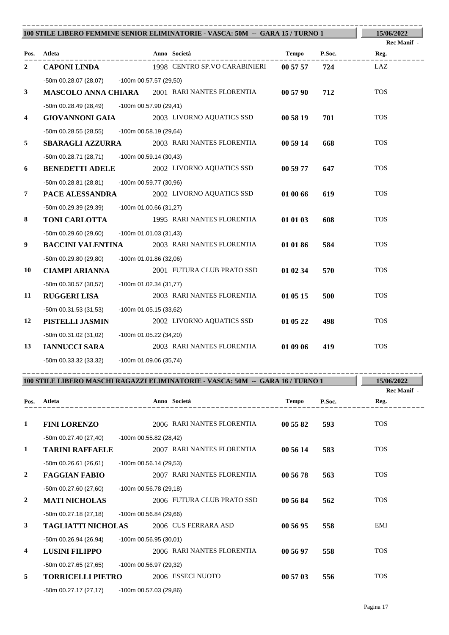|                |                                              |                          | 100 STILE LIBERO FEMMINE SENIOR ELIMINATORIE - VASCA: 50M -- GARA 15 / TURNO 1 |          |        | 15/06/2022          |
|----------------|----------------------------------------------|--------------------------|--------------------------------------------------------------------------------|----------|--------|---------------------|
| Pos.           | Atleta<br>------------                       |                          | Anno Società                                                                   | Tempo    | P.Soc. | Rec Manif -<br>Reg. |
| $\overline{2}$ | <b>CAPONI LINDA</b>                          |                          | 1998 CENTRO SP.VO CARABINIERI                                                  | 00 57 57 | 724    | LAZ                 |
|                | -50m 00.28.07 (28,07) -100m 00.57.57 (29,50) |                          |                                                                                |          |        |                     |
| 3              |                                              |                          | <b>MASCOLO ANNA CHIARA</b> 2001 RARI NANTES FLORENTIA                          | 00 57 90 | 712    | <b>TOS</b>          |
|                | -50m 00.28.49 (28,49) -100m 00.57.90 (29,41) |                          |                                                                                |          |        |                     |
| 4              | <b>GIOVANNONI GAIA</b>                       |                          | 2003 LIVORNO AQUATICS SSD                                                      | 00 58 19 | 701    | <b>TOS</b>          |
|                | -50m 00.28.55 (28,55)                        | -100m 00.58.19 (29,64)   |                                                                                |          |        |                     |
| 5              | <b>SBARAGLI AZZURRA</b>                      |                          | 2003 RARI NANTES FLORENTIA                                                     | 00 59 14 | 668    | <b>TOS</b>          |
|                | -50m 00.28.71 (28,71)                        | -100m 00.59.14 (30,43)   |                                                                                |          |        |                     |
| 6              | <b>BENEDETTI ADELE</b>                       |                          | 2002 LIVORNO AQUATICS SSD                                                      | 00 59 77 | 647    | <b>TOS</b>          |
|                | -50m 00.28.81 (28,81)                        | -100m 00.59.77 (30,96)   |                                                                                |          |        |                     |
| $\overline{7}$ | PACE ALESSANDRA                              |                          | 2002 LIVORNO AQUATICS SSD                                                      | 01 00 66 | 619    | <b>TOS</b>          |
|                | -50m 00.29.39 (29,39)                        | $-100m$ 01.00.66 (31,27) |                                                                                |          |        |                     |
| 8              | TONI CARLOTTA                                |                          | 1995 RARI NANTES FLORENTIA                                                     | 01 01 03 | 608    | <b>TOS</b>          |
|                | -50m 00.29.60 (29,60)                        | -100m 01.01.03 (31,43)   |                                                                                |          |        |                     |
| 9              | <b>BACCINI VALENTINA</b>                     |                          | 2003 RARI NANTES FLORENTIA                                                     | 01 01 86 | 584    | <b>TOS</b>          |
|                | -50m 00.29.80 (29,80)                        | -100m 01.01.86 (32,06)   |                                                                                |          |        |                     |
| 10             | <b>CIAMPI ARIANNA</b>                        |                          | 2001 FUTURA CLUB PRATO SSD                                                     | 01 02 34 | 570    | <b>TOS</b>          |
|                | $-50m$ 00.30.57 (30,57)                      | -100m 01.02.34 (31,77)   |                                                                                |          |        |                     |
| 11             | <b>RUGGERI LISA</b>                          |                          | 2003 RARI NANTES FLORENTIA                                                     | 01 05 15 | 500    | <b>TOS</b>          |
|                | -50m 00.31.53 (31,53)                        | -100m 01.05.15 (33,62)   |                                                                                |          |        |                     |
| 12             | PISTELLI JASMIN                              |                          | 2002 LIVORNO AQUATICS SSD                                                      | 01 05 22 | 498    | <b>TOS</b>          |
|                | -50m 00.31.02 (31,02)                        | -100m 01.05.22 (34,20)   |                                                                                |          |        |                     |
| 13             | <b>IANNUCCI SARA</b>                         |                          | 2003 RARI NANTES FLORENTIA                                                     | 01 09 06 | 419    | <b>TOS</b>          |
|                | -50m 00.33.32 (33,32)                        | -100m 01.09.06 (35,74)   |                                                                                |          |        |                     |

| 100 STILE LIBERO MASCHI RAGAZZI ELIMINATORIE - VASCA: 50M -- GARA 16 / TURNO 1 |                           |                          |                            |              | 15/06/2022<br>Rec Manif - |            |
|--------------------------------------------------------------------------------|---------------------------|--------------------------|----------------------------|--------------|---------------------------|------------|
| Pos.                                                                           | Atleta                    |                          | Anno Società               | <b>Tempo</b> | P.Soc.                    | Reg.       |
| 1                                                                              | <b>FINI LORENZO</b>       |                          | 2006 RARI NANTES FLORENTIA | 00 55 82     | 593                       | <b>TOS</b> |
|                                                                                | $-50m$ 00.27.40 (27,40)   | -100m 00.55.82 (28,42)   |                            |              |                           |            |
| 1                                                                              | <b>TARINI RAFFAELE</b>    |                          | 2007 RARI NANTES FLORENTIA | 00 56 14     | 583                       | <b>TOS</b> |
|                                                                                | $-50m00.26.61(26.61)$     | $-100m$ 00.56.14 (29,53) |                            |              |                           |            |
| $\overline{2}$                                                                 | <b>FAGGIAN FABIO</b>      |                          | 2007 RARI NANTES FLORENTIA | 00 56 78     | 563                       | <b>TOS</b> |
|                                                                                | -50m 00.27.60 (27,60)     | -100m 00.56.78 (29,18)   |                            |              |                           |            |
| $\overline{2}$                                                                 | <b>MATI NICHOLAS</b>      |                          | 2006 FUTURA CLUB PRATO SSD | 00 56 84     | 562                       | <b>TOS</b> |
|                                                                                | $-50m$ 00.27.18 (27,18)   | $-100m$ 00.56.84 (29,66) |                            |              |                           |            |
| $\mathbf{3}$                                                                   | <b>TAGLIATTI NICHOLAS</b> |                          | 2006 CUS FERRARA ASD       | 00 56 95     | 558                       | EMI        |
|                                                                                | $-50m00.26.94(26.94)$     | -100m 00.56.95 (30,01)   |                            |              |                           |            |
| 4                                                                              | <b>LUSINI FILIPPO</b>     |                          | 2006 RARI NANTES FLORENTIA | 00 56 97     | 558                       | <b>TOS</b> |
|                                                                                | $-50m$ 00.27.65 (27,65)   | -100m 00.56.97 (29,32)   |                            |              |                           |            |
| 5                                                                              | <b>TORRICELLI PIETRO</b>  |                          | 2006 ESSECI NUOTO          | 00 57 03     | 556                       | <b>TOS</b> |
|                                                                                | $-50m$ 00.27.17 (27,17)   | -100m 00.57.03 (29,86)   |                            |              |                           |            |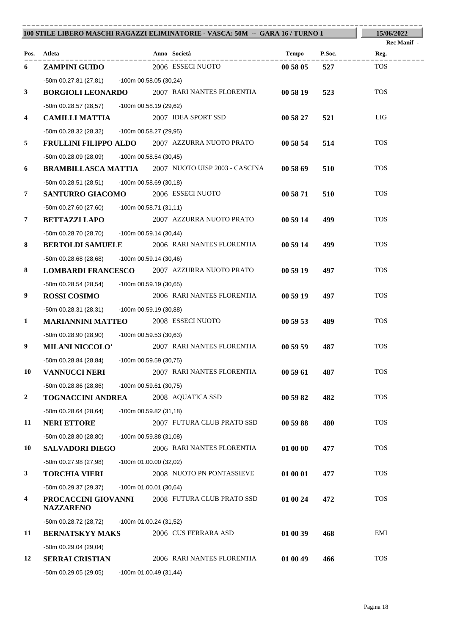|                |                                                                      |                          | 100 STILE LIBERO MASCHI RAGAZZI ELIMINATORIE - VASCA: 50M -- GARA 16 / TURNO 1 |          |        | 15/06/2022  |
|----------------|----------------------------------------------------------------------|--------------------------|--------------------------------------------------------------------------------|----------|--------|-------------|
|                |                                                                      |                          |                                                                                |          |        | Rec Manif - |
|                | Pos. Atleta                                                          |                          | Anno Società                                                                   | Tempo    | P.Soc. | Reg.        |
| 6              | <b>ZAMPINI GUIDO</b>                                                 |                          | 2006 ESSECI NUOTO                                                              | 00 58 05 | 527    | <b>TOS</b>  |
|                | -50m 00.27.81 (27,81) -100m 00.58.05 (30,24)                         |                          |                                                                                |          |        |             |
| $\mathbf{3}$   |                                                                      |                          | <b>BORGIOLI LEONARDO</b> 2007 RARI NANTES FLORENTIA                            | 00 58 19 | 523    | <b>TOS</b>  |
|                | -50m 00.28.57 (28,57)                                                | -100m 00.58.19 (29,62)   |                                                                                |          |        |             |
| 4              | <b>CAMILLI MATTIA</b> 2007 IDEA SPORT SSD                            |                          |                                                                                | 00 58 27 | 521    | LIG         |
|                | -50m 00.28.32 (28,32)                                                | -100m 00.58.27 (29,95)   |                                                                                |          |        |             |
| 5              |                                                                      |                          | <b>FRULLINI FILIPPO ALDO</b> 2007 AZZURRA NUOTO PRATO                          | 00 58 54 | 514    | <b>TOS</b>  |
|                | -50m 00.28.09 (28,09) -100m 00.58.54 (30,45)                         |                          |                                                                                |          |        |             |
| 6              |                                                                      |                          | <b>BRAMBILLASCA MATTIA</b> 2007 NUOTO UISP 2003 - CASCINA                      | 00 58 69 | 510    | <b>TOS</b>  |
|                | -50m 00.28.51 (28,51) -100m 00.58.69 (30,18)                         |                          |                                                                                |          |        |             |
| $\overline{7}$ | <b>SANTURRO GIACOMO</b>                                              |                          | 2006 ESSECI NUOTO                                                              | 00 58 71 | 510    | <b>TOS</b>  |
|                | -50m 00.27.60 (27,60) -100m 00.58.71 (31,11)                         |                          |                                                                                |          |        |             |
| $\overline{7}$ | <b>BETTAZZI LAPO</b>                                                 |                          | 2007 AZZURRA NUOTO PRATO                                                       | 00 59 14 | 499    | <b>TOS</b>  |
|                | -50m 00.28.70 (28,70)                                                | -100m 00.59.14 (30,44)   |                                                                                |          |        |             |
| 8              | <b>BERTOLDI SAMUELE</b>                                              |                          | 2006 RARI NANTES FLORENTIA                                                     | 00 59 14 | 499    | <b>TOS</b>  |
| 8              | -50m 00.28.68 (28,68)                                                | -100m 00.59.14 (30,46)   | LOMBARDI FRANCESCO 2007 AZZURRA NUOTO PRATO                                    | 00 59 19 | 497    | <b>TOS</b>  |
|                |                                                                      |                          |                                                                                |          |        |             |
|                | -50m 00.28.54 (28,54) -100m 00.59.19 (30,65)                         |                          |                                                                                |          |        | <b>TOS</b>  |
| 9              | <b>ROSSI COSIMO</b>                                                  |                          | 2006 RARI NANTES FLORENTIA                                                     | 00 59 19 | 497    |             |
|                | -50m 00.28.31 (28,31) -100m 00.59.19 (30,88)                         |                          |                                                                                |          |        | <b>TOS</b>  |
| $\mathbf{1}$   | <b>MARIANNINI MATTEO</b> 2008 ESSECI NUOTO                           |                          |                                                                                | 00 59 53 | 489    |             |
| 9              | -50m 00.28.90 (28,90)                                                | $-100m$ 00.59.53 (30,63) | 2007 RARI NANTES FLORENTIA                                                     |          |        | <b>TOS</b>  |
|                | <b>MILANI NICCOLO'</b>                                               |                          |                                                                                | 00 59 59 | 487    |             |
| 10             | -50m 00.28.84 (28,84) -100m 00.59.59 (30,75)<br><b>VANNUCCI NERI</b> |                          | 2007 RARI NANTES FLORENTIA                                                     | 00 59 61 | 487    | <b>TOS</b>  |
|                |                                                                      |                          |                                                                                |          |        |             |
| $\mathbf{2}$   | -50m 00.28.86 (28,86)                                                | -100m 00.59.61 (30,75)   | 2008 AQUATICA SSD                                                              | 00 59 82 | 482    | <b>TOS</b>  |
|                | <b>TOGNACCINI ANDREA</b>                                             |                          |                                                                                |          |        |             |
| 11             | $-50m$ 00.28.64 (28,64)<br><b>NERI ETTORE</b>                        | -100m 00.59.82 (31,18)   | 2007 FUTURA CLUB PRATO SSD                                                     | 00 59 88 | 480    | <b>TOS</b>  |
|                |                                                                      |                          |                                                                                |          |        |             |
| 10             | -50m 00.28.80 (28,80)<br><b>SALVADORI DIEGO</b>                      | $-100m$ 00.59.88 (31,08) | 2006 RARI NANTES FLORENTIA                                                     | 01 00 00 | 477    | <b>TOS</b>  |
|                |                                                                      |                          |                                                                                |          |        |             |
| 3              | -50m 00.27.98 (27,98)<br><b>TORCHIA VIERI</b>                        | -100m 01.00.00 (32,02)   | 2008 NUOTO PN PONTASSIEVE                                                      | 01 00 01 | 477    | <b>TOS</b>  |
|                |                                                                      |                          |                                                                                |          |        |             |
| 4              | -50m 00.29.37 (29,37)<br>PROCACCINI GIOVANNI                         | $-100m$ 01.00.01 (30,64) | 2008 FUTURA CLUB PRATO SSD                                                     | 01 00 24 | 472    | <b>TOS</b>  |
|                | <b>NAZZARENO</b>                                                     |                          |                                                                                |          |        |             |
|                | -50m 00.28.72 (28,72)                                                | -100m 01.00.24 (31,52)   |                                                                                |          |        |             |
| 11             | <b>BERNATSKYY MAKS</b>                                               |                          | 2006 CUS FERRARA ASD                                                           | 01 00 39 | 468    | EMI         |
|                | -50m 00.29.04 (29,04)                                                |                          |                                                                                |          |        |             |
| 12             | <b>SERRAI CRISTIAN</b>                                               |                          | 2006 RARI NANTES FLORENTIA                                                     | 01 00 49 | 466    | <b>TOS</b>  |
|                | -50m 00.29.05 (29,05)                                                | $-100m$ 01.00.49 (31,44) |                                                                                |          |        |             |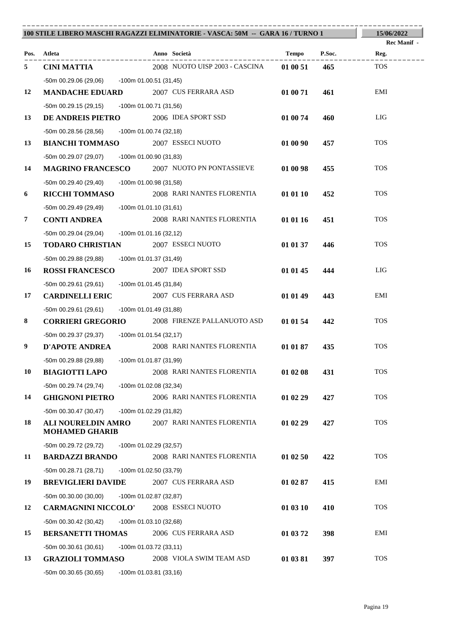|                |                                                 | 100 STILE LIBERO MASCHI RAGAZZI ELIMINATORIE - VASCA: 50M -- GARA 16 / TURNO 1 |                 | 15/06/2022                 |
|----------------|-------------------------------------------------|--------------------------------------------------------------------------------|-----------------|----------------------------|
|                | Pos. Atleta                                     | Anno Società                                                                   | P.Soc.<br>Tempo | <b>Rec Manif</b> -<br>Reg. |
| 5              | . _ _ _ _ _ _ _ _ _ _ _ _<br><b>CINI MATTIA</b> | 2008 NUOTO UISP 2003 - CASCINA                                                 | 465<br>01 00 51 | <b>TOS</b>                 |
|                | -50m 00.29.06 (29,06) -100m 01.00.51 (31,45)    |                                                                                |                 |                            |
| 12             | <b>MANDACHE EDUARD</b>                          | 2007 CUS FERRARA ASD                                                           | 01 00 71<br>461 | EMI                        |
|                | -50m 00.29.15 (29,15) -100m 01.00.71 (31,56)    |                                                                                |                 |                            |
| 13             | <b>DE ANDREIS PIETRO</b> 2006 IDEA SPORT SSD    |                                                                                | 01 00 74<br>460 | LIG                        |
|                | -50m 00.28.56 (28,56) -100m 01.00.74 (32,18)    |                                                                                |                 |                            |
| 13             | <b>BIANCHI TOMMASO</b>                          | 2007 ESSECI NUOTO                                                              | 01 00 90<br>457 | <b>TOS</b>                 |
|                | -50m 00.29.07 (29,07) -100m 01.00.90 (31,83)    |                                                                                |                 |                            |
| 14             |                                                 | <b>MAGRINO FRANCESCO</b> 2007 NUOTO PN PONTASSIEVE                             | 01 00 98<br>455 | <b>TOS</b>                 |
|                | -50m 00.29.40 (29,40)                           | -100m 01.00.98 (31,58)                                                         |                 |                            |
| 6              | <b>RICCHI TOMMASO</b>                           | 2008 RARI NANTES FLORENTIA                                                     | 01 01 10<br>452 | <b>TOS</b>                 |
|                | -50m 00.29.49 (29,49)                           | $-100m$ 01.01.10 (31,61)                                                       |                 |                            |
| $\overline{7}$ | <b>CONTI ANDREA</b>                             | 2008 RARI NANTES FLORENTIA                                                     | 01 01 16<br>451 | <b>TOS</b>                 |
|                | -50m 00.29.04 (29,04)                           | $-100m$ 01.01.16 (32,12)                                                       |                 |                            |
| 15             | <b>TODARO CHRISTIAN</b>                         | 2007 ESSECI NUOTO                                                              | 01 01 37<br>446 | <b>TOS</b>                 |
|                | -50m 00.29.88 (29,88)                           | -100m 01.01.37 (31,49)                                                         |                 |                            |
| 16             | <b>ROSSI FRANCESCO</b>                          | 2007 IDEA SPORT SSD                                                            | 01 01 45<br>444 | LIG                        |
|                | -50m 00.29.61 (29,61) -100m 01.01.45 (31,84)    |                                                                                |                 |                            |
| 17             | <b>CARDINELLI ERIC</b>                          | 2007 CUS FERRARA ASD                                                           | 01 01 49<br>443 | EMI                        |
|                | -50m 00.29.61 (29,61)                           | -100m 01.01.49 (31,88)                                                         |                 |                            |
| 8              | <b>CORRIERI GREGORIO</b>                        | 2008 FIRENZE PALLANUOTO ASD                                                    | 01 01 54<br>442 | <b>TOS</b>                 |
|                | -50m 00.29.37 (29,37) -100m 01.01.54 (32,17)    |                                                                                |                 |                            |
| 9              | <b>D'APOTE ANDREA</b>                           | 2008 RARI NANTES FLORENTIA                                                     | 01 01 87<br>435 | <b>TOS</b>                 |
|                | -50m 00.29.88 (29,88) -100m 01.01.87 (31,99)    |                                                                                |                 |                            |
| 10             | <b>BIAGIOTTI LAPO</b>                           | 2008 RARI NANTES FLORENTIA                                                     | 01 02 08<br>431 | <b>TOS</b>                 |
|                | -50m 00.29.74 (29,74)                           | -100m 01.02.08 (32,34)                                                         |                 |                            |
| 14             | <b>GHIGNONI PIETRO</b>                          | 2006 RARI NANTES FLORENTIA                                                     | 01 02 29<br>427 | <b>TOS</b>                 |
|                | $-50m$ 00.30.47 (30,47)                         | -100m 01.02.29 (31,82)                                                         |                 |                            |
| 18             | ALI NOURELDIN AMRO<br><b>MOHAMED GHARIB</b>     | 2007 RARI NANTES FLORENTIA                                                     | 01 02 29<br>427 | <b>TOS</b>                 |
|                | -50m 00.29.72 (29,72)                           | $-100m$ 01.02.29 (32,57)                                                       |                 |                            |
| 11             | <b>BARDAZZI BRANDO</b>                          | 2008 RARI NANTES FLORENTIA                                                     | 01 02 50<br>422 | <b>TOS</b>                 |
|                | $-50m$ 00.28.71 (28,71)                         | -100m 01.02.50 (33,79)                                                         |                 |                            |
| 19             | <b>BREVIGLIERI DAVIDE</b>                       | 2007 CUS FERRARA ASD                                                           | 01 02 87<br>415 | EMI                        |
|                | $-50m$ 00.30.00 (30,00)                         | -100m 01.02.87 (32,87)                                                         |                 |                            |
| 12             | <b>CARMAGNINI NICCOLO'</b>                      | 2008 ESSECI NUOTO                                                              | 01 03 10<br>410 | <b>TOS</b>                 |
|                | $-50m$ 00.30.42 (30,42)                         | -100m 01.03.10 (32,68)                                                         |                 |                            |
| 15             | <b>BERSANETTI THOMAS</b>                        | 2006 CUS FERRARA ASD                                                           | 01 03 72<br>398 | EMI                        |
|                | $-50m$ 00.30.61 (30,61)                         | -100m 01.03.72 (33,11)                                                         |                 |                            |
| 13             | <b>GRAZIOLI TOMMASO</b>                         | 2008 VIOLA SWIM TEAM ASD                                                       | 01 03 81<br>397 | <b>TOS</b>                 |
|                | $-50m$ 00.30.65 (30,65)                         | $-100m$ 01.03.81 (33,16)                                                       |                 |                            |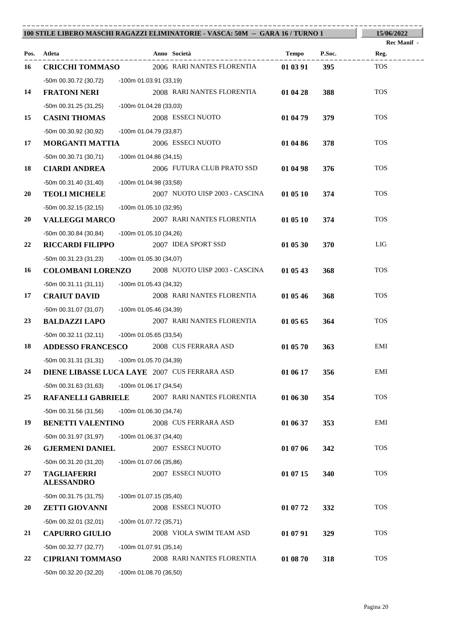|           | 100 STILE LIBERO MASCHI RAGAZZI ELIMINATORIE - VASCA: 50M -- GARA 16 / TURNO 1 |                                                         |          |                                      |  |
|-----------|--------------------------------------------------------------------------------|---------------------------------------------------------|----------|--------------------------------------|--|
| Pos.      | Atleta                                                                         | Anno Società                                            | Tempo    | <b>Rec Manif</b> -<br>P.Soc.<br>Reg. |  |
| 16        | <b>CRICCHI TOMMASO</b>                                                         | 2006 RARI NANTES FLORENTIA                              | 01 03 91 | <b>TOS</b><br>395                    |  |
|           | -50m 00.30.72 (30,72) -100m 01.03.91 (33,19)                                   |                                                         |          |                                      |  |
| 14        | <b>FRATONI NERI</b>                                                            | 2008 RARI NANTES FLORENTIA                              | 01 04 28 | <b>TOS</b><br>388                    |  |
|           | -50m 00.31.25 (31,25)                                                          | -100m 01.04.28 (33,03)                                  |          |                                      |  |
| 15        | <b>CASINI THOMAS</b>                                                           | 2008 ESSECI NUOTO                                       | 01 04 79 | <b>TOS</b><br>379                    |  |
|           | -50m 00.30.92 (30,92)                                                          | -100m 01.04.79 (33,87)                                  |          |                                      |  |
| 17        | <b>MORGANTI MATTIA</b>                                                         | 2006 ESSECI NUOTO                                       | 01 04 86 | <b>TOS</b><br>378                    |  |
|           | $-50m$ 00.30.71 (30,71)                                                        | -100m 01.04.86 (34,15)                                  |          |                                      |  |
| 18        | <b>CIARDI ANDREA</b>                                                           | 2006 FUTURA CLUB PRATO SSD                              | 01 04 98 | <b>TOS</b><br>376                    |  |
|           | $-50m$ 00.31.40 (31,40)                                                        | -100m 01.04.98 (33,58)                                  |          |                                      |  |
| <b>20</b> | <b>TEOLI MICHELE</b>                                                           | 2007 NUOTO UISP 2003 - CASCINA                          | 01 05 10 | <b>TOS</b><br>374                    |  |
|           | $-50m$ 00.32.15 (32,15)                                                        | -100m 01.05.10 (32,95)                                  |          |                                      |  |
| <b>20</b> | <b>VALLEGGI MARCO</b>                                                          | 2007 RARI NANTES FLORENTIA                              | 01 05 10 | <b>TOS</b><br>374                    |  |
|           | $-50m$ 00.30.84 (30,84)                                                        | $-100m$ 01.05.10 (34,26)                                |          |                                      |  |
| 22        | <b>RICCARDI FILIPPO</b>                                                        | 2007 IDEA SPORT SSD                                     | 01 05 30 | LIG<br>370                           |  |
|           | -50m 00.31.23 (31,23)                                                          | -100m 01.05.30 (34,07)                                  |          |                                      |  |
| 16        |                                                                                | <b>COLOMBANI LORENZO</b> 2008 NUOTO UISP 2003 - CASCINA | 01 05 43 | <b>TOS</b><br>368                    |  |
|           | -50m 00.31.11 (31,11)                                                          | -100m 01.05.43 (34,32)                                  |          |                                      |  |
| 17        | <b>CRAIUT DAVID</b>                                                            | 2008 RARI NANTES FLORENTIA                              | 01 05 46 | <b>TOS</b><br>368                    |  |
|           | -50m 00.31.07 (31,07)                                                          | -100m 01.05.46 (34,39)                                  |          |                                      |  |
| 23        | <b>BALDAZZI LAPO</b>                                                           | 2007 RARI NANTES FLORENTIA                              | 01 05 65 | <b>TOS</b><br>364                    |  |
|           | -50m 00.32.11 (32,11)                                                          | -100m 01.05.65 (33,54)                                  |          |                                      |  |
| 18        | <b>ADDESSO FRANCESCO</b>                                                       | 2008 CUS FERRARA ASD                                    | 01 05 70 | EMI<br>363                           |  |
|           | -50m 00.31.31 (31,31) -100m 01.05.70 (34,39)                                   |                                                         |          |                                      |  |
| 24        |                                                                                | DIENE LIBASSE LUCA LAYE 2007 CUS FERRARA ASD            | 01 06 17 | EMI<br>356                           |  |
|           | $-50m$ 00.31.63 (31,63)                                                        | $-100m$ 01.06.17 (34,54)                                |          |                                      |  |
| 25        | <b>RAFANELLI GABRIELE</b>                                                      | 2007 RARI NANTES FLORENTIA                              | 01 06 30 | <b>TOS</b><br>354                    |  |
|           | $-50m$ 00.31.56 (31,56)                                                        | -100m 01.06.30 (34,74)                                  |          |                                      |  |
| 19        | <b>BENETTI VALENTINO</b>                                                       | 2008 CUS FERRARA ASD                                    | 01 06 37 | EMI<br>353                           |  |
|           | -50m 00.31.97 (31,97)                                                          | $-100m$ 01.06.37 (34,40)                                |          |                                      |  |
| 26        | <b>GJERMENI DANIEL</b>                                                         | 2007 ESSECI NUOTO                                       | 01 07 06 | <b>TOS</b><br>342                    |  |
|           | -50m 00.31.20 (31,20)                                                          | -100m 01.07.06 (35,86)                                  |          |                                      |  |
| 27        | <b>TAGLIAFERRI</b><br><b>ALESSANDRO</b>                                        | 2007 ESSECI NUOTO                                       | 01 07 15 | <b>TOS</b><br>340                    |  |
|           | -50m 00.31.75 (31,75)                                                          | -100m 01.07.15 (35,40)                                  |          |                                      |  |
| <b>20</b> | <b>ZETTI GIOVANNI</b>                                                          | 2008 ESSECI NUOTO                                       | 01 07 72 | <b>TOS</b><br>332                    |  |
|           | -50m 00.32.01 (32,01)                                                          | -100m 01.07.72 (35,71)                                  |          |                                      |  |
| 21        | <b>CAPURRO GIULIO</b>                                                          | 2008 VIOLA SWIM TEAM ASD                                | 01 07 91 | <b>TOS</b><br>329                    |  |
|           | -50m 00.32.77 (32,77)                                                          | $-100m$ 01.07.91 (35,14)                                |          |                                      |  |
| 22        | <b>CIPRIANI TOMMASO</b>                                                        | 2008 RARI NANTES FLORENTIA                              | 01 08 70 | <b>TOS</b><br>318                    |  |
|           | -50m 00.32.20 (32,20)                                                          | -100m 01.08.70 (36,50)                                  |          |                                      |  |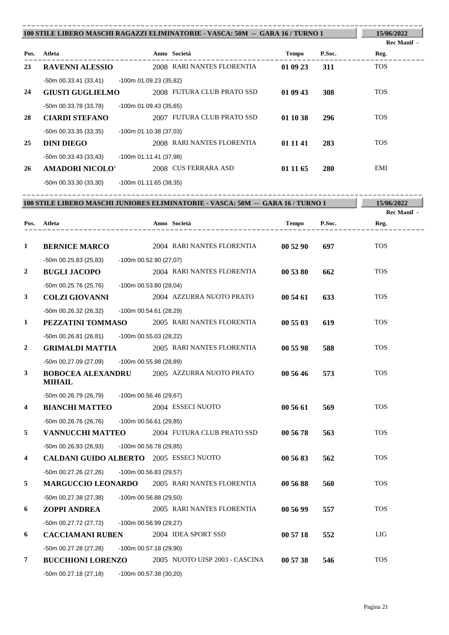| 100 STILE LIBERO MASCHI RAGAZZI ELIMINATORIE - VASCA: 50M -- GARA 16 / TURNO 1 |                         |                          |                            |              | 15/06/2022<br><b>Rec Manif</b> - |            |
|--------------------------------------------------------------------------------|-------------------------|--------------------------|----------------------------|--------------|----------------------------------|------------|
| Pos.                                                                           | Atleta                  |                          | Anno Società               | <b>Tempo</b> | P.Soc.                           | Reg.       |
| 23                                                                             | <b>RAVENNI ALESSIO</b>  |                          | 2008 RARI NANTES FLORENTIA | 01 09 23     | 311                              | <b>TOS</b> |
|                                                                                | $-50m$ 00.33.41 (33,41) | -100m 01.09.23 (35,82)   |                            |              |                                  |            |
| 24                                                                             | <b>GIUSTI GUGLIELMO</b> |                          | 2008 FUTURA CLUB PRATO SSD | 01 09 43     | 308                              | <b>TOS</b> |
|                                                                                | -50m 00.33.78 (33,78)   | $-100m$ 01.09.43 (35,65) |                            |              |                                  |            |
| 28                                                                             | <b>CIARDI STEFANO</b>   |                          | 2007 FUTURA CLUB PRATO SSD | 01 10 38     | 296                              | <b>TOS</b> |
|                                                                                | $-50m$ 00.33.35 (33,35) | $-100m$ 01.10.38 (37,03) |                            |              |                                  |            |
| 25                                                                             | <b>DINI DIEGO</b>       |                          | 2008 RARI NANTES FLORENTIA | 01 11 41     | 283                              | <b>TOS</b> |
|                                                                                | $-50m$ 00.33.43 (33,43) | $-100m$ 01.11.41 (37,98) |                            |              |                                  |            |
| 26                                                                             | <b>AMADORI NICOLO'</b>  |                          | 2008 CUS FERRARA ASD       | 01 11 65     | 280                              | EMI        |
|                                                                                | -50m 00.33.30 (33,30)   | $-100m$ 01.11.65 (38,35) |                            |              |                                  |            |

----------------------------------------------------------------------------------------

---------------------------------------------------------------------------------------- **Atleta Anno Società Tempo P.Soc. 100 STILE LIBERO MASCHI JUNIORES ELIMINATORIE - VASCA: 50M -- GARA 16 / TURNO 1 Pos. 15/06/2022 Reg. Rec Manif - 1 BERNICE MARCO** 2004 RARI NANTES FLORENTIA **00 52 90 697** TOS -50m 00.25.83 (25,83) -100m 00.52.90 (27,07) **2 BUGLI JACOPO** 2004 RARI NANTES FLORENTIA **00 53 80 662** TOS -50m 00.25.76 (25,76) -100m 00.53.80 (28,04) **3 COLZI GIOVANNI** 2004 AZZURRA NUOTO PRATO **00 54 61 633** TOS -50m 00.26.32 (26,32) -100m 00.54.61 (28,29) **1 PEZZATINI TOMMASO** 2005 RARI NANTES FLORENTIA **00 55 03 619** TOS -50m 00.26.81 (26,81) -100m 00.55.03 (28,22) **2 GRIMALDI MATTIA** 2005 RARI NANTES FLORENTIA **00 55 98 588** TOS -50m 00.27.09 (27,09) -100m 00.55.98 (28,89) **3 BOBOCEA ALEXANDRU** 2005 AZZURRA NUOTO PRATO **00 56 46 573** TOS **MIHAIL** -50m 00.26.79 (26,79) -100m 00.56.46 (29,67) **4 BIANCHI MATTEO** 2004 ESSECI NUOTO **00 56 61 569** TOS -50m 00.26.76 (26,76) -100m 00.56.61 (29,85) **5 VANNUCCHI MATTEO** 2004 FUTURA CLUB PRATO SSD **00 56 78 563** TOS -50m 00.26.93 (26,93) -100m 00.56.78 (29,85) **4 CALDANI GUIDO ALBERTO** 2005 ESSECI NUOTO **00 56 83 562** TOS -50m 00.27.26 (27,26) -100m 00.56.83 (29,57) **5 MARGUCCIO LEONARDO** 2005 RARI NANTES FLORENTIA **00 56 88 560** TOS -50m 00.27.38 (27,38) -100m 00.56.88 (29,50) **6 ZOPPI ANDREA** 2005 RARI NANTES FLORENTIA **00 56 99 557** TOS -50m 00.27.72 (27,72) -100m 00.56.99 (29,27) **6 CACCIAMANI RUBEN** 2004 IDEA SPORT SSD **00 57 18 552** LIG -50m 00.27.28 (27,28) -100m 00.57.18 (29,90) **7 BUCCHIONI LORENZO** 2005 NUOTO UISP 2003 - CASCINA **00 57 38 546** TOS -50m 00.27.18 (27,18) -100m 00.57.38 (30,20)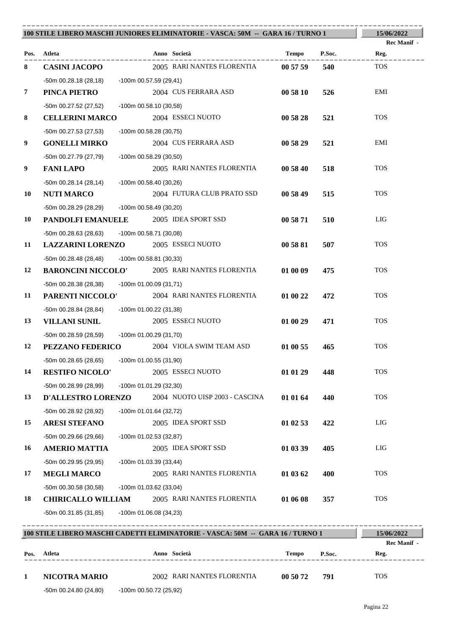|                |                                              | 100 STILE LIBERO MASCHI JUNIORES ELIMINATORIE - VASCA: 50M -- GARA 16 / TURNO 1 |                                                                                |          |        |             |
|----------------|----------------------------------------------|---------------------------------------------------------------------------------|--------------------------------------------------------------------------------|----------|--------|-------------|
|                |                                              |                                                                                 |                                                                                |          |        | Rec Manif - |
|                | Pos. Atleta                                  |                                                                                 | Anno Società                                                                   | Tempo    | P.Soc. | Reg.        |
| 8              | <b>CASINI JACOPO</b>                         |                                                                                 | 2005 RARI NANTES FLORENTIA                                                     | 00 57 59 | 540    | <b>TOS</b>  |
|                | -50m 00.28.18 (28,18) -100m 00.57.59 (29,41) |                                                                                 |                                                                                |          |        |             |
| $\overline{7}$ | PINCA PIETRO                                 |                                                                                 | 2004 CUS FERRARA ASD                                                           | 00 58 10 | 526    | EMI         |
|                | -50m 00.27.52 (27,52)                        | -100m 00.58.10 (30,58)                                                          |                                                                                |          |        |             |
| 8              | <b>CELLERINI MARCO</b>                       |                                                                                 | 2004 ESSECI NUOTO                                                              | 00 58 28 | 521    | <b>TOS</b>  |
|                | -50m 00.27.53 (27,53)                        | -100m 00.58.28 (30,75)                                                          |                                                                                |          |        |             |
| 9              | <b>GONELLI MIRKO</b>                         |                                                                                 | 2004 CUS FERRARA ASD                                                           | 00 58 29 | 521    | EMI         |
|                | -50m 00.27.79 (27,79)                        | -100m 00.58.29 (30,50)                                                          |                                                                                |          |        |             |
| 9              | <b>FANI LAPO</b>                             |                                                                                 | 2005 RARI NANTES FLORENTIA                                                     | 00 58 40 | 518    | <b>TOS</b>  |
|                | -50m 00.28.14 (28,14)                        | -100m 00.58.40 (30,26)                                                          |                                                                                |          |        |             |
| 10             | <b>NUTI MARCO</b>                            |                                                                                 | 2004 FUTURA CLUB PRATO SSD                                                     | 00 58 49 | 515    | <b>TOS</b>  |
|                | -50m 00.28.29 (28,29) -100m 00.58.49 (30,20) |                                                                                 |                                                                                |          |        |             |
| 10             | <b>PANDOLFI EMANUELE</b> 2005 IDEA SPORT SSD |                                                                                 |                                                                                | 00 58 71 | 510    | LIG         |
|                | -50m 00.28.63 (28,63)                        | -100m 00.58.71 (30,08)                                                          |                                                                                |          |        |             |
| 11             | <b>LAZZARINI LORENZO</b>                     |                                                                                 | 2005 ESSECI NUOTO                                                              | 00 58 81 | 507    | <b>TOS</b>  |
|                | -50m 00.28.48 (28,48)                        | -100m 00.58.81 (30,33)                                                          |                                                                                |          |        |             |
| 12             |                                              |                                                                                 | <b>BARONCINI NICCOLO'</b> 2005 RARI NANTES FLORENTIA                           | 01 00 09 | 475    | <b>TOS</b>  |
|                | -50m 00.28.38 (28,38) -100m 01.00.09 (31,71) |                                                                                 |                                                                                |          |        |             |
| 11             | <b>PARENTI NICCOLO'</b>                      |                                                                                 | 2004 RARI NANTES FLORENTIA                                                     | 01 00 22 | 472    | <b>TOS</b>  |
|                | -50m 00.28.84 (28,84)                        | -100m 01.00.22 (31,38)                                                          |                                                                                |          |        |             |
| 13             | <b>VILLANI SUNIL</b>                         |                                                                                 | 2005 ESSECI NUOTO                                                              | 01 00 29 | 471    | <b>TOS</b>  |
|                | -50m 00.28.59 (28,59) -100m 01.00.29 (31,70) |                                                                                 |                                                                                |          |        |             |
| 12             | PEZZANO FEDERICO                             |                                                                                 | 2004 VIOLA SWIM TEAM ASD                                                       | 01 00 55 | 465    | <b>TOS</b>  |
|                | -50m 00.28.65 (28,65) -100m 01.00.55 (31,90) |                                                                                 |                                                                                |          |        |             |
| 14             | <b>RESTIFO NICOLO'</b>                       |                                                                                 | 2005 ESSECI NUOTO                                                              | 01 01 29 | 448    | <b>TOS</b>  |
|                | -50m 00.28.99 (28,99)                        | -100m 01.01.29 (32,30)                                                          |                                                                                |          |        |             |
| 13             | <b>D'ALLESTRO LORENZO</b>                    |                                                                                 | 2004 NUOTO UISP 2003 - CASCINA                                                 | 01 01 64 | 440    | <b>TOS</b>  |
|                | -50m 00.28.92 (28,92)                        | -100m 01.01.64 (32,72)                                                          |                                                                                |          |        |             |
| 15             | <b>ARESI STEFANO</b>                         |                                                                                 | 2005 IDEA SPORT SSD                                                            | 01 02 53 | 422    | LIG         |
|                | $-50m$ 00.29.66 (29.66)                      | $-100m$ 01.02.53 (32,87)                                                        |                                                                                |          |        |             |
| 16             | <b>AMERIO MATTIA</b>                         |                                                                                 | 2005 IDEA SPORT SSD                                                            | 01 03 39 | 405    | LIG         |
|                | -50m 00.29.95 (29,95)                        | -100m 01.03.39 (33,44)                                                          |                                                                                |          |        |             |
| 17             | <b>MEGLI MARCO</b>                           |                                                                                 | 2005 RARI NANTES FLORENTIA                                                     | 01 03 62 | 400    | <b>TOS</b>  |
|                | $-50m$ 00.30.58 (30,58)                      | -100m 01.03.62 (33,04)                                                          |                                                                                |          |        |             |
| 18             | <b>CHIRICALLO WILLIAM</b>                    |                                                                                 | 2005 RARI NANTES FLORENTIA                                                     | 01 06 08 | 357    | <b>TOS</b>  |
|                | $-50m$ 00.31.85 (31,85)                      | -100m 01.06.08 (34,23)                                                          |                                                                                |          |        |             |
|                |                                              |                                                                                 |                                                                                |          |        |             |
|                |                                              |                                                                                 | 100 STILE LIBERO MASCHI CADETTI ELIMINATORIE - VASCA: 50M -- GARA 16 / TURNO 1 |          |        | 15/06/2022  |

|      | 100 STILE LIBERO MASCHI CADETTI ELIMINATORIE - VASCA: 50M -- GARA 16 / TURNO 1 |  |                            |          |        |             |  |
|------|--------------------------------------------------------------------------------|--|----------------------------|----------|--------|-------------|--|
|      |                                                                                |  |                            |          |        | Rec Manif - |  |
| Pos. | Atleta                                                                         |  | Anno Società               | Tempo    | P.Soc. | Reg.        |  |
|      |                                                                                |  |                            |          |        |             |  |
|      | NICOTRA MARIO                                                                  |  | 2002 RARI NANTES FLORENTIA | 00 50 72 | 791    | <b>TOS</b>  |  |
|      |                                                                                |  |                            |          |        |             |  |

-50m 00.24.80 (24,80) -100m 00.50.72 (25,92)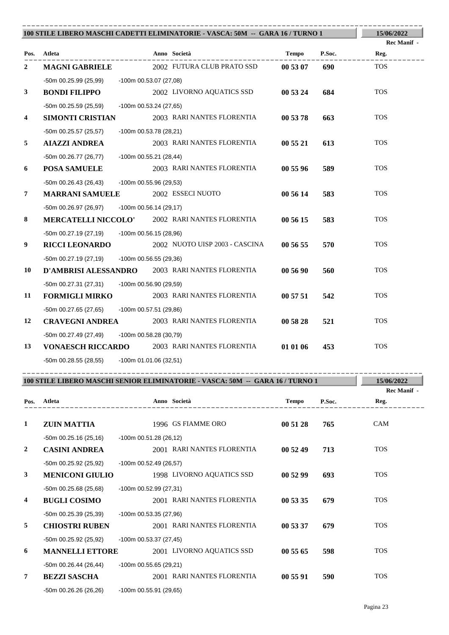|                         |                                              |                          | 100 STILE LIBERO MASCHI CADETTI ELIMINATORIE - VASCA: 50M -- GARA 16 / TURNO 1 |              |        | 15/06/2022          |
|-------------------------|----------------------------------------------|--------------------------|--------------------------------------------------------------------------------|--------------|--------|---------------------|
|                         |                                              |                          |                                                                                |              |        | Rec Manif -         |
|                         | Pos. Atleta                                  |                          | Anno Società                                                                   | Tempo        | P.Soc. | Reg.                |
| 2                       | <b>MAGNI GABRIELE</b>                        |                          | 2002 FUTURA CLUB PRATO SSD                                                     | 00 53 07     | 690    | <b>TOS</b>          |
|                         | -50m 00.25.99 (25,99)                        | -100m 00.53.07 (27,08)   |                                                                                |              |        |                     |
| $\mathbf{3}$            | <b>BONDI FILIPPO</b>                         |                          | 2002 LIVORNO AQUATICS SSD                                                      | 00 53 24     | 684    | <b>TOS</b>          |
|                         | $-50m$ 00.25.59 (25,59)                      | $-100m$ 00.53.24 (27,65) |                                                                                |              |        |                     |
| $\overline{\mathbf{4}}$ | <b>SIMONTI CRISTIAN</b>                      |                          | 2003 RARI NANTES FLORENTIA                                                     | 00 53 78     | 663    | <b>TOS</b>          |
|                         | -50m 00.25.57 (25,57)                        | -100m 00.53.78 (28,21)   |                                                                                |              |        |                     |
| 5                       | <b>AIAZZI ANDREA</b>                         |                          | 2003 RARI NANTES FLORENTIA                                                     | 00 55 21     | 613    | <b>TOS</b>          |
|                         | -50m 00.26.77 (26,77)                        | -100m 00.55.21 (28,44)   |                                                                                |              |        |                     |
| 6                       | <b>POSA SAMUELE</b>                          |                          | 2003 RARI NANTES FLORENTIA                                                     | 00 55 96     | 589    | <b>TOS</b>          |
|                         | $-50m$ 00.26.43 (26,43)                      | -100m 00.55.96 (29,53)   |                                                                                |              |        |                     |
| 7                       | <b>MARRANI SAMUELE</b>                       |                          | 2002 ESSECI NUOTO                                                              | 00 56 14     | 583    | <b>TOS</b>          |
|                         | $-50m$ 00.26.97 (26,97)                      | $-100m$ 00.56.14 (29,17) |                                                                                |              |        |                     |
| 8                       |                                              |                          | <b>MERCATELLI NICCOLO' 2002 RARI NANTES FLORENTIA</b>                          | 00 56 15     | 583    | <b>TOS</b>          |
|                         | $-50m$ 00.27.19 (27,19)                      | -100m 00.56.15 (28,96)   |                                                                                |              |        |                     |
| 9                       | <b>RICCI LEONARDO</b>                        |                          | 2002 NUOTO UISP 2003 - CASCINA                                                 | 00 56 55     | 570    | <b>TOS</b>          |
|                         | $-50m$ 00.27.19 (27,19)                      | $-100m$ 00.56.55 (29,36) |                                                                                |              |        |                     |
| 10                      |                                              |                          | D'AMBRISI ALESSANDRO 2003 RARI NANTES FLORENTIA                                | 00 56 90     | 560    | <b>TOS</b>          |
|                         | -50m 00.27.31 (27,31)                        | -100m 00.56.90 (29,59)   |                                                                                |              |        |                     |
| 11                      | <b>FORMIGLI MIRKO</b>                        |                          | 2003 RARI NANTES FLORENTIA                                                     | 00 57 51     | 542    | <b>TOS</b>          |
|                         | $-50m$ 00.27.65 (27,65)                      | -100m 00.57.51 (29,86)   |                                                                                |              |        |                     |
| 12                      | <b>CRAVEGNI ANDREA</b>                       |                          | 2003 RARI NANTES FLORENTIA                                                     | 00 58 28     | 521    | <b>TOS</b>          |
|                         | -50m 00.27.49 (27,49)                        | -100m 00.58.28 (30,79)   |                                                                                |              |        |                     |
| 13                      |                                              |                          | <b>VONAESCH RICCARDO</b> 2003 RARI NANTES FLORENTIA                            | 01 01 06     | 453    | <b>TOS</b>          |
|                         | -50m 00.28.55 (28,55) -100m 01.01.06 (32,51) |                          |                                                                                |              |        |                     |
|                         |                                              |                          |                                                                                |              |        |                     |
|                         |                                              |                          | 100 STILE LIBERO MASCHI SENIOR ELIMINATORIE - VASCA: 50M -- GARA 16 / TURNO 1  |              |        | 15/06/2022          |
| Pos.                    | Atleta                                       |                          | Anno Società                                                                   | <b>Tempo</b> | P.Soc. | Rec Manif -<br>Reg. |
|                         |                                              |                          |                                                                                |              |        |                     |
| 1                       | <b>ZUIN MATTIA</b>                           |                          | 1996 GS FIAMME ORO                                                             | 00 51 28     | 765    | CAM                 |
|                         | $-50m$ 00.25.16 (25,16)                      | $-100m$ 00.51.28 (26,12) |                                                                                |              |        |                     |
| 2                       | <b>CASINI ANDREA</b>                         |                          | 2001 RARI NANTES FLORENTIA                                                     | 00 52 49     | 713    | <b>TOS</b>          |
|                         | -50m 00.25.92 (25,92)                        | -100m 00.52.49 (26,57)   |                                                                                |              |        |                     |
| 3                       | <b>MENICONI GIULIO</b>                       |                          | 1998 LIVORNO AQUATICS SSD                                                      | 00 52 99     | 693    | <b>TOS</b>          |
|                         | -50m 00.25.68 (25,68)                        | -100m 00.52.99 (27,31)   |                                                                                |              |        |                     |
| 4                       | <b>BUGLI COSIMO</b>                          |                          | 2001 RARI NANTES FLORENTIA                                                     | 00 53 35     | 679    | <b>TOS</b>          |
|                         | -50m 00.25.39 (25,39)                        | -100m 00.53.35 (27,96)   |                                                                                |              |        |                     |
| 5                       | <b>CHIOSTRI RUBEN</b>                        |                          | 2001 RARI NANTES FLORENTIA                                                     | 00 53 37     | 679    | <b>TOS</b>          |

-50m 00.25.92 (25,92) -100m 00.53.37 (27,45) **6 MANNELLI ETTORE** 2001 LIVORNO AQUATICS SSD **00 55 65 598** TOS

 $-50$ m 00.26.44 (26,44)  $-100$ m 00.55.65 (29,21) **7 BEZZI SASCHA** 2001 RARI NANTES FLORENTIA **00 55 91 590** TOS -50m 00.26.26 (26,26) -100m 00.55.91 (29,65)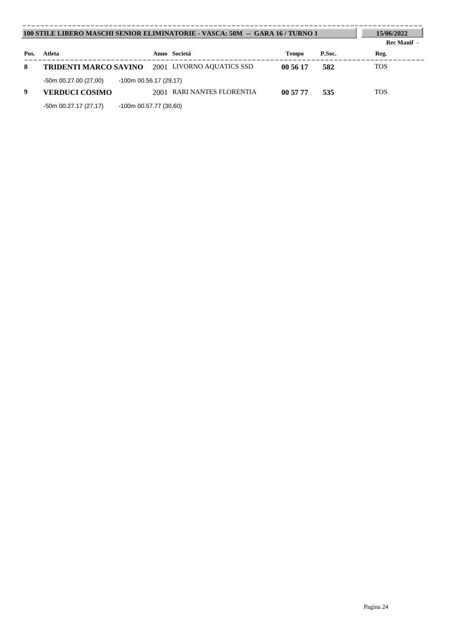| 100 STILE LIBERO MASCHI SENIOR ELIMINATORIE - VASCA: 50M -- GARA 16 / TURNO 1 |                              |                               |              |        | 15/06/2022<br><b>Rec Manif -</b> |
|-------------------------------------------------------------------------------|------------------------------|-------------------------------|--------------|--------|----------------------------------|
| Pos.                                                                          | Atleta                       | Anno Società                  | <b>Tempo</b> | P.Soc. | Reg.                             |
| 8                                                                             | <b>TRIDENTI MARCO SAVINO</b> | 2001 LIVORNO AQUATICS SSD     | 00 56 17     | 582    | <b>TOS</b>                       |
|                                                                               | -50m 00.27.00 (27,00)        | $-100m$ 00.56.17 (29,17)      |              |        |                                  |
| 9                                                                             | VERDUCI COSIMO               | RARI NANTES FLORENTIA<br>2001 | 00 57 77     | 535    | <b>TOS</b>                       |
|                                                                               | $-50m$ 00.27.17 (27,17)      | $-100m$ 00.57.77 (30.60)      |              |        |                                  |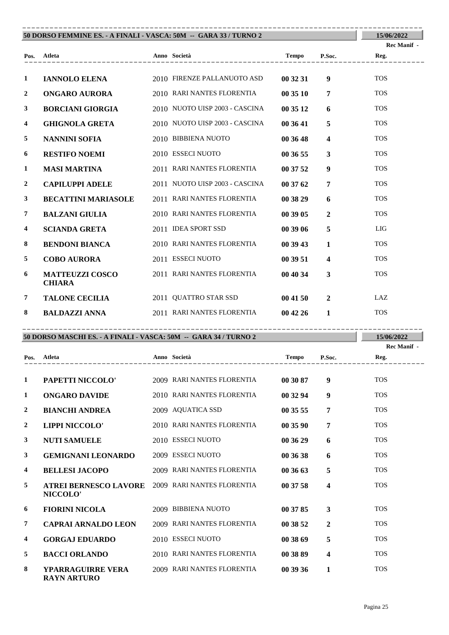| 50 DORSO FEMMINE ES. - A FINALI - VASCA: 50M -- GARA 33 / TURNO 2 |                                         |  |                                                |              |                         | 15/06/2022                 |
|-------------------------------------------------------------------|-----------------------------------------|--|------------------------------------------------|--------------|-------------------------|----------------------------|
|                                                                   | Pos. Atleta<br>____________________     |  | Anno Società<br>------------------------------ | Tempo P.Soc. |                         | <b>Rec Manif</b> -<br>Reg. |
| 1                                                                 | <b>IANNOLO ELENA</b>                    |  | 2010 FIRENZE PALLANUOTO ASD                    | 00 32 31     | 9                       | <b>TOS</b>                 |
| $\overline{2}$                                                    | ONGARO AURORA                           |  | 2010 RARI NANTES FLORENTIA                     | 003510       | $\overline{7}$          | <b>TOS</b>                 |
| $\mathbf{3}$                                                      | <b>BORCIANI GIORGIA</b>                 |  | 2010 NUOTO UISP 2003 - CASCINA                 | 00 35 12     | 6                       | <b>TOS</b>                 |
| $\overline{\mathbf{4}}$                                           | <b>GHIGNOLA GRETA</b>                   |  | 2010 NUOTO UISP 2003 - CASCINA                 | 00 36 41     | 5                       | <b>TOS</b>                 |
| 5                                                                 | <b>NANNINI SOFIA</b>                    |  | 2010 BIBBIENA NUOTO                            | 00 36 48     | $\overline{\mathbf{4}}$ | <b>TOS</b>                 |
| 6                                                                 | <b>RESTIFO NOEMI</b>                    |  | 2010 ESSECI NUOTO                              | 00 36 55     | $\mathbf{3}$            | <b>TOS</b>                 |
| 1                                                                 | <b>MASI MARTINA</b>                     |  | 2011 RARI NANTES FLORENTIA                     | 00 37 52     | 9                       | <b>TOS</b>                 |
| $\overline{2}$                                                    | <b>CAPILUPPI ADELE</b>                  |  | 2011 NUOTO UISP 2003 - CASCINA                 | 003762       | $\overline{7}$          | <b>TOS</b>                 |
| $\mathbf{3}$                                                      | <b>BECATTINI MARIASOLE</b>              |  | 2011 RARI NANTES FLORENTIA                     | 00 38 29     | 6                       | <b>TOS</b>                 |
| $\overline{7}$                                                    | <b>BALZANI GIULIA</b>                   |  | 2010 RARI NANTES FLORENTIA                     | 00 39 05     | $\overline{2}$          | <b>TOS</b>                 |
| $\overline{\mathbf{4}}$                                           | <b>SCIANDA GRETA</b>                    |  | 2011 IDEA SPORT SSD                            | 003906       | 5                       | LIG                        |
| 8                                                                 | <b>BENDONI BIANCA</b>                   |  | 2010 RARI NANTES FLORENTIA                     | 00 39 43     | $\mathbf{1}$            | <b>TOS</b>                 |
| 5                                                                 | <b>COBO AURORA</b>                      |  | 2011 ESSECI NUOTO                              | 00 39 51     | $\overline{\mathbf{4}}$ | <b>TOS</b>                 |
| 6                                                                 | <b>MATTEUZZI COSCO</b><br><b>CHIARA</b> |  | 2011 RARI NANTES FLORENTIA                     | 00 40 34     | $\overline{\mathbf{3}}$ | <b>TOS</b>                 |
| $\overline{7}$                                                    | <b>TALONE CECILIA</b>                   |  | 2011 QUATTRO STAR SSD                          | 004150       | $\overline{2}$          | LAZ                        |
| 8                                                                 | <b>BALDAZZI ANNA</b>                    |  | 2011 RARI NANTES FLORENTIA                     | 004226       | $\mathbf{1}$            | <b>TOS</b>                 |

### **50 DORSO MASCHI ES. - A FINALI - VASCA: 50M -- GARA 34 / TURNO 2** ----------------------------------------------------------------------------------------

**15/06/2022**

|                |                                          |                            |          |                         | Rec Manif - |
|----------------|------------------------------------------|----------------------------|----------|-------------------------|-------------|
| Pos.           | <b>Atleta</b>                            | Anno Società               | Tempo    | P.Soc.                  | Reg.        |
|                |                                          |                            |          |                         |             |
| 1              | PAPETTI NICCOLO'                         | 2009 RARI NANTES FLORENTIA | 00 30 87 | 9                       | <b>TOS</b>  |
| 1              | <b>ONGARO DAVIDE</b>                     | 2010 RARI NANTES FLORENTIA | 00 32 94 | $\boldsymbol{9}$        | <b>TOS</b>  |
| $\overline{2}$ | <b>BIANCHI ANDREA</b>                    | 2009 AQUATICA SSD          | 00 35 55 | 7                       | <b>TOS</b>  |
| $\overline{2}$ | <b>LIPPI NICCOLO'</b>                    | 2010 RARI NANTES FLORENTIA | 00 35 90 | 7                       | <b>TOS</b>  |
| 3              | <b>NUTI SAMUELE</b>                      | 2010 ESSECI NUOTO          | 00 36 29 | 6                       | <b>TOS</b>  |
| 3              | <b>GEMIGNANI LEONARDO</b>                | 2009 ESSECI NUOTO          | 00 36 38 | 6                       | <b>TOS</b>  |
| 4              | <b>BELLESI JACOPO</b>                    | 2009 RARI NANTES FLORENTIA | 00 36 63 | 5                       | <b>TOS</b>  |
| 5              | <b>ATREI BERNESCO LAVORE</b><br>NICCOLO' | 2009 RARI NANTES FLORENTIA | 00 37 58 | 4                       | <b>TOS</b>  |
| 6              | <b>FIORINI NICOLA</b>                    | 2009 BIBBIENA NUOTO        | 00 37 85 | $\mathbf{3}$            | <b>TOS</b>  |
| 7              | <b>CAPRAI ARNALDO LEON</b>               | 2009 RARI NANTES FLORENTIA | 00 38 52 | $\mathbf{2}$            | <b>TOS</b>  |
| 4              | <b>GORGAJ EDUARDO</b>                    | 2010 ESSECI NUOTO          | 00 38 69 | 5                       | <b>TOS</b>  |
| 5              | <b>BACCI ORLANDO</b>                     | 2010 RARI NANTES FLORENTIA | 00 38 89 | $\overline{\mathbf{4}}$ | <b>TOS</b>  |
| 8              | YPARRAGUIRRE VERA<br><b>RAYN ARTURO</b>  | 2009 RARI NANTES FLORENTIA | 00 39 36 | 1                       | <b>TOS</b>  |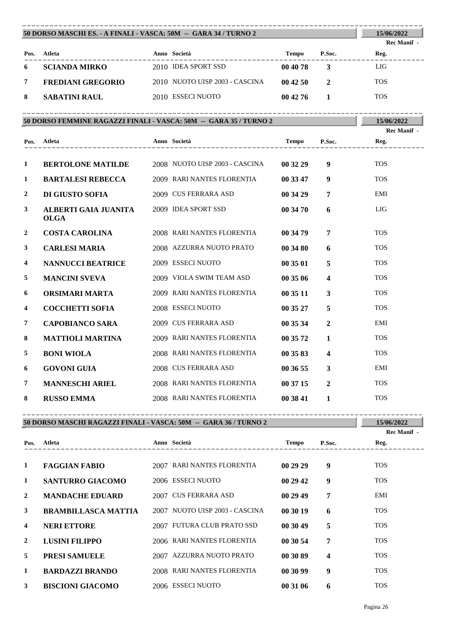| 50 DORSO MASCHI ES. - A FINALI - VASCA: 50M -- GARA 34 / TURNO 2 | 15/06/2022                          |                                                                                                           |                |                         |                            |
|------------------------------------------------------------------|-------------------------------------|-----------------------------------------------------------------------------------------------------------|----------------|-------------------------|----------------------------|
|                                                                  |                                     |                                                                                                           |                |                         | <b>Rec Manif</b> -         |
|                                                                  | Pos. Atleta                         | Anno Società<br>_____________                                                                             |                | Tempo P.Soc.            | Reg.                       |
| 6                                                                | <b>SCIANDA MIRKO</b>                | 2010 IDEA SPORT SSD                                                                                       | 00 40 78       | $\mathbf{3}$            | LIG                        |
| 7                                                                | FREDIANI GREGORIO                   | 2010 NUOTO UISP 2003 - CASCINA                                                                            | 004250         | $\overline{2}$          | <b>TOS</b>                 |
| 8                                                                | <b>SABATINI RAUL</b>                | 2010 ESSECI NUOTO                                                                                         | $00\,42\,76$ 1 |                         | <b>TOS</b>                 |
|                                                                  |                                     | ____________________________________<br>50 DORSO FEMMINE RAGAZZI FINALI - VASCA: 50M -- GARA 35 / TURNO 2 |                |                         | 15/06/2022                 |
|                                                                  | Pos. Atleta<br>---------------      | Anno Società                                                                                              | Tempo          | P.Soc.                  | <b>Rec Manif -</b><br>Reg. |
| 1                                                                | <b>BERTOLONE MATILDE</b>            | 2008 NUOTO UISP 2003 - CASCINA                                                                            | 00 32 29       | 9                       | <b>TOS</b>                 |
| 1                                                                | <b>BARTALESI REBECCA</b>            | 2009 RARI NANTES FLORENTIA                                                                                | 00 33 47       | 9                       | <b>TOS</b>                 |
| $\mathbf{2}$                                                     | DI GIUSTO SOFIA                     | 2009 CUS FERRARA ASD                                                                                      | 00 34 29       | 7                       | EMI                        |
| 3                                                                | ALBERTI GAIA JUANITA<br><b>OLGA</b> | 2009 IDEA SPORT SSD                                                                                       | 00 34 70       | 6                       | LIG                        |
| 2                                                                | <b>COSTA CAROLINA</b>               | 2008 RARI NANTES FLORENTIA                                                                                | 00 34 79       | 7                       | <b>TOS</b>                 |
| 3                                                                | <b>CARLESI MARIA</b>                | 2008 AZZURRA NUOTO PRATO                                                                                  | 00 34 80       | 6                       | <b>TOS</b>                 |
| 4                                                                | <b>NANNUCCI BEATRICE</b>            | 2009 ESSECI NUOTO                                                                                         | 00 35 01       | 5                       | <b>TOS</b>                 |
| 5                                                                | <b>MANCINI SVEVA</b>                | 2009 VIOLA SWIM TEAM ASD                                                                                  | 00 35 06       | $\overline{\mathbf{4}}$ | <b>TOS</b>                 |
| 6                                                                | ORSIMARI MARTA                      | 2009 RARI NANTES FLORENTIA                                                                                | 00 35 11       | $\mathbf{3}$            | <b>TOS</b>                 |
| 4                                                                | <b>COCCHETTI SOFIA</b>              | 2008 ESSECI NUOTO                                                                                         | 00 35 27       | 5                       | <b>TOS</b>                 |
| 7                                                                | <b>CAPOBIANCO SARA</b>              | 2009 CUS FERRARA ASD                                                                                      | 00 35 34       | $\overline{2}$          | EMI                        |
| 8                                                                | <b>MATTIOLI MARTINA</b>             | 2009 RARI NANTES FLORENTIA                                                                                | 00 35 72       | 1                       | <b>TOS</b>                 |
| 5                                                                | <b>BONI WIOLA</b>                   | 2008 RARI NANTES FLORENTIA                                                                                | 00 35 83       | $\overline{\mathbf{4}}$ | <b>TOS</b>                 |
| 6                                                                | <b>GOVONI GUIA</b>                  | 2008 CUS FERRARA ASD                                                                                      | 00 36 55       | $\mathbf{3}$            | EMI                        |
| 7                                                                | <b>MANNESCHI ARIEL</b>              | 2008 RARI NANTES FLORENTIA                                                                                | 00 37 15       | $\overline{2}$          | <b>TOS</b>                 |
| 8                                                                | <b>RUSSO EMMA</b>                   | 2008 RARI NANTES FLORENTIA                                                                                | 00 38 41       | 1                       | <b>TOS</b>                 |

---------------------------------------------------------------------------------------- **Atleta Anno Società Tempo P.Soc. Pos. Reg. Rec Manif - 1 FAGGIAN FABIO** 2007 RARI NANTES FLORENTIA **00 29 29 9** TOS **1 SANTURRO GIACOMO** 2006 ESSECI NUOTO **00 29 42 9** TOS **2 MANDACHE EDUARD** 2007 CUS FERRARA ASD **00 29 49 7** EMI **3 BRAMBILLASCA MATTIA** 2007 NUOTO UISP 2003 - CASCINA **00 30 19 6** TOS **4 NERI ETTORE** 2007 FUTURA CLUB PRATO SSD **00 30 49 5** TOS **2 LUSINI FILIPPO** 2006 RARI NANTES FLORENTIA **00 30 54 7** TOS **5 PRESI SAMUELE** 2007 AZZURRA NUOTO PRATO **00 30 89 4** TOS

**1 BARDAZZI BRANDO** 2008 RARI NANTES FLORENTIA **00 30 99 9** TOS **3 BISCIONI GIACOMO** 2006 ESSECI NUOTO **00 31 06 6** TOS

----------------------------------------------------------------------------------------

**50 DORSO MASCHI RAGAZZI FINALI - VASCA: 50M -- GARA 36 / TURNO 2**

Pagina 26

**15/06/2022**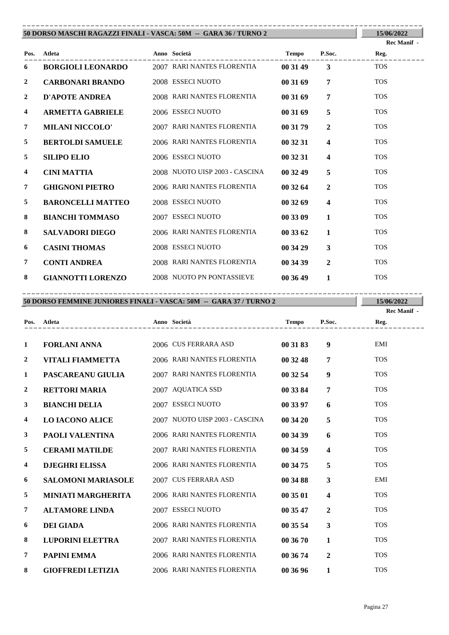|                | 50 DORSO MASCHI RAGAZZI FINALI - VASCA: 50M -- GARA 36 / TURNO 2 |  |                                     |          |                         |             |  |  |  |
|----------------|------------------------------------------------------------------|--|-------------------------------------|----------|-------------------------|-------------|--|--|--|
|                |                                                                  |  |                                     |          |                         | Rec Manif - |  |  |  |
| Pos.           | Atleta                                                           |  | Anno Società<br><b>Tempo</b> P.Soc. |          |                         | Reg.        |  |  |  |
| 6              | <b>BORGIOLI LEONARDO</b> 2007 RARI NANTES FLORENTIA              |  |                                     | 00 31 49 | $\overline{3}$          | <b>TOS</b>  |  |  |  |
| $\overline{2}$ | <b>CARBONARI BRANDO</b>                                          |  | 2008 ESSECI NUOTO                   | 00 31 69 | $\overline{7}$          | <b>TOS</b>  |  |  |  |
| $\overline{2}$ | <b>D'APOTE ANDREA</b>                                            |  | 2008 RARI NANTES FLORENTIA          | 00 31 69 | $\overline{7}$          | <b>TOS</b>  |  |  |  |
| 4              | <b>ARMETTA GABRIELE</b>                                          |  | 2006 ESSECI NUOTO                   | 00 31 69 | 5                       | <b>TOS</b>  |  |  |  |
| $\overline{7}$ | <b>MILANI NICCOLO'</b>                                           |  | 2007 RARI NANTES FLORENTIA          | 00 31 79 | $\overline{2}$          | <b>TOS</b>  |  |  |  |
| 5              | <b>BERTOLDI SAMUELE</b>                                          |  | 2006 RARI NANTES FLORENTIA          | 00 32 31 | $\overline{\mathbf{4}}$ | <b>TOS</b>  |  |  |  |
| 5              | <b>SILIPO ELIO</b>                                               |  | 2006 ESSECI NUOTO                   | 00 32 31 | $\overline{\mathbf{4}}$ | <b>TOS</b>  |  |  |  |
| 4              | <b>CINI MATTIA</b>                                               |  | 2008 NUOTO UISP 2003 - CASCINA      | 00 32 49 | 5                       | <b>TOS</b>  |  |  |  |
| $\overline{7}$ | <b>GHIGNONI PIETRO</b>                                           |  | 2006 RARI NANTES FLORENTIA          | 00 32 64 | $\overline{2}$          | <b>TOS</b>  |  |  |  |
| 5              | <b>BARONCELLI MATTEO</b>                                         |  | 2008 ESSECI NUOTO                   | 003269   | $\overline{\mathbf{4}}$ | <b>TOS</b>  |  |  |  |
| 8              | <b>BIANCHI TOMMASO</b>                                           |  | 2007 ESSECI NUOTO                   | 00 33 09 | $\mathbf{1}$            | <b>TOS</b>  |  |  |  |
| 8              | <b>SALVADORI DIEGO</b>                                           |  | 2006 RARI NANTES FLORENTIA          | 00 33 62 | $\mathbf{1}$            | <b>TOS</b>  |  |  |  |
| 6              | <b>CASINI THOMAS</b>                                             |  | 2008 ESSECI NUOTO                   | 00 34 29 | $\mathbf{3}$            | <b>TOS</b>  |  |  |  |
| $\overline{7}$ | <b>CONTI ANDREA</b>                                              |  | 2008 RARI NANTES FLORENTIA          | 00 34 39 | $\mathbf{2}$            | <b>TOS</b>  |  |  |  |
| 8              | <b>GIANNOTTI LORENZO</b>                                         |  | 2008 NUOTO PN PONTASSIEVE           | 00 36 49 | $\mathbf{1}$            | <b>TOS</b>  |  |  |  |

**50 DORSO FEMMINE JUNIORES FINALI - VASCA: 50M -- GARA 37 / TURNO 2** ----------------------------------------------------------------------------------------

**15/06/2022 Rec Manif -** 

| Pos.           | Atleta                    | Anno Società                   | <b>Tempo</b> | P.Soc.                  | Reg.       |
|----------------|---------------------------|--------------------------------|--------------|-------------------------|------------|
|                |                           |                                |              |                         |            |
| 1              | <b>FORLANI ANNA</b>       | 2006 CUS FERRARA ASD           | 00 31 83     | 9                       | EMI        |
| 2              | <b>VITALI FIAMMETTA</b>   | 2006 RARI NANTES FLORENTIA     | 00 32 48     | 7                       | <b>TOS</b> |
| 1              | PASCAREANU GIULIA         | 2007 RARI NANTES FLORENTIA     | 00 32 54     | 9                       | <b>TOS</b> |
| $\overline{2}$ | <b>RETTORI MARIA</b>      | 2007 AQUATICA SSD              | 00 33 84     | 7                       | <b>TOS</b> |
| 3              | <b>BIANCHI DELIA</b>      | 2007 ESSECI NUOTO              | 00 33 97     | 6                       | <b>TOS</b> |
| 4              | <b>LO IACONO ALICE</b>    | 2007 NUOTO UISP 2003 - CASCINA | 00 34 20     | 5                       | <b>TOS</b> |
| 3              | PAOLI VALENTINA           | 2006 RARI NANTES FLORENTIA     | 00 34 39     | 6                       | <b>TOS</b> |
| 5              | <b>CERAMI MATILDE</b>     | 2007 RARI NANTES FLORENTIA     | 00 34 59     | $\overline{\mathbf{4}}$ | <b>TOS</b> |
| 4              | <b>DJEGHRI ELISSA</b>     | 2006 RARI NANTES FLORENTIA     | 00 34 75     | 5                       | <b>TOS</b> |
| 6              | <b>SALOMONI MARIASOLE</b> | 2007 CUS FERRARA ASD           | 00 34 88     | 3                       | EMI        |
| 5              | <b>MINIATI MARGHERITA</b> | 2006 RARI NANTES FLORENTIA     | 00 35 01     | $\overline{\mathbf{4}}$ | <b>TOS</b> |
| 7              | <b>ALTAMORE LINDA</b>     | 2007 ESSECI NUOTO              | 00 35 47     | $\overline{2}$          | <b>TOS</b> |
| 6              | <b>DEI GIADA</b>          | 2006 RARI NANTES FLORENTIA     | 00 35 54     | 3                       | <b>TOS</b> |
| 8              | <b>LUPORINI ELETTRA</b>   | 2007 RARI NANTES FLORENTIA     | 00 36 70     | 1                       | <b>TOS</b> |
| 7              | PAPINI EMMA               | 2006 RARI NANTES FLORENTIA     | 00 36 74     | $\overline{2}$          | <b>TOS</b> |
| 8              | <b>GIOFFREDI LETIZIA</b>  | 2006 RARI NANTES FLORENTIA     | 00 36 96     | 1                       | <b>TOS</b> |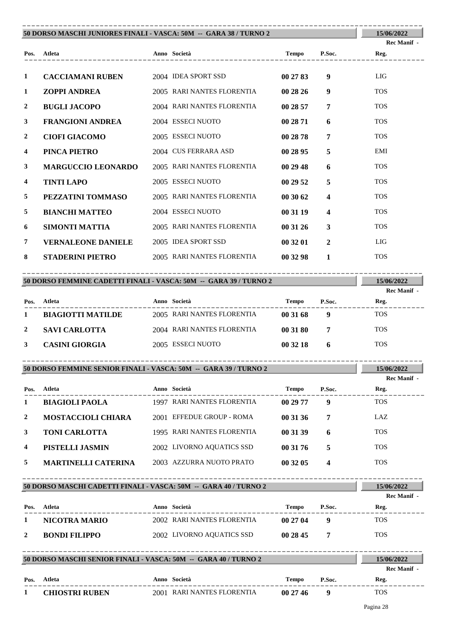|                | 50 DORSO MASCHI JUNIORES FINALI - VASCA: 50M -- GARA 38 / TURNO 2 |  |                            |              |                  |                                     |  |  |
|----------------|-------------------------------------------------------------------|--|----------------------------|--------------|------------------|-------------------------------------|--|--|
|                |                                                                   |  |                            |              |                  | Rec Manif -                         |  |  |
|                | Pos. Atleta                                                       |  | ---------------            | <b>Tempo</b> | P.Soc.           | Reg.                                |  |  |
| 1              | <b>CACCIAMANI RUBEN</b>                                           |  | 2004 IDEA SPORT SSD        | 00 27 83     | 9                | LIG                                 |  |  |
| 1              | <b>ZOPPI ANDREA</b>                                               |  | 2005 RARI NANTES FLORENTIA | 002826       | $\boldsymbol{9}$ | <b>TOS</b>                          |  |  |
| $\mathbf{2}$   | <b>BUGLI JACOPO</b>                                               |  | 2004 RARI NANTES FLORENTIA | 00 28 57     | $\overline{7}$   | <b>TOS</b>                          |  |  |
| 3              | <b>FRANGIONI ANDREA</b>                                           |  | 2004 ESSECI NUOTO          | 00 28 71     | 6                | <b>TOS</b>                          |  |  |
| $\overline{2}$ | <b>CIOFI GIACOMO</b>                                              |  | 2005 ESSECI NUOTO          | 00 28 78     | 7                | <b>TOS</b>                          |  |  |
| 4              | PINCA PIETRO                                                      |  | 2004 CUS FERRARA ASD       | 00 28 95     | 5                | EMI                                 |  |  |
| 3              | <b>MARGUCCIO LEONARDO</b>                                         |  | 2005 RARI NANTES FLORENTIA | 00 29 48     | 6                | <b>TOS</b>                          |  |  |
| 4              | <b>TINTI LAPO</b>                                                 |  | 2005 ESSECI NUOTO          | 00 29 52     | 5                | <b>TOS</b>                          |  |  |
| 5              | PEZZATINI TOMMASO                                                 |  | 2005 RARI NANTES FLORENTIA | 00 30 62     | 4                | <b>TOS</b>                          |  |  |
| 5              | <b>BIANCHI MATTEO</b>                                             |  | 2004 ESSECI NUOTO          | 00 31 19     | 4                | <b>TOS</b>                          |  |  |
| 6              | SIMONTI MATTIA                                                    |  | 2005 RARI NANTES FLORENTIA | 003126       | 3                | <b>TOS</b>                          |  |  |
| $\overline{7}$ | <b>VERNALEONE DANIELE</b>                                         |  | 2005 IDEA SPORT SSD        | 00 32 01     | $\overline{2}$   | LIG                                 |  |  |
| 8              | <b>STADERINI PIETRO</b>                                           |  | 2005 RARI NANTES FLORENTIA | 00 32 98     | $\mathbf{1}$     | <b>TOS</b>                          |  |  |
|                |                                                                   |  |                            |              |                  |                                     |  |  |
|                | 50 DORSO FEMMINE CADETTI FINALI - VASCA: 50M -- GARA 39 / TURNO 2 |  |                            |              |                  | 15/06/2022<br>D <sub>oo</sub> Monif |  |  |

|      |                          |                            |          |        | Rec Manif - |
|------|--------------------------|----------------------------|----------|--------|-------------|
| Pos. | Atleta                   | Anno Società               | Tempo    | P.Soc. | Reg.        |
|      | <b>BIAGIOTTI MATILDE</b> | 2005 RARI NANTES FLORENTIA | 00 31 68 | g      | <b>TOS</b>  |
|      | <b>SAVI CARLOTTA</b>     | 2004 RARI NANTES FLORENTIA | 00 31 80 |        | <b>TOS</b>  |
|      | <b>CASINI GIORGIA</b>    | 2005 ESSECI NUOTO          | 00 32 18 | 6      | <b>TOS</b>  |

----------------------------------------------------------------------------------------

|              | 50 DORSO FEMMINE SENIOR FINALI - VASCA: 50M -- GARA 39 / TURNO 2 |  |                            |          |        |                     |  |  |
|--------------|------------------------------------------------------------------|--|----------------------------|----------|--------|---------------------|--|--|
| Pos.         | Atleta                                                           |  | Anno Società               | Tempo    | P.Soc. | Rec Manif -<br>Reg. |  |  |
| 1            | <b>BIAGIOLI PAOLA</b>                                            |  | 1997 RARI NANTES FLORENTIA | 00 29 77 | 9      | <b>TOS</b>          |  |  |
| $\mathbf{2}$ | <b>MOSTACCIOLI CHIARA</b>                                        |  | 2001 EFFEDUE GROUP - ROMA  | 00 31 36 | 7      | LAZ.                |  |  |
| 3            | <b>TONI CARLOTTA</b>                                             |  | 1995 RARI NANTES FLORENTIA | 00 31 39 | 6      | <b>TOS</b>          |  |  |
| 4            | PISTELLI JASMIN                                                  |  | 2002 LIVORNO AQUATICS SSD  | 00 31 76 | 5      | <b>TOS</b>          |  |  |
| 5.           | <b>MARTINELLI CATERINA</b>                                       |  | 2003 AZZURRA NUOTO PRATO   | 00 32 05 | 4      | <b>TOS</b>          |  |  |

---------------------------------------------------------------------------------------- **Atleta Anno Società Tempo P.Soc. 50 DORSO MASCHI CADETTI FINALI - VASCA: 50M -- GARA 40 / TURNO 2 Pos. 15/06/2022 Reg.** ---------------------------------------------------------------------------------------- **Rec Manif - 1 NICOTRA MARIO** 2002 RARI NANTES FLORENTIA **00 27 04 9** TOS **2 BONDI FILIPPO** 2002 LIVORNO AQUATICS SSD **00 28 45 7** TOS ----------------------------------------------------------------------------------------

|      | 50 DORSO MASCHI SENIOR FINALI - VASCA: 50M -- GARA 40 / TURNO 2 |  |                            |        |        |             |  |
|------|-----------------------------------------------------------------|--|----------------------------|--------|--------|-------------|--|
|      |                                                                 |  |                            |        |        | Rec Manif - |  |
| Pos. | Atleta                                                          |  | Anno Società               | Tempo  | P.Soc. | Reg.        |  |
|      | <b>CHIOSTRI RUBEN</b>                                           |  | 2001 RARI NANTES FLORENTIA | 002746 |        | <b>TOS</b>  |  |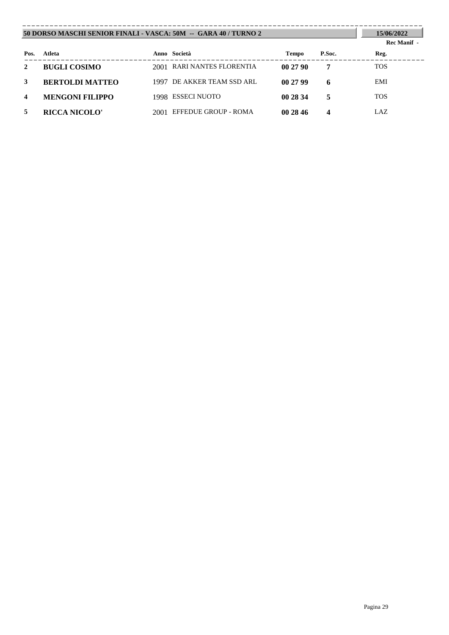| 50 DORSO MASCHI SENIOR FINALI - VASCA: 50M -- GARA 40 / TURNO 2 | 15/06/2022<br>Rec Manif - |      |                            |          |        |            |
|-----------------------------------------------------------------|---------------------------|------|----------------------------|----------|--------|------------|
| Pos.                                                            | Atleta                    |      | Anno Società               | Tempo    | P.Soc. | Reg.       |
| 2                                                               | <b>BUGLI COSIMO</b>       |      | 2001 RARI NANTES FLORENTIA | 002790   | 7      | <b>TOS</b> |
| 3                                                               | <b>BERTOLDI MATTEO</b>    |      | 1997 DE AKKER TEAM SSD ARL | 002799   | 6      | EMI        |
| 4                                                               | <b>MENGONI FILIPPO</b>    |      | 1998 ESSECI NUOTO          | 00 28 34 | 5      | <b>TOS</b> |
|                                                                 | <b>RICCA NICOLO'</b>      | 2001 | EFFEDUE GROUP - ROMA       | 00 28 46 | 4      | LAZ        |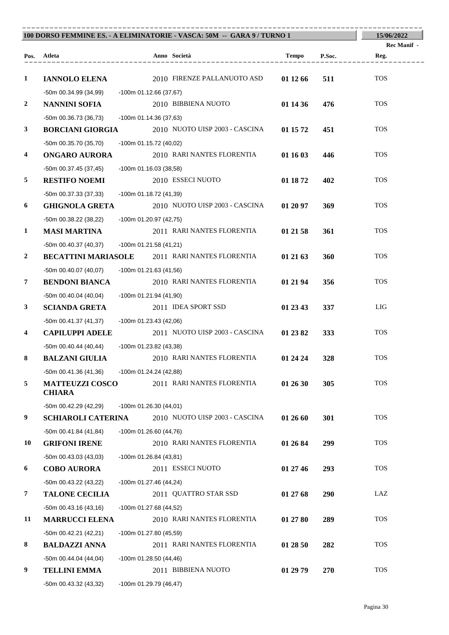| 100 DORSO FEMMINE ES. - A ELIMINATORIE - VASCA: 50M -- GARA 9 / TURNO 1 | 15/06/2022                              |                          |                                                       |          |            |                     |
|-------------------------------------------------------------------------|-----------------------------------------|--------------------------|-------------------------------------------------------|----------|------------|---------------------|
|                                                                         | Pos. Atleta                             |                          | Anno Società                                          | Tempo    | P.Soc.     | Rec Manif -<br>Reg. |
|                                                                         |                                         |                          |                                                       |          |            |                     |
| $\mathbf{1}$                                                            | <b>IANNOLO ELENA</b>                    |                          | 2010 FIRENZE PALLANUOTO ASD                           | 01 12 66 | 511        | <b>TOS</b>          |
|                                                                         | -50m 00.34.99 (34,99)                   | -100m 01.12.66 (37,67)   |                                                       |          |            |                     |
| $\boldsymbol{2}$                                                        | <b>NANNINI SOFIA</b>                    |                          | 2010 BIBBIENA NUOTO                                   | 01 14 36 | 476        | <b>TOS</b>          |
|                                                                         | $-50m$ 00.36.73 (36,73)                 | -100m 01.14.36 (37,63)   |                                                       |          |            |                     |
| $\mathbf{3}$                                                            | <b>BORCIANI GIORGIA</b>                 |                          | 2010 NUOTO UISP 2003 - CASCINA                        | 01 15 72 | 451        | <b>TOS</b>          |
|                                                                         | -50m 00.35.70 (35,70)                   | -100m 01.15.72 (40,02)   |                                                       |          |            |                     |
| 4                                                                       | <b>ONGARO AURORA</b>                    |                          | 2010 RARI NANTES FLORENTIA                            | 01 16 03 | 446        | <b>TOS</b>          |
|                                                                         | -50m 00.37.45 (37,45)                   | -100m 01.16.03 (38,58)   |                                                       |          |            |                     |
| 5                                                                       | <b>RESTIFO NOEMI</b>                    |                          | 2010 ESSECI NUOTO                                     | 01 18 72 | 402        | <b>TOS</b>          |
|                                                                         | -50m 00.37.33 (37,33)                   | -100m 01.18.72 (41,39)   |                                                       |          |            |                     |
| 6                                                                       | <b>GHIGNOLA GRETA</b>                   |                          | 2010 NUOTO UISP 2003 - CASCINA                        | 01 20 97 | 369        | <b>TOS</b>          |
|                                                                         | -50m 00.38.22 (38,22)                   | -100m 01.20.97 (42,75)   |                                                       |          |            |                     |
| $\mathbf{1}$                                                            | <b>MASI MARTINA</b>                     |                          | 2011 RARI NANTES FLORENTIA                            | 01 21 58 | 361        | <b>TOS</b>          |
|                                                                         | -50m 00.40.37 (40,37)                   | -100m 01.21.58 (41,21)   |                                                       |          |            |                     |
| $\overline{2}$                                                          |                                         |                          | <b>BECATTINI MARIASOLE</b> 2011 RARI NANTES FLORENTIA | 01 21 63 | 360        | <b>TOS</b>          |
|                                                                         | $-50m$ 00.40.07 (40,07)                 | -100m 01.21.63 (41,56)   |                                                       |          |            |                     |
| 7                                                                       | <b>BENDONI BIANCA</b>                   |                          | 2010 RARI NANTES FLORENTIA                            | 01 21 94 | 356        | <b>TOS</b>          |
|                                                                         | $-50m$ 00.40.04 (40,04)                 | -100m 01.21.94 (41,90)   |                                                       |          |            |                     |
| 3                                                                       | <b>SCIANDA GRETA</b>                    |                          | 2011 IDEA SPORT SSD                                   | 01 23 43 | 337        | LIG                 |
|                                                                         | -50m 00.41.37 (41,37)                   | -100m 01.23.43 (42,06)   |                                                       |          |            |                     |
| 4                                                                       | <b>CAPILUPPI ADELE</b>                  |                          | 2011 NUOTO UISP 2003 - CASCINA                        | 01 23 82 | 333        | <b>TOS</b>          |
|                                                                         | $-50m$ 00.40.44 (40,44)                 | -100m 01.23.82 (43,38)   |                                                       |          |            |                     |
| 8                                                                       | <b>BALZANI GIULIA</b>                   |                          | 2010 RARI NANTES FLORENTIA                            | 01 24 24 | 328        | <b>TOS</b>          |
|                                                                         | -50m 00.41.36 (41,36)                   | -100m 01.24.24 (42,88)   |                                                       |          |            |                     |
| 5                                                                       | <b>MATTEUZZI COSCO</b><br><b>CHIARA</b> |                          | 2011 RARI NANTES FLORENTIA                            | 01 26 30 | 305        | <b>TOS</b>          |
|                                                                         | -50m 00.42.29 (42,29)                   | $-100m$ 01.26.30 (44,01) |                                                       |          |            |                     |
| 9                                                                       | <b>SCHIAROLI CATERINA</b>               |                          | 2010 NUOTO UISP 2003 - CASCINA                        | 01 26 60 | 301        | <b>TOS</b>          |
|                                                                         | $-50m 00.41.84(41,84)$                  | -100m 01.26.60 (44,76)   |                                                       |          |            |                     |
| 10                                                                      | <b>GRIFONI IRENE</b>                    |                          | 2010 RARI NANTES FLORENTIA                            | 01 26 84 | 299        | <b>TOS</b>          |
|                                                                         | -50m 00.43.03 (43,03)                   | -100m 01.26.84 (43,81)   |                                                       |          |            |                     |
| 6                                                                       | <b>COBO AURORA</b>                      |                          | 2011 ESSECI NUOTO                                     | 01 27 46 | 293        | <b>TOS</b>          |
|                                                                         | -50m 00.43.22 (43,22)                   | -100m 01.27.46 (44,24)   |                                                       |          |            |                     |
| 7                                                                       | <b>TALONE CECILIA</b>                   |                          | 2011 QUATTRO STAR SSD                                 | 01 27 68 | 290        | LAZ                 |
|                                                                         | $-50m$ 00.43.16 (43,16)                 | -100m 01.27.68 (44,52)   |                                                       |          |            |                     |
| 11                                                                      | <b>MARRUCCI ELENA</b>                   |                          | 2010 RARI NANTES FLORENTIA                            | 01 27 80 | 289        | <b>TOS</b>          |
|                                                                         |                                         |                          |                                                       |          |            |                     |
| 8                                                                       | <b>BALDAZZI ANNA</b>                    |                          | 2011 RARI NANTES FLORENTIA                            | 01 28 50 | 282        | <b>TOS</b>          |
|                                                                         | $-50m$ 00.44.04 (44,04)                 | -100m 01.28.50 (44,46)   |                                                       |          |            |                     |
| 9                                                                       | <b>TELLINI EMMA</b>                     |                          | 2011 BIBBIENA NUOTO                                   | 01 29 79 | <b>270</b> | <b>TOS</b>          |
|                                                                         | -50m 00.43.32 (43,32)                   | -100m 01.29.79 (46,47)   |                                                       |          |            |                     |
|                                                                         | -50m 00.42.21 (42,21)                   | -100m 01.27.80 (45,59)   |                                                       |          |            |                     |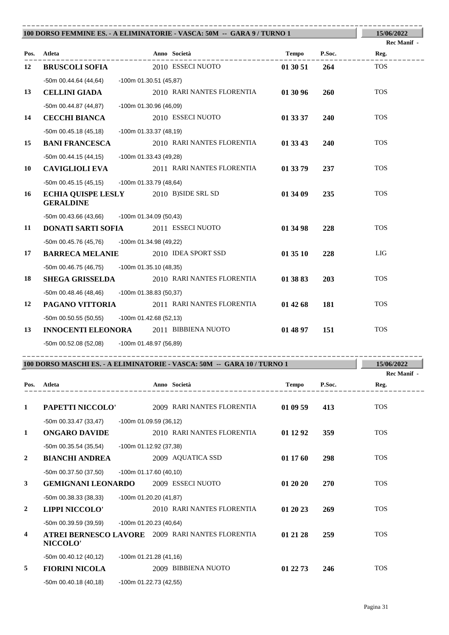| 100 DORSO FEMMINE ES. - A ELIMINATORIE - VASCA: 50M -- GARA 9 / TURNO 1 | 15/06/2022                                                       |                          |                                                                         |              |            |                     |
|-------------------------------------------------------------------------|------------------------------------------------------------------|--------------------------|-------------------------------------------------------------------------|--------------|------------|---------------------|
|                                                                         | Pos. Atleta                                                      |                          | Anno Società                                                            | Tempo        | P.Soc.     | Rec Manif -<br>Reg. |
| 12                                                                      | <b>BRUSCOLI SOFIA</b>                                            |                          | ____________<br>2010 ESSECI NUOTO                                       | 01 30 51     | 264        | <b>TOS</b>          |
|                                                                         | -50m 00.44.64 (44,64)                                            | -100m 01.30.51 (45,87)   |                                                                         |              |            |                     |
| 13                                                                      | <b>CELLINI GIADA</b>                                             |                          | 2010 RARI NANTES FLORENTIA                                              | 01 30 96     | 260        | <b>TOS</b>          |
|                                                                         | -50m 00.44.87 (44,87)                                            | -100m 01.30.96 (46,09)   |                                                                         |              |            |                     |
| 14                                                                      | <b>CECCHI BIANCA</b>                                             |                          | 2010 ESSECI NUOTO                                                       | 01 33 37     | <b>240</b> | <b>TOS</b>          |
|                                                                         | $-50m$ 00.45.18 (45,18)                                          | -100m 01.33.37 (48,19)   |                                                                         |              |            |                     |
| 15                                                                      | <b>BANI FRANCESCA</b>                                            |                          | 2010 RARI NANTES FLORENTIA                                              | 01 33 43     | 240        | <b>TOS</b>          |
|                                                                         | $-50m$ 00.44.15 (44,15)                                          | -100m 01.33.43 (49,28)   |                                                                         |              |            |                     |
| 10                                                                      | <b>CAVIGLIOLI EVA</b>                                            |                          | 2011 RARI NANTES FLORENTIA                                              | 01 33 79     | 237        | <b>TOS</b>          |
|                                                                         | -50m 00.45.15 (45,15)                                            | -100m 01.33.79 (48,64)   |                                                                         |              |            |                     |
| 16                                                                      | <b>ECHIA QUISPE LESLY</b> 2010 B)SIDE SRL SD<br><b>GERALDINE</b> |                          |                                                                         | 01 34 09     | 235        | <b>TOS</b>          |
|                                                                         | -50m 00.43.66 (43,66) -100m 01.34.09 (50,43)                     |                          |                                                                         |              |            |                     |
| 11                                                                      | DONATI SARTI SOFIA                                               |                          | 2011 ESSECI NUOTO                                                       | 01 34 98     | 228        | <b>TOS</b>          |
|                                                                         | -50m 00.45.76 (45,76)                                            | -100m 01.34.98 (49,22)   |                                                                         |              |            |                     |
| 17                                                                      | <b>BARRECA MELANIE</b> 2010 IDEA SPORT SSD                       |                          |                                                                         | 01 35 10     | 228        | LIG                 |
|                                                                         | -50m 00.46.75 (46,75)                                            | -100m 01.35.10 (48,35)   |                                                                         |              |            |                     |
| 18                                                                      | <b>SHEGA GRISSELDA</b>                                           |                          | 2010 RARI NANTES FLORENTIA                                              | 01 38 83     | 203        | <b>TOS</b>          |
|                                                                         | -50m 00.48.46 (48,46) - 100m 01.38.83 (50,37)                    |                          |                                                                         |              |            |                     |
| 12                                                                      | PAGANO VITTORIA                                                  |                          | 2011 RARI NANTES FLORENTIA                                              | 01 42 68     | 181        | <b>TOS</b>          |
|                                                                         | -50m 00.50.55 (50,55)                                            | -100m 01.42.68 (52,13)   |                                                                         |              |            |                     |
| 13                                                                      | <b>INNOCENTI ELEONORA</b> 2011 BIBBIENA NUOTO                    |                          |                                                                         | 01 48 97     | 151        | <b>TOS</b>          |
|                                                                         | -50m 00.52.08 (52,08) -100m 01.48.97 (56,89)                     |                          |                                                                         |              |            |                     |
|                                                                         |                                                                  |                          | 100 DORSO MASCHI ES. - A ELIMINATORIE - VASCA: 50M -- GARA 10 / TURNO 1 |              |            | 15/06/2022          |
|                                                                         |                                                                  |                          |                                                                         |              |            | Rec Manif -         |
| Pos.                                                                    | Atleta                                                           |                          | Anno Società                                                            | <b>Tempo</b> | P.Soc.     | Reg.                |
| $\mathbf{1}$                                                            | PAPETTI NICCOLO'                                                 |                          | 2009 RARI NANTES FLORENTIA                                              | 01 09 59     | 413        | <b>TOS</b>          |
|                                                                         | $-50m$ 00.33.47 (33,47)                                          | -100m 01.09.59 (36,12)   |                                                                         |              |            |                     |
| 1                                                                       | <b>ONGARO DAVIDE</b>                                             |                          | 2010 RARI NANTES FLORENTIA                                              | 01 12 92     | 359        | <b>TOS</b>          |
|                                                                         | $-50m$ 00.35.54 (35,54)                                          | -100m 01.12.92 (37,38)   |                                                                         |              |            |                     |
| 2                                                                       | <b>BIANCHI ANDREA</b>                                            |                          | 2009 AQUATICA SSD                                                       | 01 17 60     | 298        | <b>TOS</b>          |
|                                                                         | -50m 00.37.50 (37,50)                                            | $-100m$ 01.17.60 (40,10) |                                                                         |              |            |                     |
| 3                                                                       | <b>GEMIGNANI LEONARDO</b>                                        |                          | 2009 ESSECI NUOTO                                                       | 01 20 20     | <b>270</b> | <b>TOS</b>          |
|                                                                         | $-50m$ 00.38.33 (38,33)                                          | -100m 01.20.20 (41,87)   |                                                                         |              |            |                     |
| $\boldsymbol{2}$                                                        | <b>LIPPI NICCOLO'</b>                                            |                          | 2010 RARI NANTES FLORENTIA                                              | 01 20 23     | 269        | <b>TOS</b>          |
|                                                                         | -50m 00.39.59 (39,59)                                            | -100m 01.20.23 (40,64)   |                                                                         |              |            |                     |
| 4                                                                       | NICCOLO'                                                         |                          | ATREI BERNESCO LAVORE 2009 RARI NANTES FLORENTIA                        | 01 21 28     | 259        | <b>TOS</b>          |
|                                                                         | $-50m$ 00.40.12 (40,12)                                          | -100m 01.21.28 (41,16)   |                                                                         |              |            |                     |
| 5                                                                       | <b>FIORINI NICOLA</b>                                            |                          | 2009 BIBBIENA NUOTO                                                     | 01 22 73     | 246        | <b>TOS</b>          |
|                                                                         | $-50m$ 00.40.18 (40,18)                                          | -100m 01.22.73 (42,55)   |                                                                         |              |            |                     |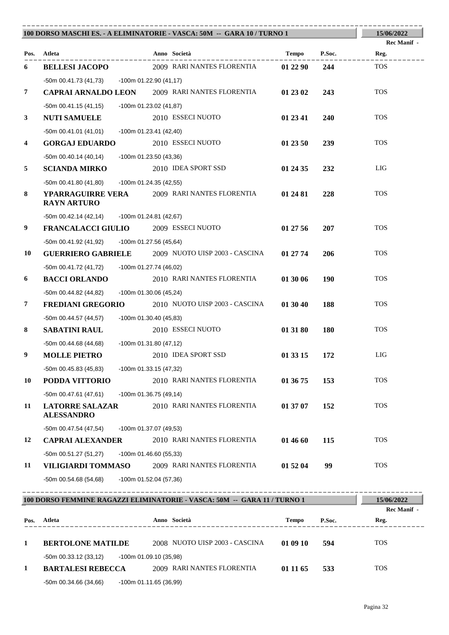|    |                                                  | 100 DORSO MASCHI ES. - A ELIMINATORIE - VASCA: 50M -- GARA 10 / TURNO 1  |              |            | 15/06/2022          |
|----|--------------------------------------------------|--------------------------------------------------------------------------|--------------|------------|---------------------|
|    | Pos. Atleta                                      | Anno Società                                                             | Tempo        | P.Soc.     | <b>Rec Manif</b> -  |
|    |                                                  | 2009 RARI NANTES FLORENTIA                                               |              |            | Reg.<br><b>TOS</b>  |
| 6  | <b>BELLESI JACOPO</b>                            |                                                                          | 01 22 90     | 244        |                     |
| 7  | -50m 00.41.73 (41,73) -100m 01.22.90 (41,17)     | <b>CAPRAI ARNALDO LEON</b> 2009 RARI NANTES FLORENTIA                    | 01 23 02     | 243        | <b>TOS</b>          |
|    |                                                  |                                                                          |              |            |                     |
| 3  | -50m 00.41.15 (41,15)<br><b>NUTI SAMUELE</b>     | -100m 01.23.02 (41,87)<br>2010 ESSECI NUOTO                              | 01 23 41     | <b>240</b> | <b>TOS</b>          |
|    |                                                  |                                                                          |              |            |                     |
| 4  | $-50m$ 00.41.01 (41,01)<br><b>GORGAJ EDUARDO</b> | $-100m$ 01.23.41 (42,40)<br>2010 ESSECI NUOTO                            | 01 23 50     | 239        | <b>TOS</b>          |
|    | -50m 00.40.14 (40,14)                            | -100m 01.23.50 (43,36)                                                   |              |            |                     |
| 5  | <b>SCIANDA MIRKO</b>                             | 2010 IDEA SPORT SSD                                                      | 01 24 35     | 232        | LIG                 |
|    | -50m 00.41.80 (41,80)                            |                                                                          |              |            |                     |
| 8  |                                                  | -100m 01.24.35 (42,55)<br>YPARRAGUIRRE VERA 2009 RARI NANTES FLORENTIA   | 01 24 81     | 228        | <b>TOS</b>          |
|    | <b>RAYN ARTURO</b>                               |                                                                          |              |            |                     |
|    | -50m 00.42.14 (42,14) -100m 01.24.81 (42,67)     |                                                                          |              |            |                     |
| 9  | FRANCALACCI GIULIO 2009 ESSECI NUOTO             |                                                                          | 01 27 56     | 207        | <b>TOS</b>          |
|    | -50m 00.41.92 (41,92)                            | -100m 01.27.56 (45,64)                                                   |              |            |                     |
| 10 |                                                  | <b>GUERRIERO GABRIELE</b> 2009 NUOTO UISP 2003 - CASCINA                 | 01 27 74     | 206        | <b>TOS</b>          |
|    | -50m 00.41.72 (41,72)                            | -100m 01.27.74 (46,02)                                                   |              |            |                     |
| 6  | <b>BACCI ORLANDO</b>                             | 2010 RARI NANTES FLORENTIA                                               | 01 30 06     | <b>190</b> | <b>TOS</b>          |
|    | -50m 00.44.82 (44,82)                            | -100m 01.30.06 (45,24)                                                   |              |            |                     |
| 7  | <b>FREDIANI GREGORIO</b>                         | 2010 NUOTO UISP 2003 - CASCINA                                           | 01 30 40     | 188        | <b>TOS</b>          |
|    | -50m 00.44.57 (44,57)                            | -100m 01.30.40 (45,83)                                                   |              |            |                     |
| 8  | <b>SABATINI RAUL</b>                             | 2010 ESSECI NUOTO                                                        | 01 31 80     | <b>180</b> | <b>TOS</b>          |
|    | -50m 00.44.68 (44,68)                            | $-100m$ 01.31.80 (47,12)                                                 |              |            |                     |
| 9  | <b>MOLLE PIETRO</b>                              | 2010 IDEA SPORT SSD                                                      | 01 33 15     | 172        | LIG                 |
|    | $-50m$ 00.45.83 (45,83)                          | -100m 01.33.15 (47,32)                                                   |              |            |                     |
| 10 | PODDA VITTORIO                                   | 2010 RARI NANTES FLORENTIA                                               | 01 36 75     | 153        | <b>TOS</b>          |
|    | $-50m 00.47.61 (47,61)$                          | $-100m$ 01.36.75 (49,14)                                                 |              |            |                     |
| 11 | <b>LATORRE SALAZAR</b><br><b>ALESSANDRO</b>      | 2010 RARI NANTES FLORENTIA                                               | 01 37 07     | 152        | <b>TOS</b>          |
|    | -50m 00.47.54 (47,54)                            | -100m 01.37.07 (49,53)                                                   |              |            |                     |
| 12 | <b>CAPRAI ALEXANDER</b>                          | 2010 RARI NANTES FLORENTIA                                               | 01 46 60     | 115        | <b>TOS</b>          |
|    | -50m 00.51.27 (51,27)                            | -100m 01.46.60 (55,33)                                                   |              |            |                     |
| 11 | VILIGIARDI TOMMASO                               | 2009 RARI NANTES FLORENTIA                                               | 01 52 04     | 99         | <b>TOS</b>          |
|    | $-50m$ 00.54.68 (54,68)                          | $-100m$ 01.52.04 (57,36)                                                 |              |            |                     |
|    |                                                  |                                                                          |              |            |                     |
|    |                                                  | 100 DORSO FEMMINE RAGAZZI ELIMINATORIE - VASCA: 50M -- GARA 11 / TURNO 1 |              |            | 15/06/2022          |
|    | Pos. Atleta                                      | Anno Società                                                             | <b>Tempo</b> | P.Soc.     | Rec Manif -<br>Reg. |
|    |                                                  |                                                                          |              |            |                     |

# **1 BERTOLONE MATILDE** 2008 NUOTO UISP 2003 - CASCINA **01 09 10 594** TOS -50m 00.33.12 (33,12) -100m 01.09.10 (35,98) **1 BARTALESI REBECCA** 2009 RARI NANTES FLORENTIA **01 11 65 533** TOS

 $-50$ m 00.34.66 (34,66)  $-100$ m 01.11.65 (36,99)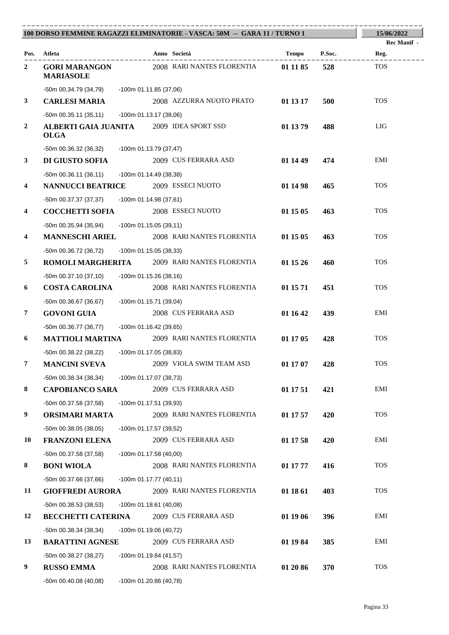|                         |                                                                |                          | 100 DORSO FEMMINE RAGAZZI ELIMINATORIE - VASCA: 50M -- GARA 11 / TURNO 1 |          |        | 15/06/2022                 |
|-------------------------|----------------------------------------------------------------|--------------------------|--------------------------------------------------------------------------|----------|--------|----------------------------|
|                         | Pos. Atleta                                                    |                          | Anno Società                                                             | Tempo    | P.Soc. | <b>Rec Manif</b> -<br>Reg. |
| $\mathbf{2}$            | <b>GORI MARANGON</b><br><b>MARIASOLE</b>                       |                          | 2008 RARI NANTES FLORENTIA                                               | 01 11 85 | 528    | <b>TOS</b>                 |
|                         | -50m 00.34.79 (34,79) -100m 01.11.85 (37,06)                   |                          |                                                                          |          |        |                            |
| $\mathbf{3}$            | <b>CARLESI MARIA</b>                                           |                          | 2008 AZZURRA NUOTO PRATO                                                 | 01 13 17 | 500    | <b>TOS</b>                 |
|                         | $-50m$ 00.35.11 (35,11)                                        | -100m 01.13.17 (38,06)   |                                                                          |          |        |                            |
| $\boldsymbol{2}$        | <b>ALBERTI GAIA JUANITA</b> 2009 IDEA SPORT SSD<br><b>OLGA</b> |                          |                                                                          | 01 13 79 | 488    | LIG                        |
|                         | -50m 00.36.32 (36,32)                                          | -100m 01.13.79 (37,47)   |                                                                          |          |        |                            |
| $\mathbf{3}$            | <b>DI GIUSTO SOFIA</b>                                         |                          | 2009 CUS FERRARA ASD                                                     | 01 14 49 | 474    | EMI                        |
|                         | -50m 00.36.11 (36,11)                                          | -100m 01.14.49 (38,38)   |                                                                          |          |        |                            |
| $\overline{\mathbf{4}}$ | <b>NANNUCCI BEATRICE</b>                                       |                          | 2009 ESSECI NUOTO                                                        | 01 14 98 | 465    | <b>TOS</b>                 |
|                         | -50m 00.37.37 (37,37) -100m 01.14.98 (37,61)                   |                          |                                                                          |          |        |                            |
| 4                       | <b>COCCHETTI SOFIA</b>                                         |                          | 2008 ESSECI NUOTO                                                        | 01 15 05 | 463    | <b>TOS</b>                 |
|                         | -50m 00.35.94 (35,94) -100m 01.15.05 (39,11)                   |                          |                                                                          |          |        |                            |
| $\overline{\mathbf{4}}$ | <b>MANNESCHI ARIEL</b>                                         |                          | 2008 RARI NANTES FLORENTIA                                               | 01 15 05 | 463    | <b>TOS</b>                 |
|                         | -50m 00.36.72 (36,72)                                          | -100m 01.15.05 (38,33)   |                                                                          |          |        |                            |
| 5                       |                                                                |                          | <b>ROMOLI MARGHERITA</b> 2009 RARI NANTES FLORENTIA                      | 01 15 26 | 460    | <b>TOS</b>                 |
|                         | -50m 00.37.10 (37,10) -100m 01.15.26 (38,16)                   |                          |                                                                          |          |        |                            |
| 6                       | <b>COSTA CAROLINA</b>                                          |                          | 2008 RARI NANTES FLORENTIA                                               | 01 15 71 | 451    | <b>TOS</b>                 |
|                         | -50m 00.36.67 (36,67)                                          | -100m 01.15.71 (39,04)   |                                                                          |          |        |                            |
| 7                       | <b>GOVONI GUIA</b>                                             |                          | 2008 CUS FERRARA ASD                                                     | 01 16 42 | 439    | EMI                        |
|                         | -50m 00.36.77 (36,77) -100m 01.16.42 (39,65)                   |                          |                                                                          |          |        |                            |
| 6                       |                                                                |                          | <b>MATTIOLI MARTINA</b> 2009 RARI NANTES FLORENTIA                       | 01 17 05 | 428    | <b>TOS</b>                 |
|                         | -50m 00.38.22 (38,22) -100m 01.17.05 (38,83)                   |                          |                                                                          |          |        |                            |
| $\overline{7}$          | <b>MANCINI SVEVA</b>                                           |                          | 2009 VIOLA SWIM TEAM ASD                                                 | 01 17 07 | 428    | <b>TOS</b>                 |
|                         | $-50m$ 00.38.34 (38,34)                                        | -100m 01.17.07 (38,73)   |                                                                          |          |        |                            |
| $\bf{8}$                | <b>CAPOBIANCO SARA</b>                                         |                          | 2009 CUS FERRARA ASD                                                     | 01 17 51 | 421    | EMI                        |
|                         | -50m 00.37.58 (37,58)                                          | -100m 01.17.51 (39,93)   |                                                                          |          |        |                            |
| 9                       | ORSIMARI MARTA                                                 |                          | 2009 RARI NANTES FLORENTIA                                               | 01 17 57 | 420    | <b>TOS</b>                 |
|                         | $-50m$ 00.38.05 (38,05)                                        | -100m 01.17.57 (39,52)   |                                                                          |          |        |                            |
| 10                      | <b>FRANZONI ELENA</b>                                          |                          | 2009 CUS FERRARA ASD                                                     | 01 17 58 | 420    | EMI                        |
|                         | -50m 00.37.58 (37,58)                                          | $-100m$ 01.17.58 (40,00) |                                                                          |          |        |                            |
| 8                       | <b>BONI WIOLA</b>                                              |                          | 2008 RARI NANTES FLORENTIA                                               | 01 17 77 | 416    | <b>TOS</b>                 |
|                         | $-50m$ 00.37.66 (37,66)                                        | $-100m$ 01.17.77 (40,11) |                                                                          |          |        |                            |
| 11                      | <b>GIOFFREDI AURORA</b>                                        |                          | 2009 RARI NANTES FLORENTIA                                               | 01 18 61 | 403    | <b>TOS</b>                 |
|                         | -50m 00.38.53 (38,53)                                          | $-100m$ 01.18.61 (40,08) |                                                                          |          |        |                            |
| 12                      | <b>BECCHETTI CATERINA</b>                                      |                          | 2009 CUS FERRARA ASD                                                     | 01 19 06 | 396    | EMI                        |
|                         | -50m 00.38.34 (38,34)                                          | -100m 01.19.06 (40,72)   |                                                                          |          |        |                            |
| 13                      | <b>BARATTINI AGNESE</b>                                        |                          | 2009 CUS FERRARA ASD                                                     | 01 19 84 | 385    | EMI                        |
|                         | -50m 00.38.27 (38,27)                                          | $-100m$ 01.19.84 (41,57) |                                                                          |          |        |                            |
| 9                       | <b>RUSSO EMMA</b>                                              |                          | 2008 RARI NANTES FLORENTIA                                               | 01 20 86 | 370    | <b>TOS</b>                 |
|                         | $-50m$ 00.40.08 (40,08)                                        | -100m 01.20.86 (40,78)   |                                                                          |          |        |                            |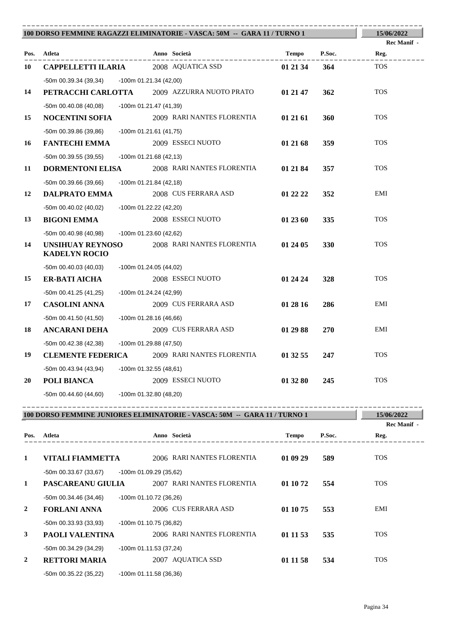| 100 DORSO FEMMINE RAGAZZI ELIMINATORIE - VASCA: 50M -- GARA 11 / TURNO 1 |                                                 |                           |                                             |              |            | 15/06/2022         |
|--------------------------------------------------------------------------|-------------------------------------------------|---------------------------|---------------------------------------------|--------------|------------|--------------------|
|                                                                          |                                                 |                           |                                             |              |            | <b>Rec Manif</b> - |
|                                                                          | Pos. Atleta                                     |                           | Anno Società<br>. _ _ _ _ _ _ _ _ _ _ _     | Tempo P.Soc. |            | Reg.               |
| 10                                                                       | <b>CAPPELLETTI ILARIA</b>                       |                           | 2008 AQUATICA SSD                           | 01 21 34     | 364        | <b>TOS</b>         |
|                                                                          | -50m 00.39.34 (39,34)                           | $-100$ m 01.21.34 (42,00) |                                             |              |            |                    |
| 14                                                                       |                                                 |                           | PETRACCHI CARLOTTA 2009 AZZURRA NUOTO PRATO | 01 21 47     | 362        | <b>TOS</b>         |
|                                                                          | -50m 00.40.08 (40,08)                           | $-100m$ 01.21.47 (41,39)  |                                             |              |            |                    |
| 15                                                                       | <b>NOCENTINI SOFIA</b>                          |                           | 2009 RARI NANTES FLORENTIA                  | 01 21 61     | 360        | <b>TOS</b>         |
|                                                                          | -50m 00.39.86 (39,86)                           | $-100m$ 01.21.61 (41,75)  |                                             |              |            |                    |
| 16                                                                       | <b>FANTECHI EMMA</b>                            |                           | 2009 ESSECI NUOTO                           | 01 21 68     | <b>359</b> | <b>TOS</b>         |
|                                                                          | -50m 00.39.55 (39,55)                           | $-100m$ 01.21.68 (42,13)  |                                             |              |            |                    |
| 11                                                                       | <b>DORMENTONI ELISA</b>                         |                           | 2008 RARI NANTES FLORENTIA                  | 01 21 84     | 357        | <b>TOS</b>         |
|                                                                          | $-50m$ 00.39.66 (39,66)                         | $-100m$ 01.21.84 (42,18)  |                                             |              |            |                    |
| 12                                                                       | <b>DALPRATO EMMA</b>                            |                           | 2008 CUS FERRARA ASD                        | 01 22 22     | 352        | EMI                |
|                                                                          | $-50m$ 00.40.02 (40,02)                         | $-100m$ 01.22.22 (42,20)  |                                             |              |            |                    |
| 13                                                                       | <b>BIGONI EMMA</b>                              |                           | 2008 ESSECI NUOTO                           | 01 23 60     | 335        | <b>TOS</b>         |
|                                                                          | -50m 00.40.98 (40,98)                           | $-100m$ 01.23.60 (42,62)  |                                             |              |            |                    |
| 14                                                                       | <b>UNSIHUAY REYNOSO</b><br><b>KADELYN ROCIO</b> |                           | 2008 RARI NANTES FLORENTIA                  | 01 24 05     | 330        | <b>TOS</b>         |
|                                                                          | $-50m$ 00.40.03 (40,03)                         | $-100m$ 01.24.05 (44,02)  |                                             |              |            |                    |
| 15                                                                       | <b>ER-BATI AICHA</b>                            |                           | 2008 ESSECI NUOTO                           | 01 24 24     | 328        | <b>TOS</b>         |
|                                                                          | $-50m$ 00.41.25 (41,25)                         | $-100m$ 01.24.24 (42,99)  |                                             |              |            |                    |
| 17                                                                       | <b>CASOLINI ANNA</b>                            |                           | 2009 CUS FERRARA ASD                        | 01 28 16     | 286        | EMI                |
|                                                                          | $-50m$ 00.41.50 (41,50)                         | $-100m$ 01.28.16 (46,66)  |                                             |              |            |                    |
| 18                                                                       | <b>ANCARANI DEHA</b>                            |                           | 2009 CUS FERRARA ASD                        | 01 29 88     | <b>270</b> | EMI                |
|                                                                          | -50m 00.42.38 (42,38)                           | -100m 01.29.88 (47,50)    |                                             |              |            |                    |
| 19                                                                       | <b>CLEMENTE FEDERICA</b>                        |                           | 2009 RARI NANTES FLORENTIA                  | 01 32 55     | 247        | <b>TOS</b>         |
|                                                                          | $-50m$ 00.43.94 (43,94)                         | $-100m$ 01.32.55 (48,61)  |                                             |              |            |                    |
| 20                                                                       | POLI BIANCA                                     |                           | 2009 ESSECI NUOTO                           | 01 32 80     | 245        | <b>TOS</b>         |
|                                                                          | -50m 00.44.60 (44,60)                           | -100m 01.32.80 (48,20)    |                                             |              |            |                    |

| 100 DORSO FEMMINE JUNIORES ELIMINATORIE - VASCA: 50M -- GARA 11 / TURNO 1 | 15/06/2022<br><b>Rec Manif -</b>             |                                                      |                        |            |
|---------------------------------------------------------------------------|----------------------------------------------|------------------------------------------------------|------------------------|------------|
| Pos.                                                                      | Atleta                                       | Anno Società                                         | P.Soc.<br><b>Tempo</b> | Reg.       |
| 1                                                                         | <b>VITALI FIAMMETTA</b>                      | 2006 RARI NANTES FLORENTIA                           | 01 09 29<br>589        | <b>TOS</b> |
| 1                                                                         | $-50m$ 00.33.67 (33,67)<br>PASCAREANU GIULIA | -100m 01.09.29 (35,62)<br>2007 RARI NANTES FLORENTIA | 01 10 72<br>554        | <b>TOS</b> |
|                                                                           | $-50m$ 00.34.46 (34,46)                      | $-100m$ 01.10.72 (36,26)                             |                        |            |
| 2                                                                         | <b>FORLANI ANNA</b>                          | 2006 CUS FERRARA ASD                                 | 553<br>01 10 75        | EMI        |
|                                                                           | $-50m$ 00.33.93 (33,93)                      | -100m 01.10.75 (36,82)                               |                        |            |
| 3                                                                         | <b>PAOLI VALENTINA</b>                       | 2006 RARI NANTES FLORENTIA                           | 01 11 53<br>535        | <b>TOS</b> |
|                                                                           | $-50$ m 00.34.29 (34,29)                     | -100m 01.11.53 (37,24)                               |                        |            |
| 2                                                                         | <b>RETTORI MARIA</b>                         | 2007 AQUATICA SSD                                    | 01 11 58<br>534        | <b>TOS</b> |
|                                                                           | $-50m$ 00.35.22 (35,22)                      | $-100m$ 01.11.58 (36,36)                             |                        |            |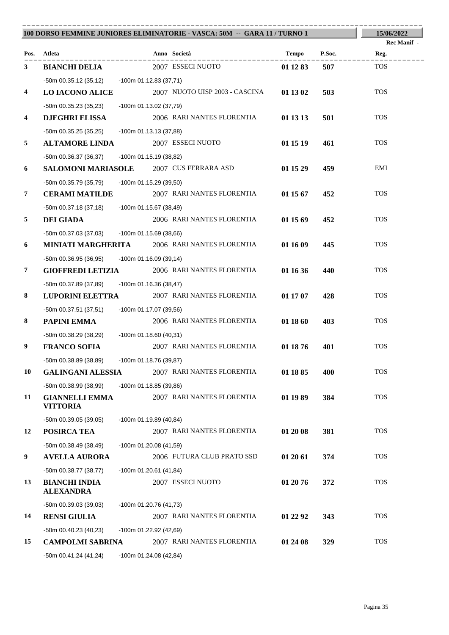|                         | 100 DORSO FEMMINE JUNIORES ELIMINATORIE - VASCA: 50M -- GARA 11 / TURNO 1 |                          |                                                      |          |        | 15/06/2022         |
|-------------------------|---------------------------------------------------------------------------|--------------------------|------------------------------------------------------|----------|--------|--------------------|
|                         |                                                                           |                          |                                                      |          |        | <b>Rec Manif</b> - |
| Pos.                    | Atleta                                                                    |                          | Anno Società<br>. _ _ _ _ _ _ _ _ _ _ _ _ _          | Tempo    | P.Soc. | Reg.               |
| 3                       | <b>BIANCHI DELIA</b>                                                      |                          | 2007 ESSECI NUOTO                                    | 01 12 83 | 507    | <b>TOS</b>         |
|                         | -50m 00.35.12 (35,12) -100m 01.12.83 (37,71)                              |                          |                                                      |          |        |                    |
| $\overline{\mathbf{4}}$ | <b>LO IACONO ALICE</b>                                                    |                          | 2007 NUOTO UISP 2003 - CASCINA                       | 01 13 02 | 503    | <b>TOS</b>         |
|                         | -50m 00.35.23 (35,23)                                                     | -100m 01.13.02 (37,79)   |                                                      |          |        |                    |
| $\overline{\mathbf{4}}$ | <b>DJEGHRI ELISSA</b>                                                     |                          | 2006 RARI NANTES FLORENTIA                           | 01 13 13 | 501    | <b>TOS</b>         |
|                         | $-50m$ 00.35.25 (35,25)                                                   | -100m 01.13.13 (37,88)   |                                                      |          |        |                    |
| 5                       | <b>ALTAMORE LINDA</b>                                                     |                          | 2007 ESSECI NUOTO                                    | 01 15 19 | 461    | <b>TOS</b>         |
|                         | -50m 00.36.37 (36,37) -100m 01.15.19 (38,82)                              |                          |                                                      |          |        |                    |
| 6                       | <b>SALOMONI MARIASOLE</b> 2007 CUS FERRARA ASD                            |                          |                                                      | 01 15 29 | 459    | EMI                |
|                         | -50m 00.35.79 (35,79) -100m 01.15.29 (39,50)                              |                          |                                                      |          |        |                    |
| 7                       | <b>CERAMI MATILDE</b>                                                     |                          | 2007 RARI NANTES FLORENTIA                           | 01 15 67 | 452    | <b>TOS</b>         |
|                         | -50m 00.37.18 (37,18)                                                     | -100m 01.15.67 (38,49)   |                                                      |          |        |                    |
| 5                       | <b>DEI GIADA</b>                                                          |                          | 2006 RARI NANTES FLORENTIA                           | 01 15 69 | 452    | <b>TOS</b>         |
|                         | -50m 00.37.03 (37,03)                                                     | -100m 01.15.69 (38,66)   |                                                      |          |        |                    |
| 6                       |                                                                           |                          | <b>MINIATI MARGHERITA</b> 2006 RARI NANTES FLORENTIA | 01 16 09 | 445    | <b>TOS</b>         |
|                         | -50m 00.36.95 (36,95)                                                     | -100m 01.16.09 (39,14)   |                                                      |          |        |                    |
| $\overline{7}$          | <b>GIOFFREDI LETIZIA</b>                                                  |                          | 2006 RARI NANTES FLORENTIA                           | 01 16 36 | 440    | <b>TOS</b>         |
|                         | -50m 00.37.89 (37,89) -100m 01.16.36 (38,47)                              |                          |                                                      |          |        |                    |
| 8                       | <b>LUPORINI ELETTRA</b>                                                   |                          | 2007 RARI NANTES FLORENTIA                           | 01 17 07 | 428    | <b>TOS</b>         |
|                         | -50m 00.37.51 (37,51)                                                     | -100m 01.17.07 (39,56)   |                                                      |          |        |                    |
| 8                       | PAPINI EMMA                                                               |                          | 2006 RARI NANTES FLORENTIA                           | 01 18 60 | 403    | <b>TOS</b>         |
|                         | $-50m$ 00.38.29 (38,29) $-100m$ 01.18.60 (40,31)                          |                          |                                                      |          |        |                    |
| 9                       | <b>FRANCO SOFIA</b>                                                       |                          | 2007 RARI NANTES FLORENTIA                           | 01 18 76 | 401    | <b>TOS</b>         |
|                         | -50m 00.38.89 (38,89) -100m 01.18.76 (39,87)                              |                          |                                                      |          |        |                    |
| 10                      | <b>GALINGANI ALESSIA</b>                                                  |                          | 2007 RARI NANTES FLORENTIA                           | 01 18 85 | 400    | <b>TOS</b>         |
|                         | -50m 00.38.99 (38,99)                                                     | $-100m$ 01.18.85 (39,86) |                                                      |          |        |                    |
| 11                      | <b>GIANNELLI EMMA</b><br><b>VITTORIA</b>                                  |                          | 2007 RARI NANTES FLORENTIA                           | 01 19 89 | 384    | <b>TOS</b>         |
|                         | $-50m$ 00.39.05 (39,05)                                                   | -100m 01.19.89 (40,84)   |                                                      |          |        |                    |
| 12                      | POSIRCA TEA                                                               |                          | 2007 RARI NANTES FLORENTIA                           | 01 20 08 | 381    | <b>TOS</b>         |
|                         | $-50m$ 00.38.49 (38,49)                                                   | -100m 01.20.08 (41,59)   |                                                      |          |        |                    |
| 9                       | <b>AVELLA AURORA</b>                                                      |                          | 2006 FUTURA CLUB PRATO SSD                           | 01 20 61 | 374    | <b>TOS</b>         |
|                         | -50m 00.38.77 (38,77)                                                     | $-100m$ 01.20.61 (41,84) |                                                      |          |        |                    |
| 13                      | <b>BIANCHI INDIA</b><br><b>ALEXANDRA</b>                                  |                          | 2007 ESSECI NUOTO                                    | 01 20 76 | 372    | <b>TOS</b>         |
|                         | -50m 00.39.03 (39,03)                                                     | -100m 01.20.76 (41,73)   |                                                      |          |        |                    |
| 14                      | <b>RENSI GIULIA</b>                                                       |                          | 2007 RARI NANTES FLORENTIA                           | 01 22 92 | 343    | <b>TOS</b>         |
|                         | -50m 00.40.23 (40,23)                                                     | $-100m$ 01.22.92 (42,69) |                                                      |          |        |                    |
| 15                      | <b>CAMPOLMI SABRINA</b>                                                   |                          | 2007 RARI NANTES FLORENTIA                           | 01 24 08 | 329    | <b>TOS</b>         |
|                         | -50m 00.41.24 (41,24)                                                     | $-100m$ 01.24.08 (42,84) |                                                      |          |        |                    |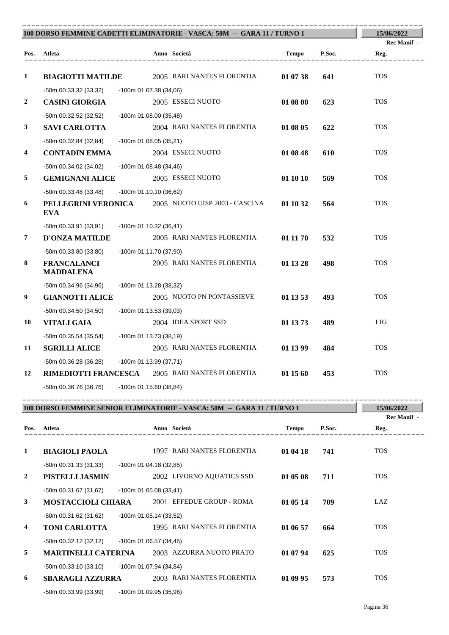| 100 DORSO FEMMINE CADETTI ELIMINATORIE - VASCA: 50M -- GARA 11 / TURNO 1 | 15/06/2022                             |                                                        |          |        |                    |
|--------------------------------------------------------------------------|----------------------------------------|--------------------------------------------------------|----------|--------|--------------------|
|                                                                          |                                        |                                                        |          |        | <b>Rec Manif</b> - |
|                                                                          | Pos. Atleta<br>___________________     | Anno Società<br>___________________                    | Tempo    | P.Soc. | Reg.               |
| 1                                                                        | <b>BIAGIOTTI MATILDE</b>               | 2005 RARI NANTES FLORENTIA                             | 01 07 38 | 641    | <b>TOS</b>         |
|                                                                          | $-50m$ 00.33.32 (33,32)                | $-100m$ 01.07.38 (34,06)                               |          |        |                    |
| 2                                                                        | <b>CASINI GIORGIA</b>                  | 2005 ESSECI NUOTO                                      | 01 08 00 | 623    | <b>TOS</b>         |
|                                                                          | $-50m$ 00.32.52 (32,52)                | -100m 01.08.00 (35,48)                                 |          |        |                    |
| 3                                                                        | <b>SAVI CARLOTTA</b>                   | 2004 RARI NANTES FLORENTIA                             | 01 08 05 | 622    | <b>TOS</b>         |
|                                                                          | $-50m$ 00.32.84 (32,84)                | -100m 01.08.05 (35,21)                                 |          |        |                    |
| 4                                                                        | <b>CONTADIN EMMA</b>                   | 2004 ESSECI NUOTO                                      | 01 08 48 | 610    | <b>TOS</b>         |
|                                                                          | $-50m$ 00.34.02 (34,02)                | $-100m$ 01.08.48 (34,46)                               |          |        |                    |
| 5                                                                        | <b>GEMIGNANI ALICE</b>                 | 2005 ESSECI NUOTO                                      | 01 10 10 | 569    | <b>TOS</b>         |
|                                                                          | $-50m$ 00.33.48 (33,48)                | $-100m$ 01.10.10 (36,62)                               |          |        |                    |
| 6                                                                        | <b>EVA</b>                             | PELLEGRINI VERONICA 2005 NUOTO UISP 2003 - CASCINA     | 01 10 32 | 564    | <b>TOS</b>         |
|                                                                          | -50m 00.33.91 (33,91)                  | $-100m$ 01.10.32 (36,41)                               |          |        |                    |
| 7                                                                        | <b>D'ONZA MATILDE</b>                  | 2005 RARI NANTES FLORENTIA                             | 01 11 70 | 532    | <b>TOS</b>         |
|                                                                          | $-50m$ 00.33.80 (33,80)                | -100m 01.11.70 (37,90)                                 |          |        |                    |
| 8                                                                        | <b>FRANCALANCI</b><br><b>MADDALENA</b> | 2005 RARI NANTES FLORENTIA                             | 01 13 28 | 498    | <b>TOS</b>         |
|                                                                          | -50m 00.34.96 (34,96)                  | -100m 01.13.28 (38,32)                                 |          |        |                    |
| 9                                                                        | <b>GIANNOTTI ALICE</b>                 | 2005 NUOTO PN PONTASSIEVE                              | 01 13 53 | 493    | <b>TOS</b>         |
|                                                                          | $-50m$ 00.34.50 (34,50)                | $-100m$ 01.13.53 (39,03)                               |          |        |                    |
| 10                                                                       | <b>VITALI GAIA</b>                     | 2004 IDEA SPORT SSD                                    | 01 13 73 | 489    | <b>LIG</b>         |
|                                                                          | -50m 00.35.54 (35,54)                  | -100m 01.13.73 (38,19)                                 |          |        |                    |
| 11                                                                       | <b>SGRILLI ALICE</b>                   | 2005 RARI NANTES FLORENTIA                             | 01 13 99 | 484    | <b>TOS</b>         |
|                                                                          | $-50m$ 00.36.28 (36,28)                | -100m 01.13.99 (37,71)                                 |          |        |                    |
| 12                                                                       |                                        | <b>RIMEDIOTTI FRANCESCA</b> 2005 RARI NANTES FLORENTIA | 01 15 60 | 453    | <b>TOS</b>         |
|                                                                          | -50m 00.36.76 (36,76)                  | -100m 01.15.60 (38,84)                                 |          |        |                    |

| 100 DORSO FEMMINE SENIOR ELIMINATORIE - VASCA: 50M -- GARA 11 / TURNO 1 |                            |                          |                            |              | 15/06/2022 |             |
|-------------------------------------------------------------------------|----------------------------|--------------------------|----------------------------|--------------|------------|-------------|
|                                                                         |                            |                          |                            |              |            | Rec Manif - |
| Pos.                                                                    | Atleta                     |                          | Anno Società               | <b>Tempo</b> | P.Soc.     | Reg.        |
|                                                                         |                            |                          |                            |              |            |             |
| 1                                                                       | <b>BIAGIOLI PAOLA</b>      |                          | 1997 RARI NANTES FLORENTIA | 01 04 18     | 741        | <b>TOS</b>  |
|                                                                         | $-50m$ 00.31.33 (31,33)    | $-100m$ 01.04.18 (32,85) |                            |              |            |             |
| $\overline{2}$                                                          | PISTELLI JASMIN            |                          | 2002 LIVORNO AQUATICS SSD  | 01 05 08     | 711        | <b>TOS</b>  |
|                                                                         | -50m 00.31.67 (31,67)      | $-100m$ 01.05.08 (33,41) |                            |              |            |             |
| $\mathbf{3}$                                                            | <b>MOSTACCIOLI CHIARA</b>  |                          | 2001 EFFEDUE GROUP - ROMA  | 01 05 14     | 709        | LAZ         |
|                                                                         | -50m 00.31.62 (31,62)      | $-100m$ 01.05.14 (33,52) |                            |              |            |             |
| $\overline{4}$                                                          | <b>TONI CARLOTTA</b>       |                          | 1995 RARI NANTES FLORENTIA | 01 06 57     | 664        | <b>TOS</b>  |
|                                                                         | -50m 00.32.12 (32,12)      | $-100m$ 01.06.57 (34,45) |                            |              |            |             |
| 5                                                                       | <b>MARTINELLI CATERINA</b> |                          | 2003 AZZURRA NUOTO PRATO   | 01 07 94     | 625        | <b>TOS</b>  |
|                                                                         | $-50m$ 00.33.10 (33,10)    | -100m 01.07.94 (34,84)   |                            |              |            |             |
| 6                                                                       | <b>SBARAGLI AZZURRA</b>    |                          | 2003 RARI NANTES FLORENTIA | 01 09 95     | 573        | <b>TOS</b>  |
|                                                                         | -50m 00.33.99 (33,99)      | $-100m$ 01.09.95 (35,96) |                            |              |            |             |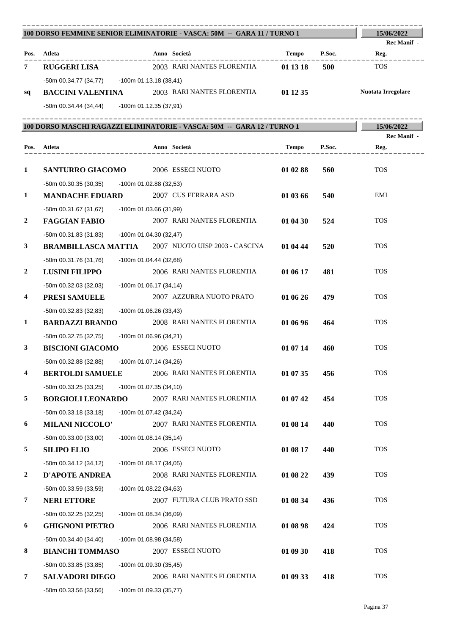|                         | -------------------------------------<br>100 DORSO FEMMINE SENIOR ELIMINATORIE - VASCA: 50M -- GARA 11 / TURNO 1 |                          |                            |          |        | 15/06/2022          |
|-------------------------|------------------------------------------------------------------------------------------------------------------|--------------------------|----------------------------|----------|--------|---------------------|
| Pos.                    | Atleta                                                                                                           |                          | Anno Società               | Tempo    | P.Soc. | Rec Manif -<br>Reg. |
| 7                       | <b>RUGGERI LISA</b>                                                                                              |                          | 2003 RARI NANTES FLORENTIA | 01 13 18 | 500    | <b>TOS</b>          |
|                         | -50m 00.34.77 (34,77) -100m 01.13.18 (38,41)                                                                     |                          |                            |          |        |                     |
| sq                      | <b>BACCINI VALENTINA</b>                                                                                         |                          | 2003 RARI NANTES FLORENTIA | 01 12 35 |        | Nuotata Irregolare  |
|                         | -50m 00.34.44 (34,44) - 100m 01.12.35 (37,91)                                                                    |                          |                            |          |        |                     |
|                         |                                                                                                                  |                          |                            |          |        |                     |
|                         | 100 DORSO MASCHI RAGAZZI ELIMINATORIE - VASCA: 50M -- GARA 12 / TURNO 1                                          |                          |                            |          |        | 15/06/2022          |
| Pos.                    | Atleta                                                                                                           |                          | Anno Società               | Tempo    | P.Soc. | Rec Manif -<br>Reg. |
|                         | ________________                                                                                                 |                          |                            |          |        |                     |
| $\mathbf{1}$            | <b>SANTURRO GIACOMO</b>                                                                                          |                          | 2006 ESSECI NUOTO          | 01 02 88 | 560    | <b>TOS</b>          |
|                         | -50m 00.30.35 (30,35)<br>-100m 01.02.88 (32,53)                                                                  |                          |                            |          |        |                     |
| $\mathbf{1}$            | <b>MANDACHE EDUARD</b>                                                                                           |                          | 2007 CUS FERRARA ASD       | 01 03 66 | 540    | EMI                 |
|                         | -50m 00.31.67 (31,67)<br>-100m 01.03.66 (31,99)                                                                  |                          |                            |          |        |                     |
| $\boldsymbol{2}$        | <b>FAGGIAN FABIO</b>                                                                                             |                          | 2007 RARI NANTES FLORENTIA | 01 04 30 | 524    | <b>TOS</b>          |
|                         | -50m 00.31.83 (31,83)<br>$-100m$ 01.04.30 (32,47)                                                                |                          |                            |          |        |                     |
| 3                       | <b>BRAMBILLASCA MATTIA</b> 2007 NUOTO UISP 2003 - CASCINA                                                        |                          |                            | 01 04 44 | 520    | <b>TOS</b>          |
|                         | -50m 00.31.76 (31,76)<br>$-100m$ 01.04.44 (32,68)                                                                |                          |                            |          |        |                     |
| $\boldsymbol{2}$        | <b>LUSINI FILIPPO</b>                                                                                            |                          | 2006 RARI NANTES FLORENTIA | 01 06 17 | 481    | <b>TOS</b>          |
|                         | -50m 00.32.03 (32,03)<br>$-100m$ 01.06.17 (34,14)                                                                |                          |                            |          |        |                     |
| 4                       | PRESI SAMUELE                                                                                                    |                          | 2007 AZZURRA NUOTO PRATO   | 01 06 26 | 479    | <b>TOS</b>          |
|                         | -50m 00.32.83 (32,83)<br>-100m 01.06.26 (33,43)                                                                  |                          |                            |          |        |                     |
| 1                       | <b>BARDAZZI BRANDO</b>                                                                                           |                          | 2008 RARI NANTES FLORENTIA | 01 06 96 | 464    | <b>TOS</b>          |
|                         | -50m 00.32.75 (32,75)<br>-100m 01.06.96 (34,21)                                                                  |                          |                            |          |        |                     |
| 3                       | <b>BISCIONI GIACOMO</b>                                                                                          |                          | 2006 ESSECI NUOTO          | 01 07 14 | 460    | <b>TOS</b>          |
|                         | -50m 00.32.88 (32,88) -100m 01.07.14 (34,26)                                                                     |                          |                            |          |        | <b>TOS</b>          |
| $\overline{\mathbf{4}}$ | <b>BERTOLDI SAMUELE</b>                                                                                          |                          | 2006 RARI NANTES FLORENTIA | 01 07 35 | 456    |                     |
| 5                       | -50m 00.33.25 (33,25)<br>-100m 01.07.35 (34,10)<br><b>BORGIOLI LEONARDO</b>                                      |                          | 2007 RARI NANTES FLORENTIA | 01 07 42 | 454    | <b>TOS</b>          |
|                         |                                                                                                                  |                          |                            |          |        |                     |
| 6                       | -50m 00.33.18 (33,18)<br><b>MILANI NICCOLO'</b>                                                                  | -100m 01.07.42 (34,24)   | 2007 RARI NANTES FLORENTIA | 01 08 14 | 440    | <b>TOS</b>          |
|                         | -50m 00.33.00 (33,00)                                                                                            | $-100m$ 01.08.14 (35,14) |                            |          |        |                     |
| 5                       | <b>SILIPO ELIO</b>                                                                                               |                          | 2006 ESSECI NUOTO          | 01 08 17 | 440    | <b>TOS</b>          |
|                         | -50m 00.34.12 (34,12)                                                                                            | -100m 01.08.17 (34,05)   |                            |          |        |                     |
| 2                       | <b>D'APOTE ANDREA</b>                                                                                            |                          | 2008 RARI NANTES FLORENTIA | 01 08 22 | 439    | <b>TOS</b>          |
|                         | -50m 00.33.59 (33,59)                                                                                            | -100m 01.08.22 (34,63)   |                            |          |        |                     |
| 7                       | <b>NERI ETTORE</b>                                                                                               |                          | 2007 FUTURA CLUB PRATO SSD | 01 08 34 | 436    | <b>TOS</b>          |
|                         | -50m 00.32.25 (32,25)                                                                                            | $-100m$ 01.08.34 (36,09) |                            |          |        |                     |
| 6                       | <b>GHIGNONI PIETRO</b>                                                                                           |                          | 2006 RARI NANTES FLORENTIA | 01 08 98 | 424    | <b>TOS</b>          |
|                         | -50m 00.34.40 (34,40)                                                                                            | -100m 01.08.98 (34,58)   |                            |          |        |                     |
| 8                       | <b>BIANCHI TOMMASO</b>                                                                                           |                          | 2007 ESSECI NUOTO          | 01 09 30 | 418    | <b>TOS</b>          |
|                         | -50m 00.33.85 (33,85)<br>-100m 01.09.30 (35,45)                                                                  |                          |                            |          |        |                     |
| 7                       | <b>SALVADORI DIEGO</b>                                                                                           |                          | 2006 RARI NANTES FLORENTIA | 01 09 33 | 418    | <b>TOS</b>          |
|                         | -50m 00.33.56 (33,56)<br>-100m 01.09.33 (35,77)                                                                  |                          |                            |          |        |                     |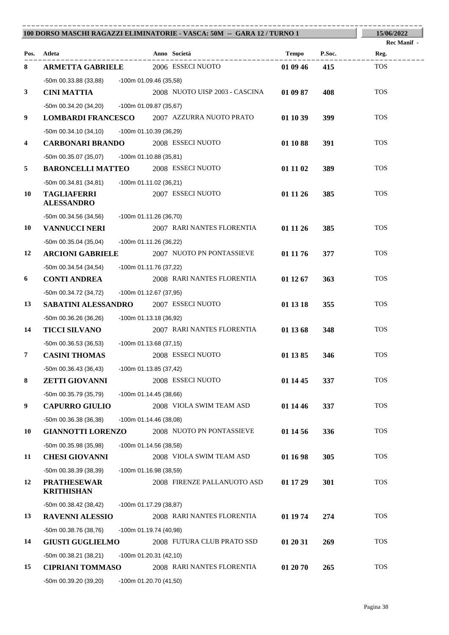|                         |                                                                    |                          | 100 DORSO MASCHI RAGAZZI ELIMINATORIE - VASCA: 50M -- GARA 12 / TURNO 1 |          |        | 15/06/2022                 |
|-------------------------|--------------------------------------------------------------------|--------------------------|-------------------------------------------------------------------------|----------|--------|----------------------------|
| Pos.                    | Atleta                                                             |                          | Anno Società                                                            | Tempo    | P.Soc. | <b>Rec Manif -</b><br>Reg. |
| 8                       | <b>ARMETTA GABRIELE</b>                                            |                          | ____________<br>2006 ESSECI NUOTO                                       | 01 09 46 | 415    | <b>TOS</b>                 |
|                         |                                                                    |                          |                                                                         |          |        |                            |
| $\mathbf{3}$            | -50m 00.33.88 (33,88) -100m 01.09.46 (35,58)<br><b>CINI MATTIA</b> |                          | 2008 NUOTO UISP 2003 - CASCINA                                          | 01 09 87 | 408    | <b>TOS</b>                 |
|                         | -50m 00.34.20 (34,20) -100m 01.09.87 (35,67)                       |                          |                                                                         |          |        |                            |
| 9                       |                                                                    |                          | LOMBARDI FRANCESCO 2007 AZZURRA NUOTO PRATO                             | 01 10 39 | 399    | <b>TOS</b>                 |
|                         | -50m 00.34.10 (34,10)                                              | -100m 01.10.39 (36,29)   |                                                                         |          |        |                            |
| $\overline{\mathbf{4}}$ | <b>CARBONARI BRANDO</b>                                            |                          | 2008 ESSECI NUOTO                                                       | 01 10 88 | 391    | <b>TOS</b>                 |
|                         | -50m 00.35.07 (35,07) -100m 01.10.88 (35,81)                       |                          |                                                                         |          |        |                            |
| 5                       | <b>BARONCELLI MATTEO</b> 2008 ESSECI NUOTO                         |                          |                                                                         | 01 11 02 | 389    | <b>TOS</b>                 |
|                         | -50m 00.34.81 (34,81)                                              | -100m 01.11.02 (36,21)   |                                                                         |          |        |                            |
| 10                      | <b>TAGLIAFERRI</b>                                                 |                          | 2007 ESSECI NUOTO                                                       | 01 11 26 | 385    | <b>TOS</b>                 |
|                         | <b>ALESSANDRO</b>                                                  |                          |                                                                         |          |        |                            |
|                         | -50m 00.34.56 (34,56) -100m 01.11.26 (36,70)                       |                          |                                                                         |          |        |                            |
| 10                      | <b>VANNUCCI NERI</b>                                               |                          | 2007 RARI NANTES FLORENTIA                                              | 01 11 26 | 385    | <b>TOS</b>                 |
|                         | $-50m$ 00.35.04 (35,04)                                            | -100m 01.11.26 (36,22)   |                                                                         |          |        |                            |
| 12                      | <b>ARCIONI GABRIELE</b>                                            |                          | 2007 NUOTO PN PONTASSIEVE                                               | 01 11 76 | 377    | <b>TOS</b>                 |
|                         | -50m 00.34.54 (34,54)                                              | -100m 01.11.76 (37,22)   |                                                                         |          |        |                            |
| 6                       | <b>CONTI ANDREA</b>                                                |                          | 2008 RARI NANTES FLORENTIA                                              | 01 12 67 | 363    | <b>TOS</b>                 |
|                         | -50m 00.34.72 (34,72)                                              | -100m 01.12.67 (37,95)   |                                                                         |          |        |                            |
| 13                      | <b>SABATINI ALESSANDRO</b> 2007 ESSECI NUOTO                       |                          |                                                                         | 01 13 18 | 355    | <b>TOS</b>                 |
|                         | -50m 00.36.26 (36,26)                                              | -100m 01.13.18 (36,92)   |                                                                         |          |        |                            |
| 14                      | <b>TICCI SILVANO</b>                                               |                          | 2007 RARI NANTES FLORENTIA                                              | 01 13 68 | 348    | <b>TOS</b>                 |
|                         | -50m 00.36.53 (36,53)                                              | -100m 01.13.68 (37,15)   |                                                                         |          |        |                            |
| $\overline{7}$          | <b>CASINI THOMAS</b>                                               |                          | 2008 ESSECI NUOTO                                                       | 01 13 85 | 346    | <b>TOS</b>                 |
|                         | $-50m$ 00.36.43 (36,43)                                            | -100m 01.13.85 (37,42)   |                                                                         |          |        |                            |
| 8                       | <b>ZETTI GIOVANNI</b>                                              |                          | 2008 ESSECI NUOTO                                                       | 01 14 45 | 337    | <b>TOS</b>                 |
|                         | -50m 00.35.79 (35,79)                                              | $-100m$ 01.14.45 (38,66) |                                                                         |          |        |                            |
| 9                       | <b>CAPURRO GIULIO</b>                                              |                          | 2008 VIOLA SWIM TEAM ASD                                                | 01 14 46 | 337    | <b>TOS</b>                 |
|                         | $-50m$ 00.36.38 (36,38)                                            | $-100m$ 01.14.46 (38,08) |                                                                         |          |        |                            |
| 10                      | <b>GIANNOTTI LORENZO</b>                                           |                          | 2008 NUOTO PN PONTASSIEVE                                               | 01 14 56 | 336    | <b>TOS</b>                 |
|                         | -50m 00.35.98 (35,98)                                              | $-100m$ 01.14.56 (38,58) |                                                                         |          |        |                            |
| 11                      | <b>CHESI GIOVANNI</b>                                              |                          | 2008 VIOLA SWIM TEAM ASD                                                | 01 16 98 | 305    | <b>TOS</b>                 |
|                         | $-50m$ 00.38.39 (38,39)                                            | -100m 01.16.98 (38,59)   |                                                                         |          |        |                            |
| 12                      | <b>PRATHESEWAR</b><br><b>KRITHISHAN</b>                            |                          | 2008 FIRENZE PALLANUOTO ASD                                             | 01 17 29 | 301    | <b>TOS</b>                 |
|                         | $-50m$ 00.38.42 (38,42)                                            | -100m 01.17.29 (38,87)   |                                                                         |          |        |                            |
| 13                      | <b>RAVENNI ALESSIO</b>                                             |                          | 2008 RARI NANTES FLORENTIA                                              | 01 19 74 | 274    | <b>TOS</b>                 |
|                         | -50m 00.38.76 (38,76)                                              | -100m 01.19.74 (40,98)   |                                                                         |          |        |                            |
| 14                      | <b>GIUSTI GUGLIELMO</b>                                            |                          | 2008 FUTURA CLUB PRATO SSD                                              | 01 20 31 | 269    | <b>TOS</b>                 |
|                         | $-50m$ 00.38.21 (38,21)                                            | $-100m$ 01.20.31 (42,10) |                                                                         |          |        |                            |
| 15                      | <b>CIPRIANI TOMMASO</b>                                            |                          | 2008 RARI NANTES FLORENTIA                                              | 01 20 70 | 265    | <b>TOS</b>                 |
|                         | -50m 00.39.20 (39,20)                                              | -100m 01.20.70 (41,50)   |                                                                         |          |        |                            |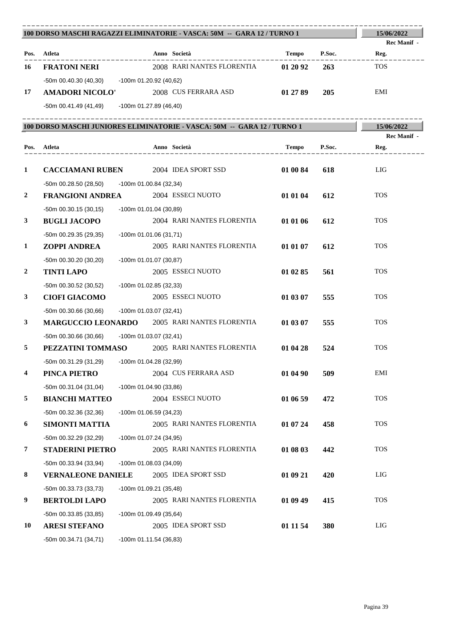| 100 DORSO MASCHI RAGAZZI ELIMINATORIE - VASCA: 50M -- GARA 12 / TURNO 1 |                                                      |                          |                                                                          |          |        | 15/06/2022          |
|-------------------------------------------------------------------------|------------------------------------------------------|--------------------------|--------------------------------------------------------------------------|----------|--------|---------------------|
|                                                                         | Pos. Atleta                                          |                          | Anno Società                                                             | Tempo    | P.Soc. | Rec Manif -<br>Reg. |
| 16                                                                      | <b>FRATONI NERI</b>                                  |                          | 2008 RARI NANTES FLORENTIA                                               | 01 20 92 | 263    | <b>TOS</b>          |
|                                                                         | -50m 00.40.30 (40,30) -100m 01.20.92 (40,62)         |                          |                                                                          |          |        |                     |
| 17                                                                      | <b>AMADORI NICOLO'</b>                               |                          | 2008 CUS FERRARA ASD                                                     | 01 27 89 | 205    | EMI                 |
|                                                                         | -50m 00.41.49 (41,49) -100m 01.27.89 (46,40)         |                          |                                                                          |          |        |                     |
|                                                                         |                                                      |                          |                                                                          |          |        |                     |
|                                                                         |                                                      |                          | 100 DORSO MASCHI JUNIORES ELIMINATORIE - VASCA: 50M -- GARA 12 / TURNO 1 |          |        | 15/06/2022          |
|                                                                         |                                                      |                          |                                                                          |          |        | Rec Manif -         |
|                                                                         | Pos. Atleta<br>__________________                    |                          | Anno Società                                                             | Tempo    | P.Soc. | Reg.                |
| $\mathbf{1}$                                                            | <b>CACCIAMANI RUBEN</b> 2004 IDEA SPORT SSD          |                          |                                                                          | 01 00 84 | 618    | LIG                 |
|                                                                         | -50m 00.28.50 (28,50)                                | -100m 01.00.84 (32,34)   |                                                                          |          |        |                     |
| 2                                                                       | <b>FRANGIONI ANDREA</b>                              |                          | 2004 ESSECI NUOTO                                                        | 01 01 04 | 612    | <b>TOS</b>          |
|                                                                         | $-50m$ 00.30.15 (30,15)                              | $-100m$ 01.01.04 (30,89) |                                                                          |          |        |                     |
| 3                                                                       | <b>BUGLI JACOPO</b>                                  |                          | 2004 RARI NANTES FLORENTIA                                               | 01 01 06 | 612    | <b>TOS</b>          |
|                                                                         | -50m 00.29.35 (29,35)                                | -100m 01.01.06 (31,71)   |                                                                          |          |        |                     |
| 1                                                                       | ZOPPI ANDREA                                         |                          | 2005 RARI NANTES FLORENTIA                                               | 01 01 07 | 612    | <b>TOS</b>          |
|                                                                         | -50m 00.30.20 (30,20)                                | $-100m 01.01.07(30.87)$  |                                                                          |          |        |                     |
| 2                                                                       | <b>TINTI LAPO</b>                                    |                          | 2005 ESSECI NUOTO                                                        | 01 02 85 | 561    | <b>TOS</b>          |
|                                                                         | -50m 00.30.52 (30,52)                                | -100m 01.02.85 (32,33)   |                                                                          |          |        |                     |
| 3                                                                       | <b>CIOFI GIACOMO</b>                                 |                          | 2005 ESSECI NUOTO                                                        | 01 03 07 | 555    | <b>TOS</b>          |
|                                                                         | -50m 00.30.66 (30,66) -100m 01.03.07 (32,41)         |                          |                                                                          |          |        |                     |
| 3                                                                       | <b>MARGUCCIO LEONARDO</b> 2005 RARI NANTES FLORENTIA |                          |                                                                          | 01 03 07 | 555    | <b>TOS</b>          |
|                                                                         | -50m 00.30.66 (30,66) -100m 01.03.07 (32,41)         |                          |                                                                          |          |        |                     |
| 5                                                                       | PEZZATINI TOMMASO 2005 RARI NANTES FLORENTIA         |                          |                                                                          | 01 04 28 | 524    | <b>TOS</b>          |
|                                                                         | -50m 00.31.29 (31,29) -100m 01.04.28 (32,99)         |                          |                                                                          |          |        |                     |
| 4                                                                       | PINCA PIETRO                                         |                          | 2004 CUS FERRARA ASD                                                     | 01 04 90 | 509    | EMI                 |
|                                                                         | -50m 00.31.04 (31,04)                                | -100m 01.04.90 (33,86)   |                                                                          |          |        |                     |
| 5                                                                       | <b>BIANCHI MATTEO</b>                                |                          | 2004 ESSECI NUOTO                                                        | 01 06 59 | 472    | <b>TOS</b>          |
|                                                                         | -50m 00.32.36 (32,36)                                | $-100m$ 01.06.59 (34,23) |                                                                          |          |        |                     |
| 6                                                                       | <b>SIMONTI MATTIA</b>                                |                          | 2005 RARI NANTES FLORENTIA                                               | 01 07 24 | 458    | <b>TOS</b>          |
|                                                                         | -50m 00.32.29 (32,29)                                | -100m 01.07.24 (34,95)   |                                                                          |          |        |                     |
| 7                                                                       | <b>STADERINI PIETRO</b>                              |                          | 2005 RARI NANTES FLORENTIA                                               | 01 08 03 | 442    | <b>TOS</b>          |
|                                                                         | -50m 00.33.94 (33,94)                                | -100m 01.08.03 (34,09)   |                                                                          |          |        |                     |
| 8                                                                       | <b>VERNALEONE DANIELE</b>                            |                          | 2005 IDEA SPORT SSD                                                      | 01 09 21 | 420    | LIG                 |
|                                                                         | -50m 00.33.73 (33,73)                                | $-100m$ 01.09.21 (35,48) |                                                                          |          |        |                     |
| 9                                                                       | <b>BERTOLDI LAPO</b>                                 |                          | 2005 RARI NANTES FLORENTIA                                               | 01 09 49 | 415    | <b>TOS</b>          |
|                                                                         | -50m 00.33.85 (33,85)                                | -100m 01.09.49 (35,64)   |                                                                          |          |        |                     |
| 10                                                                      | <b>ARESI STEFANO</b>                                 |                          | 2005 IDEA SPORT SSD                                                      | 01 11 54 | 380    | LIG                 |
|                                                                         | -50m 00.34.71 (34,71)                                | $-100m$ 01.11.54 (36,83) |                                                                          |          |        |                     |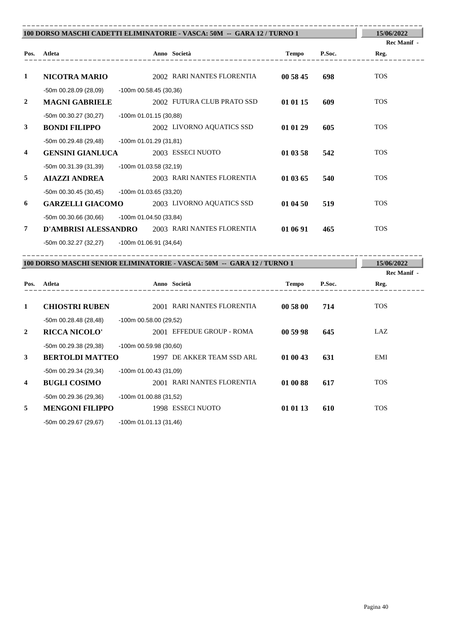|                  | 100 DORSO MASCHI CADETTI ELIMINATORIE - VASCA: 50M -- GARA 12 / TURNO 1 |                          |                                                                        |              |        |                            |
|------------------|-------------------------------------------------------------------------|--------------------------|------------------------------------------------------------------------|--------------|--------|----------------------------|
|                  |                                                                         |                          |                                                                        |              |        | Rec Manif -                |
|                  | Pos. Atleta                                                             |                          | Anno Società                                                           | <b>Tempo</b> | P.Soc. | Reg.                       |
|                  |                                                                         |                          |                                                                        |              |        |                            |
| 1                | <b>NICOTRA MARIO</b>                                                    |                          | 2002 RARI NANTES FLORENTIA                                             | 00 58 45     | 698    | <b>TOS</b>                 |
|                  | $-50m$ 00.28.09 (28,09)                                                 | $-100m$ 00.58.45 (30,36) |                                                                        |              |        |                            |
| $\boldsymbol{2}$ | <b>MAGNI GABRIELE</b>                                                   |                          | 2002 FUTURA CLUB PRATO SSD                                             | 01 01 15     | 609    | <b>TOS</b>                 |
|                  | $-50m$ 00.30.27 (30,27)                                                 | $-100m$ 01.01.15 (30,88) |                                                                        |              |        |                            |
| 3                | <b>BONDI FILIPPO</b>                                                    |                          | 2002 LIVORNO AQUATICS SSD                                              | 01 01 29     | 605    | <b>TOS</b>                 |
|                  | $-50m$ 00.29.48 (29,48)                                                 | -100m 01.01.29 (31,81)   |                                                                        |              |        |                            |
| 4                | <b>GENSINI GIANLUCA</b>                                                 |                          | 2003 ESSECI NUOTO                                                      | 01 03 58     | 542    | <b>TOS</b>                 |
|                  | -50m 00.31.39 (31,39)                                                   | -100m 01.03.58 (32,19)   |                                                                        |              |        |                            |
| 5                | <b>AIAZZI ANDREA</b>                                                    |                          | 2003 RARI NANTES FLORENTIA                                             | 01 03 65     | 540    | <b>TOS</b>                 |
|                  | $-50m$ 00.30.45 (30,45)                                                 | -100m 01.03.65 (33,20)   |                                                                        |              |        |                            |
| 6                | <b>GARZELLI GIACOMO</b>                                                 |                          | 2003 LIVORNO AQUATICS SSD                                              | 01 04 50     | 519    | <b>TOS</b>                 |
|                  | $-50m$ 00.30.66 (30,66)                                                 | -100m 01.04.50 (33,84)   |                                                                        |              |        |                            |
| 7                |                                                                         |                          | D'AMBRISI ALESSANDRO 2003 RARI NANTES FLORENTIA                        | 01 06 91     | 465    | <b>TOS</b>                 |
|                  | -50m 00.32.27 (32,27) -100m 01.06.91 (34,64)                            |                          |                                                                        |              |        |                            |
|                  |                                                                         |                          |                                                                        |              |        |                            |
|                  |                                                                         |                          | 100 DORSO MASCHI SENIOR ELIMINATORIE - VASCA: 50M -- GARA 12 / TURNO 1 |              |        | 15/06/2022                 |
| Pos.             | Atleta                                                                  |                          | Anno Società                                                           | Tempo        | P.Soc. | <b>Rec Manif -</b><br>Reg. |
|                  |                                                                         |                          |                                                                        |              |        |                            |
| 1                | <b>CHIOSTRI RUBEN</b>                                                   |                          | 2001 RARI NANTES FLORENTIA                                             | 00 58 00     | 714    | <b>TOS</b>                 |
|                  | -50m 00.28.48 (28,48)                                                   | -100m 00.58.00 (29,52)   |                                                                        |              |        |                            |
| 2                | <b>RICCA NICOLO'</b>                                                    |                          | 2001 EFFEDUE GROUP - ROMA                                              | 00 59 98     | 645    | LAZ                        |
|                  | -50m 00.29.38 (29,38)                                                   | $-100m$ 00.59.98 (30,60) |                                                                        |              |        |                            |
| 3                | <b>BERTOLDI MATTEO</b>                                                  |                          | 1997 DE AKKER TEAM SSD ARL                                             | 01 00 43     | 631    | EMI                        |
|                  | -50m 00.29.34 (29,34)                                                   | $-100m$ 01.00.43 (31,09) |                                                                        |              |        |                            |
| 4                | <b>BUGLI COSIMO</b>                                                     |                          | 2001 RARI NANTES FLORENTIA                                             | 01 00 88     | 617    | <b>TOS</b>                 |
|                  |                                                                         |                          |                                                                        |              |        |                            |
|                  |                                                                         |                          |                                                                        |              |        |                            |
| 5                | -50m 00.29.36 (29,36)<br><b>MENGONI FILIPPO</b>                         | -100m 01.00.88 (31,52)   | 1998 ESSECI NUOTO                                                      | 01 01 13     | 610    | <b>TOS</b>                 |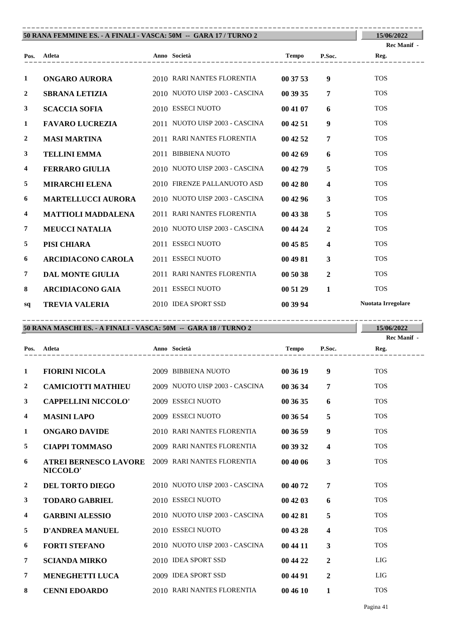| 50 RANA FEMMINE ES. - A FINALI - VASCA: 50M -- GARA 17 / TURNO 2 | 15/06/2022                |                                |          |                         |                           |
|------------------------------------------------------------------|---------------------------|--------------------------------|----------|-------------------------|---------------------------|
|                                                                  |                           |                                |          |                         | <b>Rec Manif</b> -        |
|                                                                  | Pos. Atleta               |                                |          | P.Soc.                  | Reg.                      |
| $\mathbf{1}$                                                     | ONGARO AURORA             | 2010 RARI NANTES FLORENTIA     | 00 37 53 | 9                       | <b>TOS</b>                |
| $\overline{2}$                                                   | <b>SBRANA LETIZIA</b>     | 2010 NUOTO UISP 2003 - CASCINA | 00 39 35 | $\overline{7}$          | <b>TOS</b>                |
| $\mathbf{3}$                                                     | <b>SCACCIA SOFIA</b>      | 2010 ESSECI NUOTO              | 00 41 07 | 6                       | <b>TOS</b>                |
| 1                                                                | <b>FAVARO LUCREZIA</b>    | 2011 NUOTO UISP 2003 - CASCINA | 004251   | $\boldsymbol{9}$        | <b>TOS</b>                |
| $\boldsymbol{2}$                                                 | <b>MASI MARTINA</b>       | 2011 RARI NANTES FLORENTIA     | 004252   | $\overline{7}$          | <b>TOS</b>                |
| $\mathbf{3}$                                                     | <b>TELLINI EMMA</b>       | 2011 BIBBIENA NUOTO            | 004269   | 6                       | <b>TOS</b>                |
| 4                                                                | <b>FERRARO GIULIA</b>     | 2010 NUOTO UISP 2003 - CASCINA | 00 42 79 | $\overline{5}$          | <b>TOS</b>                |
| 5                                                                | <b>MIRARCHI ELENA</b>     | 2010 FIRENZE PALLANUOTO ASD    | 00 42 80 | $\overline{\mathbf{4}}$ | <b>TOS</b>                |
| 6                                                                | <b>MARTELLUCCI AURORA</b> | 2010 NUOTO UISP 2003 - CASCINA | 004296   | $\mathbf{3}$            | <b>TOS</b>                |
| $\overline{\mathbf{4}}$                                          | MATTIOLI MADDALENA        | 2011 RARI NANTES FLORENTIA     | 00 43 38 | 5                       | <b>TOS</b>                |
| $\overline{7}$                                                   | <b>MEUCCI NATALIA</b>     | 2010 NUOTO UISP 2003 - CASCINA | 00 44 24 | $\overline{2}$          | <b>TOS</b>                |
| 5                                                                | PISI CHIARA               | 2011 ESSECI NUOTO              | 00 45 85 | $\overline{\mathbf{4}}$ | <b>TOS</b>                |
| 6                                                                | <b>ARCIDIACONO CAROLA</b> | 2011 ESSECI NUOTO              | 00 49 81 | $\mathbf{3}$            | <b>TOS</b>                |
| $\overline{7}$                                                   | <b>DAL MONTE GIULIA</b>   | 2011 RARI NANTES FLORENTIA     | 00 50 38 | $\overline{2}$          | <b>TOS</b>                |
| 8                                                                | <b>ARCIDIACONO GAIA</b>   | 2011 ESSECI NUOTO              | 00 51 29 | $\mathbf{1}$            | <b>TOS</b>                |
| sq                                                               | <b>TREVIA VALERIA</b>     | 2010 IDEA SPORT SSD            | 00 39 94 |                         | <b>Nuotata Irregolare</b> |

| 50 RANA MASCHI ES. - A FINALI - VASCA: 50M -- GARA 18 / TURNO 2 | 15/06/2022 |
|-----------------------------------------------------------------|------------|

|                |                                          |                                |          |                | Rec Manif - |
|----------------|------------------------------------------|--------------------------------|----------|----------------|-------------|
| Pos.           | Atleta                                   | Anno Società                   | Tempo    | P.Soc.         | Reg.        |
| 1              | <b>FIORINI NICOLA</b>                    | 2009 BIBBIENA NUOTO            | 00 36 19 | 9              | <b>TOS</b>  |
| 2              | <b>CAMICIOTTI MATHIEU</b>                | 2009 NUOTO UISP 2003 - CASCINA | 00 36 34 | 7              | <b>TOS</b>  |
| 3              | <b>CAPPELLINI NICCOLO'</b>               | 2009 ESSECI NUOTO              | 00 36 35 | 6              | <b>TOS</b>  |
| 4              | <b>MASINI LAPO</b>                       | 2009 ESSECI NUOTO              | 00 36 54 | 5              | <b>TOS</b>  |
| 1              | <b>ONGARO DAVIDE</b>                     | 2010 RARI NANTES FLORENTIA     | 00 36 59 | 9              | <b>TOS</b>  |
| 5              | <b>CIAPPI TOMMASO</b>                    | 2009 RARI NANTES FLORENTIA     | 00 39 32 | 4              | <b>TOS</b>  |
| 6              | <b>ATREI BERNESCO LAVORE</b><br>NICCOLO' | 2009 RARI NANTES FLORENTIA     | 00 40 06 | 3              | <b>TOS</b>  |
| $\overline{2}$ | DEL TORTO DIEGO                          | 2010 NUOTO UISP 2003 - CASCINA | 00 40 72 | 7              | <b>TOS</b>  |
| 3              | <b>TODARO GABRIEL</b>                    | 2010 ESSECI NUOTO              | 00 42 03 | 6              | <b>TOS</b>  |
| 4              | <b>GARBINI ALESSIO</b>                   | 2010 NUOTO UISP 2003 - CASCINA | 00 42 81 | 5              | <b>TOS</b>  |
| 5              | <b>D'ANDREA MANUEL</b>                   | 2010 ESSECI NUOTO              | 00 43 28 | 4              | <b>TOS</b>  |
| 6              | <b>FORTI STEFANO</b>                     | 2010 NUOTO UISP 2003 - CASCINA | 00 44 11 | 3              | <b>TOS</b>  |
| 7              | <b>SCIANDA MIRKO</b>                     | 2010 IDEA SPORT SSD            | 00 44 22 | $\overline{2}$ | LIG         |
| 7              | <b>MENEGHETTI LUCA</b>                   | 2009 IDEA SPORT SSD            | 00 44 91 | $\overline{2}$ | LIG         |
| 8              | <b>CENNI EDOARDO</b>                     | 2010 RARI NANTES FLORENTIA     | 00 46 10 | 1              | <b>TOS</b>  |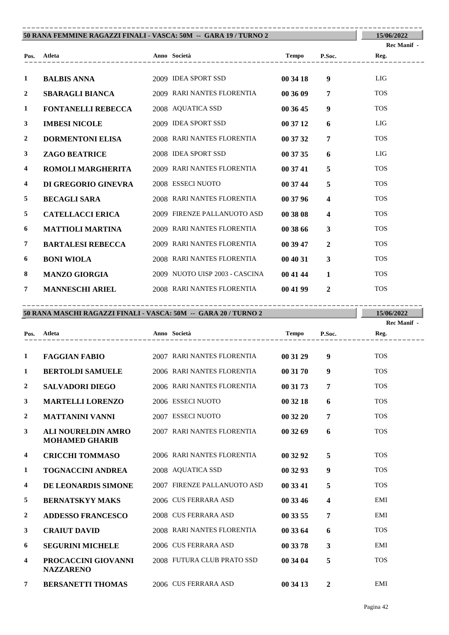| 50 RANA FEMMINE RAGAZZI FINALI - VASCA: 50M -- GARA 19 / TURNO 2 |                                                      | 15/06/2022                     |          |                         |             |
|------------------------------------------------------------------|------------------------------------------------------|--------------------------------|----------|-------------------------|-------------|
|                                                                  |                                                      |                                |          |                         | Rec Manif - |
| Pos.                                                             | Atleta<br>Anno Società<br>-------------------------- |                                | Tempo    | P.Soc.                  | Reg.        |
| 1                                                                | <b>BALBIS ANNA</b>                                   | 2009 IDEA SPORT SSD            | 00 34 18 | 9                       | <b>LIG</b>  |
| $\overline{2}$                                                   | <b>SBARAGLI BIANCA</b>                               | 2009 RARI NANTES FLORENTIA     | 00 36 09 | $\overline{7}$          | <b>TOS</b>  |
| 1                                                                | <b>FONTANELLI REBECCA</b>                            | 2008 AQUATICA SSD              | 00 36 45 | $\boldsymbol{9}$        | <b>TOS</b>  |
| $\mathbf{3}$                                                     | <b>IMBESI NICOLE</b>                                 | 2009 IDEA SPORT SSD            | 00 37 12 | 6                       | LIG         |
| $\overline{2}$                                                   | <b>DORMENTONI ELISA</b>                              | 2008 RARI NANTES FLORENTIA     | 00 37 32 | $\overline{7}$          | <b>TOS</b>  |
| 3                                                                | <b>ZAGO BEATRICE</b>                                 | 2008 IDEA SPORT SSD            | 00 37 35 | 6                       | <b>LIG</b>  |
| 4                                                                | <b>ROMOLI MARGHERITA</b>                             | 2009 RARI NANTES FLORENTIA     | 00 37 41 | 5                       | <b>TOS</b>  |
| 4                                                                | DI GREGORIO GINEVRA                                  | 2008 ESSECI NUOTO              | 00 37 44 | 5                       | <b>TOS</b>  |
| 5                                                                | <b>BECAGLI SARA</b>                                  | 2008 RARI NANTES FLORENTIA     | 00 37 96 | $\overline{\mathbf{4}}$ | <b>TOS</b>  |
| 5                                                                | <b>CATELLACCI ERICA</b>                              | 2009 FIRENZE PALLANUOTO ASD    | 00 38 08 | $\overline{\mathbf{4}}$ | <b>TOS</b>  |
| 6                                                                | <b>MATTIOLI MARTINA</b>                              | 2009 RARI NANTES FLORENTIA     | 00 38 66 | $\mathbf{3}$            | <b>TOS</b>  |
| $\overline{7}$                                                   | <b>BARTALESI REBECCA</b>                             | 2009 RARI NANTES FLORENTIA     | 00 39 47 | $\overline{2}$          | <b>TOS</b>  |
| 6                                                                | <b>BONI WIOLA</b>                                    | 2008 RARI NANTES FLORENTIA     | 00 40 31 | $\mathbf{3}$            | <b>TOS</b>  |
| 8                                                                | <b>MANZO GIORGIA</b>                                 | 2009 NUOTO UISP 2003 - CASCINA | 00 41 44 | $\mathbf{1}$            | <b>TOS</b>  |
| $\tau$                                                           | <b>MANNESCHI ARIEL</b>                               | 2008 RARI NANTES FLORENTIA     | 00 41 99 | $\mathbf{2}$            | <b>TOS</b>  |

| 50 RANA MASCHI RAGAZZI FINALI - VASCA: 50M -- GARA 20 / TURNO 2 | 15/06/2022                                         |                             |              |                  |             |
|-----------------------------------------------------------------|----------------------------------------------------|-----------------------------|--------------|------------------|-------------|
|                                                                 |                                                    |                             |              |                  | Rec Manif - |
| Pos.                                                            | Atleta                                             | Anno Società                | <b>Tempo</b> | P.Soc.           | Reg.        |
|                                                                 |                                                    |                             |              |                  |             |
| 1                                                               | <b>FAGGIAN FABIO</b>                               | 2007 RARI NANTES FLORENTIA  | 00 31 29     | $\boldsymbol{9}$ | <b>TOS</b>  |
| 1                                                               | <b>BERTOLDI SAMUELE</b>                            | 2006 RARI NANTES FLORENTIA  | 00 31 70     | 9                | <b>TOS</b>  |
| $\mathbf{2}$                                                    | <b>SALVADORI DIEGO</b>                             | 2006 RARI NANTES FLORENTIA  | 00 31 73     | 7                | <b>TOS</b>  |
| 3                                                               | <b>MARTELLI LORENZO</b>                            | 2006 ESSECI NUOTO           | 00 32 18     | 6                | <b>TOS</b>  |
| 2                                                               | <b>MATTANINI VANNI</b>                             | 2007 ESSECI NUOTO           | 00 32 20     | 7                | <b>TOS</b>  |
| 3                                                               | <b>ALI NOURELDIN AMRO</b><br><b>MOHAMED GHARIB</b> | 2007 RARI NANTES FLORENTIA  | 00 32 69     | 6                | <b>TOS</b>  |
| $\overline{4}$                                                  | <b>CRICCHI TOMMASO</b>                             | 2006 RARI NANTES FLORENTIA  | 00 32 92     | 5                | <b>TOS</b>  |
| 1                                                               | <b>TOGNACCINI ANDREA</b>                           | 2008 AQUATICA SSD           | 00 32 93     | $\boldsymbol{9}$ | <b>TOS</b>  |
| 4                                                               | DE LEONARDIS SIMONE                                | 2007 FIRENZE PALLANUOTO ASD | 00 33 41     | 5                | <b>TOS</b>  |
| 5                                                               | <b>BERNATSKYY MAKS</b>                             | 2006 CUS FERRARA ASD        | 00 33 46     | 4                | EMI         |
| $\overline{2}$                                                  | <b>ADDESSO FRANCESCO</b>                           | 2008 CUS FERRARA ASD        | 00 33 55     | 7                | EMI         |
| 3                                                               | <b>CRAIUT DAVID</b>                                | 2008 RARI NANTES FLORENTIA  | 00 33 64     | 6                | <b>TOS</b>  |
| 6                                                               | <b>SEGURINI MICHELE</b>                            | 2006 CUS FERRARA ASD        | 00 33 78     | 3                | EMI         |
| 4                                                               | PROCACCINI GIOVANNI<br><b>NAZZARENO</b>            | 2008 FUTURA CLUB PRATO SSD  | 00 34 04     | 5                | <b>TOS</b>  |
| 7                                                               | <b>BERSANETTI THOMAS</b>                           | 2006 CUS FERRARA ASD        | 00 34 13     | $\mathbf{2}$     | <b>EMI</b>  |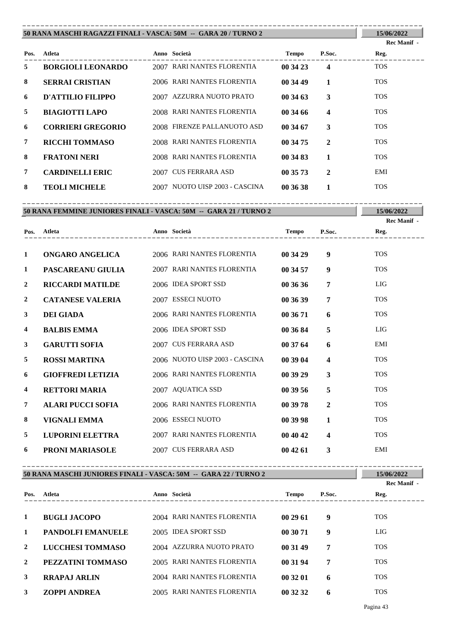| 50 RANA MASCHI RAGAZZI FINALI - VASCA: 50M -- GARA 20 / TURNO 2 | 15/06/2022               |              |                             |              |              |             |
|-----------------------------------------------------------------|--------------------------|--------------|-----------------------------|--------------|--------------|-------------|
|                                                                 |                          |              |                             |              |              | Rec Manif - |
| Pos.                                                            | Atleta                   | Anno Società |                             | <b>Tempo</b> | P.Soc.       | Reg.        |
| 5                                                               | <b>BORGIOLI LEONARDO</b> |              | 2007 RARI NANTES FLORENTIA  | 00 34 23     | 4            | <b>TOS</b>  |
| 8                                                               | <b>SERRAI CRISTIAN</b>   |              | 2006 RARI NANTES FLORENTIA  | 00 34 49     | $\mathbf{1}$ | <b>TOS</b>  |
| 6                                                               | D'ATTILIO FILIPPO        | 2007         | AZZURRA NUOTO PRATO         | 00 34 63     | 3            | <b>TOS</b>  |
| 5                                                               | <b>BIAGIOTTI LAPO</b>    |              | 2008 RARI NANTES FLORENTIA  | 00 34 66     | 4            | <b>TOS</b>  |
| 6                                                               | <b>CORRIERI GREGORIO</b> |              | 2008 FIRENZE PALLANUOTO ASD | 00 34 67     | 3            | <b>TOS</b>  |
| 7                                                               | <b>RICCHI TOMMASO</b>    |              | 2008 RARI NANTES FLORENTIA  | 00 34 75     | $\mathbf{2}$ | <b>TOS</b>  |
| 8                                                               | <b>FRATONI NERI</b>      |              | 2008 RARI NANTES FLORENTIA  | 00 34 83     |              | <b>TOS</b>  |
| $\overline{7}$                                                  | <b>CARDINELLI ERIC</b>   |              | 2007 CUS FERRARA ASD        | 00 35 73     | 2            | EMI         |
| 8                                                               | <b>TEOLI MICHELE</b>     | 2007         | NUOTO UISP 2003 - CASCINA   | 00 36 38     |              | <b>TOS</b>  |

|              | 15/06/2022                                                        |                                |              |                         |             |
|--------------|-------------------------------------------------------------------|--------------------------------|--------------|-------------------------|-------------|
|              | 50 RANA FEMMINE JUNIORES FINALI - VASCA: 50M -- GARA 21 / TURNO 2 |                                |              |                         | Rec Manif - |
| Pos.         | Atleta                                                            | Anno Società                   | <b>Tempo</b> | P.Soc.                  | Reg.        |
| 1            | ONGARO ANGELICA                                                   | 2006 RARI NANTES FLORENTIA     | 00 34 29     | 9                       | <b>TOS</b>  |
| 1            | PASCAREANU GIULIA                                                 | 2007 RARI NANTES FLORENTIA     | 00 34 57     | 9                       | <b>TOS</b>  |
| $\mathbf{2}$ | <b>RICCARDI MATILDE</b>                                           | 2006 IDEA SPORT SSD            | 00 36 36     | 7                       | <b>LIG</b>  |
| 2            | <b>CATANESE VALERIA</b>                                           | 2007 ESSECI NUOTO              | 00 36 39     | 7                       | <b>TOS</b>  |
| 3            | <b>DEI GIADA</b>                                                  | 2006 RARI NANTES FLORENTIA     | 00 36 71     | 6                       | <b>TOS</b>  |
| 4            | <b>BALBIS EMMA</b>                                                | 2006 IDEA SPORT SSD            | 00 36 84     | 5                       | <b>LIG</b>  |
| 3            | <b>GARUTTI SOFIA</b>                                              | 2007 CUS FERRARA ASD           | 00 37 64     | 6                       | EMI         |
| 5            | <b>ROSSI MARTINA</b>                                              | 2006 NUOTO UISP 2003 - CASCINA | 00 39 04     | $\overline{\mathbf{4}}$ | <b>TOS</b>  |
| 6            | <b>GIOFFREDI LETIZIA</b>                                          | 2006 RARI NANTES FLORENTIA     | 00 39 29     | 3                       | <b>TOS</b>  |
| 4            | <b>RETTORI MARIA</b>                                              | 2007 AQUATICA SSD              | 00 39 56     | 5                       | <b>TOS</b>  |
| 7            | <b>ALARI PUCCI SOFIA</b>                                          | 2006 RARI NANTES FLORENTIA     | 00 39 78     | $\mathbf{2}$            | <b>TOS</b>  |
| 8            | <b>VIGNALI EMMA</b>                                               | 2006 ESSECI NUOTO              | 00 39 98     | $\mathbf{1}$            | <b>TOS</b>  |
| 5            | <b>LUPORINI ELETTRA</b>                                           | 2007 RARI NANTES FLORENTIA     | 00 40 42     | 4                       | <b>TOS</b>  |
| 6            | <b>PRONI MARIASOLE</b>                                            | 2007 CUS FERRARA ASD           | 004261       | 3                       | EMI         |

| 50 RANA MASCHI JUNIORES FINALI - VASCA: 50M -- GARA 22 / TURNO 2 | 15/06/2022<br>Rec Manif - |                            |              |        |            |
|------------------------------------------------------------------|---------------------------|----------------------------|--------------|--------|------------|
| Pos.                                                             | Atleta                    | Anno Società               | <b>Tempo</b> | P.Soc. | Reg.       |
|                                                                  | <b>BUGLI JACOPO</b>       | 2004 RARI NANTES FLORENTIA | 002961       | 9      | <b>TOS</b> |
|                                                                  | <b>PANDOLFI EMANUELE</b>  | 2005 IDEA SPORT SSD        | 00 30 71     | 9      | LIG        |
| 2                                                                | LUCCHESI TOMMASO          | 2004 AZZURRA NUOTO PRATO   | 00 31 49     | 7      | <b>TOS</b> |
| 2                                                                | PEZZATINI TOMMASO         | 2005 RARI NANTES FLORENTIA | 00 31 94     | 7      | <b>TOS</b> |
| 3                                                                | <b>RRAPAJ ARLIN</b>       | 2004 RARI NANTES FLORENTIA | 00 32 01     | 6      | <b>TOS</b> |
| 3                                                                | <b>ZOPPI ANDREA</b>       | 2005 RARI NANTES FLORENTIA | 00 32 32     | 6      | <b>TOS</b> |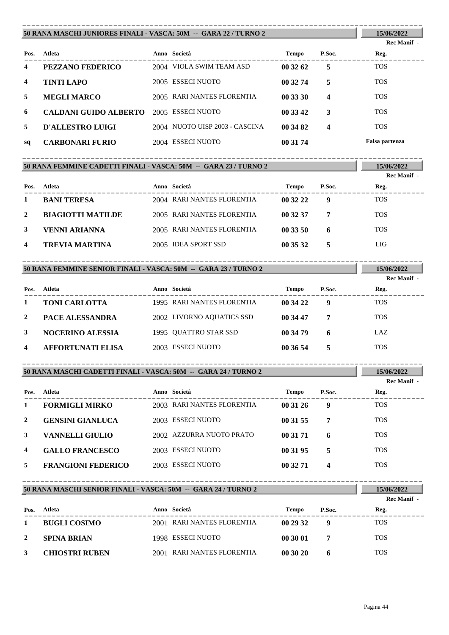|      | 50 RANA MASCHI JUNIORES FINALI - VASCA: 50M -- GARA 22 / TURNO 2 |  |                                |              |        |                |  |
|------|------------------------------------------------------------------|--|--------------------------------|--------------|--------|----------------|--|
|      |                                                                  |  |                                |              |        | Rec Manif -    |  |
| Pos. | Atleta                                                           |  | Anno Società                   | <b>Tempo</b> | P.Soc. | Reg.           |  |
| 4    | PEZZANO FEDERICO                                                 |  | 2004 VIOLA SWIM TEAM ASD       | 00 32 62     | 5      | <b>TOS</b>     |  |
| 4    | <b>TINTI LAPO</b>                                                |  | 2005 ESSECI NUOTO              | 00 32 74     | 5      | <b>TOS</b>     |  |
| 5    | <b>MEGLI MARCO</b>                                               |  | 2005 RARI NANTES FLORENTIA     | 00 33 30     | 4      | <b>TOS</b>     |  |
| 6    | <b>CALDANI GUIDO ALBERTO</b>                                     |  | 2005 ESSECI NUOTO              | 00 33 42     | 3      | <b>TOS</b>     |  |
| 5    | D'ALLESTRO LUIGI                                                 |  | 2004 NUOTO UISP 2003 - CASCINA | 00 34 82     | 4      | <b>TOS</b>     |  |
| sq   | <b>CARBONARI FURIO</b>                                           |  | 2004 ESSECI NUOTO              | 00 31 74     |        | Falsa partenza |  |

|      | 50 RANA FEMMINE CADETTI FINALI - VASCA: 50M -- GARA 23 / TURNO 2 |  |                            |          |        |             |  |
|------|------------------------------------------------------------------|--|----------------------------|----------|--------|-------------|--|
|      |                                                                  |  |                            |          |        | Rec Manif - |  |
| Pos. | Atleta                                                           |  | Anno Società               | Tempo    | P.Soc. | Reg.        |  |
| 1    | <b>BANI TERESA</b>                                               |  | 2004 RARI NANTES FLORENTIA | 00 32 22 | 9      | <b>TOS</b>  |  |
| 2    | <b>BIAGIOTTI MATILDE</b>                                         |  | 2005 RARI NANTES FLORENTIA | 00 32 37 | 7      | <b>TOS</b>  |  |
| 3    | VENNI ARIANNA                                                    |  | 2005 RARI NANTES FLORENTIA | 00 33 50 | 6      | <b>TOS</b>  |  |
| 4    | TREVIA MARTINA                                                   |  | 2005 IDEA SPORT SSD        | 00 35 32 | 5      | LIG         |  |

| 50 RANA FEMMINE SENIOR FINALI - VASCA: 50M -- GARA 23 / TURNO 2 | 15/06/2022<br>Rec Manif - |                            |              |        |            |
|-----------------------------------------------------------------|---------------------------|----------------------------|--------------|--------|------------|
| Pos.                                                            | Atleta                    | Anno Società               | <b>Tempo</b> | P.Soc. | Reg.       |
|                                                                 | <b>TONI CARLOTTA</b>      | 1995 RARI NANTES FLORENTIA | 00 34 22     | 9      | <b>TOS</b> |
| 2                                                               | <b>PACE ALESSANDRA</b>    | 2002 LIVORNO AQUATICS SSD  | 00 34 47     | 7      | <b>TOS</b> |
| 3                                                               | <b>NOCERINO ALESSIA</b>   | 1995 OUATTRO STAR SSD      | 00 34 79     | 6      | LAZ.       |
| 4                                                               | <b>AFFORTUNATI ELISA</b>  | 2003 ESSECI NUOTO          | 00 36 54     | 5      | <b>TOS</b> |

| 50 RANA MASCHI CADETTI FINALI - VASCA: 50M -- GARA 24 / TURNO 2 | 15/06/2022 |
|-----------------------------------------------------------------|------------|

|      |                           |                            |          |        | Rec Manif - |  |
|------|---------------------------|----------------------------|----------|--------|-------------|--|
| Pos. | Atleta                    | Anno Società               | Tempo    | P.Soc. | Reg.        |  |
|      | <b>FORMIGLI MIRKO</b>     | 2003 RARI NANTES FLORENTIA | 00 31 26 | 9      | <b>TOS</b>  |  |
| 2    | <b>GENSINI GIANLUCA</b>   | 2003 ESSECI NUOTO          | 00 31 55 | 7      | <b>TOS</b>  |  |
| 3    | VANNELLI GIULIO           | 2002 AZZURRA NUOTO PRATO   | 00 31 71 | 6      | <b>TOS</b>  |  |
| 4    | <b>GALLO FRANCESCO</b>    | 2003 ESSECI NUOTO          | 00 31 95 | 5      | <b>TOS</b>  |  |
| 5.   | <b>FRANGIONI FEDERICO</b> | 2003 ESSECI NUOTO          | 00 32 71 | 4      | <b>TOS</b>  |  |

```
50 RANA MASCHI SENIOR FINALI - VASCA: 50M -- GARA 24 / TURNO 2
----------------------------------------------------------------------------------------
```

|              |                       |                            |          |        | <b>Rec Manif</b> - |
|--------------|-----------------------|----------------------------|----------|--------|--------------------|
| Pos.         | Atleta                | Anno Società               | Tempo    | P.Soc. | Reg.               |
|              | <b>BUGLI COSIMO</b>   | 2001 RARI NANTES FLORENTIA | 00 29 32 | Ф      | <b>TOS</b>         |
| $\mathbf{2}$ | <b>SPINA BRIAN</b>    | 1998 ESSECI NUOTO          | 00 30 01 |        | <b>TOS</b>         |
| 3            | <b>CHIOSTRI RUBEN</b> | 2001 RARI NANTES FLORENTIA | 003020   |        | <b>TOS</b>         |

**15/06/2022**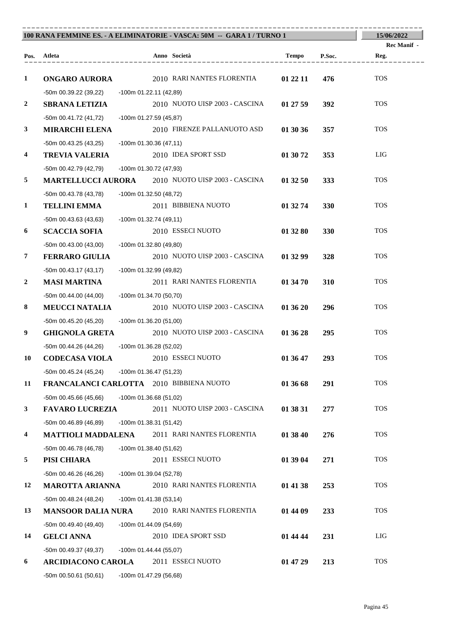| 100 RANA FEMMINE ES. - A ELIMINATORIE - VASCA: 50M -- GARA 1 / TURNO 1 | 15/06/2022                               |                                                          |                        |                     |
|------------------------------------------------------------------------|------------------------------------------|----------------------------------------------------------|------------------------|---------------------|
|                                                                        | Pos. Atleta                              | Anno Società                                             | Tempo<br>P.Soc.        | Rec Manif -<br>Reg. |
|                                                                        |                                          |                                                          |                        |                     |
| $\mathbf{1}$                                                           | <b>ONGARO AURORA</b>                     | 2010 RARI NANTES FLORENTIA                               | 01 22 11<br>476        | <b>TOS</b>          |
|                                                                        | -50m 00.39.22 (39,22)                    | -100m 01.22.11 (42,89)                                   |                        |                     |
| $\boldsymbol{2}$                                                       | <b>SBRANA LETIZIA</b>                    | 2010 NUOTO UISP 2003 - CASCINA                           | 01 27 59<br>392        | <b>TOS</b>          |
|                                                                        | -50m 00.41.72 (41,72)                    | -100m 01.27.59 (45,87)                                   |                        |                     |
| 3                                                                      | <b>MIRARCHI ELENA</b>                    | 2010 FIRENZE PALLANUOTO ASD                              | 01 30 36<br>357        | <b>TOS</b>          |
|                                                                        | $-50m$ 00.43.25 (43,25)                  | $-100m$ 01.30.36 (47,11)                                 |                        |                     |
| 4                                                                      | <b>TREVIA VALERIA</b>                    | 2010 IDEA SPORT SSD                                      | 353<br>01 30 72        | LIG                 |
|                                                                        | -50m 00.42.79 (42,79)                    | -100m 01.30.72 (47,93)                                   |                        |                     |
| 5                                                                      |                                          | <b>MARTELLUCCI AURORA</b> 2010 NUOTO UISP 2003 - CASCINA | 01 32 50<br>333        | <b>TOS</b>          |
|                                                                        | -50m 00.43.78 (43.78)                    | -100m 01.32.50 (48,72)                                   |                        |                     |
| $\mathbf{1}$                                                           | <b>TELLINI EMMA</b>                      | 2011 BIBBIENA NUOTO                                      | 01 32 74<br>330        | <b>TOS</b>          |
|                                                                        | $-50m$ 00.43.63 (43,63)                  | $-100m$ 01.32.74 (49,11)                                 |                        |                     |
| 6                                                                      | <b>SCACCIA SOFIA</b>                     | 2010 ESSECI NUOTO                                        | 01 32 80<br><b>330</b> | <b>TOS</b>          |
|                                                                        | $-50m$ 00.43.00 (43,00)                  | -100m 01.32.80 (49,80)                                   |                        |                     |
| $\overline{7}$                                                         | <b>FERRARO GIULIA</b>                    | 2010 NUOTO UISP 2003 - CASCINA                           | 01 32 99<br>328        | <b>TOS</b>          |
|                                                                        | $-50m$ 00.43.17 (43,17)                  | -100m 01.32.99 (49,82)                                   |                        |                     |
| 2                                                                      | <b>MASI MARTINA</b>                      | 2011 RARI NANTES FLORENTIA                               | 310<br>01 34 70        | <b>TOS</b>          |
|                                                                        | $-50m$ 00.44.00 (44,00)                  | -100m 01.34.70 (50,70)                                   |                        |                     |
| 8                                                                      | <b>MEUCCI NATALIA</b>                    | 2010 NUOTO UISP 2003 - CASCINA                           | 01 36 20<br>296        | <b>TOS</b>          |
|                                                                        | -50m 00.45.20 (45,20)                    | -100m 01.36.20 (51,00)                                   |                        |                     |
| 9                                                                      | <b>GHIGNOLA GRETA</b>                    | 2010 NUOTO UISP 2003 - CASCINA                           | 01 36 28<br>295        | <b>TOS</b>          |
|                                                                        | $-50m$ 00.44.26 (44,26)                  | -100m 01.36.28 (52,02)                                   |                        |                     |
| 10                                                                     | <b>CODECASA VIOLA</b>                    | 2010 ESSECI NUOTO                                        | 01 36 47<br>293        | <b>TOS</b>          |
|                                                                        | $-50m$ 00.45.24 (45,24)                  | $-100m$ 01.36.47 (51,23)                                 |                        |                     |
| 11                                                                     | FRANCALANCI CARLOTTA 2010 BIBBIENA NUOTO |                                                          | 01 36 68<br>291        | <b>TOS</b>          |
|                                                                        | $-50m$ 00.45.66 (45,66)                  | $-100m$ 01.36.68 (51,02)                                 |                        |                     |
| 3                                                                      | <b>FAVARO LUCREZIA</b>                   | 2011 NUOTO UISP 2003 - CASCINA                           | 01 38 31<br>277        | <b>TOS</b>          |
|                                                                        | $-50m$ 00.46.89 (46,89)                  | $-100m$ 01.38.31 (51,42)                                 |                        |                     |
| 4                                                                      | <b>MATTIOLI MADDALENA</b>                | 2011 RARI NANTES FLORENTIA                               | 01 38 40<br>276        | <b>TOS</b>          |
|                                                                        | $-50m$ 00.46.78 (46,78)                  | $-100m$ 01.38.40 (51,62)                                 |                        |                     |
| 5                                                                      | PISI CHIARA                              | 2011 ESSECI NUOTO                                        | 01 39 04<br>271        | <b>TOS</b>          |
|                                                                        | -50m 00.46.26 (46,26)                    | $-100m$ 01.39.04 (52,78)                                 |                        |                     |
| 12                                                                     | <b>MAROTTA ARIANNA</b>                   | 2010 RARI NANTES FLORENTIA                               | 01 41 38<br>253        | <b>TOS</b>          |
|                                                                        | $-50m$ 00.48.24 (48,24)                  | $-100m 01.41.38(53,14)$                                  |                        |                     |
| 13                                                                     | <b>MANSOOR DALIA NURA</b>                | 2010 RARI NANTES FLORENTIA                               | 01 44 09<br>233        | <b>TOS</b>          |
|                                                                        | $-50m$ 00.49.40 (49,40)                  | $-100m$ 01.44.09 (54,69)                                 |                        |                     |
| 14                                                                     | <b>GELCI ANNA</b>                        | 2010 IDEA SPORT SSD                                      | 01 44 44<br>231        | LIG                 |
|                                                                        | -50m 00.49.37 (49,37)                    | $-100m$ 01.44.44 (55,07)                                 |                        |                     |
| 6                                                                      | <b>ARCIDIACONO CAROLA</b>                | 2011 ESSECI NUOTO                                        | 213<br>01 47 29        | <b>TOS</b>          |
|                                                                        | $-50m$ 00.50.61 (50,61)                  | -100m 01.47.29 (56,68)                                   |                        |                     |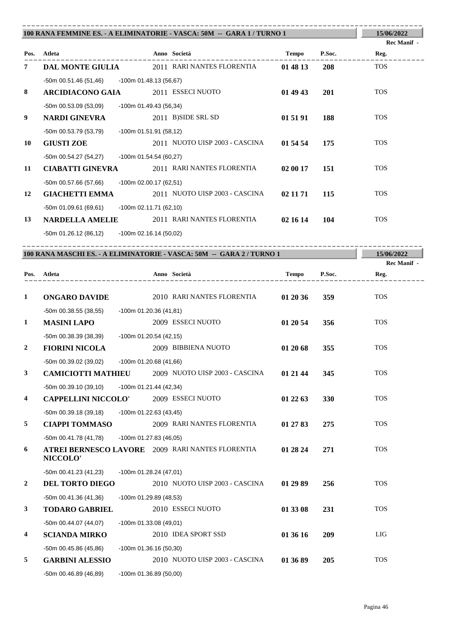|                |                                              |                          | 100 RANA FEMMINE ES. - A ELIMINATORIE - VASCA: 50M -- GARA 1 / TURNO 1 |              |        | 15/06/2022<br><b>Rec Manif</b> - |
|----------------|----------------------------------------------|--------------------------|------------------------------------------------------------------------|--------------|--------|----------------------------------|
|                | Pos. Atleta                                  |                          | Anno Società                                                           | Tempo        | P.Soc. | Reg.                             |
| 7              | DAL MONTE GIULIA                             |                          | 2011 RARI NANTES FLORENTIA                                             | 01 48 13     | 208    | <b>TOS</b>                       |
|                | -50m 00.51.46 (51,46) -100m 01.48.13 (56,67) |                          |                                                                        |              |        |                                  |
| 8              | <b>ARCIDIACONO GAIA</b>                      |                          | 2011 ESSECI NUOTO                                                      | 01 49 43     | 201    | <b>TOS</b>                       |
|                | $-50m$ 00.53.09 (53,09)                      | -100m 01.49.43 (56,34)   |                                                                        |              |        |                                  |
| 9              | NARDI GINEVRA                                |                          | 2011 B)SIDE SRL SD                                                     | 01 51 91     | 188    | <b>TOS</b>                       |
|                | -50m 00.53.79 (53,79)                        | $-100m$ 01.51.91 (58,12) |                                                                        |              |        |                                  |
| 10             | <b>GIUSTI ZOE</b>                            |                          | 2011 NUOTO UISP 2003 - CASCINA                                         | 01 54 54     | 175    | <b>TOS</b>                       |
|                | -50m 00.54.27 (54,27) -100m 01.54.54 (60,27) |                          |                                                                        |              |        |                                  |
| 11             | <b>CIABATTI GINEVRA</b>                      |                          | 2011 RARI NANTES FLORENTIA                                             | 02 00 17     | 151    | <b>TOS</b>                       |
|                | $-50m$ 00.57.66 (57,66)                      | -100m 02.00.17 (62,51)   |                                                                        |              |        |                                  |
| 12             | <b>GIACHETTI EMMA</b>                        |                          | 2011 NUOTO UISP 2003 - CASCINA                                         | 02 11 71     | 115    | <b>TOS</b>                       |
|                | -50m 01.09.61 (69,61)                        | -100m 02.11.71 (62,10)   |                                                                        |              |        |                                  |
| 13             | <b>NARDELLA AMELIE</b>                       |                          | 2011 RARI NANTES FLORENTIA                                             | 02 16 14     | 104    | <b>TOS</b>                       |
|                | -50m 01.26.12 (86,12)                        | $-100m$ 02.16.14 (50,02) |                                                                        |              |        |                                  |
|                |                                              |                          |                                                                        |              |        |                                  |
|                |                                              |                          | 100 RANA MASCHI ES. - A ELIMINATORIE - VASCA: 50M -- GARA 2 / TURNO 1  |              |        | 15/06/2022                       |
|                |                                              |                          |                                                                        |              |        | Rec Manif -                      |
|                | Pos. Atleta<br>------------------            |                          | Anno Società<br>.<br>---------------------                             | <b>Tempo</b> | P.Soc. | Reg.                             |
| 1              | <b>ONGARO DAVIDE</b>                         |                          | 2010 RARI NANTES FLORENTIA                                             | 01 20 36     | 359    | <b>TOS</b>                       |
|                | -50m 00.38.55 (38,55)                        | $-100m$ 01.20.36 (41,81) |                                                                        |              |        |                                  |
| $\mathbf{1}$   | <b>MASINI LAPO</b>                           |                          | 2009 ESSECI NUOTO                                                      | 01 20 54     | 356    | <b>TOS</b>                       |
|                | -50m 00.38.39 (38,39)                        | $-100m$ 01.20.54 (42,15) |                                                                        |              |        |                                  |
| $\overline{2}$ | <b>FIORINI NICOLA</b>                        |                          | 2009 BIBBIENA NUOTO                                                    | 01 20 68     | 355    | <b>TOS</b>                       |
|                | -50m 00.39.02 (39.02)                        | $-100m$ 01.20.68 (41.66) |                                                                        |              |        |                                  |

|                         | -50m 00.39.02 (39,02)      | $-100m$ 01.20.68 (41,66) |                                                  |          |            |            |
|-------------------------|----------------------------|--------------------------|--------------------------------------------------|----------|------------|------------|
| 3                       | <b>CAMICIOTTI MATHIEU</b>  |                          | 2009 NUOTO UISP 2003 - CASCINA                   | 01 21 44 | 345        | <b>TOS</b> |
|                         | -50m 00.39.10 (39,10)      | $-100m$ 01.21.44 (42,34) |                                                  |          |            |            |
| $\overline{4}$          | <b>CAPPELLINI NICCOLO'</b> |                          | 2009 ESSECI NUOTO                                | 01 22 63 | <b>330</b> | <b>TOS</b> |
|                         | $-50m$ 00.39.18 (39,18)    | $-100m$ 01.22.63 (43,45) |                                                  |          |            |            |
| 5                       | <b>CIAPPI TOMMASO</b>      |                          | 2009 RARI NANTES FLORENTIA                       | 01 27 83 | 275        | <b>TOS</b> |
|                         | -50m 00.41.78 (41,78)      | $-100m$ 01.27.83 (46,05) |                                                  |          |            |            |
| 6                       | <b>NICCOLO'</b>            |                          | ATREI BERNESCO LAVORE 2009 RARI NANTES FLORENTIA | 01 28 24 | 271        | <b>TOS</b> |
|                         | -50m 00.41.23 (41,23)      | $-100m$ 01.28.24 (47,01) |                                                  |          |            |            |
| $\overline{2}$          | <b>DEL TORTO DIEGO</b>     |                          | 2010 NUOTO UISP 2003 - CASCINA                   | 01 29 89 | 256        | <b>TOS</b> |
|                         | $-50m$ 00.41.36 (41,36)    | -100m 01.29.89 (48,53)   |                                                  |          |            |            |
| 3                       | <b>TODARO GABRIEL</b>      |                          | 2010 ESSECI NUOTO                                | 01 33 08 | 231        | <b>TOS</b> |
|                         | $-50m$ 00.44.07 (44,07)    | $-100m$ 01.33.08 (49,01) |                                                  |          |            |            |
| $\overline{\mathbf{4}}$ | <b>SCIANDA MIRKO</b>       |                          | 2010 IDEA SPORT SSD                              | 01 36 16 | 209        | LIG        |
|                         | -50m 00.45.86 (45,86)      | $-100m$ 01.36.16 (50,30) |                                                  |          |            |            |
| 5                       | <b>GARBINI ALESSIO</b>     |                          | 2010 NUOTO UISP 2003 - CASCINA                   | 01 36 89 | 205        | <b>TOS</b> |
|                         | $-50m$ 00.46.89 (46,89)    | $-100m$ 01.36.89 (50,00) |                                                  |          |            |            |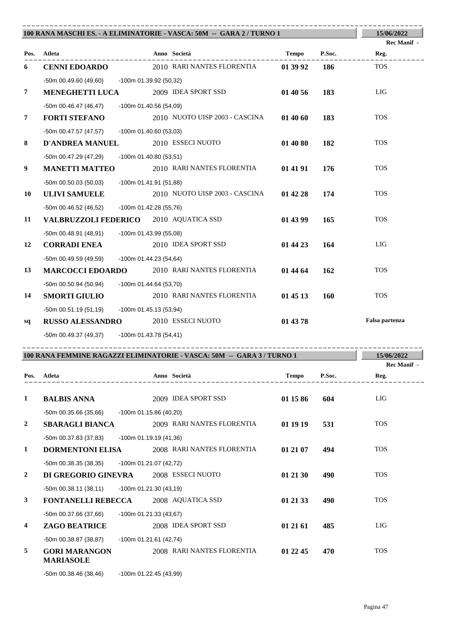|              |                                              |                          | 100 RANA MASCHI ES. - A ELIMINATORIE - VASCA: 50M -- GARA 2 / TURNO 1  |              |            | 15/06/2022          |
|--------------|----------------------------------------------|--------------------------|------------------------------------------------------------------------|--------------|------------|---------------------|
|              | Pos. Atleta                                  |                          | Anno Società                                                           | Tempo        | P.Soc.     | Rec Manif -<br>Reg. |
| 6            | <b>CENNI EDOARDO</b>                         |                          | 2010 RARI NANTES FLORENTIA                                             | 01 39 92     | 186        | <b>TOS</b>          |
|              | -50m 00.49.60 (49,60) -100m 01.39.92 (50,32) |                          |                                                                        |              |            |                     |
| 7            | <b>MENEGHETTI LUCA</b>                       |                          | 2009 IDEA SPORT SSD                                                    | 01 40 56     | 183        | LIG                 |
|              | -50m 00.46.47 (46,47)                        | -100m 01.40.56 (54,09)   |                                                                        |              |            |                     |
| 7            | <b>FORTI STEFANO</b>                         |                          | 2010 NUOTO UISP 2003 - CASCINA                                         | 014060       | 183        | <b>TOS</b>          |
|              | $-50m$ 00.47.57 (47,57)                      | -100m 01.40.60 (53,03)   |                                                                        |              |            |                     |
| 8            | <b>D'ANDREA MANUEL</b>                       |                          | 2010 ESSECI NUOTO                                                      | 01 40 80     | 182        | <b>TOS</b>          |
|              | -50m 00.47.29 (47,29)                        | -100m 01.40.80 (53,51)   |                                                                        |              |            |                     |
| 9            | <b>MANETTI MATTEO</b>                        |                          | 2010 RARI NANTES FLORENTIA                                             | 01 41 91     | 176        | <b>TOS</b>          |
|              | $-50m$ 00.50.03 (50,03)                      | $-100m$ 01.41.91 (51,88) |                                                                        |              |            |                     |
| 10           | <b>ULIVI SAMUELE</b>                         |                          | 2010 NUOTO UISP 2003 - CASCINA                                         | 01 42 28     | 174        | <b>TOS</b>          |
|              | -50m 00.46.52 (46,52)                        | -100m 01.42.28 (55,76)   |                                                                        |              |            |                     |
| 11           | VALBRUZZOLI FEDERICO 2010 AQUATICA SSD       |                          |                                                                        | 01 43 99     | 165        | <b>TOS</b>          |
|              | -50m 00.48.91 (48,91)                        | $-100m$ 01.43.99 (55,08) |                                                                        |              |            |                     |
| 12           | <b>CORRADI ENEA</b>                          |                          | 2010 IDEA SPORT SSD                                                    | 01 44 23     | 164        | LIG                 |
|              | -50m 00.49.59 (49,59)                        | -100m 01.44.23 (54,64)   |                                                                        |              |            |                     |
| 13           | <b>MARCOCCI EDOARDO</b>                      |                          | 2010 RARI NANTES FLORENTIA                                             | 01 44 64     | 162        | <b>TOS</b>          |
|              | -50m 00.50.94 (50,94)                        | -100m 01.44.64 (53,70)   |                                                                        |              |            |                     |
| 14           | <b>SMORTI GIULIO</b>                         |                          | 2010 RARI NANTES FLORENTIA                                             | 01 45 13     | <b>160</b> | <b>TOS</b>          |
|              | -50m 00.51.19 (51,19) -100m 01.45.13 (53,94) |                          |                                                                        |              |            |                     |
| sq           | <b>RUSSO ALESSANDRO</b> 2010 ESSECI NUOTO    |                          |                                                                        | 01 43 78     |            | Falsa partenza      |
|              | -50m 00.49.37 (49,37) -100m 01.43.78 (54,41) |                          |                                                                        |              |            |                     |
|              |                                              |                          | 100 RANA FEMMINE RAGAZZI ELIMINATORIE - VASCA: 50M -- GARA 3 / TURNO 1 |              |            | 15/06/2022          |
|              |                                              |                          |                                                                        |              |            | Rec Manif -         |
| Pos.         | Atleta                                       |                          | Anno Società                                                           | <b>Tempo</b> | P.Soc.     | Reg.                |
| $\mathbf{1}$ | <b>BALBIS ANNA</b>                           |                          | 2009 IDEA SPORT SSD                                                    | 01 15 86     | 604        | LIG                 |
|              | $-50m$ 00.35.66 (35,66)                      | -100m 01.15.86 (40,20)   |                                                                        |              |            |                     |
| 2            | <b>SBARAGLI BIANCA</b>                       |                          | 2009 RARI NANTES FLORENTIA                                             | 01 19 19     | 531        | <b>TOS</b>          |
|              | -50m 00.37.83 (37,83)                        | $-100m$ 01.19.19 (41,36) |                                                                        |              |            |                     |
| 1            | <b>DORMENTONI ELISA</b>                      |                          | 2008 RARI NANTES FLORENTIA                                             | 01 21 07     | 494        | <b>TOS</b>          |
|              | -50m 00.38.35 (38,35)                        | -100m 01.21.07 (42,72)   |                                                                        |              |            |                     |
| 2            | DI GREGORIO GINEVRA                          |                          | 2008 ESSECI NUOTO                                                      | 01 21 30     | 490        | <b>TOS</b>          |
|              | $-50m$ 00.38.11 (38,11)                      | -100m 01.21.30 (43,19)   |                                                                        |              |            |                     |
| 3            | <b>FONTANELLI REBECCA</b>                    |                          | 2008 AQUATICA SSD                                                      | 01 21 33     | 490        | <b>TOS</b>          |
|              | -50m 00.37.66 (37,66)                        | -100m 01.21.33 (43,67)   |                                                                        |              |            |                     |
| 4            | <b>ZAGO BEATRICE</b>                         |                          | 2008 IDEA SPORT SSD                                                    | 01 21 61     | 485        | LIG                 |
|              | -50m 00.38.87 (38,87)                        |                          |                                                                        |              |            |                     |
|              |                                              | $-100m$ 01.21.61 (42,74) |                                                                        |              |            |                     |
| 5            | <b>GORI MARANGON</b><br><b>MARIASOLE</b>     |                          | 2008 RARI NANTES FLORENTIA                                             | 01 22 45     | 470        | <b>TOS</b>          |

Pagina 47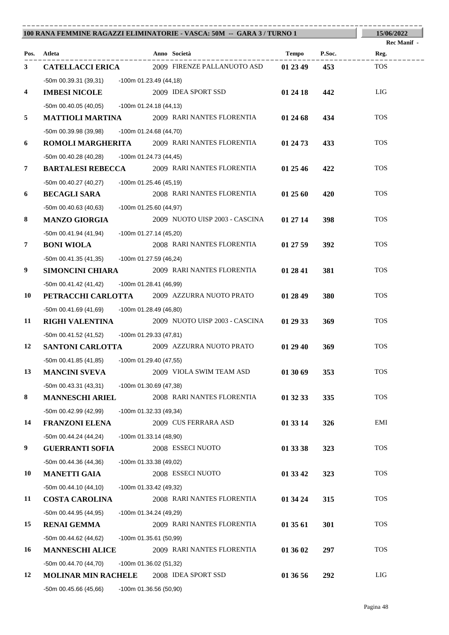| Anno Società<br>Tempo<br>P.Soc.<br>Pos. Atleta<br>Reg.<br>2009 FIRENZE PALLANUOTO ASD<br><b>TOS</b><br>01 23 49<br>3<br><b>CATELLACCI ERICA</b><br>453<br>-50m 00.39.31 (39,31) -100m 01.23.49 (44,18)<br>LIG<br>2009 IDEA SPORT SSD<br><b>IMBESI NICOLE</b><br>01 24 18<br>442<br>4<br>-50m 00.40.05 (40,05) -100m 01.24.18 (44,13)<br><b>TOS</b><br>5<br><b>MATTIOLI MARTINA</b> 2009 RARI NANTES FLORENTIA<br>434<br>01 24 68<br>-50m 00.39.98 (39,98)<br>-100m 01.24.68 (44,70)<br><b>TOS</b><br><b>ROMOLI MARGHERITA</b> 2009 RARI NANTES FLORENTIA<br>01 24 73<br>433<br>6<br>-50m 00.40.28 (40,28) -100m 01.24.73 (44,45)<br>$\overline{7}$<br>2009 RARI NANTES FLORENTIA<br><b>TOS</b><br><b>BARTALESI REBECCA</b><br>01 25 46<br>422<br>-50m 00.40.27 (40,27)<br>-100m 01.25.46 (45,19)<br>2008 RARI NANTES FLORENTIA<br><b>TOS</b><br>6<br><b>BECAGLI SARA</b><br>01 25 60<br>420<br>-50m 00.40.63 (40,63)<br>-100m 01.25.60 (44,97)<br><b>TOS</b><br>8<br>2009 NUOTO UISP 2003 - CASCINA<br><b>MANZO GIORGIA</b><br>398<br>01 27 14<br>-50m 00.41.94 (41,94)<br>-100m 01.27.14 (45,20)<br><b>TOS</b><br>$\overline{7}$<br><b>BONI WIOLA</b><br>2008 RARI NANTES FLORENTIA<br>01 27 59<br>392<br>-50m 00.41.35 (41,35)<br>-100m 01.27.59 (46,24)<br><b>TOS</b><br>2009 RARI NANTES FLORENTIA<br>9<br><b>SIMONCINI CHIARA</b><br>01 28 41<br>381<br>-50m 00.41.42 (41,42) -100m 01.28.41 (46,99)<br><b>TOS</b><br>PETRACCHI CARLOTTA 2009 AZZURRA NUOTO PRATO<br>01 28 49<br>380<br>10<br>-50m 00.41.69 (41,69) -100m 01.28.49 (46,80)<br><b>RIGHI VALENTINA</b> 2009 NUOTO UISP 2003 - CASCINA<br><b>TOS</b><br>01 29 33<br>369<br>11<br>-50m 00.41.52 (41,52) -100m 01.29.33 (47,81)<br><b>SANTONI CARLOTTA</b> 2009 AZZURRA NUOTO PRATO<br><b>TOS</b><br>12<br>01 29 40<br>369<br>-50m 00.41.85 (41,85) -100m 01.29.40 (47,55)<br><b>TOS</b><br>13<br><b>MANCINI SVEVA</b><br>2009 VIOLA SWIM TEAM ASD<br>01 30 69<br>353<br>$-50m$ 00.43.31 (43,31)<br>$-100m$ 01.30.69 (47,38)<br><b>TOS</b><br>8<br>2008 RARI NANTES FLORENTIA<br>335<br><b>MANNESCHI ARIEL</b><br>01 32 33<br>-50m 00.42.99 (42,99)<br>-100m 01.32.33 (49,34)<br>2009 CUS FERRARA ASD<br>EMI<br>14<br><b>FRANZONI ELENA</b><br>01 33 14<br>326<br>$-50m$ 00.44.24 (44,24)<br>$-100m$ 01.33.14 (48,90)<br>9<br><b>TOS</b><br>2008 ESSECI NUOTO<br><b>GUERRANTI SOFIA</b><br>01 33 38<br>323 | 100 RANA FEMMINE RAGAZZI ELIMINATORIE - VASCA: 50M -- GARA 3 / TURNO 1 |  |  |  |  |  | 15/06/2022         |
|----------------------------------------------------------------------------------------------------------------------------------------------------------------------------------------------------------------------------------------------------------------------------------------------------------------------------------------------------------------------------------------------------------------------------------------------------------------------------------------------------------------------------------------------------------------------------------------------------------------------------------------------------------------------------------------------------------------------------------------------------------------------------------------------------------------------------------------------------------------------------------------------------------------------------------------------------------------------------------------------------------------------------------------------------------------------------------------------------------------------------------------------------------------------------------------------------------------------------------------------------------------------------------------------------------------------------------------------------------------------------------------------------------------------------------------------------------------------------------------------------------------------------------------------------------------------------------------------------------------------------------------------------------------------------------------------------------------------------------------------------------------------------------------------------------------------------------------------------------------------------------------------------------------------------------------------------------------------------------------------------------------------------------------------------------------------------------------------------------------------------------------------------------------------------------------------------------------------------------------------------------------------------------------------------------------------------------------------------------------------------|------------------------------------------------------------------------|--|--|--|--|--|--------------------|
|                                                                                                                                                                                                                                                                                                                                                                                                                                                                                                                                                                                                                                                                                                                                                                                                                                                                                                                                                                                                                                                                                                                                                                                                                                                                                                                                                                                                                                                                                                                                                                                                                                                                                                                                                                                                                                                                                                                                                                                                                                                                                                                                                                                                                                                                                                                                                                            |                                                                        |  |  |  |  |  | <b>Rec Manif</b> - |
|                                                                                                                                                                                                                                                                                                                                                                                                                                                                                                                                                                                                                                                                                                                                                                                                                                                                                                                                                                                                                                                                                                                                                                                                                                                                                                                                                                                                                                                                                                                                                                                                                                                                                                                                                                                                                                                                                                                                                                                                                                                                                                                                                                                                                                                                                                                                                                            |                                                                        |  |  |  |  |  |                    |
|                                                                                                                                                                                                                                                                                                                                                                                                                                                                                                                                                                                                                                                                                                                                                                                                                                                                                                                                                                                                                                                                                                                                                                                                                                                                                                                                                                                                                                                                                                                                                                                                                                                                                                                                                                                                                                                                                                                                                                                                                                                                                                                                                                                                                                                                                                                                                                            |                                                                        |  |  |  |  |  |                    |
|                                                                                                                                                                                                                                                                                                                                                                                                                                                                                                                                                                                                                                                                                                                                                                                                                                                                                                                                                                                                                                                                                                                                                                                                                                                                                                                                                                                                                                                                                                                                                                                                                                                                                                                                                                                                                                                                                                                                                                                                                                                                                                                                                                                                                                                                                                                                                                            |                                                                        |  |  |  |  |  |                    |
|                                                                                                                                                                                                                                                                                                                                                                                                                                                                                                                                                                                                                                                                                                                                                                                                                                                                                                                                                                                                                                                                                                                                                                                                                                                                                                                                                                                                                                                                                                                                                                                                                                                                                                                                                                                                                                                                                                                                                                                                                                                                                                                                                                                                                                                                                                                                                                            |                                                                        |  |  |  |  |  |                    |
|                                                                                                                                                                                                                                                                                                                                                                                                                                                                                                                                                                                                                                                                                                                                                                                                                                                                                                                                                                                                                                                                                                                                                                                                                                                                                                                                                                                                                                                                                                                                                                                                                                                                                                                                                                                                                                                                                                                                                                                                                                                                                                                                                                                                                                                                                                                                                                            |                                                                        |  |  |  |  |  |                    |
|                                                                                                                                                                                                                                                                                                                                                                                                                                                                                                                                                                                                                                                                                                                                                                                                                                                                                                                                                                                                                                                                                                                                                                                                                                                                                                                                                                                                                                                                                                                                                                                                                                                                                                                                                                                                                                                                                                                                                                                                                                                                                                                                                                                                                                                                                                                                                                            |                                                                        |  |  |  |  |  |                    |
|                                                                                                                                                                                                                                                                                                                                                                                                                                                                                                                                                                                                                                                                                                                                                                                                                                                                                                                                                                                                                                                                                                                                                                                                                                                                                                                                                                                                                                                                                                                                                                                                                                                                                                                                                                                                                                                                                                                                                                                                                                                                                                                                                                                                                                                                                                                                                                            |                                                                        |  |  |  |  |  |                    |
|                                                                                                                                                                                                                                                                                                                                                                                                                                                                                                                                                                                                                                                                                                                                                                                                                                                                                                                                                                                                                                                                                                                                                                                                                                                                                                                                                                                                                                                                                                                                                                                                                                                                                                                                                                                                                                                                                                                                                                                                                                                                                                                                                                                                                                                                                                                                                                            |                                                                        |  |  |  |  |  |                    |
|                                                                                                                                                                                                                                                                                                                                                                                                                                                                                                                                                                                                                                                                                                                                                                                                                                                                                                                                                                                                                                                                                                                                                                                                                                                                                                                                                                                                                                                                                                                                                                                                                                                                                                                                                                                                                                                                                                                                                                                                                                                                                                                                                                                                                                                                                                                                                                            |                                                                        |  |  |  |  |  |                    |
|                                                                                                                                                                                                                                                                                                                                                                                                                                                                                                                                                                                                                                                                                                                                                                                                                                                                                                                                                                                                                                                                                                                                                                                                                                                                                                                                                                                                                                                                                                                                                                                                                                                                                                                                                                                                                                                                                                                                                                                                                                                                                                                                                                                                                                                                                                                                                                            |                                                                        |  |  |  |  |  |                    |
|                                                                                                                                                                                                                                                                                                                                                                                                                                                                                                                                                                                                                                                                                                                                                                                                                                                                                                                                                                                                                                                                                                                                                                                                                                                                                                                                                                                                                                                                                                                                                                                                                                                                                                                                                                                                                                                                                                                                                                                                                                                                                                                                                                                                                                                                                                                                                                            |                                                                        |  |  |  |  |  |                    |
|                                                                                                                                                                                                                                                                                                                                                                                                                                                                                                                                                                                                                                                                                                                                                                                                                                                                                                                                                                                                                                                                                                                                                                                                                                                                                                                                                                                                                                                                                                                                                                                                                                                                                                                                                                                                                                                                                                                                                                                                                                                                                                                                                                                                                                                                                                                                                                            |                                                                        |  |  |  |  |  |                    |
|                                                                                                                                                                                                                                                                                                                                                                                                                                                                                                                                                                                                                                                                                                                                                                                                                                                                                                                                                                                                                                                                                                                                                                                                                                                                                                                                                                                                                                                                                                                                                                                                                                                                                                                                                                                                                                                                                                                                                                                                                                                                                                                                                                                                                                                                                                                                                                            |                                                                        |  |  |  |  |  |                    |
|                                                                                                                                                                                                                                                                                                                                                                                                                                                                                                                                                                                                                                                                                                                                                                                                                                                                                                                                                                                                                                                                                                                                                                                                                                                                                                                                                                                                                                                                                                                                                                                                                                                                                                                                                                                                                                                                                                                                                                                                                                                                                                                                                                                                                                                                                                                                                                            |                                                                        |  |  |  |  |  |                    |
|                                                                                                                                                                                                                                                                                                                                                                                                                                                                                                                                                                                                                                                                                                                                                                                                                                                                                                                                                                                                                                                                                                                                                                                                                                                                                                                                                                                                                                                                                                                                                                                                                                                                                                                                                                                                                                                                                                                                                                                                                                                                                                                                                                                                                                                                                                                                                                            |                                                                        |  |  |  |  |  |                    |
|                                                                                                                                                                                                                                                                                                                                                                                                                                                                                                                                                                                                                                                                                                                                                                                                                                                                                                                                                                                                                                                                                                                                                                                                                                                                                                                                                                                                                                                                                                                                                                                                                                                                                                                                                                                                                                                                                                                                                                                                                                                                                                                                                                                                                                                                                                                                                                            |                                                                        |  |  |  |  |  |                    |
|                                                                                                                                                                                                                                                                                                                                                                                                                                                                                                                                                                                                                                                                                                                                                                                                                                                                                                                                                                                                                                                                                                                                                                                                                                                                                                                                                                                                                                                                                                                                                                                                                                                                                                                                                                                                                                                                                                                                                                                                                                                                                                                                                                                                                                                                                                                                                                            |                                                                        |  |  |  |  |  |                    |
|                                                                                                                                                                                                                                                                                                                                                                                                                                                                                                                                                                                                                                                                                                                                                                                                                                                                                                                                                                                                                                                                                                                                                                                                                                                                                                                                                                                                                                                                                                                                                                                                                                                                                                                                                                                                                                                                                                                                                                                                                                                                                                                                                                                                                                                                                                                                                                            |                                                                        |  |  |  |  |  |                    |
|                                                                                                                                                                                                                                                                                                                                                                                                                                                                                                                                                                                                                                                                                                                                                                                                                                                                                                                                                                                                                                                                                                                                                                                                                                                                                                                                                                                                                                                                                                                                                                                                                                                                                                                                                                                                                                                                                                                                                                                                                                                                                                                                                                                                                                                                                                                                                                            |                                                                        |  |  |  |  |  |                    |
|                                                                                                                                                                                                                                                                                                                                                                                                                                                                                                                                                                                                                                                                                                                                                                                                                                                                                                                                                                                                                                                                                                                                                                                                                                                                                                                                                                                                                                                                                                                                                                                                                                                                                                                                                                                                                                                                                                                                                                                                                                                                                                                                                                                                                                                                                                                                                                            |                                                                        |  |  |  |  |  |                    |
|                                                                                                                                                                                                                                                                                                                                                                                                                                                                                                                                                                                                                                                                                                                                                                                                                                                                                                                                                                                                                                                                                                                                                                                                                                                                                                                                                                                                                                                                                                                                                                                                                                                                                                                                                                                                                                                                                                                                                                                                                                                                                                                                                                                                                                                                                                                                                                            |                                                                        |  |  |  |  |  |                    |
|                                                                                                                                                                                                                                                                                                                                                                                                                                                                                                                                                                                                                                                                                                                                                                                                                                                                                                                                                                                                                                                                                                                                                                                                                                                                                                                                                                                                                                                                                                                                                                                                                                                                                                                                                                                                                                                                                                                                                                                                                                                                                                                                                                                                                                                                                                                                                                            |                                                                        |  |  |  |  |  |                    |
|                                                                                                                                                                                                                                                                                                                                                                                                                                                                                                                                                                                                                                                                                                                                                                                                                                                                                                                                                                                                                                                                                                                                                                                                                                                                                                                                                                                                                                                                                                                                                                                                                                                                                                                                                                                                                                                                                                                                                                                                                                                                                                                                                                                                                                                                                                                                                                            |                                                                        |  |  |  |  |  |                    |
|                                                                                                                                                                                                                                                                                                                                                                                                                                                                                                                                                                                                                                                                                                                                                                                                                                                                                                                                                                                                                                                                                                                                                                                                                                                                                                                                                                                                                                                                                                                                                                                                                                                                                                                                                                                                                                                                                                                                                                                                                                                                                                                                                                                                                                                                                                                                                                            |                                                                        |  |  |  |  |  |                    |
|                                                                                                                                                                                                                                                                                                                                                                                                                                                                                                                                                                                                                                                                                                                                                                                                                                                                                                                                                                                                                                                                                                                                                                                                                                                                                                                                                                                                                                                                                                                                                                                                                                                                                                                                                                                                                                                                                                                                                                                                                                                                                                                                                                                                                                                                                                                                                                            |                                                                        |  |  |  |  |  |                    |
|                                                                                                                                                                                                                                                                                                                                                                                                                                                                                                                                                                                                                                                                                                                                                                                                                                                                                                                                                                                                                                                                                                                                                                                                                                                                                                                                                                                                                                                                                                                                                                                                                                                                                                                                                                                                                                                                                                                                                                                                                                                                                                                                                                                                                                                                                                                                                                            |                                                                        |  |  |  |  |  |                    |
|                                                                                                                                                                                                                                                                                                                                                                                                                                                                                                                                                                                                                                                                                                                                                                                                                                                                                                                                                                                                                                                                                                                                                                                                                                                                                                                                                                                                                                                                                                                                                                                                                                                                                                                                                                                                                                                                                                                                                                                                                                                                                                                                                                                                                                                                                                                                                                            |                                                                        |  |  |  |  |  |                    |
|                                                                                                                                                                                                                                                                                                                                                                                                                                                                                                                                                                                                                                                                                                                                                                                                                                                                                                                                                                                                                                                                                                                                                                                                                                                                                                                                                                                                                                                                                                                                                                                                                                                                                                                                                                                                                                                                                                                                                                                                                                                                                                                                                                                                                                                                                                                                                                            |                                                                        |  |  |  |  |  |                    |
|                                                                                                                                                                                                                                                                                                                                                                                                                                                                                                                                                                                                                                                                                                                                                                                                                                                                                                                                                                                                                                                                                                                                                                                                                                                                                                                                                                                                                                                                                                                                                                                                                                                                                                                                                                                                                                                                                                                                                                                                                                                                                                                                                                                                                                                                                                                                                                            |                                                                        |  |  |  |  |  |                    |
|                                                                                                                                                                                                                                                                                                                                                                                                                                                                                                                                                                                                                                                                                                                                                                                                                                                                                                                                                                                                                                                                                                                                                                                                                                                                                                                                                                                                                                                                                                                                                                                                                                                                                                                                                                                                                                                                                                                                                                                                                                                                                                                                                                                                                                                                                                                                                                            |                                                                        |  |  |  |  |  |                    |
|                                                                                                                                                                                                                                                                                                                                                                                                                                                                                                                                                                                                                                                                                                                                                                                                                                                                                                                                                                                                                                                                                                                                                                                                                                                                                                                                                                                                                                                                                                                                                                                                                                                                                                                                                                                                                                                                                                                                                                                                                                                                                                                                                                                                                                                                                                                                                                            |                                                                        |  |  |  |  |  |                    |
| $-50m$ 00.44.36 (44,36)<br>$-100m$ 01.33.38 (49,02)                                                                                                                                                                                                                                                                                                                                                                                                                                                                                                                                                                                                                                                                                                                                                                                                                                                                                                                                                                                                                                                                                                                                                                                                                                                                                                                                                                                                                                                                                                                                                                                                                                                                                                                                                                                                                                                                                                                                                                                                                                                                                                                                                                                                                                                                                                                        |                                                                        |  |  |  |  |  |                    |
| <b>TOS</b><br>2008 ESSECI NUOTO<br>01 33 42<br>323<br>10<br><b>MANETTI GAIA</b>                                                                                                                                                                                                                                                                                                                                                                                                                                                                                                                                                                                                                                                                                                                                                                                                                                                                                                                                                                                                                                                                                                                                                                                                                                                                                                                                                                                                                                                                                                                                                                                                                                                                                                                                                                                                                                                                                                                                                                                                                                                                                                                                                                                                                                                                                            |                                                                        |  |  |  |  |  |                    |
| $-50m$ 00.44.10 (44,10)<br>$-100m$ 01.33.42 (49,32)                                                                                                                                                                                                                                                                                                                                                                                                                                                                                                                                                                                                                                                                                                                                                                                                                                                                                                                                                                                                                                                                                                                                                                                                                                                                                                                                                                                                                                                                                                                                                                                                                                                                                                                                                                                                                                                                                                                                                                                                                                                                                                                                                                                                                                                                                                                        |                                                                        |  |  |  |  |  |                    |
| <b>TOS</b><br>2008 RARI NANTES FLORENTIA<br>11<br><b>COSTA CAROLINA</b><br>01 34 24<br>315                                                                                                                                                                                                                                                                                                                                                                                                                                                                                                                                                                                                                                                                                                                                                                                                                                                                                                                                                                                                                                                                                                                                                                                                                                                                                                                                                                                                                                                                                                                                                                                                                                                                                                                                                                                                                                                                                                                                                                                                                                                                                                                                                                                                                                                                                 |                                                                        |  |  |  |  |  |                    |
| -50m 00.44.95 (44,95)<br>$-100m$ 01.34.24 (49,29)                                                                                                                                                                                                                                                                                                                                                                                                                                                                                                                                                                                                                                                                                                                                                                                                                                                                                                                                                                                                                                                                                                                                                                                                                                                                                                                                                                                                                                                                                                                                                                                                                                                                                                                                                                                                                                                                                                                                                                                                                                                                                                                                                                                                                                                                                                                          |                                                                        |  |  |  |  |  |                    |
| <b>TOS</b><br>2009 RARI NANTES FLORENTIA<br>301<br><b>RENAI GEMMA</b><br>01 35 61<br>15                                                                                                                                                                                                                                                                                                                                                                                                                                                                                                                                                                                                                                                                                                                                                                                                                                                                                                                                                                                                                                                                                                                                                                                                                                                                                                                                                                                                                                                                                                                                                                                                                                                                                                                                                                                                                                                                                                                                                                                                                                                                                                                                                                                                                                                                                    |                                                                        |  |  |  |  |  |                    |
| $-50m$ 00.44.62 (44,62)<br>-100m 01.35.61 (50,99)<br>2009 RARI NANTES FLORENTIA<br><b>TOS</b>                                                                                                                                                                                                                                                                                                                                                                                                                                                                                                                                                                                                                                                                                                                                                                                                                                                                                                                                                                                                                                                                                                                                                                                                                                                                                                                                                                                                                                                                                                                                                                                                                                                                                                                                                                                                                                                                                                                                                                                                                                                                                                                                                                                                                                                                              |                                                                        |  |  |  |  |  |                    |
| 01 36 02<br>297<br>16<br><b>MANNESCHI ALICE</b>                                                                                                                                                                                                                                                                                                                                                                                                                                                                                                                                                                                                                                                                                                                                                                                                                                                                                                                                                                                                                                                                                                                                                                                                                                                                                                                                                                                                                                                                                                                                                                                                                                                                                                                                                                                                                                                                                                                                                                                                                                                                                                                                                                                                                                                                                                                            |                                                                        |  |  |  |  |  |                    |
| -50m 00.44.70 (44,70)<br>-100m 01.36.02 (51,32)<br>LIG<br>12<br>2008 IDEA SPORT SSD<br>01 36 56<br><b>MOLINAR MIN RACHELE</b><br>292                                                                                                                                                                                                                                                                                                                                                                                                                                                                                                                                                                                                                                                                                                                                                                                                                                                                                                                                                                                                                                                                                                                                                                                                                                                                                                                                                                                                                                                                                                                                                                                                                                                                                                                                                                                                                                                                                                                                                                                                                                                                                                                                                                                                                                       |                                                                        |  |  |  |  |  |                    |
| -100m 01.36.56 (50,90)<br>$-50m$ 00.45.66 (45,66)                                                                                                                                                                                                                                                                                                                                                                                                                                                                                                                                                                                                                                                                                                                                                                                                                                                                                                                                                                                                                                                                                                                                                                                                                                                                                                                                                                                                                                                                                                                                                                                                                                                                                                                                                                                                                                                                                                                                                                                                                                                                                                                                                                                                                                                                                                                          |                                                                        |  |  |  |  |  |                    |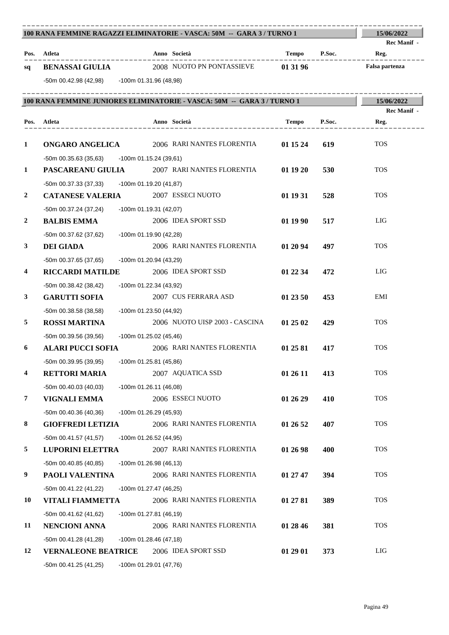| 100 RANA FEMMINE RAGAZZI ELIMINATORIE - VASCA: 50M -- GARA 3 / TURNO 1 | 15/06/2022                                       |                                                                         |                               |        |                     |
|------------------------------------------------------------------------|--------------------------------------------------|-------------------------------------------------------------------------|-------------------------------|--------|---------------------|
|                                                                        | Pos. Atleta                                      | Anno Società                                                            | Tempo P.Soc.                  |        | Rec Manif -<br>Reg. |
| sq                                                                     | <b>BENASSAI GIULIA</b>                           | 2008 NUOTO PN PONTASSIEVE 01 31 96                                      |                               |        | Falsa partenza      |
|                                                                        | -50m 00.42.98 (42,98) -100m 01.31.96 (48,98)     |                                                                         |                               |        |                     |
|                                                                        |                                                  |                                                                         | ----------------------------- |        |                     |
|                                                                        |                                                  | 100 RANA FEMMINE JUNIORES ELIMINATORIE - VASCA: 50M -- GARA 3 / TURNO 1 |                               |        | 15/06/2022          |
|                                                                        | Pos. Atleta<br>____________________              | Anno Società<br>____________________                                    | Tempo                         | P.Soc. | Rec Manif -<br>Reg. |
| $\mathbf{1}$                                                           |                                                  | <b>ONGARO ANGELICA</b> 2006 RARI NANTES FLORENTIA                       | 01 15 24                      | 619    | <b>TOS</b>          |
|                                                                        | $-50m$ 00.35.63 (35,63) $-100m$ 01.15.24 (39,61) |                                                                         |                               |        |                     |
| 1                                                                      |                                                  | <b>PASCAREANU GIULIA</b> 2007 RARI NANTES FLORENTIA                     | 01 19 20                      | 530    | <b>TOS</b>          |
|                                                                        | -50m 00.37.33 (37,33) - 100m 01.19.20 (41,87)    |                                                                         |                               |        |                     |
| 2                                                                      | <b>CATANESE VALERIA</b>                          | 2007 ESSECI NUOTO                                                       | 01 19 31                      | 528    | <b>TOS</b>          |
|                                                                        | -50m 00.37.24 (37,24)                            | $-100m$ 01.19.31 (42,07)                                                |                               |        |                     |
| 2                                                                      | <b>BALBIS EMMA</b>                               | 2006 IDEA SPORT SSD                                                     | 01 19 90                      | 517    | LIG                 |
|                                                                        | -50m 00.37.62 (37,62)                            | -100m 01.19.90 (42,28)                                                  |                               |        |                     |
| 3                                                                      | <b>DEI GIADA</b>                                 | 2006 RARI NANTES FLORENTIA                                              | 01 20 94                      | 497    | <b>TOS</b>          |
|                                                                        | -50m 00.37.65 (37,65)                            | $-100m$ 01.20.94 (43,29)                                                |                               |        |                     |
| 4                                                                      | <b>RICCARDI MATILDE</b>                          | 2006 IDEA SPORT SSD                                                     | 01 22 34                      | 472    | LIG                 |
|                                                                        | -50m 00.38.42 (38,42)                            | $-100m$ 01.22.34 (43,92)                                                |                               |        |                     |
| 3                                                                      | <b>GARUTTI SOFIA</b>                             | 2007 CUS FERRARA ASD                                                    | 01 23 50                      | 453    | EMI                 |
|                                                                        | -50m 00.38.58 (38,58)                            | -100m 01.23.50 (44,92)                                                  |                               |        |                     |
| 5                                                                      | <b>ROSSI MARTINA</b>                             | 2006 NUOTO UISP 2003 - CASCINA                                          | 01 25 02                      | 429    | <b>TOS</b>          |
|                                                                        | -50m 00.39.56 (39.56)                            | -100m 01.25.02 (45,46)                                                  |                               |        |                     |
| 6                                                                      |                                                  | <b>ALARI PUCCI SOFIA</b> 2006 RARI NANTES FLORENTIA                     | 01 25 81                      | 417    | <b>TOS</b>          |
|                                                                        | -50m 00.39.95 (39,95) -100m 01.25.81 (45,86)     |                                                                         |                               |        |                     |
| 4                                                                      | <b>RETTORI MARIA</b>                             | 2007 AQUATICA SSD                                                       | 01 26 11                      | 413    | <b>TOS</b>          |
|                                                                        | $-50m$ 00.40.03 (40,03)                          | $-100m$ 01.26.11 (46,08)                                                |                               |        |                     |
| 7                                                                      | VIGNALI EMMA                                     | 2006 ESSECI NUOTO                                                       | 01 26 29                      | 410    | <b>TOS</b>          |
|                                                                        | -50m 00.40.36 (40,36)                            | -100m 01.26.29 (45,93)                                                  |                               |        |                     |
| 8                                                                      | <b>GIOFFREDI LETIZIA</b>                         | 2006 RARI NANTES FLORENTIA                                              | 01 26 52                      | 407    | <b>TOS</b>          |
|                                                                        | $-50m$ 00.41.57 (41,57)                          | $-100m$ 01.26.52 (44,95)                                                |                               |        |                     |
| 5                                                                      | <b>LUPORINI ELETTRA</b>                          | 2007 RARI NANTES FLORENTIA                                              | 01 26 98                      | 400    | <b>TOS</b>          |
|                                                                        | -50m 00.40.85 (40,85)                            | $-100m$ 01.26.98 (46,13)                                                |                               |        |                     |
| 9                                                                      | PAOLI VALENTINA                                  | 2006 RARI NANTES FLORENTIA                                              | 01 27 47                      | 394    | <b>TOS</b>          |
|                                                                        | -50m 00.41.22 (41,22)                            | -100m 01.27.47 (46,25)                                                  |                               |        |                     |
| 10                                                                     | VITALI FIAMMETTA                                 | 2006 RARI NANTES FLORENTIA                                              | 01 27 81                      | 389    | <b>TOS</b>          |
|                                                                        | -50m 00.41.62 (41,62)                            | -100m 01.27.81 (46,19)                                                  |                               |        |                     |
| 11                                                                     | NENCIONI ANNA                                    | 2006 RARI NANTES FLORENTIA                                              | 01 28 46                      | 381    | <b>TOS</b>          |
|                                                                        | -50m 00.41.28 (41,28)                            | $-100m$ 01.28.46 (47,18)                                                |                               |        |                     |
| 12                                                                     | <b>VERNALEONE BEATRICE</b>                       | 2006 IDEA SPORT SSD                                                     | 01 29 01                      | 373    | LIG                 |
|                                                                        | $-50m 00.41.25(41,25)$                           | -100m 01.29.01 (47,76)                                                  |                               |        |                     |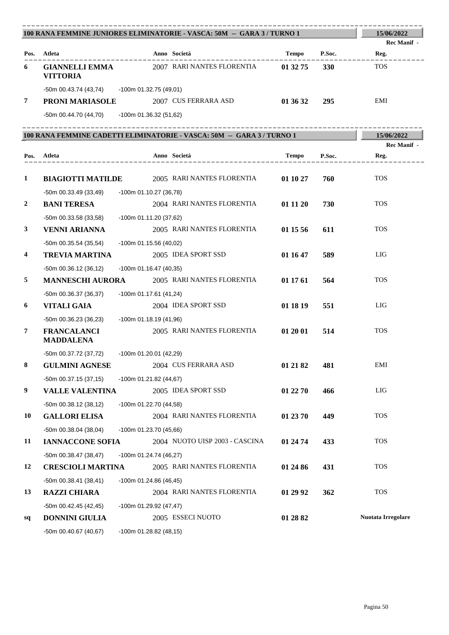| 100 RANA FEMMINE JUNIORES ELIMINATORIE - VASCA: 50M -- GARA 3 / TURNO 1 |                                                    |                                                                        |          |            | 15/06/2022         |
|-------------------------------------------------------------------------|----------------------------------------------------|------------------------------------------------------------------------|----------|------------|--------------------|
|                                                                         |                                                    |                                                                        |          |            | Rec Manif -        |
|                                                                         | Pos. Atleta                                        | Anno Società                                                           | Tempo    | P.Soc.     | Reg.               |
| 6                                                                       | <b>GIANNELLI EMMA</b><br><b>VITTORIA</b>           | 2007 RARI NANTES FLORENTIA                                             | 01 32 75 | <b>330</b> | <b>TOS</b>         |
|                                                                         | -50m 00.43.74 (43,74) -100m 01.32.75 (49,01)       |                                                                        |          |            |                    |
| 7                                                                       | <b>PRONI MARIASOLE</b> 2007 CUS FERRARA ASD        |                                                                        | 01 36 32 | 295        | EMI                |
|                                                                         | -50m 00.44.70 (44,70) -100m 01.36.32 (51,62)       |                                                                        |          |            |                    |
|                                                                         |                                                    | 100 RANA FEMMINE CADETTI ELIMINATORIE - VASCA: 50M -- GARA 3 / TURNO 1 |          |            | 15/06/2022         |
|                                                                         |                                                    |                                                                        |          |            | Rec Manif -        |
|                                                                         | Pos. Atleta                                        | Anno Società                                                           | Tempo    | P.Soc.     | Reg.               |
| $\mathbf{1}$                                                            |                                                    | <b>BIAGIOTTI MATILDE</b> 2005 RARI NANTES FLORENTIA                    | 01 10 27 | 760        | <b>TOS</b>         |
|                                                                         | -50m 00.33.49 (33,49)                              |                                                                        |          |            |                    |
| 2                                                                       | <b>BANI TERESA</b>                                 | -100m 01.10.27 (36,78)<br>2004 RARI NANTES FLORENTIA                   | 01 11 20 | 730        | <b>TOS</b>         |
|                                                                         | -50m 00.33.58 (33,58)                              |                                                                        |          |            |                    |
| 3                                                                       | <b>VENNI ARIANNA</b>                               | -100m 01.11.20 (37,62)<br>2005 RARI NANTES FLORENTIA                   | 01 15 56 | 611        | <b>TOS</b>         |
|                                                                         |                                                    |                                                                        |          |            |                    |
| 4                                                                       | -50m 00.35.54 (35,54)<br><b>TREVIA MARTINA</b>     | $-100m$ 01.15.56 (40,02)<br>2005 IDEA SPORT SSD                        | 01 16 47 | 589        | LIG                |
|                                                                         |                                                    |                                                                        |          |            |                    |
| 5                                                                       | $-50m$ 00.36.12 (36,12)<br><b>MANNESCHI AURORA</b> | -100m 01.16.47 (40,35)<br>2005 RARI NANTES FLORENTIA                   | 01 17 61 | 564        | <b>TOS</b>         |
|                                                                         |                                                    | -100m 01.17.61 (41,24)                                                 |          |            |                    |
| 6                                                                       | $-50m$ 00.36.37 (36,37)<br><b>VITALI GAIA</b>      | 2004 IDEA SPORT SSD                                                    | 01 18 19 | 551        | LIG                |
|                                                                         |                                                    |                                                                        |          |            |                    |
| 7                                                                       | -50m 00.36.23 (36,23)<br><b>FRANCALANCI</b>        | -100m 01.18.19 (41,96)<br>2005 RARI NANTES FLORENTIA                   | 01 20 01 | 514        | <b>TOS</b>         |
|                                                                         | <b>MADDALENA</b>                                   |                                                                        |          |            |                    |
|                                                                         | -50m 00.37.72 (37,72)                              | -100m 01.20.01 (42,29)                                                 |          |            |                    |
| $\bf 8$                                                                 | <b>GULMINI AGNESE</b>                              | 2004 CUS FERRARA ASD                                                   | 01 21 82 | 481        | EMI                |
|                                                                         | $-50m$ 00.37.15 (37,15)                            | $-100m$ 01.21.82 (44,67)                                               |          |            |                    |
| 9                                                                       | <b>VALLE VALENTINA</b>                             | 2005 IDEA SPORT SSD                                                    | 01 22 70 | 466        | LIG                |
|                                                                         | $-50m$ 00.38.12 (38,12)                            | -100m 01.22.70 (44,58)                                                 |          |            |                    |
| 10                                                                      | <b>GALLORI ELISA</b>                               | 2004 RARI NANTES FLORENTIA                                             | 01 23 70 | 449        | <b>TOS</b>         |
|                                                                         | $-50m$ 00.38.04 (38,04)                            | -100m 01.23.70 (45,66)                                                 |          |            |                    |
| 11                                                                      | <b>IANNACCONE SOFIA</b>                            | 2004 NUOTO UISP 2003 - CASCINA                                         | 01 24 74 | 433        | <b>TOS</b>         |
|                                                                         | $-50m$ 00.38.47 (38,47)                            | -100m 01.24.74 (46,27)                                                 |          |            |                    |
| 12                                                                      | <b>CRESCIOLI MARTINA</b>                           | 2005 RARI NANTES FLORENTIA                                             | 01 24 86 | 431        | <b>TOS</b>         |
|                                                                         | $-50m 00.38.41(38,41)$                             | -100m 01.24.86 (46,45)                                                 |          |            |                    |
| 13                                                                      | <b>RAZZI CHIARA</b>                                | 2004 RARI NANTES FLORENTIA                                             | 01 29 92 | 362        | <b>TOS</b>         |
|                                                                         | -50m 00.42.45 (42,45)                              | -100m 01.29.92 (47,47)                                                 |          |            |                    |
| sq                                                                      | <b>DONNINI GIULIA</b>                              | 2005 ESSECI NUOTO                                                      | 01 28 82 |            | Nuotata Irregolare |
|                                                                         | $-50m$ 00.40.67 (40,67)                            | $-100m$ 01.28.82 (48,15)                                               |          |            |                    |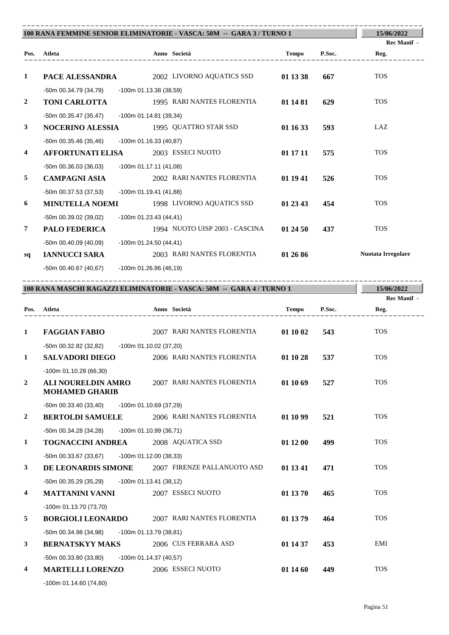|                |                                          |                          | 100 RANA FEMMINE SENIOR ELIMINATORIE - VASCA: 50M -- GARA 3 / TURNO 1 |              |        | 15/06/2022                 |
|----------------|------------------------------------------|--------------------------|-----------------------------------------------------------------------|--------------|--------|----------------------------|
| Pos.           | Atleta<br><u> 2008 - Benedict Benedi</u> |                          | Anno Società                                                          | <b>Tempo</b> | P.Soc. | <b>Rec Manif -</b><br>Reg. |
| 1              | PACE ALESSANDRA                          |                          | 2002 LIVORNO AQUATICS SSD                                             | 01 13 38     | 667    | <b>TOS</b>                 |
|                | -50m 00.34.79 (34,79)                    | -100m 01.13.38 (38,59)   |                                                                       |              |        |                            |
| $\overline{2}$ | <b>TONI CARLOTTA</b>                     |                          | 1995 RARI NANTES FLORENTIA                                            | 01 14 81     | 629    | <b>TOS</b>                 |
|                | -50m 00.35.47 (35,47)                    | -100m 01.14.81 (39,34)   |                                                                       |              |        |                            |
| 3              | <b>NOCERINO ALESSIA</b>                  |                          | 1995 QUATTRO STAR SSD                                                 | 01 16 33     | 593    | LAZ                        |
|                | $-50m$ 00.35.46 (35,46)                  | $-100m$ 01.16.33 (40,87) |                                                                       |              |        |                            |
| 4              | <b>AFFORTUNATI ELISA</b>                 |                          | 2003 ESSECI NUOTO                                                     | 01 17 11     | 575    | <b>TOS</b>                 |
|                | $-50m$ 00.36.03 (36,03)                  | $-100m$ 01.17.11 (41,08) |                                                                       |              |        |                            |
| 5              | <b>CAMPAGNI ASIA</b>                     |                          | 2002 RARI NANTES FLORENTIA                                            | 01 19 41     | 526    | <b>TOS</b>                 |
|                | -50m 00.37.53 (37,53)                    | -100m 01.19.41 (41,88)   |                                                                       |              |        |                            |
| 6              | <b>MINUTELLA NOEMI</b>                   |                          | 1998 LIVORNO AQUATICS SSD                                             | 01 23 43     | 454    | <b>TOS</b>                 |
|                | -50m 00.39.02 (39,02)                    | $-100m$ 01.23.43 (44,41) |                                                                       |              |        |                            |
| $\overline{7}$ | <b>PALO FEDERICA</b>                     |                          | 1994 NUOTO UISP 2003 - CASCINA                                        | 01 24 50     | 437    | <b>TOS</b>                 |
|                | -50m 00.40.09 (40.09)                    | $-100m$ 01.24.50 (44,41) |                                                                       |              |        |                            |
| sq             | <b>IANNUCCI SARA</b>                     |                          | 2003 RARI NANTES FLORENTIA                                            | 01 26 86     |        | <b>Nuotata Irregolare</b>  |
|                | -50m 00.40.67 (40,67)                    | $-100m$ 01.26.86 (46,19) |                                                                       |              |        |                            |
|                |                                          |                          | 100 RANA MASCHI RAGAZZI ELIMINATORIE - VASCA: 50M -- GARA 4 / TURNO 1 |              |        | 15/06/2022                 |
|                |                                          |                          |                                                                       |              |        | Rec Manif -                |
| Pos.           | Atleta<br>________________               | Anno Società             |                                                                       | <b>Tempo</b> | P.Soc. | Reg.                       |
|                |                                          |                          |                                                                       |              |        |                            |

| 1              | <b>FAGGIAN FABIO</b>                               | 2007 RARI NANTES FLORENTIA                      | 01 10 02 | 543 | <b>TOS</b> |
|----------------|----------------------------------------------------|-------------------------------------------------|----------|-----|------------|
|                | -50m 00.32.82 (32,82)                              | -100m 01.10.02 (37,20)                          |          |     |            |
| 1              | <b>SALVADORI DIEGO</b>                             | 2006 RARI NANTES FLORENTIA                      | 01 10 28 | 537 | <b>TOS</b> |
|                | $-100m$ 01.10.28 (66,30)                           |                                                 |          |     |            |
| $\overline{2}$ | <b>ALI NOURELDIN AMRO</b><br><b>MOHAMED GHARIB</b> | 2007 RARI NANTES FLORENTIA                      | 01 10 69 | 527 | <b>TOS</b> |
|                | $-50m$ 00.33.40 (33,40)                            | -100m 01.10.69 (37,29)                          |          |     |            |
| $\overline{2}$ | <b>BERTOLDI SAMUELE</b>                            | 2006 RARI NANTES FLORENTIA                      | 01 10 99 | 521 | <b>TOS</b> |
|                | -50m 00.34.28 (34,28)                              | $-100m$ 01.10.99 (36,71)                        |          |     |            |
| 1              | <b>TOGNACCINI ANDREA</b>                           | 2008 AQUATICA SSD                               | 01 12 00 | 499 | <b>TOS</b> |
|                | $-50m$ 00.33.67 (33,67)                            | -100m 01.12.00 (38,33)                          |          |     |            |
| $\mathbf{3}$   |                                                    | DE LEONARDIS SIMONE 2007 FIRENZE PALLANUOTO ASD | 01 13 41 | 471 | <b>TOS</b> |
|                | -50m 00.35.29 (35,29) -100m 01.13.41 (38,12)       |                                                 |          |     |            |
| $\overline{4}$ | <b>MATTANINI VANNI</b>                             | 2007 ESSECI NUOTO                               | 01 13 70 | 465 | <b>TOS</b> |
|                | -100m 01.13.70 (73,70)                             |                                                 |          |     |            |
| 5              | <b>BORGIOLI LEONARDO</b>                           | 2007 RARI NANTES FLORENTIA                      | 01 13 79 | 464 | <b>TOS</b> |
|                | -50m 00.34.98 (34,98)                              | -100m 01.13.79 (38,81)                          |          |     |            |
| $\mathbf{3}$   | <b>BERNATSKYY MAKS</b>                             | 2006 CUS FERRARA ASD                            | 01 14 37 | 453 | <b>EMI</b> |
|                | $-50m$ 00.33.80 (33,80)                            | -100m 01.14.37 (40,57)                          |          |     |            |
| 4              | <b>MARTELLI LORENZO</b>                            | 2006 ESSECI NUOTO                               | 01 14 60 | 449 | <b>TOS</b> |
|                |                                                    |                                                 |          |     |            |

-100m 01.14.60 (74,60)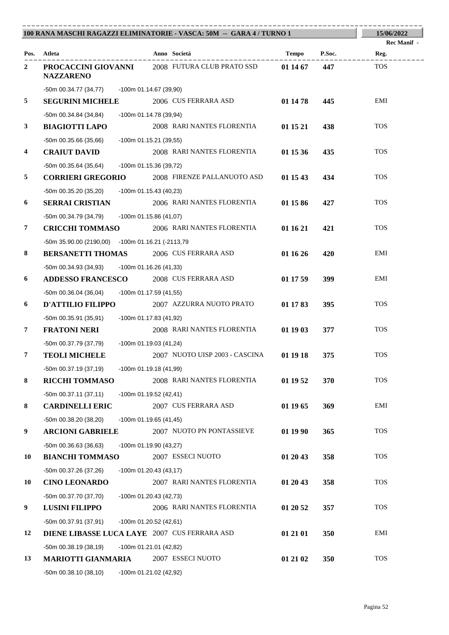|                         |                                                  | 100 RANA MASCHI RAGAZZI ELIMINATORIE - VASCA: 50M -- GARA 4 / TURNO 1 |              |        | 15/06/2022                 |
|-------------------------|--------------------------------------------------|-----------------------------------------------------------------------|--------------|--------|----------------------------|
|                         | Pos. Atleta                                      | Anno Società                                                          | Tempo        | P.Soc. | <b>Rec Manif</b> -<br>Reg. |
| $\overline{2}$          | <b>NAZZARENO</b>                                 | <b>PROCACCINI GIOVANNI</b> 2008 FUTURA CLUB PRATO SSD                 | $011467$ 447 |        | <b>TOS</b>                 |
|                         | -50m 00.34.77 (34,77) -100m 01.14.67 (39,90)     |                                                                       |              |        |                            |
| 5                       | <b>SEGURINI MICHELE</b>                          | 2006 CUS FERRARA ASD                                                  | 01 14 78     | 445    | EMI                        |
|                         | -50m 00.34.84 (34,84)                            | -100m 01.14.78 (39,94)                                                |              |        |                            |
| 3                       | <b>BIAGIOTTI LAPO</b>                            | 2008 RARI NANTES FLORENTIA                                            | 01 15 21     | 438    | <b>TOS</b>                 |
|                         | -50m 00.35.66 (35,66)                            | -100m 01.15.21 (39,55)                                                |              |        |                            |
| $\overline{\mathbf{4}}$ | <b>CRAIUT DAVID</b>                              | 2008 RARI NANTES FLORENTIA                                            | 01 15 36     | 435    | <b>TOS</b>                 |
|                         | -50m 00.35.64 (35,64)                            | -100m 01.15.36 (39,72)                                                |              |        |                            |
| 5                       | <b>CORRIERI GREGORIO</b>                         | 2008 FIRENZE PALLANUOTO ASD                                           | 01 15 43     | 434    | <b>TOS</b>                 |
|                         | -50m 00.35.20 (35,20)                            | -100m 01.15.43 (40,23)                                                |              |        |                            |
| 6                       | <b>SERRAI CRISTIAN</b>                           | 2006 RARI NANTES FLORENTIA                                            | 01 15 86     | 427    | <b>TOS</b>                 |
|                         | -50m 00.34.79 (34,79) -100m 01.15.86 (41,07)     |                                                                       |              |        |                            |
| $\overline{7}$          | <b>CRICCHI TOMMASO</b>                           | 2006 RARI NANTES FLORENTIA                                            | 01 16 21     | 421    | <b>TOS</b>                 |
|                         | -50m 35.90.00 (2190,00) -100m 01.16.21 (-2113,79 |                                                                       |              |        |                            |
| 8                       | <b>BERSANETTI THOMAS</b> 2006 CUS FERRARA ASD    |                                                                       | 01 16 26     | 420    | EMI                        |
|                         | -50m 00.34.93 (34,93) -100m 01.16.26 (41,33)     |                                                                       |              |        |                            |
| 6                       | <b>ADDESSO FRANCESCO</b>                         | 2008 CUS FERRARA ASD                                                  | 01 17 59     | 399    | EMI                        |
|                         | -50m 00.36.04 (36,04) -100m 01.17.59 (41,55)     |                                                                       |              |        |                            |
| 6                       | <b>D'ATTILIO FILIPPO</b>                         | 2007 AZZURRA NUOTO PRATO                                              | 01 17 83     | 395    | <b>TOS</b>                 |
|                         | -50m 00.35.91 (35,91)                            | -100m 01.17.83 (41,92)                                                |              |        |                            |
| 7                       | <b>FRATONI NERI</b>                              | 2008 RARI NANTES FLORENTIA                                            | 01 19 03     | 377    | <b>TOS</b>                 |
|                         | -50m 00.37.79 (37,79)                            | -100m 01.19.03 (41,24)                                                |              |        |                            |
| $\overline{7}$          | <b>TEOLI MICHELE</b>                             | 2007 NUOTO UISP 2003 - CASCINA                                        | 01 19 18     | 375    | <b>TOS</b>                 |
|                         | -50m 00.37.19 (37,19)                            | -100m 01.19.18 (41,99)                                                |              |        |                            |
| 8                       | <b>RICCHI TOMMASO</b>                            | 2008 RARI NANTES FLORENTIA                                            | 01 19 52     | 370    | <b>TOS</b>                 |
|                         | $-50m 00.37.11(37,11)$                           | -100m 01.19.52 (42,41)                                                |              |        |                            |
| 8                       | <b>CARDINELLI ERIC</b>                           | 2007 CUS FERRARA ASD                                                  | 01 19 65     | 369    | EMI                        |
|                         | -50m 00.38.20 (38,20)                            | $-100m$ 01.19.65 (41,45)                                              |              |        |                            |
| 9                       | <b>ARCIONI GABRIELE</b>                          | 2007 NUOTO PN PONTASSIEVE                                             | 01 19 90     | 365    | <b>TOS</b>                 |
|                         | -50m 00.36.63 (36,63)                            | -100m 01.19.90 (43,27)                                                |              |        |                            |
| 10                      | <b>BIANCHI TOMMASO</b>                           | 2007 ESSECI NUOTO                                                     | 01 20 43     | 358    | <b>TOS</b>                 |
|                         | -50m 00.37.26 (37,26)                            | $-100m$ 01.20.43 (43,17)                                              |              |        |                            |
| 10                      | <b>CINO LEONARDO</b>                             | 2007 RARI NANTES FLORENTIA                                            | 01 20 43     | 358    | <b>TOS</b>                 |
|                         | -50m 00.37.70 (37,70)                            | $-100m$ 01.20.43 (42,73)                                              |              |        |                            |
| 9                       | <b>LUSINI FILIPPO</b>                            | 2006 RARI NANTES FLORENTIA                                            | 01 20 52     | 357    | <b>TOS</b>                 |
|                         | -50m 00.37.91 (37,91)                            | $-100m$ 01.20.52 (42,61)                                              |              |        |                            |
| 12                      | DIENE LIBASSE LUCA LAYE 2007 CUS FERRARA ASD     |                                                                       | 01 21 01     | 350    | EMI                        |
|                         | $-50m$ 00.38.19 (38,19)                          | -100m 01.21.01 (42,82)                                                |              |        |                            |
| 13                      | <b>MARIOTTI GIANMARIA</b>                        | 2007 ESSECI NUOTO                                                     | 01 21 02     | 350    | <b>TOS</b>                 |
|                         | $-50m$ 00.38.10 (38,10)                          | -100m 01.21.02 (42,92)                                                |              |        |                            |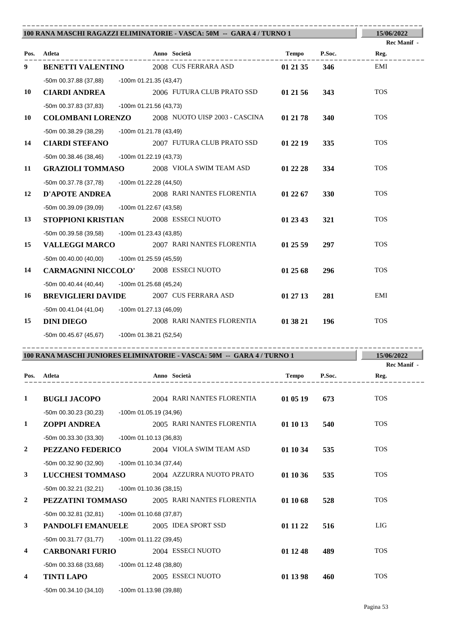| 100 RANA MASCHI RAGAZZI ELIMINATORIE - VASCA: 50M -- GARA 4 / TURNO 1 | 15/06/2022                                   |                                                                        |              |            |                     |
|-----------------------------------------------------------------------|----------------------------------------------|------------------------------------------------------------------------|--------------|------------|---------------------|
|                                                                       | Pos. Atleta                                  | Anno Società                                                           | Tempo        | P.Soc.     | Rec Manif -<br>Reg. |
| 9                                                                     | <b>BENETTI VALENTINO</b>                     | 2008 CUS FERRARA ASD                                                   | 01 21 35     | 346        | EMI                 |
|                                                                       | -50m 00.37.88 (37,88) -100m 01.21.35 (43,47) |                                                                        |              |            |                     |
| 10                                                                    | <b>CIARDI ANDREA</b>                         | 2006 FUTURA CLUB PRATO SSD                                             | 01 21 56     | 343        | <b>TOS</b>          |
|                                                                       | -50m 00.37.83 (37,83)                        | -100m 01.21.56 (43,73)                                                 |              |            |                     |
| 10                                                                    |                                              | <b>COLOMBANI LORENZO</b> 2008 NUOTO UISP 2003 - CASCINA                | 01 21 78     | <b>340</b> | <b>TOS</b>          |
|                                                                       | -50m 00.38.29 (38,29)                        | -100m 01.21.78 (43,49)                                                 |              |            |                     |
| 14                                                                    | <b>CIARDI STEFANO</b>                        | 2007 FUTURA CLUB PRATO SSD                                             | 01 22 19     | 335        | <b>TOS</b>          |
|                                                                       | -50m 00.38.46 (38,46)                        | -100m 01.22.19 (43,73)                                                 |              |            |                     |
| 11                                                                    | <b>GRAZIOLI TOMMASO</b>                      | 2008 VIOLA SWIM TEAM ASD                                               | 01 22 28     | 334        | <b>TOS</b>          |
|                                                                       | -50m 00.37.78 (37,78)                        | -100m 01.22.28 (44,50)                                                 |              |            |                     |
| 12                                                                    | <b>D'APOTE ANDREA</b>                        | 2008 RARI NANTES FLORENTIA                                             | 01 22 67     | <b>330</b> | <b>TOS</b>          |
|                                                                       | -50m 00.39.09 (39,09)                        | -100m 01.22.67 (43,58)                                                 |              |            |                     |
| 13                                                                    | STOPPIONI KRISTIAN                           | 2008 ESSECI NUOTO                                                      | 01 23 43     | 321        | <b>TOS</b>          |
|                                                                       | -50m 00.39.58 (39,58)                        | -100m 01.23.43 (43,85)                                                 |              |            |                     |
| 15                                                                    | <b>VALLEGGI MARCO</b>                        | 2007 RARI NANTES FLORENTIA                                             | 01 25 59     | 297        | <b>TOS</b>          |
|                                                                       | $-50m$ 00.40.00 (40,00)                      | -100m 01.25.59 (45,59)                                                 |              |            |                     |
| 14                                                                    | <b>CARMAGNINI NICCOLO'</b> 2008 ESSECI NUOTO |                                                                        | 01 25 68     | 296        | <b>TOS</b>          |
|                                                                       | -50m 00.40.44 (40,44) -100m 01.25.68 (45,24) |                                                                        |              |            |                     |
| 16                                                                    | <b>BREVIGLIERI DAVIDE</b>                    | 2007 CUS FERRARA ASD                                                   | 01 27 13     | 281        | EMI                 |
|                                                                       | -50m 00.41.04 (41,04)                        | -100m 01.27.13 (46,09)                                                 |              |            |                     |
| 15                                                                    | <b>DINI DIEGO</b>                            | 2008 RARI NANTES FLORENTIA                                             | 01 38 21     | 196        | <b>TOS</b>          |
|                                                                       | -50m 00.45.67 (45,67) -100m 01.38.21 (52,54) |                                                                        |              |            |                     |
|                                                                       |                                              | 100 RANA MASCHI JUNIORES ELIMINATORIE - VASCA: 50M -- GARA 4 / TURNO 1 |              |            | 15/06/2022          |
|                                                                       |                                              |                                                                        |              |            | Rec Manif -         |
| Pos.                                                                  | Atleta                                       | Anno Società                                                           | <b>Tempo</b> | P.Soc.     | Reg.                |
| $\mathbf{1}$                                                          | <b>BUGLI JACOPO</b>                          | 2004 RARI NANTES FLORENTIA                                             | 01 05 19     | 673        | <b>TOS</b>          |
|                                                                       | $-50m$ 00.30.23 (30,23)                      | -100m 01.05.19 (34,96)                                                 |              |            |                     |
| 1                                                                     | <b>ZOPPI ANDREA</b>                          | 2005 RARI NANTES FLORENTIA                                             | 01 10 13     | 540        | <b>TOS</b>          |
|                                                                       | -50m 00.33.30 (33,30)                        | -100m 01.10.13 (36,83)                                                 |              |            |                     |
| 2                                                                     | PEZZANO FEDERICO                             | 2004 VIOLA SWIM TEAM ASD                                               | 01 10 34     | 535        | <b>TOS</b>          |
|                                                                       | -50m 00.32.90 (32,90)                        | $-100m$ 01.10.34 (37,44)                                               |              |            |                     |
| 3                                                                     | <b>LUCCHESI TOMMASO</b>                      | 2004 AZZURRA NUOTO PRATO                                               | 01 10 36     | 535        | <b>TOS</b>          |
|                                                                       | $-50m$ 00.32.21 (32,21)                      | -100m 01.10.36 (38,15)                                                 |              |            |                     |
| 2                                                                     | PEZZATINI TOMMASO                            | 2005 RARI NANTES FLORENTIA                                             | 01 10 68     | 528        | <b>TOS</b>          |
|                                                                       | $-50m$ 00.32.81 (32,81)                      | -100m 01.10.68 (37,87)                                                 |              |            |                     |
| 3                                                                     | PANDOLFI EMANUELE                            | 2005 IDEA SPORT SSD                                                    | 01 11 22     | 516        | LIG                 |
|                                                                       | -50m 00.31.77 (31,77)                        | -100m 01.11.22 (39,45)                                                 |              |            |                     |
| 4                                                                     | <b>CARBONARI FURIO</b>                       | 2004 ESSECI NUOTO                                                      | 01 12 48     | 489        | <b>TOS</b>          |
|                                                                       | $-50m$ 00.33.68 (33,68)                      | -100m 01.12.48 (38,80)                                                 |              |            |                     |
| 4                                                                     | <b>TINTI LAPO</b>                            | 2005 ESSECI NUOTO                                                      | 01 13 98     | 460        | <b>TOS</b>          |
|                                                                       | $-50m$ 00.34.10 (34,10)                      | -100m 01.13.98 (39,88)                                                 |              |            |                     |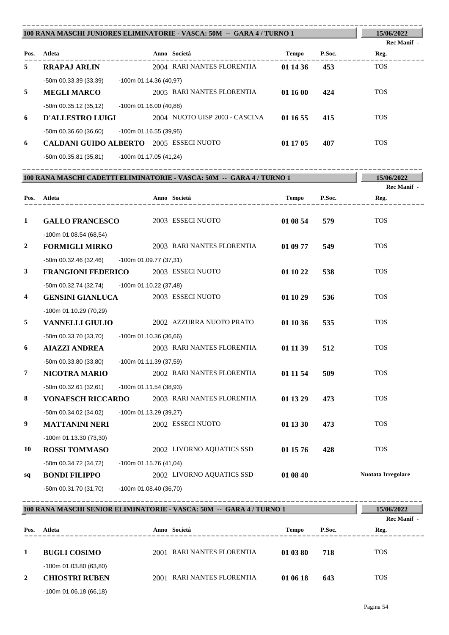| 100 RANA MASCHI JUNIORES ELIMINATORIE - VASCA: 50M -- GARA 4 / TURNO 1 | 15/06/2022<br><b>Rec Manif</b> -                    |                                |                 |            |
|------------------------------------------------------------------------|-----------------------------------------------------|--------------------------------|-----------------|------------|
| Pos.                                                                   | Atleta                                              | Anno Società                   | Tempo<br>P.Soc. | Reg.       |
| 5                                                                      | <b>RRAPAJ ARLIN</b>                                 | 2004 RARI NANTES FLORENTIA     | 01 14 36<br>453 | <b>TOS</b> |
|                                                                        | -50m 00.33.39 (33,39)                               | $-100m$ 01.14.36 (40.97)       |                 |            |
| 5                                                                      | <b>MEGLI MARCO</b>                                  | 2005 RARI NANTES FLORENTIA     | 01 16 00<br>424 | <b>TOS</b> |
|                                                                        | $-50m$ 00.35.12 (35,12)                             | $-100$ m 01.16.00 (40,88)      |                 |            |
| 6                                                                      | <b>D'ALLESTRO LUIGI</b>                             | 2004 NUOTO UISP 2003 - CASCINA | 01 16 55<br>415 | <b>TOS</b> |
|                                                                        | $-50m$ 00.36.60 (36,60)                             | $-100$ m 01.16.55 (39,95)      |                 |            |
| 6                                                                      | <b>CALDANI GUIDO ALBERTO</b>                        | 2005 ESSECI NUOTO              | 01 17 05<br>407 | <b>TOS</b> |
|                                                                        | $F0 \sim 0000004 (0004)$ $A00 \sim 04.4700 (14.04)$ |                                |                 |            |

-50m 00.35.81 (35,81) -100m 01.17.05 (41,24)

| 100 RANA MASCHI CADETTI ELIMINATORIE - VASCA: 50M -- GARA 4/ TURNO 1 |                                                    |                        |                            |              | 15/06/2022 |                     |
|----------------------------------------------------------------------|----------------------------------------------------|------------------------|----------------------------|--------------|------------|---------------------|
|                                                                      | Pos. Atleta                                        |                        | Anno Società               | <b>Tempo</b> | P.Soc.     | Rec Manif -<br>Reg. |
| 1                                                                    | <b>GALLO FRANCESCO</b>                             |                        | 2003 ESSECI NUOTO          | 01 08 54     | 579        | <b>TOS</b>          |
| $\overline{2}$                                                       | $-100m$ 01.08.54 (68,54)<br><b>FORMIGLI MIRKO</b>  |                        | 2003 RARI NANTES FLORENTIA | 01 09 77     | 549        | <b>TOS</b>          |
|                                                                      |                                                    |                        |                            |              |            |                     |
| 3                                                                    | -50m 00.32.46 (32,46)<br><b>FRANGIONI FEDERICO</b> | -100m 01.09.77 (37,31) | 2003 ESSECI NUOTO          | 01 10 22     | 538        | <b>TOS</b>          |
| 4                                                                    | -50m 00.32.74 (32,74)<br><b>GENSINI GIANLUCA</b>   | -100m 01.10.22 (37,48) | 2003 ESSECI NUOTO          | 01 10 29     | 536        | <b>TOS</b>          |
|                                                                      | $-100m$ 01.10.29 (70,29)                           |                        |                            |              |            |                     |
| 5                                                                    | <b>VANNELLI GIULIO</b>                             |                        | 2002 AZZURRA NUOTO PRATO   | 01 10 36     | 535        | <b>TOS</b>          |
|                                                                      | -50m 00.33.70 (33,70)                              | -100m 01.10.36 (36,66) |                            |              |            |                     |
| 6                                                                    | <b>AIAZZI ANDREA</b>                               |                        | 2003 RARI NANTES FLORENTIA | 01 11 39     | 512        | <b>TOS</b>          |
|                                                                      | $-50m$ 00.33.80 (33,80)                            | -100m 01.11.39 (37,59) |                            |              |            |                     |
| 7                                                                    | <b>NICOTRA MARIO</b>                               |                        | 2002 RARI NANTES FLORENTIA | 01 11 54     | 509        | <b>TOS</b>          |
|                                                                      | $-50m$ 00.32.61 (32,61)                            | -100m 01.11.54 (38,93) |                            |              |            |                     |
| 8                                                                    | <b>VONAESCH RICCARDO</b>                           |                        | 2003 RARI NANTES FLORENTIA | 01 13 29     | 473        | <b>TOS</b>          |
|                                                                      | $-50m$ 00.34.02 (34,02)                            | -100m 01.13.29 (39,27) |                            |              |            |                     |
| 9                                                                    | <b>MATTANINI NERI</b>                              |                        | 2002 ESSECI NUOTO          | 01 13 30     | 473        | <b>TOS</b>          |
|                                                                      | $-100m$ 01.13.30 (73,30)                           |                        |                            |              |            |                     |
| 10                                                                   | <b>ROSSI TOMMASO</b>                               |                        | 2002 LIVORNO AQUATICS SSD  | 01 15 76     | 428        | <b>TOS</b>          |
|                                                                      | -50m 00.34.72 (34,72)                              | -100m 01.15.76 (41,04) |                            |              |            |                     |
| sq                                                                   | <b>BONDI FILIPPO</b>                               |                        | 2002 LIVORNO AQUATICS SSD  | 01 08 40     |            | Nuotata Irregolare  |
|                                                                      | -50m 00.31.70 (31,70)                              | -100m 01.08.40 (36,70) |                            |              |            |                     |

| 100 RANA MASCHI SENIOR ELIMINATORIE - VASCA: 50M -- GARA 4 / TURNO 1 |                          |      |                            |              |        | 15/06/2022<br>Rec Manif - |
|----------------------------------------------------------------------|--------------------------|------|----------------------------|--------------|--------|---------------------------|
| Pos.                                                                 | Atleta                   |      | Anno Società               | <b>Tempo</b> | P.Soc. | Reg.                      |
| 1                                                                    | <b>BUGLI COSIMO</b>      |      | 2001 RARI NANTES FLORENTIA | 01 03 80     | 718    | <b>TOS</b>                |
|                                                                      | $-100m$ 01.03.80 (63,80) |      |                            |              |        |                           |
| 2                                                                    | <b>CHIOSTRI RUBEN</b>    | 2001 | RARI NANTES FLORENTIA      | 01 06 18     | 643    | <b>TOS</b>                |
|                                                                      | $-100m$ 01.06.18 (66,18) |      |                            |              |        |                           |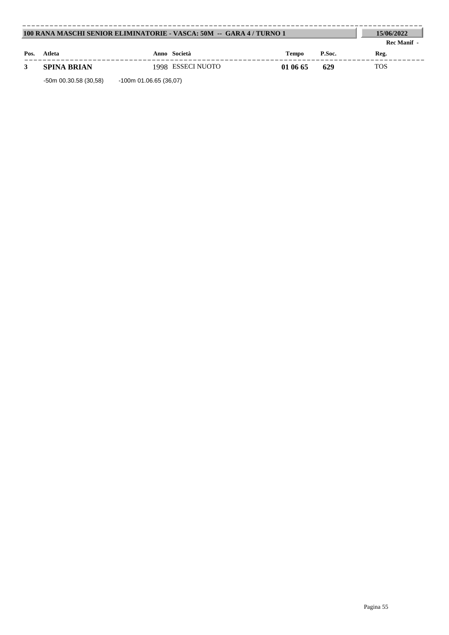| 100 RANA MASCHI SENIOR ELIMINATORIE - VASCA: 50M -- GARA 4 / TURNO 1 | 15/06/2022         |                   |              |        |             |
|----------------------------------------------------------------------|--------------------|-------------------|--------------|--------|-------------|
|                                                                      |                    |                   |              |        | Rec Manif - |
| Pos.                                                                 | Atleta             | Anno Società      | <b>Tempo</b> | P.Soc. | Reg.        |
|                                                                      | <b>SPINA BRIAN</b> | 1998 ESSECI NUOTO | 01 06 65     | 629    | <b>TOS</b>  |

-50m 00.30.58 (30,58) -100m 01.06.65 (36,07)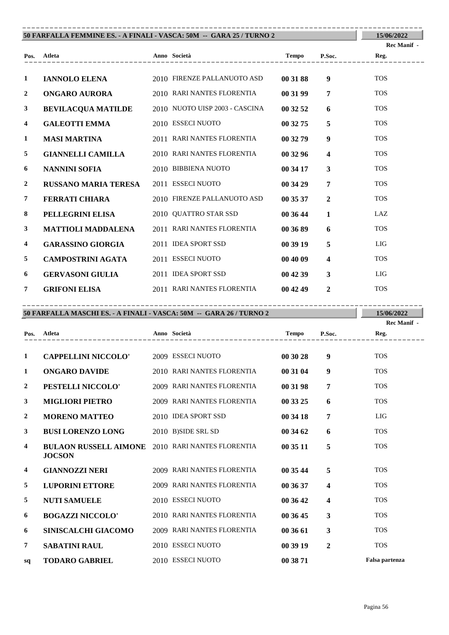| 50 FARFALLA FEMMINE ES. - A FINALI - VASCA: 50M -- GARA 25 / TURNO 2 | 15/06/2022                  |                                |          |                         |                    |
|----------------------------------------------------------------------|-----------------------------|--------------------------------|----------|-------------------------|--------------------|
|                                                                      |                             |                                |          |                         | <b>Rec Manif</b> - |
| Pos.                                                                 | Atleta                      |                                | Tempo    | P.Soc.                  | Reg.               |
| 1                                                                    | <b>IANNOLO ELENA</b>        | 2010 FIRENZE PALLANUOTO ASD    | 00 31 88 | 9                       | <b>TOS</b>         |
| $\overline{2}$                                                       | ONGARO AURORA               | 2010 RARI NANTES FLORENTIA     | 00 31 99 | $\overline{7}$          | <b>TOS</b>         |
| $\mathbf{3}$                                                         | <b>BEVILACQUA MATILDE</b>   | 2010 NUOTO UISP 2003 - CASCINA | 00 32 52 | 6                       | <b>TOS</b>         |
| 4                                                                    | <b>GALEOTTI EMMA</b>        | 2010 ESSECI NUOTO              | 00 32 75 | 5                       | <b>TOS</b>         |
| 1                                                                    | <b>MASI MARTINA</b>         | 2011 RARI NANTES FLORENTIA     | 00 32 79 | $\boldsymbol{9}$        | <b>TOS</b>         |
| 5                                                                    | <b>GIANNELLI CAMILLA</b>    | 2010 RARI NANTES FLORENTIA     | 003296   | $\overline{\mathbf{4}}$ | <b>TOS</b>         |
| 6                                                                    | <b>NANNINI SOFIA</b>        | 2010 BIBBIENA NUOTO            | 00 34 17 | $\mathbf{3}$            | <b>TOS</b>         |
| $\overline{2}$                                                       | <b>RUSSANO MARIA TERESA</b> | 2011 ESSECI NUOTO              | 00 34 29 | $\overline{7}$          | <b>TOS</b>         |
| 7                                                                    | <b>FERRATI CHIARA</b>       | 2010 FIRENZE PALLANUOTO ASD    | 00 35 37 | $\mathbf{2}$            | <b>TOS</b>         |
| 8                                                                    | PELLEGRINI ELISA            | 2010 QUATTRO STAR SSD          | 00 36 44 | $\mathbf{1}$            | LAZ                |
| $\mathbf{3}$                                                         | <b>MATTIOLI MADDALENA</b>   | 2011 RARI NANTES FLORENTIA     | 00 36 89 | 6                       | <b>TOS</b>         |
| 4                                                                    | <b>GARASSINO GIORGIA</b>    | 2011 IDEA SPORT SSD            | 00 39 19 | 5                       | <b>LIG</b>         |
| 5                                                                    | <b>CAMPOSTRINI AGATA</b>    | 2011 ESSECI NUOTO              | 00 40 09 | $\overline{\mathbf{4}}$ | <b>TOS</b>         |
| 6                                                                    | <b>GERVASONI GIULIA</b>     | 2011 IDEA SPORT SSD            | 004239   | 3                       | LIG                |
| 7                                                                    | <b>GRIFONI ELISA</b>        | 2011 RARI NANTES FLORENTIA     | 004249   | $\overline{2}$          | <b>TOS</b>         |

---------------------------------------------------------------------------------------- **Atleta Anno Società Tempo P.Soc. 50 FARFALLA MASCHI ES. - A FINALI - VASCA: 50M -- GARA 26 / TURNO 2 Pos. 15/06/2022 Reg.** ---------------------------------------------------------------------------------------- **Rec Manif - 1 CAPPELLINI NICCOLO'** 2009 ESSECI NUOTO **00 30 28 9** TOS **1 ONGARO DAVIDE** 2010 RARI NANTES FLORENTIA **00 31 04 9** TOS **2 PESTELLI NICCOLO'** 2009 RARI NANTES FLORENTIA **00 31 98 7** TOS **3 MIGLIORI PIETRO** 2009 RARI NANTES FLORENTIA **00 33 25 6** TOS **2 MORENO MATTEO** 2010 IDEA SPORT SSD **00 34 18 7** LIG **3 BUSI LORENZO LONG** 2010 B)SIDE SRL SD **00 34 62 6** TOS **4** BULAON RUSSELL AIMONE 2010 RARI NANTES FLORENTIA **00 35 11** 5 TOS **JOCSON 4 GIANNOZZI NERI** 2009 RARI NANTES FLORENTIA **00 35 44 5** TOS **5 LUPORINI ETTORE** 2009 RARI NANTES FLORENTIA **00 36 37 4** TOS **5 NUTI SAMUELE** 2010 ESSECI NUOTO **00 36 42 4** TOS **6 BOGAZZI NICCOLO'** 2010 RARI NANTES FLORENTIA **00 36 45 3** TOS **6 SINISCALCHI GIACOMO** 2009 RARI NANTES FLORENTIA **00 36 61 3** TOS **7 SABATINI RAUL** 2010 ESSECI NUOTO **00 39 19 2** TOS **sq TODARO GABRIEL** 2010 ESSECI NUOTO **00 38 71 Falsa partenza**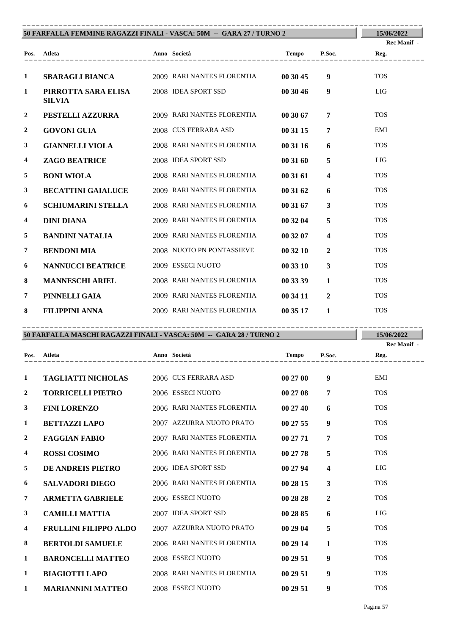|                | 50 FARFALLA FEMMINE RAGAZZI FINALI - VASCA: 50M -- GARA 27 / TURNO 2 |                            |          |                         | 15/06/2022         |
|----------------|----------------------------------------------------------------------|----------------------------|----------|-------------------------|--------------------|
|                |                                                                      |                            |          |                         | <b>Rec Manif</b> - |
|                | Pos. Atleta                                                          | Tempo P.Soc.               |          |                         | Reg.               |
| $\mathbf{1}$   | <b>SBARAGLI BIANCA</b>                                               | 2009 RARI NANTES FLORENTIA | 00 30 45 | 9                       | <b>TOS</b>         |
| 1              | PIRROTTA SARA ELISA<br><b>SILVIA</b>                                 | 2008 IDEA SPORT SSD        | 00 30 46 | 9                       | <b>LIG</b>         |
| $\overline{2}$ | <b>PESTELLI AZZURRA</b>                                              | 2009 RARI NANTES FLORENTIA | 00 30 67 | $\overline{7}$          | <b>TOS</b>         |
| $\overline{2}$ | <b>GOVONI GUIA</b>                                                   | 2008 CUS FERRARA ASD       | 00 31 15 | $\overline{7}$          | EMI                |
| 3              | <b>GIANNELLI VIOLA</b>                                               | 2008 RARI NANTES FLORENTIA | 00 31 16 | 6                       | <b>TOS</b>         |
| 4              | <b>ZAGO BEATRICE</b>                                                 | 2008 IDEA SPORT SSD        | 00 31 60 | 5                       | <b>LIG</b>         |
| 5              | <b>BONI WIOLA</b>                                                    | 2008 RARI NANTES FLORENTIA | 00 31 61 | $\overline{\mathbf{4}}$ | <b>TOS</b>         |
| $\mathbf{3}$   | <b>BECATTINI GAIALUCE</b>                                            | 2009 RARI NANTES FLORENTIA | 00 31 62 | 6                       | <b>TOS</b>         |
| 6              | SCHIUMARINI STELLA                                                   | 2008 RARI NANTES FLORENTIA | 00 31 67 | $\mathbf{3}$            | <b>TOS</b>         |
| 4              | <b>DINI DIANA</b>                                                    | 2009 RARI NANTES FLORENTIA | 00 32 04 | 5                       | <b>TOS</b>         |
| 5              | <b>BANDINI NATALIA</b>                                               | 2009 RARI NANTES FLORENTIA | 00 32 07 | $\overline{\mathbf{4}}$ | <b>TOS</b>         |
| $\overline{7}$ | <b>BENDONI MIA</b>                                                   | 2008 NUOTO PN PONTASSIEVE  | 003210   | $\overline{2}$          | <b>TOS</b>         |
| 6              | <b>NANNUCCI BEATRICE</b>                                             | 2009 ESSECI NUOTO          | 00 33 10 | $\overline{3}$          | <b>TOS</b>         |
| 8              | <b>MANNESCHI ARIEL</b>                                               | 2008 RARI NANTES FLORENTIA | 00 33 39 | $\mathbf{1}$            | <b>TOS</b>         |
| $\overline{7}$ | PINNELLI GAIA                                                        | 2009 RARI NANTES FLORENTIA | 00 34 11 | $\overline{2}$          | <b>TOS</b>         |
| 8              | <b>FILIPPINI ANNA</b>                                                | 2009 RARI NANTES FLORENTIA | 00 35 17 | $\mathbf{1}$            | <b>TOS</b>         |

## **50 FARFALLA MASCHI RAGAZZI FINALI - VASCA: 50M -- GARA 28 / TURNO 2** ----------------------------------------------------------------------------------------

**15/06/2022**

|                         |                              |                            |              |                         | Rec Manif - |
|-------------------------|------------------------------|----------------------------|--------------|-------------------------|-------------|
| Pos.                    | Atleta                       | Anno Società               | <b>Tempo</b> | P.Soc.                  | Reg.        |
| 1                       | <b>TAGLIATTI NICHOLAS</b>    | 2006 CUS FERRARA ASD       | 00 27 00     | $\boldsymbol{9}$        | <b>EMI</b>  |
| 2                       | <b>TORRICELLI PIETRO</b>     | 2006 ESSECI NUOTO          | 00 27 08     | $\overline{7}$          | <b>TOS</b>  |
| 3                       | <b>FINI LORENZO</b>          | 2006 RARI NANTES FLORENTIA | 002740       | 6                       | <b>TOS</b>  |
| 1                       | <b>BETTAZZI LAPO</b>         | 2007 AZZURRA NUOTO PRATO   | 002755       | 9                       | <b>TOS</b>  |
| $\overline{2}$          | <b>FAGGIAN FABIO</b>         | 2007 RARI NANTES FLORENTIA | 00 27 71     | 7                       | <b>TOS</b>  |
| $\overline{\mathbf{4}}$ | <b>ROSSI COSIMO</b>          | 2006 RARI NANTES FLORENTIA | 00 27 78     | 5                       | <b>TOS</b>  |
| 5                       | DE ANDREIS PIETRO            | 2006 IDEA SPORT SSD        | 00 27 94     | $\overline{\mathbf{4}}$ | LIG         |
| 6                       | <b>SALVADORI DIEGO</b>       | 2006 RARI NANTES FLORENTIA | 00 28 15     | 3                       | <b>TOS</b>  |
| $\overline{7}$          | <b>ARMETTA GABRIELE</b>      | 2006 ESSECI NUOTO          | 00 28 28     | $\mathbf{2}$            | <b>TOS</b>  |
| 3                       | <b>CAMILLI MATTIA</b>        | 2007 IDEA SPORT SSD        | 00 28 85     | 6                       | <b>LIG</b>  |
| 4                       | <b>FRULLINI FILIPPO ALDO</b> | 2007 AZZURRA NUOTO PRATO   | 00 29 04     | 5                       | <b>TOS</b>  |
| 8                       | <b>BERTOLDI SAMUELE</b>      | 2006 RARI NANTES FLORENTIA | 00 29 14     | $\mathbf{1}$            | <b>TOS</b>  |
| 1                       | <b>BARONCELLI MATTEO</b>     | 2008 ESSECI NUOTO          | 00 29 51     | 9                       | <b>TOS</b>  |
| 1                       | <b>BIAGIOTTI LAPO</b>        | 2008 RARI NANTES FLORENTIA | 002951       | $\boldsymbol{9}$        | <b>TOS</b>  |
| 1                       | <b>MARIANNINI MATTEO</b>     | 2008 ESSECI NUOTO          | 002951       | 9                       | <b>TOS</b>  |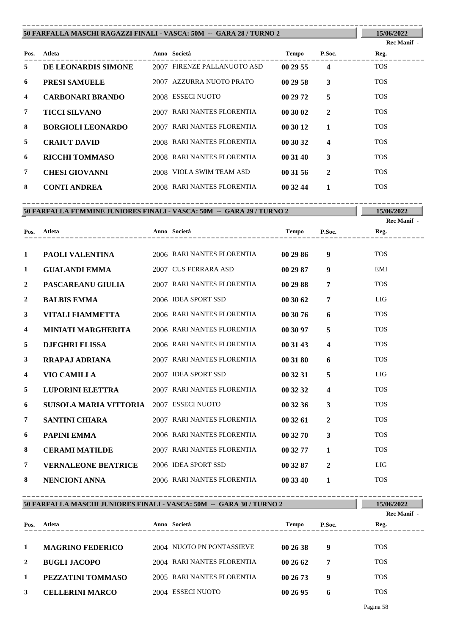|                | 50 FARFALLA MASCHI RAGAZZI FINALI - VASCA: 50M -- GARA 28 / TURNO 2 |  |                             |          |              |             |  |
|----------------|---------------------------------------------------------------------|--|-----------------------------|----------|--------------|-------------|--|
|                |                                                                     |  |                             |          |              | Rec Manif - |  |
| Pos.           | Atleta                                                              |  | Anno Società                | Tempo    | P.Soc.       | Reg.        |  |
| 5.             | DE LEONARDIS SIMONE                                                 |  | 2007 FIRENZE PALLANUOTO ASD | 002955   | 4            | <b>TOS</b>  |  |
| 6              | <b>PRESI SAMUELE</b>                                                |  | 2007 AZZURRA NUOTO PRATO    | 002958   | 3            | <b>TOS</b>  |  |
| 4              | <b>CARBONARI BRANDO</b>                                             |  | 2008 ESSECI NUOTO           | 00 29 72 | 5            | <b>TOS</b>  |  |
| $\overline{7}$ | <b>TICCI SILVANO</b>                                                |  | 2007 RARI NANTES FLORENTIA  | 00 30 02 | $\mathbf{2}$ | <b>TOS</b>  |  |
| 8              | <b>BORGIOLI LEONARDO</b>                                            |  | 2007 RARI NANTES FLORENTIA  | 00 30 12 |              | <b>TOS</b>  |  |
| 5              | <b>CRAIUT DAVID</b>                                                 |  | 2008 RARI NANTES FLORENTIA  | 00 30 32 | 4            | <b>TOS</b>  |  |
| 6              | <b>RICCHI TOMMASO</b>                                               |  | 2008 RARI NANTES FLORENTIA  | 00 31 40 | 3            | <b>TOS</b>  |  |
| 7              | <b>CHESI GIOVANNI</b>                                               |  | 2008 VIOLA SWIM TEAM ASD    | 003156   | $\mathbf{2}$ | <b>TOS</b>  |  |
| 8              | <b>CONTI ANDREA</b>                                                 |  | 2008 RARI NANTES FLORENTIA  | 00 32 44 |              | <b>TOS</b>  |  |

|                         | 50 FARFALLA FEMMINE JUNIORES FINALI - VASCA: 50M -- GARA 29 / TURNO 2 |  |                            |          |                         | 15/06/2022  |  |  |  |
|-------------------------|-----------------------------------------------------------------------|--|----------------------------|----------|-------------------------|-------------|--|--|--|
|                         |                                                                       |  |                            |          |                         | Rec Manif - |  |  |  |
| Pos.                    | Atleta                                                                |  | ------------------         | Tempo    | P.Soc.                  | Reg.        |  |  |  |
|                         |                                                                       |  |                            |          |                         |             |  |  |  |
| 1                       | PAOLI VALENTINA                                                       |  | 2006 RARI NANTES FLORENTIA | 00 29 86 | 9 <sup>°</sup>          | <b>TOS</b>  |  |  |  |
| 1                       | <b>GUALANDI EMMA</b>                                                  |  | 2007 CUS FERRARA ASD       | 00 29 87 | 9                       | EMI         |  |  |  |
| $\mathbf{2}$            | <b>PASCAREANU GIULIA</b>                                              |  | 2007 RARI NANTES FLORENTIA | 00 29 88 | $\overline{7}$          | <b>TOS</b>  |  |  |  |
| $\mathbf{2}$            | <b>BALBIS EMMA</b>                                                    |  | 2006 IDEA SPORT SSD        | 00 30 62 | $\overline{7}$          | LIG         |  |  |  |
| 3                       | VITALI FIAMMETTA                                                      |  | 2006 RARI NANTES FLORENTIA | 00 30 76 | 6                       | <b>TOS</b>  |  |  |  |
| $\overline{\mathbf{4}}$ | <b>MINIATI MARGHERITA</b>                                             |  | 2006 RARI NANTES FLORENTIA | 00 30 97 | 5                       | <b>TOS</b>  |  |  |  |
| 5                       | <b>DJEGHRI ELISSA</b>                                                 |  | 2006 RARI NANTES FLORENTIA | 00 31 43 | $\overline{\mathbf{4}}$ | <b>TOS</b>  |  |  |  |
| 3                       | <b>RRAPAJ ADRIANA</b>                                                 |  | 2007 RARI NANTES FLORENTIA | 00 31 80 | 6                       | <b>TOS</b>  |  |  |  |
| $\overline{\mathbf{4}}$ | <b>VIO CAMILLA</b>                                                    |  | 2007 IDEA SPORT SSD        | 00 32 31 | 5                       | LIG         |  |  |  |
| 5                       | <b>LUPORINI ELETTRA</b>                                               |  | 2007 RARI NANTES FLORENTIA | 00 32 32 | $\overline{\mathbf{4}}$ | <b>TOS</b>  |  |  |  |
| 6                       | SUISOLA MARIA VITTORIA 2007 ESSECI NUOTO                              |  |                            | 00 32 36 | $\overline{\mathbf{3}}$ | <b>TOS</b>  |  |  |  |
| 7                       | <b>SANTINI CHIARA</b>                                                 |  | 2007 RARI NANTES FLORENTIA | 003261   | $\overline{2}$          | <b>TOS</b>  |  |  |  |
| 6                       | <b>PAPINI EMMA</b>                                                    |  | 2006 RARI NANTES FLORENTIA | 00 32 70 | $\overline{3}$          | <b>TOS</b>  |  |  |  |
| 8                       | <b>CERAMI MATILDE</b>                                                 |  | 2007 RARI NANTES FLORENTIA | 00 32 77 | $\mathbf{1}$            | <b>TOS</b>  |  |  |  |
| $\overline{7}$          | <b>VERNALEONE BEATRICE</b>                                            |  | 2006 IDEA SPORT SSD        | 00 32 87 | $\overline{2}$          | LIG         |  |  |  |
| 8                       | NENCIONI ANNA                                                         |  | 2006 RARI NANTES FLORENTIA | 00 33 40 | $\mathbf{1}$            | <b>TOS</b>  |  |  |  |

|      | 50 FARFALLA MASCHI JUNIORES FINALI - VASCA: 50M -- GARA 30 / TURNO 2 |  |                            |          |        |                     |  |
|------|----------------------------------------------------------------------|--|----------------------------|----------|--------|---------------------|--|
| Pos. | Atleta                                                               |  | Anno Società               | Tempo    | P.Soc. | Rec Manif -<br>Reg. |  |
| 1    | <b>MAGRINO FEDERICO</b>                                              |  | 2004 NUOTO PN PONTASSIEVE  | 002638   | 9      | <b>TOS</b>          |  |
| 2    | <b>BUGLI JACOPO</b>                                                  |  | 2004 RARI NANTES FLORENTIA | 002662   | 7      | <b>TOS</b>          |  |
| 1    | PEZZATINI TOMMASO                                                    |  | 2005 RARI NANTES FLORENTIA | 002673   | 9      | <b>TOS</b>          |  |
| 3    | <b>CELLERINI MARCO</b>                                               |  | 2004 ESSECI NUOTO          | 00 26 95 | h      | <b>TOS</b>          |  |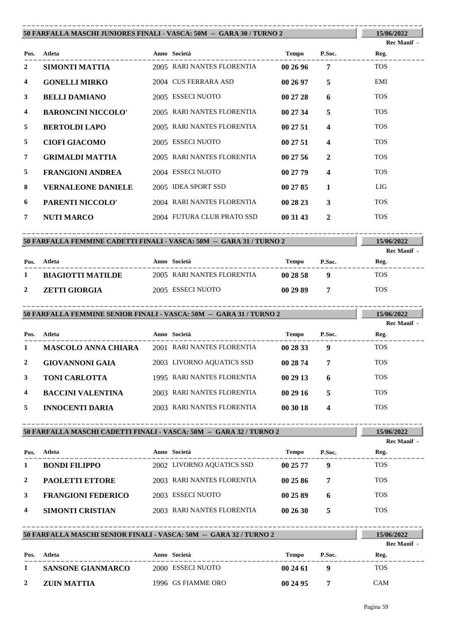|              | 50 FARFALLA MASCHI JUNIORES FINALI - VASCA: 50M -- GARA 30 / TURNO 2 |                                           |                          |                         | 15/06/2022                       |
|--------------|----------------------------------------------------------------------|-------------------------------------------|--------------------------|-------------------------|----------------------------------|
|              |                                                                      |                                           |                          |                         | Rec Manif -                      |
|              | Pos. Atleta                                                          | Anno Società                              | Tempo P.Soc.             |                         | Reg.                             |
| 2            | SIMONTI MATTIA                                                       | 2005 RARI NANTES FLORENTIA                | 00 26 96                 | $7\overline{ }$         | <b>TOS</b>                       |
| 4            | <b>GONELLI MIRKO</b>                                                 | 2004 CUS FERRARA ASD                      | 00 26 97                 | 5                       | EMI                              |
| 3            | <b>BELLI DAMIANO</b>                                                 | 2005 ESSECI NUOTO                         | 00 27 28                 | 6                       | <b>TOS</b>                       |
| 4            | <b>BARONCINI NICCOLO'</b>                                            | 2005 RARI NANTES FLORENTIA                | 00 27 34                 | 5                       | <b>TOS</b>                       |
| 5            | <b>BERTOLDI LAPO</b>                                                 | 2005 RARI NANTES FLORENTIA                | 00 27 51                 | $\overline{\mathbf{4}}$ | <b>TOS</b>                       |
| 5            | <b>CIOFI GIACOMO</b>                                                 | 2005 ESSECI NUOTO                         | 00 27 51                 | 4                       | <b>TOS</b>                       |
| 7            | <b>GRIMALDI MATTIA</b>                                               | 2005 RARI NANTES FLORENTIA                | 002756                   | $\overline{2}$          | <b>TOS</b>                       |
| 5            | <b>FRANGIONI ANDREA</b>                                              | 2004 ESSECI NUOTO                         | 00 27 79                 | $\overline{\mathbf{4}}$ | <b>TOS</b>                       |
| 8            | <b>VERNALEONE DANIELE</b>                                            | 2005 IDEA SPORT SSD                       | 00 27 85                 | 1                       | LIG                              |
| 6            | PARENTI NICCOLO'                                                     | 2004 RARI NANTES FLORENTIA                | 00 28 23                 | 3                       | <b>TOS</b>                       |
| 7            | <b>NUTI MARCO</b>                                                    | 2004 FUTURA CLUB PRATO SSD                | 00 31 43                 | $\mathbf{2}$            | <b>TOS</b>                       |
|              |                                                                      | -------------------------------------     |                          |                         |                                  |
|              | 50 FARFALLA FEMMINE CADETTI FINALI - VASCA: 50M -- GARA 31 / TURNO 2 |                                           |                          |                         | 15/06/2022<br><b>Rec Manif</b> - |
|              | Pos. Atleta                                                          | Anno Società                              | Tempo P.Soc.             |                         | Reg.                             |
| $\mathbf{1}$ | <b>BIAGIOTTI MATILDE</b>                                             | 2005 RARI NANTES FLORENTIA                | $002858$ 9               |                         | <b>TOS</b>                       |
| $\mathbf{2}$ | <b>ZETTI GIORGIA</b>                                                 | 2005 ESSECI NUOTO                         | 00298977                 |                         | <b>TOS</b>                       |
|              |                                                                      |                                           |                          |                         |                                  |
|              |                                                                      | -------------------------------------     |                          |                         |                                  |
|              | 50 FARFALLA FEMMINE SENIOR FINALI - VASCA: 50M -- GARA 31 / TURNO 2  |                                           |                          |                         | 15/06/2022<br>Rec Manif -        |
|              | Pos. Atleta<br>Anno Società                                          |                                           | Tempo P.Soc. Reg.        |                         |                                  |
| 1            | <b>MASCOLO ANNA CHIARA</b> 2001 RARI NANTES FLORENTIA 00 28 33       |                                           |                          | 9                       | <b>TOS</b>                       |
| 2            | <b>GIOVANNONI GAIA</b>                                               | 2003 LIVORNO AQUATICS SSD                 | 00 28 74                 | 7                       | <b>TOS</b>                       |
| 3            | TONI CARLOTTA                                                        | 1995 RARI NANTES FLORENTIA                | 00 29 13                 | 6                       | <b>TOS</b>                       |
| 4            | <b>BACCINI VALENTINA</b>                                             | 2003 RARI NANTES FLORENTIA                | 00 29 16                 | 5                       | <b>TOS</b>                       |
| 5            | <b>INNOCENTI DARIA</b>                                               | 2003 RARI NANTES FLORENTIA                | 00 30 18                 | 4                       | <b>TOS</b>                       |
|              |                                                                      |                                           |                          |                         |                                  |
|              | 50 FARFALLA MASCHI CADETTI FINALI - VASCA: 50M -- GARA 32 / TURNO 2  |                                           |                          |                         | 15/06/2022                       |
|              | Atleta                                                               |                                           |                          | P.Soc.                  | Rec Manif -                      |
| Pos.<br>1    | <b>BONDI FILIPPO</b>                                                 | Anno Società<br>2002 LIVORNO AQUATICS SSD | <b>Tempo</b><br>00 25 77 | 9 <sup>°</sup>          | Reg.<br><b>TOS</b>               |
| 2            | <b>PAOLETTI ETTORE</b>                                               | 2003 RARI NANTES FLORENTIA                | 00 25 86                 | 7                       | <b>TOS</b>                       |
| 3            | <b>FRANGIONI FEDERICO</b>                                            | 2003 ESSECI NUOTO                         | 00 25 89                 | 6                       | <b>TOS</b>                       |
| 4            | <b>SIMONTI CRISTIAN</b>                                              | 2003 RARI NANTES FLORENTIA                | 00 26 30                 | 5                       | <b>TOS</b>                       |
|              |                                                                      |                                           |                          |                         |                                  |
|              | 50 FARFALLA MASCHI SENIOR FINALI - VASCA: 50M -- GARA 32 / TURNO 2   |                                           |                          |                         | 15/06/2022                       |
| Pos.         | Atleta                                                               | Anno Società                              | <b>Tempo</b>             | P.Soc.                  | Rec Manif -<br>Reg.              |

**2 ZUIN MATTIA** 1996 GS FIAMME ORO **00 24 95 7** CAM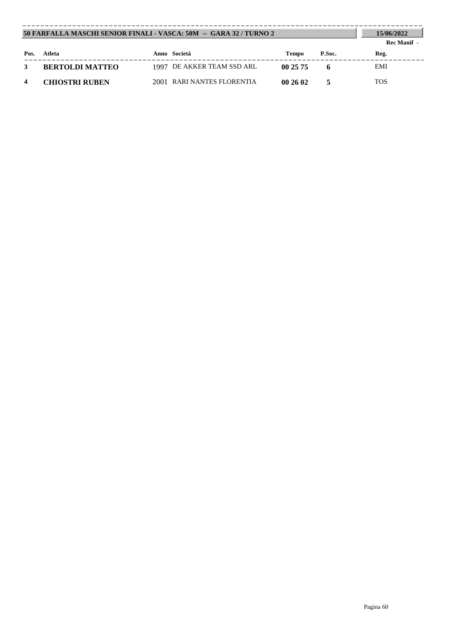|      | 50 FARFALLA MASCHI SENIOR FINALI - VASCA: 50M -- GARA 32 / TURNO 2 |  |                            |        |        |            |  |
|------|--------------------------------------------------------------------|--|----------------------------|--------|--------|------------|--|
| Pos. | Atleta                                                             |  | Anno Società               | Tempo  | P.Soc. | Reg.       |  |
|      | <b>BERTOLDI MATTEO</b>                                             |  | 1997 DE AKKER TEAM SSD ARL | 002575 |        | EMI        |  |
|      | <b>CHIOSTRI RUBEN</b>                                              |  | 2001 RARI NANTES FLORENTIA | 002602 |        | <b>TOS</b> |  |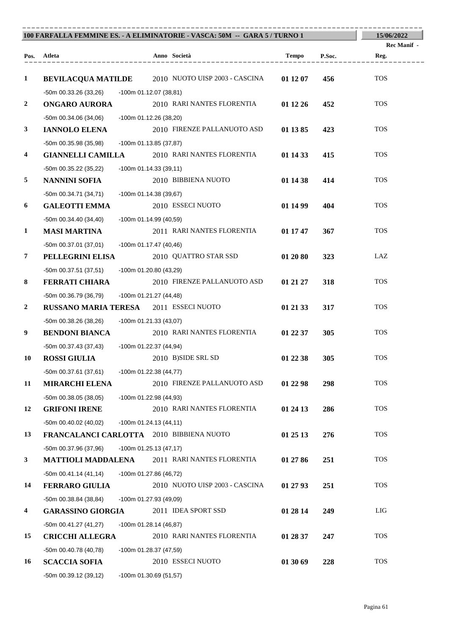| 100 FARFALLA FEMMINE ES. - A ELIMINATORIE - VASCA: 50M -- GARA 5 / TURNO 1 |                                          |                          |  |                                                          |          |        | 15/06/2022          |
|----------------------------------------------------------------------------|------------------------------------------|--------------------------|--|----------------------------------------------------------|----------|--------|---------------------|
|                                                                            | Pos. Atleta                              |                          |  | Anno Società                                             | Tempo    | P.Soc. | Rec Manif -<br>Reg. |
|                                                                            |                                          |                          |  |                                                          |          |        |                     |
| $\mathbf{1}$                                                               |                                          |                          |  | <b>BEVILACQUA MATILDE</b> 2010 NUOTO UISP 2003 - CASCINA | 01 12 07 | 456    | <b>TOS</b>          |
|                                                                            | -50m 00.33.26 (33,26)                    | -100m 01.12.07 (38,81)   |  |                                                          |          |        |                     |
| $\boldsymbol{2}$                                                           | <b>ONGARO AURORA</b>                     |                          |  | 2010 RARI NANTES FLORENTIA                               | 01 12 26 | 452    | <b>TOS</b>          |
|                                                                            | $-50m$ 00.34.06 (34,06)                  | -100m 01.12.26 (38,20)   |  |                                                          |          |        |                     |
| $\mathbf{3}$                                                               | <b>IANNOLO ELENA</b>                     |                          |  | 2010 FIRENZE PALLANUOTO ASD                              | 01 13 85 | 423    | <b>TOS</b>          |
|                                                                            | -50m 00.35.98 (35,98)                    | -100m 01.13.85 (37,87)   |  |                                                          |          |        |                     |
| $\overline{\mathbf{4}}$                                                    |                                          |                          |  | <b>GIANNELLI CAMILLA</b> 2010 RARI NANTES FLORENTIA      | 01 14 33 | 415    | <b>TOS</b>          |
|                                                                            | -50m 00.35.22 (35,22)                    | $-100m 01.14.33(39,11)$  |  |                                                          |          |        |                     |
| 5                                                                          | <b>NANNINI SOFIA</b>                     |                          |  | 2010 BIBBIENA NUOTO                                      | 01 14 38 | 414    | <b>TOS</b>          |
|                                                                            | $-50m$ 00.34.71 (34,71)                  | -100m 01.14.38 (39,67)   |  |                                                          |          |        |                     |
| 6                                                                          | <b>GALEOTTI EMMA</b>                     |                          |  | 2010 ESSECI NUOTO                                        | 01 14 99 | 404    | <b>TOS</b>          |
|                                                                            | $-50m$ 00.34.40 (34,40)                  | -100m 01.14.99 (40,59)   |  |                                                          |          |        |                     |
| $\mathbf{1}$                                                               | <b>MASI MARTINA</b>                      |                          |  | 2011 RARI NANTES FLORENTIA                               | 01 17 47 | 367    | <b>TOS</b>          |
|                                                                            | $-50m$ 00.37.01 (37,01)                  | $-100m$ 01.17.47 (40,46) |  |                                                          |          |        |                     |
| $\overline{7}$                                                             | PELLEGRINI ELISA                         |                          |  | 2010 QUATTRO STAR SSD                                    | 01 20 80 | 323    | LAZ                 |
|                                                                            | -50m 00.37.51 (37,51)                    | -100m 01.20.80 (43,29)   |  |                                                          |          |        |                     |
| 8                                                                          | <b>FERRATI CHIARA</b>                    |                          |  | 2010 FIRENZE PALLANUOTO ASD                              | 01 21 27 | 318    | <b>TOS</b>          |
|                                                                            | -50m 00.36.79 (36,79)                    | -100m 01.21.27 (44,48)   |  |                                                          |          |        |                     |
| $\boldsymbol{2}$                                                           | RUSSANO MARIA TERESA 2011 ESSECI NUOTO   |                          |  |                                                          | 01 21 33 | 317    | <b>TOS</b>          |
|                                                                            | -50m 00.38.26 (38,26)                    | -100m 01.21.33 (43,07)   |  |                                                          |          |        |                     |
| 9                                                                          | <b>BENDONI BIANCA</b>                    |                          |  | 2010 RARI NANTES FLORENTIA                               | 01 22 37 | 305    | <b>TOS</b>          |
|                                                                            | -50m 00.37.43 (37,43)                    | -100m 01.22.37 (44,94)   |  |                                                          |          |        |                     |
| 10                                                                         | <b>ROSSI GIULIA</b>                      |                          |  | 2010 B)SIDE SRL SD                                       | 01 22 38 | 305    | <b>TOS</b>          |
|                                                                            | $-50m$ 00.37.61 (37,61)                  | -100m 01.22.38 (44,77)   |  |                                                          |          |        |                     |
| 11                                                                         | <b>MIRARCHI ELENA</b>                    |                          |  | 2010 FIRENZE PALLANUOTO ASD                              | 01 22 98 | 298    | <b>TOS</b>          |
|                                                                            | $-50m$ 00.38.05 (38,05)                  | -100m 01.22.98 (44,93)   |  |                                                          |          |        |                     |
| 12                                                                         | <b>GRIFONI IRENE</b>                     |                          |  | 2010 RARI NANTES FLORENTIA                               | 01 24 13 | 286    | <b>TOS</b>          |
|                                                                            | $-50m$ 00.40.02 (40,02)                  | $-100m 01.24.13(44,11)$  |  |                                                          |          |        |                     |
| 13                                                                         | FRANCALANCI CARLOTTA 2010 BIBBIENA NUOTO |                          |  |                                                          | 01 25 13 | 276    | <b>TOS</b>          |
|                                                                            | -50m 00.37.96 (37,96)                    | $-100m$ 01.25.13 (47,17) |  |                                                          |          |        |                     |
| $\mathbf{3}$                                                               | <b>MATTIOLI MADDALENA</b>                |                          |  | 2011 RARI NANTES FLORENTIA                               | 01 27 86 | 251    | <b>TOS</b>          |
|                                                                            | $-50m$ 00.41.14 (41,14)                  | -100m 01.27.86 (46,72)   |  |                                                          |          |        |                     |
| 14                                                                         | <b>FERRARO GIULIA</b>                    |                          |  | 2010 NUOTO UISP 2003 - CASCINA                           | 01 27 93 | 251    | <b>TOS</b>          |
|                                                                            | $-50m$ 00.38.84 (38,84)                  | -100m 01.27.93 (49,09)   |  |                                                          |          |        |                     |
| 4                                                                          | <b>GARASSINO GIORGIA</b>                 |                          |  | 2011 IDEA SPORT SSD                                      | 01 28 14 | 249    | LIG                 |
|                                                                            | -50m 00.41.27 (41,27)                    | -100m 01.28.14 (46,87)   |  |                                                          |          |        |                     |
| 15                                                                         | <b>CRICCHI ALLEGRA</b>                   |                          |  | 2010 RARI NANTES FLORENTIA                               | 01 28 37 | 247    | <b>TOS</b>          |
|                                                                            | -50m 00.40.78 (40,78)                    | -100m 01.28.37 (47,59)   |  |                                                          |          |        |                     |
| 16                                                                         | <b>SCACCIA SOFIA</b>                     |                          |  | 2010 ESSECI NUOTO                                        | 01 30 69 | 228    | <b>TOS</b>          |
|                                                                            | -50m 00.39.12 (39,12)                    | -100m 01.30.69 (51,57)   |  |                                                          |          |        |                     |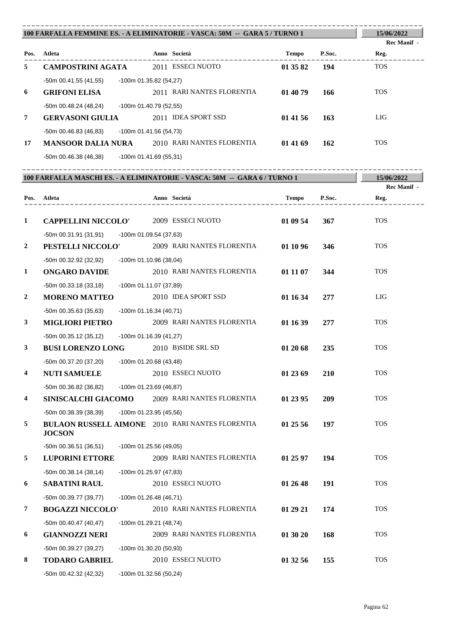|                | 100 FARFALLA FEMMINE ES. - A ELIMINATORIE - VASCA: 50M -- GARA 5 / TURNO 1 |                            |                        |                    |  |  |
|----------------|----------------------------------------------------------------------------|----------------------------|------------------------|--------------------|--|--|
|                |                                                                            |                            |                        | <b>Rec Manif -</b> |  |  |
| Pos.           | Atleta                                                                     | Anno Società               | P.Soc.<br><b>Tempo</b> | Reg.               |  |  |
| 5              | <b>CAMPOSTRINI AGATA</b>                                                   | 2011 ESSECI NUOTO          | 01 35 82<br>194        | <b>TOS</b>         |  |  |
|                | $-50$ m 00.41.55 (41,55)                                                   | $-100m$ 01.35.82 (54,27)   |                        |                    |  |  |
| 6              | <b>GRIFONI ELISA</b>                                                       | 2011 RARI NANTES FLORENTIA | 01 40 79<br>166        | <b>TOS</b>         |  |  |
|                | $-50m$ 00.48.24 (48,24)                                                    | -100m 01.40.79 (52,55)     |                        |                    |  |  |
| $\overline{7}$ | <b>GERVASONI GIULIA</b>                                                    | 2011 IDEA SPORT SSD        | 01 41 56<br>163        | LIG                |  |  |
|                | $-50m$ 00.46.83 (46,83)                                                    | $-100m$ 01.41.56 (54,73)   |                        |                    |  |  |
| 17             | <b>MANSOOR DALIA NURA</b>                                                  | 2010 RARI NANTES FLORENTIA | 01 41 69<br>162        | <b>TOS</b>         |  |  |
|                | $-50m$ 00.46.38 (46,38)                                                    | $-100m$ 01.41.69 (55,31)   |                        |                    |  |  |

|                  | 100 FARFALLA MASCHI ES. - A ELIMINATORIE - VASCA: 50M -- GARA 6 / TURNO 1 |                          |  |                                                         |              |        | 15/06/2022  |
|------------------|---------------------------------------------------------------------------|--------------------------|--|---------------------------------------------------------|--------------|--------|-------------|
|                  |                                                                           |                          |  |                                                         |              |        | Rec Manif - |
|                  | Pos. Atleta                                                               |                          |  | Anno Società                                            | <b>Tempo</b> | P.Soc. | Reg.        |
| $\mathbf{1}$     | <b>CAPPELLINI NICCOLO'</b>                                                |                          |  | 2009 ESSECI NUOTO                                       | 01 09 54     | 367    | <b>TOS</b>  |
|                  | $-50m$ 00.31.91 (31,91)                                                   | -100m 01.09.54 (37,63)   |  |                                                         |              |        |             |
| $\overline{2}$   | PESTELLI NICCOLO'                                                         |                          |  | 2009 RARI NANTES FLORENTIA                              | 01 10 96     | 346    | <b>TOS</b>  |
|                  | -50m 00.32.92 (32,92)                                                     | -100m 01.10.96 (38,04)   |  |                                                         |              |        |             |
| $\mathbf{1}$     | <b>ONGARO DAVIDE</b>                                                      |                          |  | 2010 RARI NANTES FLORENTIA                              | 01 11 07     | 344    | <b>TOS</b>  |
|                  | $-50m$ 00.33.18 (33,18)                                                   | -100m 01.11.07 (37,89)   |  |                                                         |              |        |             |
| $\boldsymbol{2}$ | <b>MORENO MATTEO</b>                                                      |                          |  | 2010 IDEA SPORT SSD                                     | 01 16 34     | 277    | LIG         |
|                  | $-50m$ 00.35.63 (35,63)                                                   | $-100m$ 01.16.34 (40,71) |  |                                                         |              |        |             |
| 3                | <b>MIGLIORI PIETRO</b>                                                    |                          |  | 2009 RARI NANTES FLORENTIA                              | 01 16 39     | 277    | <b>TOS</b>  |
|                  | -50m 00.35.12 (35,12)                                                     | -100m 01.16.39 (41,27)   |  |                                                         |              |        |             |
| 3                | <b>BUSI LORENZO LONG</b>                                                  |                          |  | 2010 B)SIDE SRL SD                                      | 01 20 68     | 235    | <b>TOS</b>  |
|                  | -50m 00.37.20 (37,20)                                                     | -100m 01.20.68 (43,48)   |  |                                                         |              |        |             |
| 4                | <b>NUTI SAMUELE</b>                                                       |                          |  | 2010 ESSECI NUOTO                                       | 01 23 69     | 210    | <b>TOS</b>  |
|                  | -50m 00.36.82 (36,82)                                                     | -100m 01.23.69 (46,87)   |  |                                                         |              |        |             |
| 4                | <b>SINISCALCHI GIACOMO</b>                                                |                          |  | 2009 RARI NANTES FLORENTIA                              | 01 23 95     | 209    | <b>TOS</b>  |
|                  | $-50m$ 00.38.39 (38,39)                                                   | -100m 01.23.95 (45,56)   |  |                                                         |              |        |             |
| 5                | <b>JOCSON</b>                                                             |                          |  | <b>BULAON RUSSELL AIMONE</b> 2010 RARI NANTES FLORENTIA | 01 25 56     | 197    | <b>TOS</b>  |
|                  | -50m 00.36.51 (36,51)                                                     | -100m 01.25.56 (49,05)   |  |                                                         |              |        |             |
| 5                | <b>LUPORINI ETTORE</b>                                                    |                          |  | 2009 RARI NANTES FLORENTIA                              | 01 25 97     | 194    | <b>TOS</b>  |
|                  | $-50m$ 00.38.14 (38,14)                                                   | -100m 01.25.97 (47,83)   |  |                                                         |              |        |             |
| 6                | <b>SABATINI RAUL</b>                                                      |                          |  | 2010 ESSECI NUOTO                                       | 01 26 48     | 191    | <b>TOS</b>  |
|                  | -50m 00.39.77 (39,77)                                                     | $-100m$ 01.26.48 (46,71) |  |                                                         |              |        |             |
| 7                | <b>BOGAZZI NICCOLO'</b>                                                   |                          |  | 2010 RARI NANTES FLORENTIA                              | 01 29 21     | 174    | <b>TOS</b>  |
|                  | $-50m$ 00.40.47 (40,47)                                                   | -100m 01.29.21 (48,74)   |  |                                                         |              |        |             |
| 6                | <b>GIANNOZZI NERI</b>                                                     |                          |  | 2009 RARI NANTES FLORENTIA                              | 01 30 20     | 168    | <b>TOS</b>  |
|                  | -50m 00.39.27 (39,27)                                                     | -100m 01.30.20 (50,93)   |  |                                                         |              |        |             |
| 8                | <b>TODARO GABRIEL</b>                                                     |                          |  | 2010 ESSECI NUOTO                                       | 01 32 56     | 155    | <b>TOS</b>  |
|                  | -50m 00.42.32 (42,32)                                                     | -100m 01.32.56 (50,24)   |  |                                                         |              |        |             |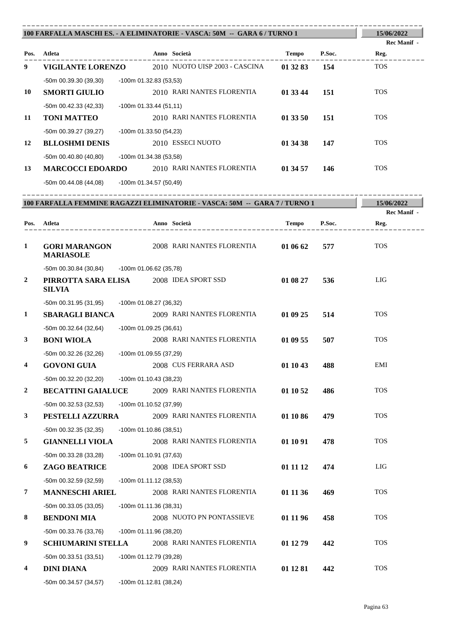|                         | 100 FARFALLA MASCHI ES. - A ELIMINATORIE - VASCA: 50M -- GARA 6 / TURNO 1 | 15/06/2022               |                                                                            |              |                                      |                    |
|-------------------------|---------------------------------------------------------------------------|--------------------------|----------------------------------------------------------------------------|--------------|--------------------------------------|--------------------|
|                         |                                                                           |                          |                                                                            |              |                                      | <b>Rec Manif</b> - |
|                         | Pos. Atleta                                                               |                          | Anno Società                                                               | Tempo        | P.Soc.                               | Reg.               |
| 9                       | <b>VIGILANTE LORENZO</b>                                                  |                          | 2010 NUOTO UISP 2003 - CASCINA                                             | 01 32 83     | 154                                  | <b>TOS</b>         |
|                         | -50m 00.39.30 (39,30)                                                     | -100m 01.32.83 (53,53)   |                                                                            |              |                                      |                    |
| 10                      | <b>SMORTI GIULIO</b>                                                      |                          | 2010 RARI NANTES FLORENTIA                                                 | 01 33 44     | 151                                  | <b>TOS</b>         |
|                         | $-50m$ 00.42.33 (42,33)                                                   | $-100m$ 01.33.44 (51,11) |                                                                            |              |                                      |                    |
| 11                      | <b>TONI MATTEO</b>                                                        |                          | 2010 RARI NANTES FLORENTIA                                                 | 01 33 50     | 151                                  | <b>TOS</b>         |
|                         | -50m 00.39.27 (39,27)                                                     | $-100m$ 01.33.50 (54,23) |                                                                            |              |                                      |                    |
| 12                      | <b>BLLOSHMI DENIS</b>                                                     |                          | 2010 ESSECI NUOTO                                                          | 01 34 38     | 147                                  | <b>TOS</b>         |
|                         | $-50m$ 00.40.80 (40,80)                                                   | -100m 01.34.38 (53,58)   |                                                                            |              |                                      |                    |
| 13                      |                                                                           |                          | <b>MARCOCCI EDOARDO</b> 2010 RARI NANTES FLORENTIA                         | 01 34 57     | 146                                  | <b>TOS</b>         |
|                         | -50m 00.44.08 (44,08)                                                     | -100m 01.34.57 (50,49)   |                                                                            |              |                                      |                    |
|                         |                                                                           |                          |                                                                            |              |                                      |                    |
|                         |                                                                           |                          | 100 FARFALLA FEMMINE RAGAZZI ELIMINATORIE - VASCA: 50M -- GARA 7 / TURNO 1 |              |                                      | 15/06/2022         |
|                         |                                                                           |                          |                                                                            |              |                                      | <b>Rec Manif</b> - |
|                         | Pos. Atleta<br>. _ _ _ _ _ _ _ _ _ _ _ _ _ _ _                            |                          | Anno Società<br>. _ _ _ _ _ _ _ _ _ _ _ _ _ _ _ _ _                        | <b>Tempo</b> | P.Soc.                               | Reg.               |
| 1                       | <b>GORI MARANGON</b><br><b>MARIASOLE</b>                                  |                          | 2008 RARI NANTES FLORENTIA                                                 | 01 06 62     | 577                                  | <b>TOS</b>         |
|                         | -50m 00.30.84 (30,84) -100m 01.06.62 (35,78)                              |                          |                                                                            |              |                                      |                    |
| $\overline{2}$          | PIRROTTA SARA ELISA 2008 IDEA SPORT SSD<br><b>SILVIA</b>                  |                          |                                                                            | 01 08 27     | 536                                  | <b>LIG</b>         |
|                         | -50m 00.31.95 (31,95)                                                     | -100m 01.08.27 (36,32)   |                                                                            |              |                                      |                    |
| 1                       | <b>SBARAGLI BIANCA</b>                                                    |                          | 2009 RARI NANTES FLORENTIA                                                 | 01 09 25     | 514                                  | <b>TOS</b>         |
|                         | $-50m$ 00.32.64 (32,64)                                                   | $-100m$ 01.09.25 (36,61) |                                                                            |              |                                      |                    |
| 3                       | <b>BONI WIOLA</b>                                                         |                          | 2008 RARI NANTES FLORENTIA                                                 | 01 09 55     | 507                                  | <b>TOS</b>         |
|                         | $-50m$ 00.32.26 (32,26)                                                   | -100m 01.09.55 (37,29)   |                                                                            |              |                                      |                    |
| $\overline{\mathbf{4}}$ | <b>GOVONI GUIA</b>                                                        |                          | 2008 CUS FERRARA ASD                                                       | 01 10 43     | 488                                  | EMI                |
|                         | -50m 00.32.20 (32,20)                                                     | $-100m$ 01.10.43 (38,23) |                                                                            |              |                                      |                    |
| $\boldsymbol{2}$        | <b>BECATTINI GAIALUCE</b>                                                 |                          | 2009 RARI NANTES FLORENTIA                                                 | 01 10 52     | 486                                  | <b>TOS</b>         |
|                         | -50m 00.32.53 (32,53)                                                     | -100m 01.10.52 (37,99)   |                                                                            |              |                                      |                    |
| 3                       | PESTELLI AZZURRA                                                          |                          | 2009 RARI NANTES FLORENTIA                                                 | 01 10 86     | 479                                  | <b>TOS</b>         |
|                         | -50m 00.32.35 (32,35)                                                     | $-100m$ 01.10.86 (38,51) |                                                                            |              |                                      |                    |
| 5                       | <b>GIANNELLI VIOLA</b>                                                    |                          | 2008 RARI NANTES FLORENTIA                                                 | 01 10 91     | 478                                  | <b>TOS</b>         |
|                         | -50m 00.33.28 (33,28)                                                     | -100m 01.10.91 (37,63)   |                                                                            |              |                                      |                    |
| 6                       | ZAGO BEATRICE                                                             |                          | 2008 IDEA SPORT SSD                                                        | 01 11 12     | 474                                  | <b>LIG</b>         |
|                         | -50m 00.32.59 (32,59)                                                     | $-100m 01.11.12(38.53)$  |                                                                            |              |                                      |                    |
| 7                       | <b>MANNESCHI ARIEL</b>                                                    |                          | 2008 RARI NANTES FLORENTIA                                                 | 01 11 36     | 469                                  | <b>TOS</b>         |
|                         |                                                                           |                          |                                                                            |              |                                      |                    |
| 8                       | -50m 00.33.05 (33,05)                                                     | $-100m$ 01.11.36 (38,31) | 2008 NUOTO PN PONTASSIEVE                                                  |              |                                      | <b>TOS</b>         |
|                         | <b>BENDONI MIA</b>                                                        |                          |                                                                            | 01 11 96     | 458                                  |                    |
| $\mathbf Q$             | -50m 00.33.76 (33,76)                                                     | -100m 01.11.96 (38,20)   | <b>SCHIHMARINI STELLA</b> 2008 RARI NANTES FLORENTIA                       | 01 12 79     | $\boldsymbol{A}\boldsymbol{\Lambda}$ | <b>TOS</b>         |

**9 SCHIUMARINI STELLA** 2008 RARI NANTES FLORENTIA **01 12 79 442** TOS -50m 00.33.51 (33,51) -100m 01.12.79 (39,28)<br> **DINI DIANA** 2009 RAH **4 DINI DIANA** 2009 RARI NANTES FLORENTIA **01 12 81 442** TOS -50m 00.34.57 (34,57) -100m 01.12.81 (38,24)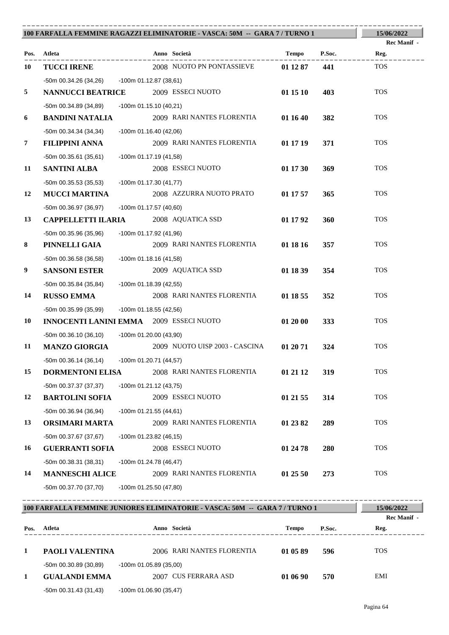|    |                                                    |                           | 100 FARFALLA FEMMINE RAGAZZI ELIMINATORIE - VASCA: 50M -- GARA 7 / TURNO 1 |          |        | 15/06/2022  |
|----|----------------------------------------------------|---------------------------|----------------------------------------------------------------------------|----------|--------|-------------|
|    |                                                    |                           |                                                                            |          |        | Rec Manif - |
|    | Pos. Atleta                                        | . _ _ _ _ _ _ _ _ _ _ _ _ | Anno Società                                                               | Tempo    | P.Soc. | Reg.        |
| 10 | <b>TUCCI IRENE</b>                                 |                           | 2008 NUOTO PN PONTASSIEVE                                                  | 01 12 87 | 441    | <b>TOS</b>  |
|    | -50m 00.34.26 (34,26) -100m 01.12.87 (38,61)       |                           |                                                                            |          |        |             |
| 5  | <b>NANNUCCI BEATRICE</b>                           |                           | 2009 ESSECI NUOTO                                                          | 01 15 10 | 403    | <b>TOS</b>  |
|    | -50m 00.34.89 (34,89)                              | -100m 01.15.10 (40,21)    |                                                                            |          |        |             |
| 6  | <b>BANDINI NATALIA</b>                             |                           | 2009 RARI NANTES FLORENTIA                                                 | 01 16 40 | 382    | <b>TOS</b>  |
|    | $-50m$ 00.34.34 (34,34)                            | -100m 01.16.40 (42,06)    |                                                                            |          |        |             |
| 7  | <b>FILIPPINI ANNA</b>                              |                           | 2009 RARI NANTES FLORENTIA                                                 | 01 17 19 | 371    | <b>TOS</b>  |
|    | $-50m00.35.61(35.61)$                              | -100m 01.17.19 (41,58)    |                                                                            |          |        |             |
| 11 | <b>SANTINI ALBA</b>                                |                           | 2008 ESSECI NUOTO                                                          | 01 17 30 | 369    | <b>TOS</b>  |
|    | -50m 00.35.53 (35,53)                              | -100m 01.17.30 (41,77)    |                                                                            |          |        |             |
| 12 | <b>MUCCI MARTINA</b>                               |                           | 2008 AZZURRA NUOTO PRATO                                                   | 01 17 57 | 365    | <b>TOS</b>  |
|    | -50m 00.36.97 (36,97)                              | -100m 01.17.57 (40,60)    |                                                                            |          |        |             |
| 13 | <b>CAPPELLETTI ILARIA</b>                          |                           | 2008 AQUATICA SSD                                                          | 01 17 92 | 360    | <b>TOS</b>  |
|    | -50m 00.35.96 (35,96)                              | -100m 01.17.92 (41,96)    |                                                                            |          |        |             |
| 8  | PINNELLI GAIA                                      |                           | 2009 RARI NANTES FLORENTIA                                                 | 01 18 16 | 357    | <b>TOS</b>  |
|    | $-50m$ 00.36.58 (36,58)                            | $-100m$ 01.18.16 (41,58)  |                                                                            |          |        |             |
| 9  | <b>SANSONI ESTER</b>                               |                           | 2009 AQUATICA SSD                                                          | 01 18 39 | 354    | <b>TOS</b>  |
|    | -50m 00.35.84 (35,84)                              | -100m 01.18.39 (42,55)    |                                                                            |          |        |             |
| 14 | <b>RUSSO EMMA</b>                                  |                           | 2008 RARI NANTES FLORENTIA                                                 | 01 18 55 | 352    | <b>TOS</b>  |
|    | -50m 00.35.99 (35,99)                              | -100m 01.18.55 (42,56)    |                                                                            |          |        |             |
| 10 | <b>INNOCENTI LANINI EMMA</b> 2009 ESSECI NUOTO     |                           |                                                                            | 01 20 00 | 333    | <b>TOS</b>  |
|    | -50m 00.36.10 (36,10)                              | -100m 01.20.00 (43,90)    |                                                                            |          |        |             |
| 11 | <b>MANZO GIORGIA</b>                               |                           | 2009 NUOTO UISP 2003 - CASCINA                                             | 01 20 71 | 324    | <b>TOS</b>  |
|    | $-50$ m 00.36.14 (36,14) $-100$ m 01.20.71 (44,57) |                           |                                                                            |          |        |             |
| 15 | <b>DORMENTONI ELISA</b>                            |                           | 2008 RARI NANTES FLORENTIA                                                 | 01 21 12 | 319    | <b>TOS</b>  |
|    | -50m 00.37.37 (37,37)                              | $-100m$ 01.21.12 (43,75)  |                                                                            |          |        |             |
| 12 | <b>BARTOLINI SOFIA</b>                             |                           | 2009 ESSECI NUOTO                                                          | 01 21 55 | 314    | <b>TOS</b>  |
|    | $-50m$ 00.36.94 (36,94)                            | $-100m$ 01.21.55 (44,61)  |                                                                            |          |        |             |
| 13 | ORSIMARI MARTA                                     |                           | 2009 RARI NANTES FLORENTIA                                                 | 01 23 82 | 289    | <b>TOS</b>  |
|    | -50m 00.37.67 (37,67)                              | $-100m$ 01.23.82 (46,15)  |                                                                            |          |        |             |
| 16 | <b>GUERRANTI SOFIA</b>                             |                           | 2008 ESSECI NUOTO                                                          | 01 24 78 | 280    | <b>TOS</b>  |
|    | -50m 00.38.31 (38,31)                              | $-100m$ 01.24.78 (46,47)  |                                                                            |          |        |             |
| 14 | <b>MANNESCHI ALICE</b>                             |                           | 2009 RARI NANTES FLORENTIA                                                 | 01 25 50 | 273    | <b>TOS</b>  |
|    | -50m 00.37.70 (37,70)                              | -100m 01.25.50 (47,80)    |                                                                            |          |        |             |

|      | 100 FARFALLA FEMMINE JUNIORES ELIMINATORIE - VASCA: 50M -- GARA 7 / TURNO 1 |                           |                            |          |        |             |  |
|------|-----------------------------------------------------------------------------|---------------------------|----------------------------|----------|--------|-------------|--|
|      |                                                                             |                           |                            |          |        | Rec Manif - |  |
| Pos. | Atleta                                                                      |                           | Anno Società               | Tempo    | P.Soc. | Reg.        |  |
|      |                                                                             |                           |                            |          |        |             |  |
| 1    | <b>PAOLI VALENTINA</b>                                                      |                           | 2006 RARI NANTES FLORENTIA | 01 05 89 | 596    | <b>TOS</b>  |  |
|      | -50m 00.30.89 (30,89)                                                       | $-100$ m 01.05.89 (35,00) |                            |          |        |             |  |
| 1    | <b>GUALANDI EMMA</b>                                                        |                           | 2007 CUS FERRARA ASD       | 01 06 90 | 570    | EMI         |  |
|      | $-50m$ 00.31.43 (31,43)                                                     | $-100m$ 01.06.90 (35,47)  |                            |          |        |             |  |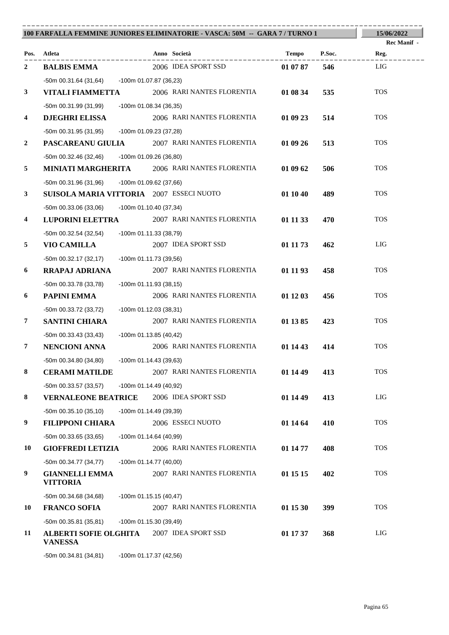| 100 FARFALLA FEMMINE JUNIORES ELIMINATORIE - VASCA: 50M -- GARA 7 / TURNO 1 | 15/06/2022                                     |                                                      |                 |                    |
|-----------------------------------------------------------------------------|------------------------------------------------|------------------------------------------------------|-----------------|--------------------|
|                                                                             |                                                |                                                      |                 | <b>Rec Manif</b> - |
|                                                                             | Pos. Atleta                                    | Anno Società<br>. _ _ _ _ _ _ _ _ _ _ _              | P.Soc.<br>Tempo | Reg.               |
| 2                                                                           | <b>BALBIS EMMA</b>                             | 2006 IDEA SPORT SSD                                  | 546<br>01 07 87 | LIG                |
|                                                                             | -50m 00.31.64 (31,64) -100m 01.07.87 (36,23)   |                                                      |                 |                    |
| $\mathbf{3}$                                                                | VITALI FIAMMETTA                               | 2006 RARI NANTES FLORENTIA                           | 01 08 34<br>535 | <b>TOS</b>         |
|                                                                             | -50m 00.31.99 (31,99)                          | -100m 01.08.34 (36,35)                               |                 |                    |
| 4                                                                           | <b>DJEGHRI ELISSA</b>                          | 2006 RARI NANTES FLORENTIA                           | 01 09 23<br>514 | <b>TOS</b>         |
|                                                                             | $-50m$ 00.31.95 (31,95)                        | -100m 01.09.23 (37,28)                               |                 |                    |
| $\boldsymbol{2}$                                                            |                                                | <b>PASCAREANU GIULIA</b> 2007 RARI NANTES FLORENTIA  | 01 09 26<br>513 | <b>TOS</b>         |
|                                                                             | -50m 00.32.46 (32,46) -100m 01.09.26 (36,80)   |                                                      |                 |                    |
| 5                                                                           |                                                | <b>MINIATI MARGHERITA</b> 2006 RARI NANTES FLORENTIA | 01 09 62<br>506 | <b>TOS</b>         |
|                                                                             | -50m 00.31.96 (31,96)                          | -100m 01.09.62 (37,66)                               |                 |                    |
| $\mathbf{3}$                                                                | SUISOLA MARIA VITTORIA 2007 ESSECI NUOTO       |                                                      | 01 10 40<br>489 | <b>TOS</b>         |
|                                                                             | $-50m$ 00.33.06 (33,06)                        | $-100m$ 01.10.40 (37,34)                             |                 |                    |
| $\overline{\mathbf{4}}$                                                     | <b>LUPORINI ELETTRA</b>                        | 2007 RARI NANTES FLORENTIA                           | 01 11 33<br>470 | <b>TOS</b>         |
|                                                                             | -50m 00.32.54 (32,54)                          | -100m 01.11.33 (38,79)                               |                 |                    |
| 5                                                                           | <b>VIO CAMILLA</b>                             | 2007 IDEA SPORT SSD                                  | 01 11 73<br>462 | LIG                |
|                                                                             | $-50m$ 00.32.17 (32,17)                        | -100m 01.11.73 (39,56)                               |                 |                    |
| 6                                                                           | RRAPAJ ADRIANA                                 | 2007 RARI NANTES FLORENTIA                           | 01 11 93<br>458 | <b>TOS</b>         |
|                                                                             | $-50m$ 00.33.78 (33,78)                        | -100m 01.11.93 (38,15)                               |                 |                    |
| 6                                                                           | PAPINI EMMA                                    | 2006 RARI NANTES FLORENTIA                           | 01 12 03<br>456 | <b>TOS</b>         |
|                                                                             | -50m 00.33.72 (33,72)                          | -100m 01.12.03 (38,31)                               |                 |                    |
| 7                                                                           | <b>SANTINI CHIARA</b>                          | 2007 RARI NANTES FLORENTIA                           | 01 13 85<br>423 | <b>TOS</b>         |
|                                                                             | $-50m$ 00.33.43 (33,43)                        | $-100m$ 01.13.85 (40,42)                             |                 |                    |
| 7                                                                           | <b>NENCIONI ANNA</b>                           | 2006 RARI NANTES FLORENTIA                           | 01 14 43<br>414 | <b>TOS</b>         |
|                                                                             | -50m 00.34.80 (34,80) - 100m 01.14.43 (39,63)  |                                                      |                 |                    |
| 8                                                                           | <b>CERAMI MATILDE</b>                          | 2007 RARI NANTES FLORENTIA                           | 01 14 49<br>413 | <b>TOS</b>         |
|                                                                             | -50m 00.33.57 (33,57)                          | $-100m$ 01.14.49 (40,92)                             |                 |                    |
| 8                                                                           | <b>VERNALEONE BEATRICE</b>                     | 2006 IDEA SPORT SSD                                  | 01 14 49<br>413 | LIG                |
|                                                                             | $-50m$ 00.35.10 (35,10)                        | -100m 01.14.49 (39,39)                               |                 |                    |
| 9                                                                           | <b>FILIPPONI CHIARA</b>                        | 2006 ESSECI NUOTO                                    | 410<br>01 14 64 | <b>TOS</b>         |
|                                                                             | $-50m$ 00.33.65 (33,65)                        | $-100m$ 01.14.64 (40,99)                             |                 |                    |
| 10                                                                          | <b>GIOFFREDI LETIZIA</b>                       | 2006 RARI NANTES FLORENTIA                           | 01 14 77<br>408 | <b>TOS</b>         |
|                                                                             | -50m 00.34.77 (34,77)                          | $-100m$ 01.14.77 (40,00)                             |                 |                    |
| 9                                                                           | <b>GIANNELLI EMMA</b><br><b>VITTORIA</b>       | 2007 RARI NANTES FLORENTIA                           | 01 15 15<br>402 | <b>TOS</b>         |
|                                                                             | -50m 00.34.68 (34,68)                          | $-100m$ 01.15.15 (40,47)                             |                 |                    |
| 10                                                                          | <b>FRANCO SOFIA</b>                            | 2007 RARI NANTES FLORENTIA                           | 01 15 30<br>399 | <b>TOS</b>         |
|                                                                             | $-50m$ 00.35.81 (35,81)                        | -100m 01.15.30 (39,49)                               |                 |                    |
| 11                                                                          | <b>ALBERTI SOFIE OLGHITA</b><br><b>VANESSA</b> | 2007 IDEA SPORT SSD                                  | 368<br>01 17 37 | LIG                |

-50m 00.34.81 (34,81) -100m 01.17.37 (42,56)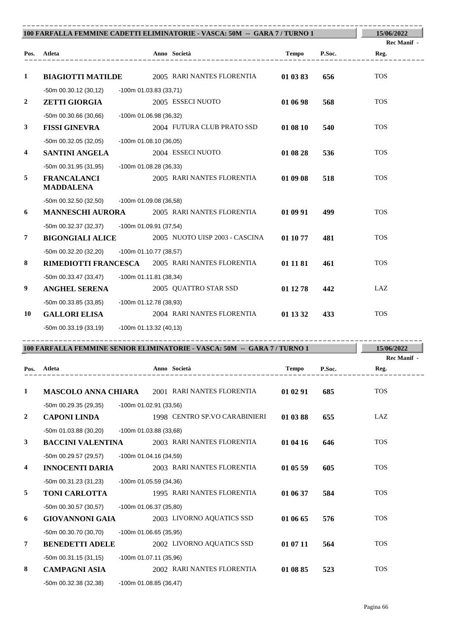| 100 FARFALLA FEMMINE CADETTI ELIMINATORIE - VASCA: 50M -- GARA 7 / TURNO 1 | 15/06/2022                                      |                           |                                                                          |              |        |                     |
|----------------------------------------------------------------------------|-------------------------------------------------|---------------------------|--------------------------------------------------------------------------|--------------|--------|---------------------|
|                                                                            | Pos. Atleta                                     |                           | Anno Società                                                             | <b>Tempo</b> | P.Soc. | Rec Manif -<br>Reg. |
| $\mathbf{1}$                                                               | <b>BIAGIOTTI MATILDE</b>                        |                           | 2005 RARI NANTES FLORENTIA                                               | 01 03 83     | 656    | <b>TOS</b>          |
|                                                                            | $-50m$ 00.30.12 (30,12)                         | $-100$ m 01.03.83 (33,71) |                                                                          |              |        |                     |
| $\boldsymbol{2}$                                                           | <b>ZETTI GIORGIA</b>                            |                           | 2005 ESSECI NUOTO                                                        | 01 06 98     | 568    | <b>TOS</b>          |
|                                                                            | $-50m$ 00.30.66 (30,66)                         | -100m 01.06.98 (36,32)    |                                                                          |              |        |                     |
| $\mathbf{3}$                                                               | <b>FISSI GINEVRA</b>                            |                           | 2004 FUTURA CLUB PRATO SSD                                               | 01 08 10     | 540    | <b>TOS</b>          |
|                                                                            | $-50m$ 00.32.05 (32,05)                         | $-100m$ 01.08.10 (36,05)  |                                                                          |              |        |                     |
| 4                                                                          | <b>SANTINI ANGELA</b>                           |                           | 2004 ESSECI NUOTO                                                        | 01 08 28     | 536    | <b>TOS</b>          |
|                                                                            | $-50m$ 00.31.95 (31,95)                         | -100m 01.08.28 (36,33)    |                                                                          |              |        |                     |
| 5                                                                          | <b>FRANCALANCI</b><br><b>MADDALENA</b>          |                           | 2005 RARI NANTES FLORENTIA                                               | 01 09 08     | 518    | <b>TOS</b>          |
|                                                                            | -50m 00.32.50 (32,50) -100m 01.09.08 (36,58)    |                           |                                                                          |              |        |                     |
| 6                                                                          | <b>MANNESCHI AURORA</b>                         |                           | 2005 RARI NANTES FLORENTIA                                               | 01 09 91     | 499    | <b>TOS</b>          |
|                                                                            | $-50m$ 00.32.37 (32,37)                         | -100m 01.09.91 (37,54)    |                                                                          |              |        |                     |
| 7                                                                          | <b>BIGONGIALI ALICE</b>                         |                           | 2005 NUOTO UISP 2003 - CASCINA                                           | 01 10 77     | 481    | <b>TOS</b>          |
|                                                                            | $-50m$ 00.32.20 (32,20)                         | -100m 01.10.77 (38,57)    |                                                                          |              |        |                     |
| 8                                                                          | RIMEDIOTTI FRANCESCA 2005 RARI NANTES FLORENTIA |                           |                                                                          | 01 11 81     | 461    | <b>TOS</b>          |
|                                                                            | $-50m$ 00.33.47 (33,47)                         | $-100m 01.11.81 (38,34)$  |                                                                          |              |        |                     |
| 9                                                                          | <b>ANGHEL SERENA</b>                            |                           | 2005 QUATTRO STAR SSD                                                    | 01 12 78     | 442    | LAZ                 |
|                                                                            | -50m 00.33.85 (33,85)                           | -100m 01.12.78 (38,93)    |                                                                          |              |        |                     |
| 10                                                                         | <b>GALLORI ELISA</b>                            |                           | 2004 RARI NANTES FLORENTIA                                               | 01 13 32     | 433    | <b>TOS</b>          |
|                                                                            | -100m 01.13.32 (40,13)<br>-50m 00.33.19 (33,19) |                           |                                                                          |              |        |                     |
|                                                                            |                                                 |                           | 100 FARFALLA FEMMINE SENIOR ELIMINATORIE - VASCA: 50M -- GARA 7/ TURNO 1 |              |        | 15/06/2022          |
|                                                                            |                                                 |                           |                                                                          |              |        | <b>Rec Manif -</b>  |
| Pos.                                                                       | Atleta                                          |                           | Anno Società                                                             | <b>Tempo</b> | P.Soc. | Reg.                |
| 1                                                                          | <b>MASCOLO ANNA CHIARA</b>                      |                           | 2001 RARI NANTES FLORENTIA                                               | 01 02 91     | 685    | <b>TOS</b>          |
|                                                                            | -50m 00.29.35 (29,35)                           | -100m 01.02.91 (33,56)    |                                                                          |              |        |                     |
| $\boldsymbol{2}$                                                           | <b>CAPONI LINDA</b>                             |                           | 1998 CENTRO SP.VO CARABINIERI                                            | 01 03 88     | 655    | LAZ                 |
|                                                                            | -50m 01.03.88 (30,20)                           | -100m 01.03.88 (33,68)    |                                                                          |              |        |                     |
| 3                                                                          | <b>BACCINI VALENTINA</b>                        |                           | 2003 RARI NANTES FLORENTIA                                               | 01 04 16     | 646    | <b>TOS</b>          |
|                                                                            | -50m 00.29.57 (29,57)                           | -100m 01.04.16 (34,59)    |                                                                          |              |        |                     |
| 4                                                                          | <b>INNOCENTI DARIA</b>                          |                           | 2003 RARI NANTES FLORENTIA                                               | 01 05 59     | 605    | <b>TOS</b>          |
|                                                                            | -50m 00.31.23 (31,23)                           | -100m 01.05.59 (34,36)    |                                                                          |              |        |                     |
| 5                                                                          | <b>TONI CARLOTTA</b>                            |                           | 1995 RARI NANTES FLORENTIA                                               | 01 06 37     | 584    | <b>TOS</b>          |
|                                                                            | -50m 00.30.57 (30,57)                           | -100m 01.06.37 (35,80)    |                                                                          |              |        |                     |
| 6                                                                          | <b>GIOVANNONI GAIA</b>                          |                           | 2003 LIVORNO AQUATICS SSD                                                | 01 06 65     | 576    | <b>TOS</b>          |
|                                                                            | -50m 00.30.70 (30,70)                           | -100m 01.06.65 (35,95)    |                                                                          |              |        |                     |
| 7                                                                          | <b>BENEDETTI ADELE</b>                          |                           | 2002 LIVORNO AQUATICS SSD                                                | 01 07 11     | 564    | <b>TOS</b>          |
|                                                                            | $-50m$ 00.31.15 (31,15)                         | -100m 01.07.11 (35,96)    |                                                                          |              |        |                     |
| 8                                                                          | <b>CAMPAGNI ASIA</b>                            |                           | 2002 RARI NANTES FLORENTIA                                               | 01 08 85     | 523    | <b>TOS</b>          |
|                                                                            | -50m 00.32.38 (32,38)                           | -100m 01.08.85 (36,47)    |                                                                          |              |        |                     |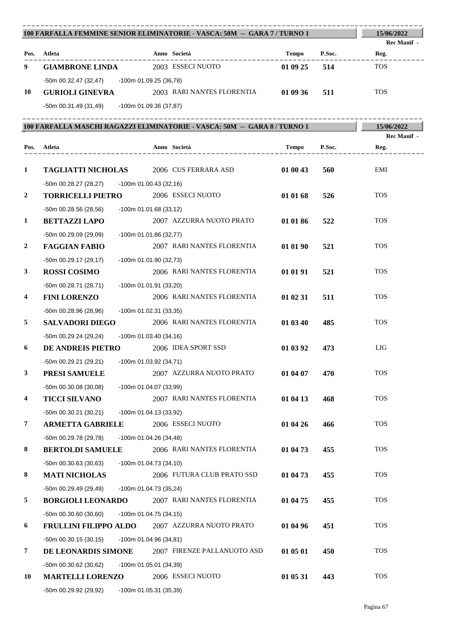| 100 FARFALLA FEMMINE SENIOR ELIMINATORIE - VASCA: 50M -- GARA 7/ TURNO 1 | 15/06/2022                                                               |                          |                                                                             |          |        |             |
|--------------------------------------------------------------------------|--------------------------------------------------------------------------|--------------------------|-----------------------------------------------------------------------------|----------|--------|-------------|
|                                                                          |                                                                          |                          |                                                                             |          |        | Rec Manif - |
| Pos.                                                                     | Atleta                                                                   |                          | Anno Società<br>____________                                                | Tempo    | P.Soc. | Reg.        |
| 9                                                                        | <b>GIAMBRONE LINDA</b>                                                   |                          | 2003 ESSECI NUOTO                                                           | 01 09 25 | 514    | <b>TOS</b>  |
|                                                                          | -50m 00.32.47 (32,47) -100m 01.09.25 (36,78)                             |                          |                                                                             |          |        |             |
| 10                                                                       | <b>GURIOLI GINEVRA</b>                                                   |                          | 2003 RARI NANTES FLORENTIA                                                  | 01 09 36 | 511    | <b>TOS</b>  |
|                                                                          | -50m 00.31.49 (31,49) -100m 01.09.36 (37,87)                             |                          |                                                                             |          |        |             |
|                                                                          |                                                                          |                          | 100 FARFALLA MASCHI RAGAZZI ELIMINATORIE - VASCA: 50M  --  GARA 8 / TURNO 1 |          |        | 15/06/2022  |
|                                                                          |                                                                          |                          |                                                                             |          |        | Rec Manif - |
| Pos.                                                                     | Atleta<br>_________________                                              |                          | Anno Società                                                                | Tempo    | P.Soc. | Reg.        |
|                                                                          |                                                                          |                          |                                                                             |          |        |             |
| $\mathbf{1}$                                                             | <b>TAGLIATTI NICHOLAS</b> 2006 CUS FERRARA ASD                           |                          |                                                                             | 01 00 43 | 560    | EMI         |
|                                                                          | -50m 00.28.27 (28,27)                                                    | -100m 01.00.43 (32,16)   |                                                                             |          |        |             |
| $\boldsymbol{2}$                                                         | <b>TORRICELLI PIETRO</b>                                                 |                          | 2006 ESSECI NUOTO                                                           | 01 01 68 | 526    | <b>TOS</b>  |
|                                                                          | $-50m$ 00.28.56 (28,56)                                                  | -100m 01.01.68 (33,12)   |                                                                             |          |        |             |
| 1                                                                        | <b>BETTAZZI LAPO</b>                                                     |                          | 2007 AZZURRA NUOTO PRATO                                                    | 01 01 86 | 522    | <b>TOS</b>  |
|                                                                          | -50m 00.29.09 (29.09)                                                    | -100m 01.01.86 (32,77)   |                                                                             |          |        |             |
| $\overline{2}$                                                           | <b>FAGGIAN FABIO</b>                                                     |                          | 2007 RARI NANTES FLORENTIA                                                  | 01 01 90 | 521    | <b>TOS</b>  |
|                                                                          | $-50m$ 00.29.17 (29,17)                                                  | -100m 01.01.90 (32,73)   |                                                                             |          |        |             |
| 3                                                                        | <b>ROSSI COSIMO</b>                                                      |                          | 2006 RARI NANTES FLORENTIA                                                  | 01 01 91 | 521    | <b>TOS</b>  |
|                                                                          | $-50m$ 00.28.71 (28,71)                                                  | -100m 01.01.91 (33,20)   |                                                                             |          |        | <b>TOS</b>  |
| 4                                                                        | <b>FINI LORENZO</b>                                                      |                          | 2006 RARI NANTES FLORENTIA                                                  | 01 02 31 | 511    |             |
|                                                                          | -50m 00.28.96 (28,96)                                                    | -100m 01.02.31 (33,35)   | 2006 RARI NANTES FLORENTIA                                                  |          |        | <b>TOS</b>  |
| 5                                                                        | <b>SALVADORI DIEGO</b>                                                   |                          |                                                                             | 01 03 40 | 485    |             |
| 6                                                                        | -50m 00.29.24 (29,24) -100m 01.03.40 (34,16)<br><b>DE ANDREIS PIETRO</b> |                          | 2006 IDEA SPORT SSD                                                         | 01 03 92 | 473    | LIG         |
|                                                                          |                                                                          |                          |                                                                             |          |        |             |
| $\mathbf{3}$                                                             | -50m 00.29.21 (29,21) -100m 01.03.92 (34,71)<br>PRESI SAMUELE            |                          | 2007 AZZURRA NUOTO PRATO                                                    | 01 04 07 | 470    | <b>TOS</b>  |
|                                                                          |                                                                          |                          |                                                                             |          |        |             |
| $\overline{\mathbf{4}}$                                                  | $-50m$ 00.30.08 (30,08)<br><b>TICCI SILVANO</b>                          | -100m 01.04.07 (33,99)   | 2007 RARI NANTES FLORENTIA                                                  | 01 04 13 | 468    | <b>TOS</b>  |
|                                                                          |                                                                          |                          |                                                                             |          |        |             |
| $\boldsymbol{7}$                                                         | $-50m$ 00.30.21 (30,21)<br><b>ARMETTA GABRIELE</b>                       | -100m 01.04.13 (33,92)   | 2006 ESSECI NUOTO                                                           | 01 04 26 | 466    | <b>TOS</b>  |
|                                                                          | -50m 00.29.78 (29,78)                                                    | $-100m$ 01.04.26 (34,48) |                                                                             |          |        |             |
| 8                                                                        | <b>BERTOLDI SAMUELE</b>                                                  |                          | 2006 RARI NANTES FLORENTIA                                                  | 01 04 73 | 455    | <b>TOS</b>  |
|                                                                          | $-50m$ 00.30.63 (30,63)                                                  | -100m 01.04.73 (34,10)   |                                                                             |          |        |             |
| 8                                                                        | <b>MATI NICHOLAS</b>                                                     |                          | 2006 FUTURA CLUB PRATO SSD                                                  | 01 04 73 | 455    | <b>TOS</b>  |
|                                                                          | -50m 00.29.49 (29,49)                                                    | -100m 01.04.73 (35,24)   |                                                                             |          |        |             |
| 5                                                                        | <b>BORGIOLI LEONARDO</b>                                                 |                          | 2007 RARI NANTES FLORENTIA                                                  | 01 04 75 | 455    | <b>TOS</b>  |
|                                                                          | $-50m$ 00.30.60 (30,60)                                                  | -100m 01.04.75 (34,15)   |                                                                             |          |        |             |
| 6                                                                        | <b>FRULLINI FILIPPO ALDO</b>                                             |                          | 2007 AZZURRA NUOTO PRATO                                                    | 01 04 96 | 451    | <b>TOS</b>  |
|                                                                          | $-50m$ 00.30.15 (30,15)                                                  | -100m 01.04.96 (34,81)   |                                                                             |          |        |             |
| 7                                                                        | DE LEONARDIS SIMONE                                                      |                          | 2007 FIRENZE PALLANUOTO ASD                                                 | 01 05 01 | 450    | <b>TOS</b>  |
|                                                                          | $-50m$ 00.30.62 (30,62)                                                  | -100m 01.05.01 (34,39)   |                                                                             |          |        |             |
| 10                                                                       | <b>MARTELLI LORENZO</b>                                                  |                          | 2006 ESSECI NUOTO                                                           | 01 05 31 | 443    | <b>TOS</b>  |
|                                                                          | -50m 00.29.92 (29,92)                                                    | -100m 01.05.31 (35,39)   |                                                                             |          |        |             |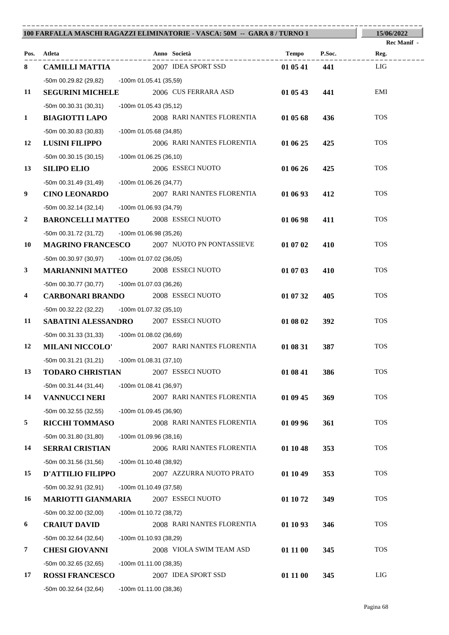| 100 FARFALLA MASCHI RAGAZZI ELIMINATORIE - VASCA: 50M -- GARA 8 / TURNO 1 | 15/06/2022                                    |                          |                                                    |          |        |                    |
|---------------------------------------------------------------------------|-----------------------------------------------|--------------------------|----------------------------------------------------|----------|--------|--------------------|
|                                                                           |                                               |                          |                                                    |          |        | <b>Rec Manif</b> - |
|                                                                           | Pos. Atleta                                   |                          | Anno Società<br>____________.                      | Tempo    | P.Soc. | Reg.               |
| 8                                                                         | <b>CAMILLI MATTIA</b>                         |                          | 2007 IDEA SPORT SSD                                | 01 05 41 | 441    | LIG                |
|                                                                           | -50m 00.29.82 (29,82) -100m 01.05.41 (35,59)  |                          |                                                    |          |        |                    |
| 11                                                                        | <b>SEGURINI MICHELE</b>                       |                          | 2006 CUS FERRARA ASD                               | 01 05 43 | 441    | EMI                |
|                                                                           | $-50m$ 00.30.31 (30,31)                       | -100m 01.05.43 (35,12)   |                                                    |          |        |                    |
| $\mathbf{1}$                                                              | <b>BIAGIOTTI LAPO</b>                         |                          | 2008 RARI NANTES FLORENTIA                         | 01 05 68 | 436    | <b>TOS</b>         |
|                                                                           | $-50m$ 00.30.83 (30,83)                       | -100m 01.05.68 (34,85)   |                                                    |          |        |                    |
| 12                                                                        | <b>LUSINI FILIPPO</b>                         |                          | 2006 RARI NANTES FLORENTIA                         | 01 06 25 | 425    | <b>TOS</b>         |
|                                                                           | -50m 00.30.15 (30,15)                         | -100m 01.06.25 (36,10)   |                                                    |          |        |                    |
| 13                                                                        | <b>SILIPO ELIO</b>                            |                          | 2006 ESSECI NUOTO                                  | 01 06 26 | 425    | <b>TOS</b>         |
|                                                                           | -50m 00.31.49 (31,49)                         | -100m 01.06.26 (34,77)   |                                                    |          |        |                    |
| 9                                                                         | <b>CINO LEONARDO</b>                          |                          | 2007 RARI NANTES FLORENTIA                         | 01 06 93 | 412    | <b>TOS</b>         |
|                                                                           | -50m 00.32.14 (32,14)                         | -100m 01.06.93 (34,79)   |                                                    |          |        |                    |
| $\boldsymbol{2}$                                                          | <b>BARONCELLI MATTEO</b> 2008 ESSECI NUOTO    |                          |                                                    | 01 06 98 | 411    | <b>TOS</b>         |
|                                                                           | -50m 00.31.72 (31,72)                         | -100m 01.06.98 (35,26)   |                                                    |          |        |                    |
| 10                                                                        |                                               |                          | <b>MAGRINO FRANCESCO</b> 2007 NUOTO PN PONTASSIEVE | 01 07 02 | 410    | <b>TOS</b>         |
|                                                                           | -50m 00.30.97 (30,97) -100m 01.07.02 (36,05)  |                          |                                                    |          |        |                    |
| $\mathbf{3}$                                                              | <b>MARIANNINI MATTEO</b> 2008 ESSECI NUOTO    |                          |                                                    | 01 07 03 | 410    | <b>TOS</b>         |
|                                                                           | -50m 00.30.77 (30,77) -100m 01.07.03 (36,26)  |                          |                                                    |          |        |                    |
| 4                                                                         | <b>CARBONARI BRANDO</b> 2008 ESSECI NUOTO     |                          |                                                    | 01 07 32 | 405    | <b>TOS</b>         |
|                                                                           | -50m 00.32.22 (32,22) -100m 01.07.32 (35,10)  |                          |                                                    |          |        |                    |
| 11                                                                        | <b>SABATINI ALESSANDRO</b> 2007 ESSECI NUOTO  |                          |                                                    | 01 08 02 | 392    | <b>TOS</b>         |
|                                                                           | -50m 00.31.33 (31,33) - 100m 01.08.02 (36,69) |                          |                                                    |          |        |                    |
| 12                                                                        | <b>MILANI NICCOLO'</b>                        |                          | 2007 RARI NANTES FLORENTIA                         | 01 08 31 | 387    | <b>TOS</b>         |
|                                                                           | -50m 00.31.21 (31,21) -100m 01.08.31 (37,10)  |                          |                                                    |          |        |                    |
| 13                                                                        | <b>TODARO CHRISTIAN</b>                       |                          | 2007 ESSECI NUOTO                                  | 01 08 41 | 386    | <b>TOS</b>         |
|                                                                           | $-50m$ 00.31.44 (31,44)                       | $-100m$ 01.08.41 (36,97) |                                                    |          |        |                    |
| 14                                                                        | <b>VANNUCCI NERI</b>                          |                          | 2007 RARI NANTES FLORENTIA                         | 01 09 45 | 369    | <b>TOS</b>         |
|                                                                           | -50m 00.32.55 (32,55)                         | -100m 01.09.45 (36,90)   |                                                    |          |        |                    |
| 5                                                                         | <b>RICCHI TOMMASO</b>                         |                          | 2008 RARI NANTES FLORENTIA                         | 01 09 96 | 361    | <b>TOS</b>         |
|                                                                           | $-50m$ 00.31.80 (31,80)                       | -100m 01.09.96 (38,16)   |                                                    |          |        |                    |
| 14                                                                        | <b>SERRAI CRISTIAN</b>                        |                          | 2006 RARI NANTES FLORENTIA                         | 01 10 48 | 353    | <b>TOS</b>         |
|                                                                           | $-50m$ 00.31.56 (31,56)                       | -100m 01.10.48 (38,92)   |                                                    |          |        |                    |
| 15                                                                        | <b>D'ATTILIO FILIPPO</b>                      |                          | 2007 AZZURRA NUOTO PRATO                           | 01 10 49 | 353    | <b>TOS</b>         |
|                                                                           | -50m 00.32.91 (32,91)                         | -100m 01.10.49 (37,58)   |                                                    |          |        |                    |
| 16                                                                        | <b>MARIOTTI GIANMARIA</b>                     |                          | 2007 ESSECI NUOTO                                  | 01 10 72 | 349    | <b>TOS</b>         |
|                                                                           | $-50m$ 00.32.00 (32,00)                       | -100m 01.10.72 (38,72)   |                                                    |          |        |                    |
| 6                                                                         | <b>CRAIUT DAVID</b>                           |                          | 2008 RARI NANTES FLORENTIA                         | 01 10 93 | 346    | <b>TOS</b>         |
|                                                                           | $-50m$ 00.32.64 (32,64)                       | -100m 01.10.93 (38,29)   |                                                    |          |        |                    |
| 7                                                                         | <b>CHESI GIOVANNI</b>                         |                          | 2008 VIOLA SWIM TEAM ASD                           | 01 11 00 | 345    | <b>TOS</b>         |
|                                                                           | -50m 00.32.65 (32,65)                         | -100m 01.11.00 (38,35)   |                                                    |          |        |                    |
| 17                                                                        | <b>ROSSI FRANCESCO</b>                        |                          | 2007 IDEA SPORT SSD                                | 01 11 00 | 345    | LIG                |
|                                                                           | -50m 00.32.64 (32,64)                         | $-100m$ 01.11.00 (38,36) |                                                    |          |        |                    |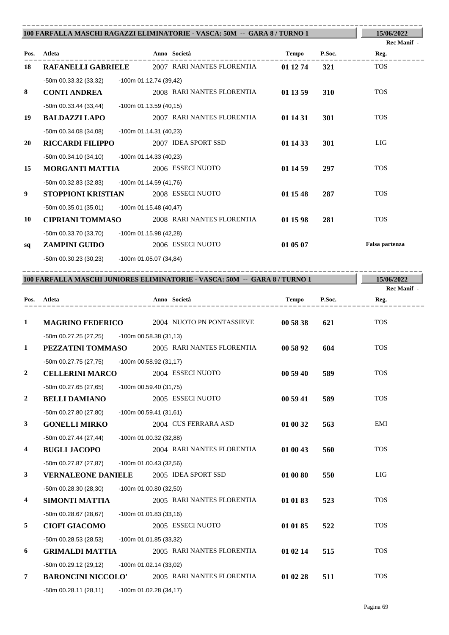| 100 FARFALLA MASCHI RAGAZZI ELIMINATORIE - VASCA: 50M -- GARA 8 / TURNO 1 | 15/06/2022                                      |                          |                                                                            |              |        |                           |
|---------------------------------------------------------------------------|-------------------------------------------------|--------------------------|----------------------------------------------------------------------------|--------------|--------|---------------------------|
|                                                                           |                                                 |                          |                                                                            |              |        | Rec Manif -               |
| Pos.                                                                      | Atleta                                          |                          | Anno Società                                                               | <b>Tempo</b> | P.Soc. | Reg.                      |
| 18                                                                        |                                                 |                          | <b>RAFANELLI GABRIELE</b> 2007 RARI NANTES FLORENTIA                       | 01 12 74     | 321    | <b>TOS</b>                |
|                                                                           | -50m 00.33.32 (33,32)                           | -100m 01.12.74 (39,42)   |                                                                            |              |        |                           |
| 8                                                                         | <b>CONTI ANDREA</b>                             |                          | 2008 RARI NANTES FLORENTIA                                                 | 01 13 59     | 310    | <b>TOS</b>                |
|                                                                           | -50m 00.33.44 (33,44)                           | $-100m$ 01.13.59 (40,15) |                                                                            |              |        |                           |
| 19                                                                        | <b>BALDAZZI LAPO</b>                            |                          | 2007 RARI NANTES FLORENTIA                                                 | 01 14 31     | 301    | <b>TOS</b>                |
|                                                                           | -50m 00.34.08 (34,08)                           | $-100m$ 01.14.31 (40,23) |                                                                            |              |        |                           |
| 20                                                                        | <b>RICCARDI FILIPPO</b>                         |                          | 2007 IDEA SPORT SSD                                                        | 01 14 33     | 301    | <b>LIG</b>                |
|                                                                           | -50m 00.34.10 (34,10)                           | -100m 01.14.33 (40,23)   |                                                                            |              |        |                           |
| 15                                                                        | <b>MORGANTI MATTIA</b>                          |                          | 2006 ESSECI NUOTO                                                          | 01 14 59     | 297    | <b>TOS</b>                |
|                                                                           | $-50m$ 00.32.83 (32,83)                         | -100m 01.14.59 (41,76)   |                                                                            |              |        |                           |
| 9                                                                         | <b>STOPPIONI KRISTIAN</b>                       |                          | 2008 ESSECI NUOTO                                                          | 01 15 48     | 287    | <b>TOS</b>                |
|                                                                           | -50m 00.35.01 (35,01)                           | $-100m$ 01.15.48 (40,47) |                                                                            |              |        |                           |
| 10                                                                        | <b>CIPRIANI TOMMASO</b>                         |                          | 2008 RARI NANTES FLORENTIA                                                 | 01 15 98     | 281    | <b>TOS</b>                |
|                                                                           | -50m 00.33.70 (33,70)<br>-100m 01.15.98 (42,28) |                          |                                                                            |              |        |                           |
| sq                                                                        | <b>ZAMPINI GUIDO</b>                            |                          | 2006 ESSECI NUOTO                                                          | 01 05 07     |        | Falsa partenza            |
|                                                                           | -50m 00.30.23 (30,23)                           | -100m 01.05.07 (34,84)   |                                                                            |              |        |                           |
|                                                                           |                                                 |                          |                                                                            |              |        |                           |
|                                                                           |                                                 |                          | 100 FARFALLA MASCHI JUNIORES ELIMINATORIE - VASCA: 50M -- GARA 8 / TURNO 1 |              |        | 15/06/2022<br>Rec Manif - |
|                                                                           | Pos. Atleta<br>--------------------             |                          | Anno Società<br>___________________                                        | <b>Tempo</b> | P.Soc. | Reg.                      |

| $\mathbf{1}$   |                                               |                          | <b>MAGRINO FEDERICO</b> 2004 NUOTO PN PONTASSIEVE | 00 58 38 | 621 | <b>TOS</b> |
|----------------|-----------------------------------------------|--------------------------|---------------------------------------------------|----------|-----|------------|
|                | -50m 00.27.25 (27,25) -100m 00.58.38 (31,13)  |                          |                                                   |          |     |            |
| $\mathbf{1}$   | PEZZATINI TOMMASO                             |                          | 2005 RARI NANTES FLORENTIA                        | 00 58 92 | 604 | <b>TOS</b> |
|                | -50m 00.27.75 (27,75) -100m 00.58.92 (31,17)  |                          |                                                   |          |     |            |
| $\overline{2}$ | <b>CELLERINI MARCO</b>                        |                          | 2004 ESSECI NUOTO                                 | 00 59 40 | 589 | <b>TOS</b> |
|                | -50m 00.27.65 (27,65)                         | -100m 00.59.40 (31,75)   |                                                   |          |     |            |
| $\mathbf{2}$   | <b>BELLI DAMIANO</b>                          |                          | 2005 ESSECI NUOTO                                 | 00 59 41 | 589 | <b>TOS</b> |
|                | -50m 00.27.80 (27,80)                         | $-100m$ 00.59.41 (31,61) |                                                   |          |     |            |
| $\mathbf{3}$   | <b>GONELLI MIRKO</b>                          |                          | 2004 CUS FERRARA ASD                              | 01 00 32 | 563 | EMI        |
|                | -50m 00.27.44 (27,44)                         | -100m 01.00.32 (32,88)   |                                                   |          |     |            |
| 4              | <b>BUGLI JACOPO</b>                           |                          | 2004 RARI NANTES FLORENTIA                        | 01 00 43 | 560 | <b>TOS</b> |
|                | -50m 00.27.87 (27,87)                         | -100m 01.00.43 (32,56)   |                                                   |          |     |            |
| $\mathbf{3}$   | <b>VERNALEONE DANIELE</b> 2005 IDEA SPORT SSD |                          |                                                   | 01 00 80 | 550 | <b>LIG</b> |
|                | -50m 00.28.30 (28,30)                         | -100m 01.00.80 (32,50)   |                                                   |          |     |            |
| 4              | <b>SIMONTI MATTIA</b>                         |                          | 2005 RARI NANTES FLORENTIA                        | 01 01 83 | 523 | <b>TOS</b> |
|                | -50m 00.28.67 (28.67)                         | $-100m$ 01.01.83 (33,16) |                                                   |          |     |            |
| 5              | <b>CIOFI GIACOMO</b>                          |                          | 2005 ESSECI NUOTO                                 | 01 01 85 | 522 | <b>TOS</b> |
|                | -50m 00.28.53 (28,53)                         | -100m 01.01.85 (33,32)   |                                                   |          |     |            |
| 6              | <b>GRIMALDI MATTIA</b>                        |                          | 2005 RARI NANTES FLORENTIA                        | 01 02 14 | 515 | <b>TOS</b> |
|                | -50m 00.29.12 (29,12)                         | $-100m$ 01.02.14 (33,02) |                                                   |          |     |            |
| $\overline{7}$ | <b>BARONCINI NICCOLO'</b>                     |                          | 2005 RARI NANTES FLORENTIA                        | 01 02 28 | 511 | <b>TOS</b> |
|                | -50m 00.28.11 (28,11)                         | $-100m$ 01.02.28 (34,17) |                                                   |          |     |            |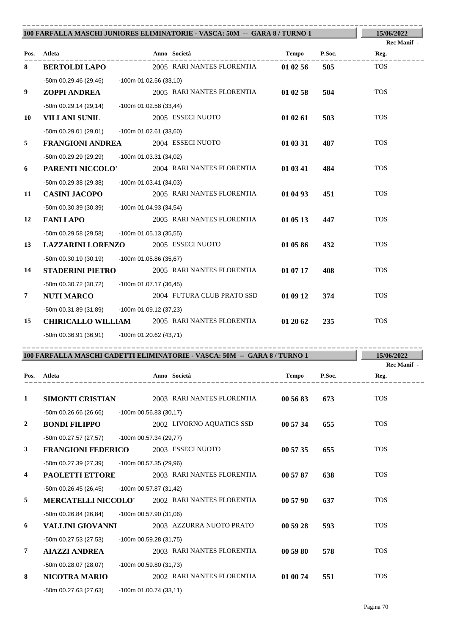| 100 FARFALLA MASCHI JUNIORES ELIMINATORIE - VASCA: 50M -- GARA 8 / TURNO 1 | 15/06/2022                                        |                          |                                                                           |              |        |                     |
|----------------------------------------------------------------------------|---------------------------------------------------|--------------------------|---------------------------------------------------------------------------|--------------|--------|---------------------|
|                                                                            |                                                   |                          |                                                                           |              |        | Rec Manif -         |
|                                                                            | Pos. Atleta                                       |                          | Anno Società                                                              | Tempo        | P.Soc. | Reg.                |
| 8                                                                          | <b>BERTOLDI LAPO</b>                              |                          | 2005 RARI NANTES FLORENTIA                                                | 01 02 56     | 505    | <b>TOS</b>          |
|                                                                            | -50m 00.29.46 (29,46) -100m 01.02.56 (33,10)      |                          |                                                                           |              |        |                     |
| 9                                                                          | ZOPPI ANDREA                                      |                          | 2005 RARI NANTES FLORENTIA                                                | 01 02 58     | 504    | <b>TOS</b>          |
|                                                                            | -50m 00.29.14 (29,14)                             | -100m 01.02.58 (33,44)   |                                                                           |              |        |                     |
| 10                                                                         | <b>VILLANI SUNIL</b>                              |                          | 2005 ESSECI NUOTO                                                         | 01 02 61     | 503    | <b>TOS</b>          |
|                                                                            | -50m 00.29.01 (29,01)                             | -100m 01.02.61 (33,60)   |                                                                           |              |        | <b>TOS</b>          |
| 5                                                                          | <b>FRANGIONI ANDREA</b>                           |                          | 2004 ESSECI NUOTO                                                         | 01 03 31     | 487    |                     |
|                                                                            | -50m 00.29.29 (29,29)                             | $-100m$ 01.03.31 (34,02) |                                                                           |              |        | <b>TOS</b>          |
| 6                                                                          | PARENTI NICCOLO'                                  |                          | 2004 RARI NANTES FLORENTIA                                                | 01 03 41     | 484    |                     |
| 11                                                                         | -50m 00.29.38 (29,38)                             | -100m 01.03.41 (34,03)   | 2005 RARI NANTES FLORENTIA                                                |              |        | <b>TOS</b>          |
|                                                                            | <b>CASINI JACOPO</b>                              |                          |                                                                           | 01 04 93     | 451    |                     |
| 12                                                                         | -50m 00.30.39 (30,39)<br><b>FANI LAPO</b>         | -100m 01.04.93 (34,54)   | 2005 RARI NANTES FLORENTIA                                                | 01 05 13     | 447    | <b>TOS</b>          |
|                                                                            |                                                   |                          |                                                                           |              |        |                     |
| 13                                                                         | -50m 00.29.58 (29,58)<br><b>LAZZARINI LORENZO</b> | -100m 01.05.13 (35,55)   | 2005 ESSECI NUOTO                                                         | 01 05 86     | 432    | <b>TOS</b>          |
|                                                                            |                                                   |                          |                                                                           |              |        |                     |
| 14                                                                         | -50m 00.30.19 (30,19)<br><b>STADERINI PIETRO</b>  | -100m 01.05.86 (35,67)   | 2005 RARI NANTES FLORENTIA                                                | 01 07 17     | 408    | <b>TOS</b>          |
|                                                                            | -50m 00.30.72 (30,72) -100m 01.07.17 (36,45)      |                          |                                                                           |              |        |                     |
| 7                                                                          | <b>NUTI MARCO</b>                                 |                          | 2004 FUTURA CLUB PRATO SSD                                                | 01 09 12     | 374    | <b>TOS</b>          |
|                                                                            | -50m 00.31.89 (31,89) -100m 01.09.12 (37,23)      |                          |                                                                           |              |        |                     |
| 15                                                                         |                                                   |                          | <b>CHIRICALLO WILLIAM 2005 RARI NANTES FLORENTIA</b>                      | 01 20 62     | 235    | <b>TOS</b>          |
|                                                                            | -50m 00.36.91 (36,91) -100m 01.20.62 (43,71)      |                          |                                                                           |              |        |                     |
|                                                                            |                                                   |                          |                                                                           |              |        |                     |
|                                                                            |                                                   |                          | 100 FARFALLA MASCHI CADETTI ELIMINATORIE - VASCA: 50M -- GARA 8 / TURNO 1 |              |        | 15/06/2022          |
| Pos.                                                                       | Atleta                                            |                          | Anno Società                                                              | <b>Tempo</b> | P.Soc. | Rec Manif -<br>Reg. |
|                                                                            |                                                   |                          |                                                                           |              |        |                     |
| 1                                                                          | <b>SIMONTI CRISTIAN</b>                           |                          | 2003 RARI NANTES FLORENTIA                                                | 00 56 83     | 673    | <b>TOS</b>          |
|                                                                            | $-50m$ 00.26.66 (26,66)                           | $-100m$ 00.56.83 (30,17) |                                                                           |              |        |                     |
| 2                                                                          | <b>BONDI FILIPPO</b>                              |                          | 2002 LIVORNO AQUATICS SSD                                                 | 00 57 34     | 655    | <b>TOS</b>          |
|                                                                            | -50m 00.27.57 (27,57)                             | -100m 00.57.34 (29,77)   |                                                                           |              |        |                     |
| 3                                                                          | <b>FRANGIONI FEDERICO</b>                         |                          | 2003 ESSECI NUOTO                                                         | 00 57 35     | 655    | <b>TOS</b>          |
|                                                                            | -50m 00.27.39 (27,39)                             | -100m 00.57.35 (29,96)   |                                                                           |              |        |                     |
| 4                                                                          | <b>PAOLETTI ETTORE</b>                            |                          | 2003 RARI NANTES FLORENTIA                                                | 00 57 87     | 638    | <b>TOS</b>          |
|                                                                            | $-50m$ 00.26.45 (26,45)                           | -100m 00.57.87 (31,42)   |                                                                           |              |        |                     |
| 5                                                                          | <b>MERCATELLI NICCOLO'</b>                        |                          | 2002 RARI NANTES FLORENTIA                                                | 00 57 90     | 637    | <b>TOS</b>          |
|                                                                            | -50m 00.26.84 (26,84)                             | -100m 00.57.90 (31,06)   |                                                                           |              |        |                     |
| 6                                                                          | <b>VALLINI GIOVANNI</b>                           |                          | 2003 AZZURRA NUOTO PRATO                                                  | 00 59 28     | 593    | <b>TOS</b>          |
|                                                                            | -50m 00.27.53 (27,53)                             | -100m 00.59.28 (31,75)   |                                                                           |              |        |                     |
| 7                                                                          | <b>AIAZZI ANDREA</b>                              |                          | 2003 RARI NANTES FLORENTIA                                                | 00 59 80     | 578    | <b>TOS</b>          |
|                                                                            | -50m 00.28.07 (28,07)                             | -100m 00.59.80 (31,73)   |                                                                           |              |        |                     |
| 8                                                                          | <b>NICOTRA MARIO</b>                              |                          | 2002 RARI NANTES FLORENTIA                                                | 01 00 74     | 551    | <b>TOS</b>          |
|                                                                            | -50m 00.27.63 (27,63)                             | -100m 01.00.74 (33,11)   |                                                                           |              |        |                     |
|                                                                            |                                                   |                          |                                                                           |              |        |                     |